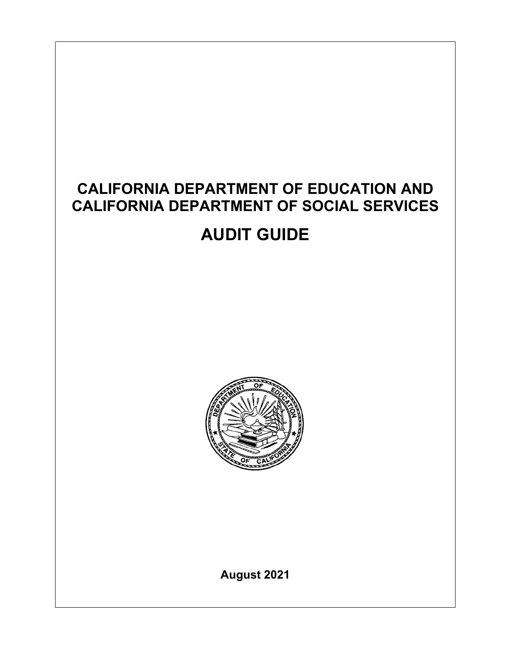# **CALIFORNIA DEPARTMENT OF EDUCATION AND CALIFORNIA DEPARTMENT OF SOCIAL SERVICES**

# **AUDIT GUIDE**



**August 2021**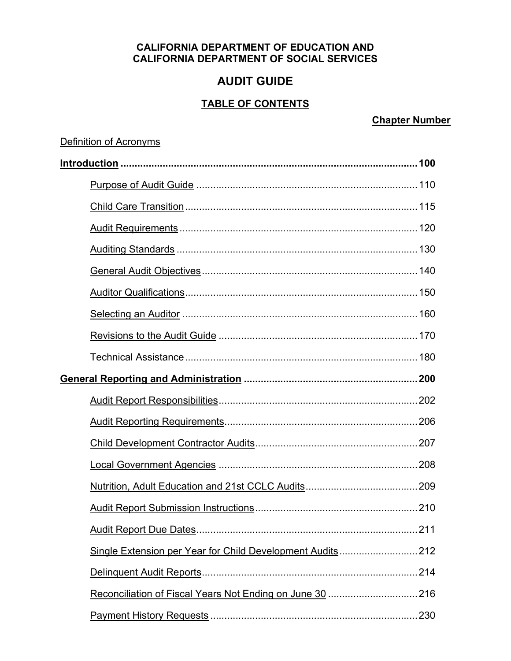#### **CALIFORNIA DEPARTMENT OF EDUCATION AND CALIFORNIA DEPARTMENT OF SOCIAL SERVICES**

# **AUDIT GUIDE**

# **TABLE OF CONTENTS**

#### **Chapter Number**

#### [Definition of Acronyms](#page-5-0)

| Single Extension per Year for Child Development Audits212 |  |
|-----------------------------------------------------------|--|
|                                                           |  |
| Reconciliation of Fiscal Years Not Ending on June 30 216  |  |
|                                                           |  |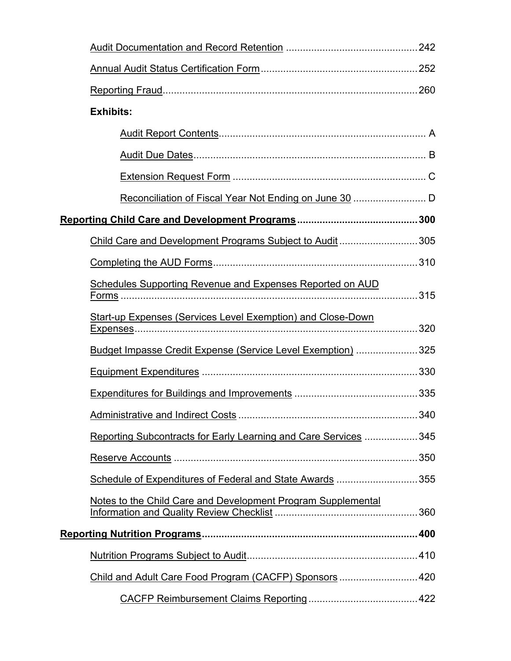| <b>Exhibits:</b>                                                 |  |
|------------------------------------------------------------------|--|
|                                                                  |  |
|                                                                  |  |
|                                                                  |  |
|                                                                  |  |
|                                                                  |  |
| Child Care and Development Programs Subject to Audit 305         |  |
|                                                                  |  |
| <b>Schedules Supporting Revenue and Expenses Reported on AUD</b> |  |
| Start-up Expenses (Services Level Exemption) and Close-Down      |  |
| Budget Impasse Credit Expense (Service Level Exemption) 325      |  |
|                                                                  |  |
|                                                                  |  |
|                                                                  |  |
| Reporting Subcontracts for Early Learning and Care Services 345  |  |
|                                                                  |  |
| Schedule of Expenditures of Federal and State Awards 355         |  |
| Notes to the Child Care and Development Program Supplemental     |  |
|                                                                  |  |
|                                                                  |  |
| Child and Adult Care Food Program (CACFP) Sponsors420            |  |
|                                                                  |  |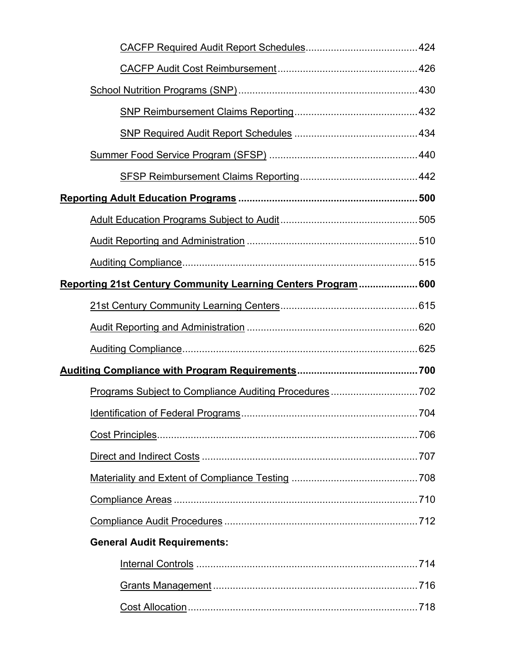| Reporting 21st Century Community Learning Centers Program 600 |     |
|---------------------------------------------------------------|-----|
|                                                               |     |
|                                                               |     |
|                                                               |     |
|                                                               |     |
|                                                               |     |
|                                                               | 704 |
|                                                               |     |
|                                                               |     |
|                                                               |     |
|                                                               |     |
|                                                               |     |
| <b>General Audit Requirements:</b>                            |     |
|                                                               |     |
|                                                               |     |
|                                                               |     |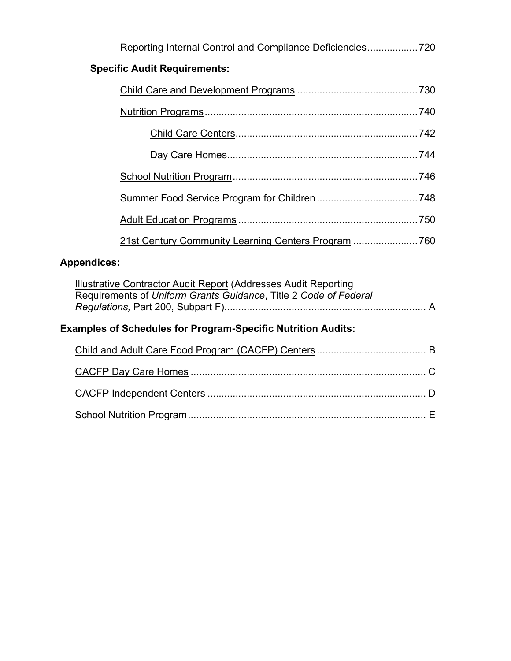| Reporting Internal Control and Compliance Deficiencies720                                                                                  |  |  |  |  |
|--------------------------------------------------------------------------------------------------------------------------------------------|--|--|--|--|
| <b>Specific Audit Requirements:</b>                                                                                                        |  |  |  |  |
|                                                                                                                                            |  |  |  |  |
|                                                                                                                                            |  |  |  |  |
|                                                                                                                                            |  |  |  |  |
|                                                                                                                                            |  |  |  |  |
|                                                                                                                                            |  |  |  |  |
|                                                                                                                                            |  |  |  |  |
|                                                                                                                                            |  |  |  |  |
|                                                                                                                                            |  |  |  |  |
| <b>Appendices:</b>                                                                                                                         |  |  |  |  |
| <b>Illustrative Contractor Audit Report (Addresses Audit Reporting</b><br>Requirements of Uniform Grants Guidance, Title 2 Code of Federal |  |  |  |  |
| <b>Examples of Schedules for Program-Specific Nutrition Audits:</b>                                                                        |  |  |  |  |
|                                                                                                                                            |  |  |  |  |
|                                                                                                                                            |  |  |  |  |
|                                                                                                                                            |  |  |  |  |
|                                                                                                                                            |  |  |  |  |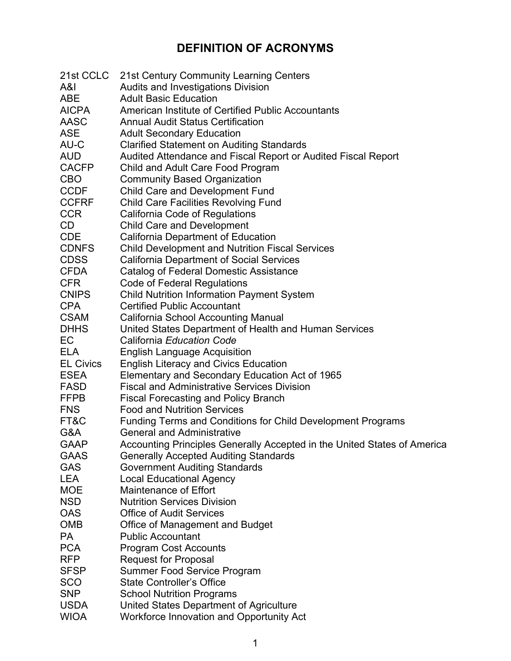# **DEFINITION OF ACRONYMS**

<span id="page-5-0"></span>

| 21st CCLC        | 21st Century Community Learning Centers                                                 |
|------------------|-----------------------------------------------------------------------------------------|
| A&I              | Audits and Investigations Division                                                      |
| <b>ABE</b>       | <b>Adult Basic Education</b>                                                            |
| <b>AICPA</b>     | American Institute of Certified Public Accountants                                      |
| AASC             | <b>Annual Audit Status Certification</b>                                                |
| <b>ASE</b>       | <b>Adult Secondary Education</b>                                                        |
| AU-C             | <b>Clarified Statement on Auditing Standards</b>                                        |
| <b>AUD</b>       | Audited Attendance and Fiscal Report or Audited Fiscal Report                           |
| <b>CACFP</b>     | Child and Adult Care Food Program                                                       |
| <b>CBO</b>       | <b>Community Based Organization</b>                                                     |
| <b>CCDF</b>      | <b>Child Care and Development Fund</b>                                                  |
| <b>CCFRF</b>     | <b>Child Care Facilities Revolving Fund</b>                                             |
| <b>CCR</b>       | California Code of Regulations                                                          |
| CD               | <b>Child Care and Development</b>                                                       |
| <b>CDE</b>       | <b>California Department of Education</b>                                               |
| <b>CDNFS</b>     | <b>Child Development and Nutrition Fiscal Services</b>                                  |
| <b>CDSS</b>      | <b>California Department of Social Services</b>                                         |
| <b>CFDA</b>      | <b>Catalog of Federal Domestic Assistance</b>                                           |
| CFR              | <b>Code of Federal Regulations</b>                                                      |
| <b>CNIPS</b>     |                                                                                         |
| <b>CPA</b>       | <b>Child Nutrition Information Payment System</b><br><b>Certified Public Accountant</b> |
|                  |                                                                                         |
| <b>CSAM</b>      | <b>California School Accounting Manual</b>                                              |
| <b>DHHS</b>      | United States Department of Health and Human Services                                   |
| EC               | California Education Code                                                               |
| <b>ELA</b>       | <b>English Language Acquisition</b>                                                     |
| <b>EL Civics</b> | <b>English Literacy and Civics Education</b>                                            |
| <b>ESEA</b>      | Elementary and Secondary Education Act of 1965                                          |
| <b>FASD</b>      | <b>Fiscal and Administrative Services Division</b>                                      |
| <b>FFPB</b>      | <b>Fiscal Forecasting and Policy Branch</b>                                             |
| <b>FNS</b>       | <b>Food and Nutrition Services</b>                                                      |
| FT&C             | <b>Funding Terms and Conditions for Child Development Programs</b>                      |
| G&A              | <b>General and Administrative</b>                                                       |
| <b>GAAP</b>      | Accounting Principles Generally Accepted in the United States of America                |
| <b>GAAS</b>      | <b>Generally Accepted Auditing Standards</b>                                            |
| <b>GAS</b>       | <b>Government Auditing Standards</b>                                                    |
| <b>LEA</b>       | <b>Local Educational Agency</b>                                                         |
| <b>MOE</b>       | <b>Maintenance of Effort</b>                                                            |
| <b>NSD</b>       | <b>Nutrition Services Division</b>                                                      |
| <b>OAS</b>       | <b>Office of Audit Services</b>                                                         |
| <b>OMB</b>       | Office of Management and Budget                                                         |
| PA               | <b>Public Accountant</b>                                                                |
| <b>PCA</b>       | <b>Program Cost Accounts</b>                                                            |
| <b>RFP</b>       | <b>Request for Proposal</b>                                                             |
| <b>SFSP</b>      | Summer Food Service Program                                                             |
| <b>SCO</b>       | <b>State Controller's Office</b>                                                        |
| <b>SNP</b>       | <b>School Nutrition Programs</b>                                                        |
| <b>USDA</b>      | United States Department of Agriculture                                                 |
| <b>WIOA</b>      | Workforce Innovation and Opportunity Act                                                |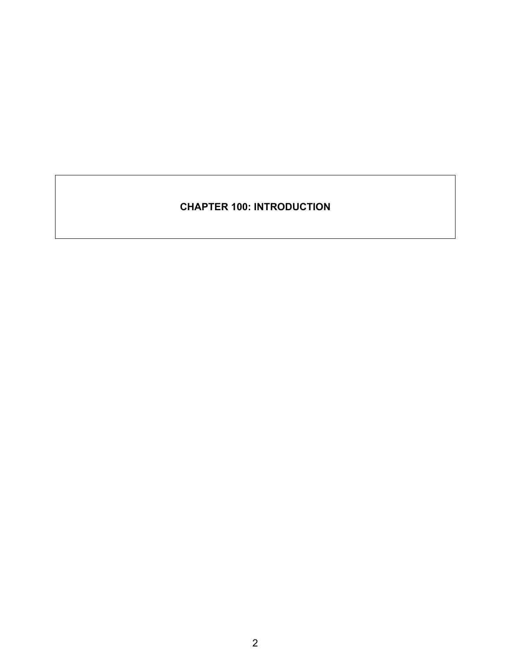# <span id="page-6-0"></span>**CHAPTER 100: INTRODUCTION**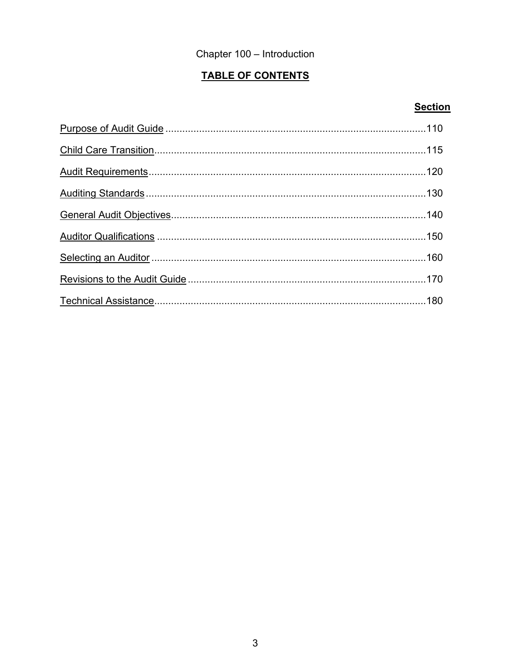# Chapter 100 - Introduction

# TABLE OF CONTENTS

# **Section**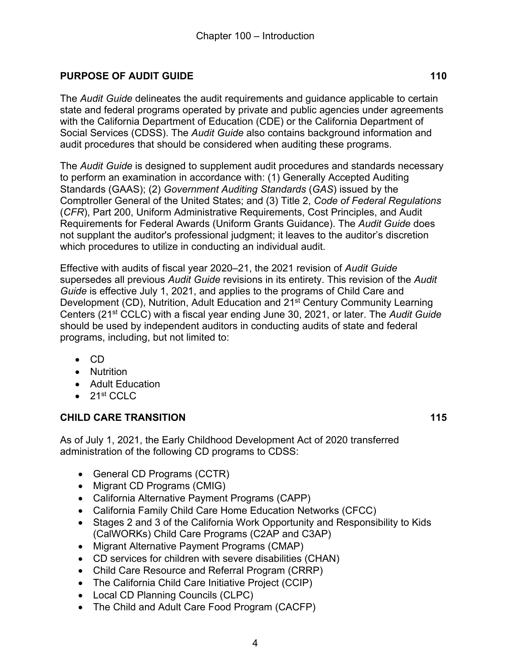## <span id="page-8-0"></span>**PURPOSE OF AUDIT GUIDE 110**

The *Audit Guide* delineates the audit requirements and guidance applicable to certain state and federal programs operated by private and public agencies under agreements with the California Department of Education (CDE) or the California Department of Social Services (CDSS). The *Audit Guide* also contains background information and audit procedures that should be considered when auditing these programs.

The *Audit Guide* is designed to supplement audit procedures and standards necessary to perform an examination in accordance with: (1) Generally Accepted Auditing Standards (GAAS); (2) *Government Auditing Standards* (*GAS*) issued by the Comptroller General of the United States; and (3) Title 2, *Code of Federal Regulations* (*CFR*), Part 200, Uniform Administrative Requirements, Cost Principles, and Audit Requirements for Federal Awards (Uniform Grants Guidance). The *Audit Guide* does not supplant the auditor's professional judgment; it leaves to the auditor's discretion which procedures to utilize in conducting an individual audit.

Effective with audits of fiscal year 2020–21, the 2021 revision of *Audit Guide* supersedes all previous *Audit Guide* revisions in its entirety. This revision of the *Audit Guide* is effective July 1, 2021, and applies to the programs of Child Care and Development (CD), Nutrition, Adult Education and 21<sup>st</sup> Century Community Learning Centers (21st CCLC) with a fiscal year ending June 30, 2021, or later. The *Audit Guide* should be used by independent auditors in conducting audits of state and federal programs, including, but not limited to:

- CD
- Nutrition
- Adult Education
- $\bullet$  21st CCLC

# <span id="page-8-1"></span>**CHILD CARE TRANSITION 115**

As of July 1, 2021, the Early Childhood Development Act of 2020 transferred administration of the following CD programs to CDSS:

- General CD Programs (CCTR)
- Migrant CD Programs (CMIG)
- California Alternative Payment Programs (CAPP)
- California Family Child Care Home Education Networks (CFCC)
- Stages 2 and 3 of the California Work Opportunity and Responsibility to Kids (CalWORKs) Child Care Programs (C2AP and C3AP)
- Migrant Alternative Payment Programs (CMAP)
- CD services for children with severe disabilities (CHAN)
- Child Care Resource and Referral Program (CRRP)
- The California Child Care Initiative Project (CCIP)
- Local CD Planning Councils (CLPC)
- The Child and Adult Care Food Program (CACFP)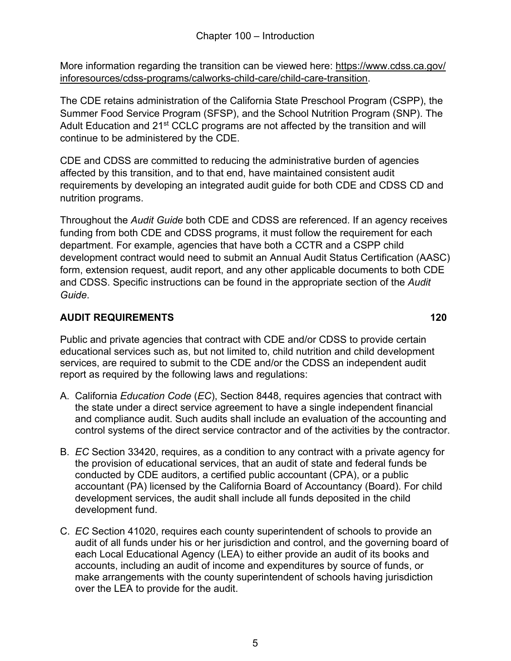More information regarding the transition can be viewed here: [https://www.cdss.ca.gov/](https://www.cdss.ca.gov/%E2%80%8Cinforesources/cdss-programs/calworks-child-care/child-care-transition) [inforesources/cdss-programs/calworks-child-care/child-care-transition.](https://www.cdss.ca.gov/%E2%80%8Cinforesources/cdss-programs/calworks-child-care/child-care-transition)

The CDE retains administration of the California State Preschool Program (CSPP), the Summer Food Service Program (SFSP), and the School Nutrition Program (SNP). The Adult Education and 21<sup>st</sup> CCLC programs are not affected by the transition and will continue to be administered by the CDE.

CDE and CDSS are committed to reducing the administrative burden of agencies affected by this transition, and to that end, have maintained consistent audit requirements by developing an integrated audit guide for both CDE and CDSS CD and nutrition programs.

Throughout the *Audit Guide* both CDE and CDSS are referenced. If an agency receives funding from both CDE and CDSS programs, it must follow the requirement for each department. For example, agencies that have both a CCTR and a CSPP child development contract would need to submit an Annual Audit Status Certification (AASC) form, extension request, audit report, and any other applicable documents to both CDE and CDSS. Specific instructions can be found in the appropriate section of the *Audit Guide*.

# <span id="page-9-0"></span>**AUDIT REQUIREMENTS 120**

Public and private agencies that contract with CDE and/or CDSS to provide certain educational services such as, but not limited to, child nutrition and child development services, are required to submit to the CDE and/or the CDSS an independent audit report as required by the following laws and regulations:

- A. California *Education Code* (*EC*), Section 8448, requires agencies that contract with the state under a direct service agreement to have a single independent financial and compliance audit. Such audits shall include an evaluation of the accounting and control systems of the direct service contractor and of the activities by the contractor.
- B. *EC* Section 33420, requires, as a condition to any contract with a private agency for the provision of educational services, that an audit of state and federal funds be conducted by CDE auditors, a certified public accountant (CPA), or a public accountant (PA) licensed by the California Board of Accountancy (Board). For child development services, the audit shall include all funds deposited in the child development fund.
- C. *EC* Section 41020, requires each county superintendent of schools to provide an audit of all funds under his or her jurisdiction and control, and the governing board of each Local Educational Agency (LEA) to either provide an audit of its books and accounts, including an audit of income and expenditures by source of funds, or make arrangements with the county superintendent of schools having jurisdiction over the LEA to provide for the audit.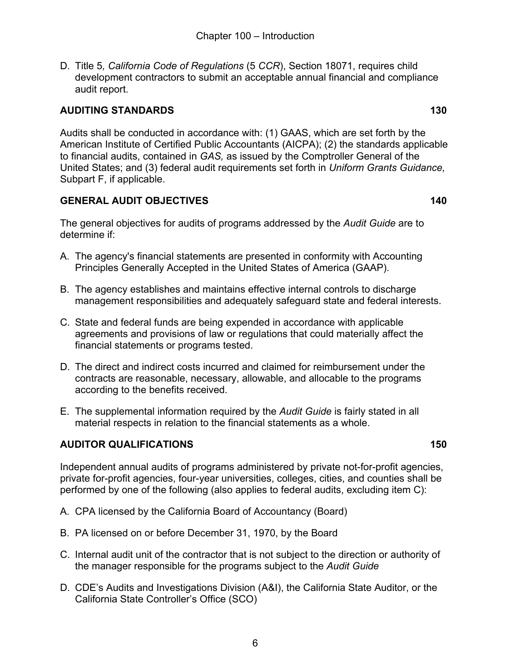D. Title 5*, California Code of Regulations* (5 *CCR*), Section 18071, requires child development contractors to submit an acceptable annual financial and compliance audit report.

## <span id="page-10-0"></span>**AUDITING STANDARDS 130**

Audits shall be conducted in accordance with: (1) GAAS, which are set forth by the American Institute of Certified Public Accountants (AICPA); (2) the standards applicable to financial audits, contained in *GAS,* as issued by the Comptroller General of the United States; and (3) federal audit requirements set forth in *Uniform Grants Guidance,*  Subpart F, if applicable.

### <span id="page-10-1"></span>**GENERAL AUDIT OBJECTIVES 140**

The general objectives for audits of programs addressed by the *Audit Guide* are to determine if:

- A. The agency's financial statements are presented in conformity with Accounting Principles Generally Accepted in the United States of America (GAAP).
- B. The agency establishes and maintains effective internal controls to discharge management responsibilities and adequately safeguard state and federal interests.
- C. State and federal funds are being expended in accordance with applicable agreements and provisions of law or regulations that could materially affect the financial statements or programs tested.
- D. The direct and indirect costs incurred and claimed for reimbursement under the contracts are reasonable, necessary, allowable, and allocable to the programs according to the benefits received.
- E. The supplemental information required by the *Audit Guide* is fairly stated in all material respects in relation to the financial statements as a whole.

# <span id="page-10-2"></span>**AUDITOR QUALIFICATIONS 150**

Independent annual audits of programs administered by private not-for-profit agencies, private for-profit agencies, four-year universities, colleges, cities, and counties shall be performed by one of the following (also applies to federal audits, excluding item C):

- A. CPA licensed by the California Board of Accountancy (Board)
- B. PA licensed on or before December 31, 1970, by the Board
- C. Internal audit unit of the contractor that is not subject to the direction or authority of the manager responsible for the programs subject to the *Audit Guide*
- D. CDE's Audits and Investigations Division (A&I), the California State Auditor, or the California State Controller's Office (SCO)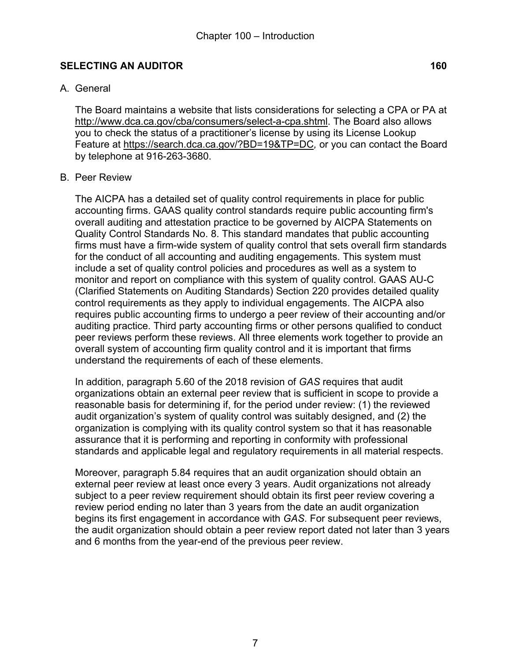#### <span id="page-11-0"></span>**SELECTING AN AUDITOR 160**

#### A. General

The Board maintains a website that lists considerations for selecting a CPA or PA at [http://www.dca.ca.gov/cba/consumers/select-a-cpa.shtml.](http://www.dca.ca.gov/cba/consumers/select-a-cpa.shtml) The Board also allows you to check the status of a practitioner's license by using its License Lookup Feature at <https://search.dca.ca.gov/?BD=19&TP=DC>*,* or you can contact the Board by telephone at 916-263-3680.

#### B. Peer Review

The AICPA has a detailed set of quality control requirements in place for public accounting firms. GAAS quality control standards require public accounting firm's overall auditing and attestation practice to be governed by AICPA Statements on Quality Control Standards No. 8. This standard mandates that public accounting firms must have a firm-wide system of quality control that sets overall firm standards for the conduct of all accounting and auditing engagements. This system must include a set of quality control policies and procedures as well as a system to monitor and report on compliance with this system of quality control. GAAS AU-C (Clarified Statements on Auditing Standards) Section 220 provides detailed quality control requirements as they apply to individual engagements. The AICPA also requires public accounting firms to undergo a peer review of their accounting and/or auditing practice. Third party accounting firms or other persons qualified to conduct peer reviews perform these reviews. All three elements work together to provide an overall system of accounting firm quality control and it is important that firms understand the requirements of each of these elements.

In addition, paragraph 5.60 of the 2018 revision of *GAS* requires that audit organizations obtain an external peer review that is sufficient in scope to provide a reasonable basis for determining if, for the period under review: (1) the reviewed audit organization's system of quality control was suitably designed, and (2) the organization is complying with its quality control system so that it has reasonable assurance that it is performing and reporting in conformity with professional standards and applicable legal and regulatory requirements in all material respects.

Moreover, paragraph 5.84 requires that an audit organization should obtain an external peer review at least once every 3 years. Audit organizations not already subject to a peer review requirement should obtain its first peer review covering a review period ending no later than 3 years from the date an audit organization begins its first engagement in accordance with *GAS*. For subsequent peer reviews, the audit organization should obtain a peer review report dated not later than 3 years and 6 months from the year-end of the previous peer review.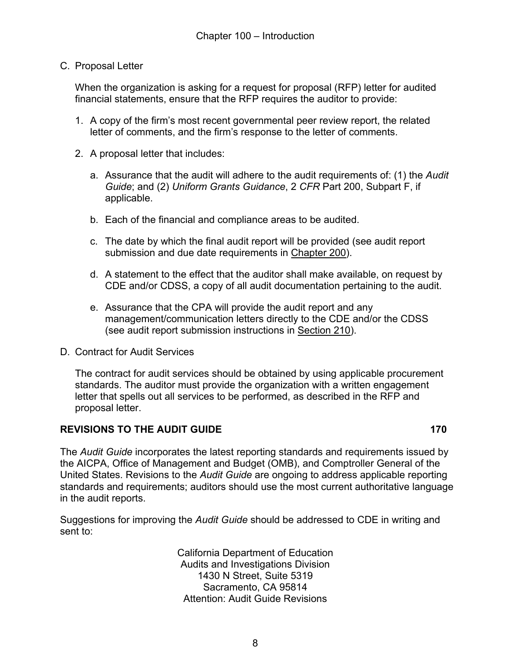C. Proposal Letter

When the organization is asking for a request for proposal (RFP) letter for audited financial statements, ensure that the RFP requires the auditor to provide:

- 1. A copy of the firm's most recent governmental peer review report, the related letter of comments, and the firm's response to the letter of comments.
- 2. A proposal letter that includes:
	- a. Assurance that the audit will adhere to the audit requirements of: (1) the *Audit Guide*; and (2) *Uniform Grants Guidance*, 2 *CFR* Part 200, Subpart F, if applicable.
	- b. Each of the financial and compliance areas to be audited.
	- c. The date by which the final audit report will be provided (see audit report submission and due date requirements in [Chapter 200\)](#page-14-0).
	- d. A statement to the effect that the auditor shall make available, on request by CDE and/or CDSS, a copy of all audit documentation pertaining to the audit.
	- e. Assurance that the CPA will provide the audit report and any management/communication letters directly to the CDE and/or the CDSS (see audit report submission instructions in [Section 210\)](#page-18-1).
- D. Contract for Audit Services

The contract for audit services should be obtained by using applicable procurement standards. The auditor must provide the organization with a written engagement letter that spells out all services to be performed, as described in the RFP and proposal letter.

# <span id="page-12-0"></span>**REVISIONS TO THE AUDIT GUIDE 170**

The *Audit Guide* incorporates the latest reporting standards and requirements issued by the AICPA, Office of Management and Budget (OMB), and Comptroller General of the United States. Revisions to the *Audit Guide* are ongoing to address applicable reporting standards and requirements; auditors should use the most current authoritative language in the audit reports.

Suggestions for improving the *Audit Guide* should be addressed to CDE in writing and sent to:

> California Department of Education Audits and Investigations Division 1430 N Street, Suite 5319 Sacramento, CA 95814 Attention: Audit Guide Revisions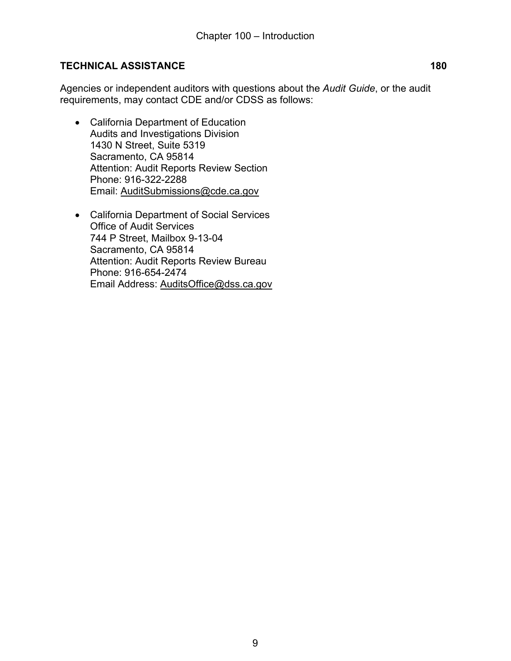## <span id="page-13-0"></span>**TECHNICAL ASSISTANCE 180**

Agencies or independent auditors with questions about the *Audit Guide*, or the audit requirements, may contact CDE and/or CDSS as follows:

- California Department of Education Audits and Investigations Division 1430 N Street, Suite 5319 Sacramento, CA 95814 Attention: Audit Reports Review Section Phone: 916-322-2288 Email: [AuditSubmissions@cde.ca.gov](mailto:AuditSubmissions@cde.ca.gov)
- California Department of Social Services Office of Audit Services 744 P Street, Mailbox 9-13-04 Sacramento, CA 95814 Attention: Audit Reports Review Bureau Phone: 916-654-2474 Email Address: [AuditsOffice@dss.ca.gov](mailto:AuditsOffice@dss.ca.gov)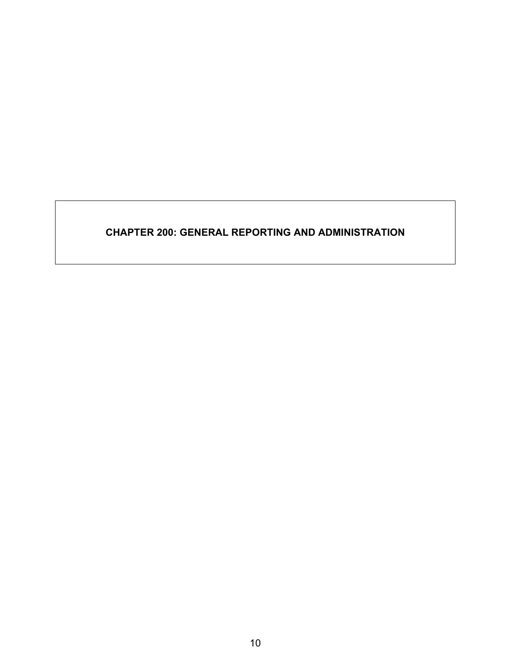# <span id="page-14-0"></span>**CHAPTER 200: GENERAL REPORTING AND ADMINISTRATION**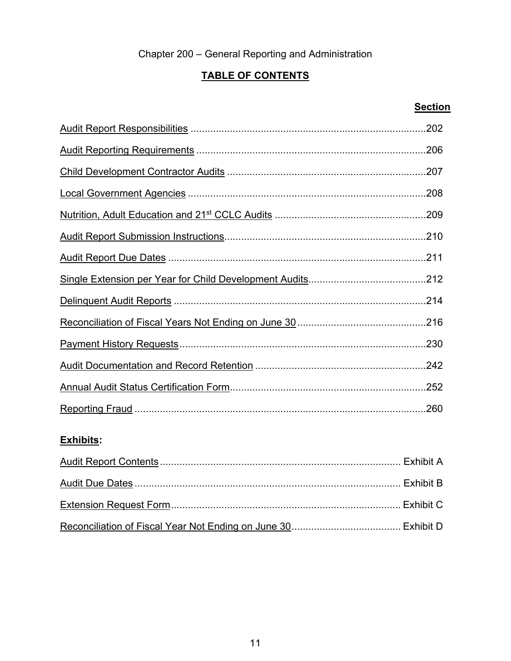# Chapter 200 – General Reporting and Administration

# **TABLE OF CONTENTS**

# **Section**

| .202 |
|------|
| .206 |
| .207 |
| .208 |
|      |
|      |
|      |
|      |
|      |
|      |
|      |
| .242 |
| .252 |
| .260 |

# **Exhibits:**

<span id="page-15-0"></span>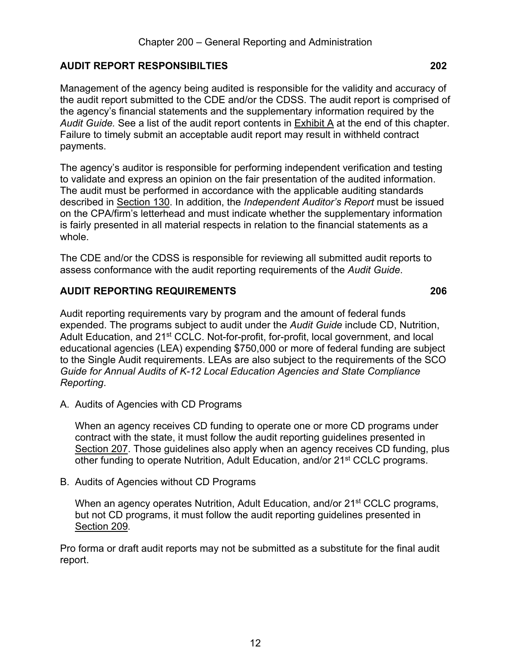#### **AUDIT REPORT RESPONSIBILTIES 202**

Management of the agency being audited is responsible for the validity and accuracy of the audit report submitted to the CDE and/or the CDSS. The audit report is comprised of the agency's financial statements and the supplementary information required by the *Audit Guide.* See a list of the audit report contents in [Exhibit A](#page-26-0) at the end of this chapter. Failure to timely submit an acceptable audit report may result in withheld contract payments.

The agency's auditor is responsible for performing independent verification and testing to validate and express an opinion on the fair presentation of the audited information. The audit must be performed in accordance with the applicable auditing standards described in [Section 130.](#page-10-0) In addition, the *Independent Auditor's Report* must be issued on the CPA/firm's letterhead and must indicate whether the supplementary information is fairly presented in all material respects in relation to the financial statements as a whole.

The CDE and/or the CDSS is responsible for reviewing all submitted audit reports to assess conformance with the audit reporting requirements of the *Audit Guide*.

#### <span id="page-16-0"></span>**AUDIT REPORTING REQUIREMENTS 206**

Audit reporting requirements vary by program and the amount of federal funds expended. The programs subject to audit under the *Audit Guide* include CD, Nutrition, Adult Education, and 21<sup>st</sup> CCLC. Not-for-profit, for-profit, local government, and local educational agencies (LEA) expending \$750,000 or more of federal funding are subject to the Single Audit requirements. LEAs are also subject to the requirements of the SCO *Guide for Annual Audits of K-12 Local Education Agencies and State Compliance Reporting*.

A. Audits of Agencies with CD Programs

When an agency receives CD funding to operate one or more CD programs under contract with the state, it must follow the audit reporting guidelines presented in [Section 207.](#page-17-0) Those guidelines also apply when an agency receives CD funding, plus other funding to operate Nutrition, Adult Education, and/or 21<sup>st</sup> CCLC programs.

B. Audits of Agencies without CD Programs

When an agency operates Nutrition, Adult Education, and/or 21<sup>st</sup> CCLC programs, but not CD programs, it must follow the audit reporting guidelines presented in [Section 209](#page-18-0).

Pro forma or draft audit reports may not be submitted as a substitute for the final audit report.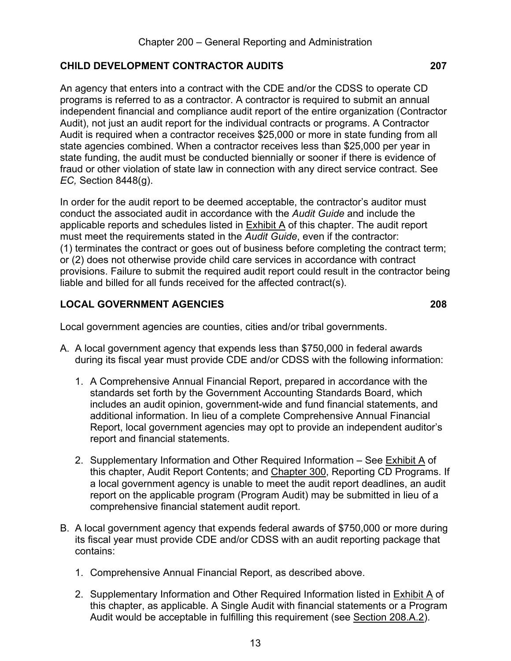#### <span id="page-17-0"></span>**CHILD DEVELOPMENT CONTRACTOR AUDITS 207**

An agency that enters into a contract with the CDE and/or the CDSS to operate CD programs is referred to as a contractor. A contractor is required to submit an annual independent financial and compliance audit report of the entire organization (Contractor Audit), not just an audit report for the individual contracts or programs. A Contractor Audit is required when a contractor receives \$25,000 or more in state funding from all state agencies combined. When a contractor receives less than \$25,000 per year in state funding, the audit must be conducted biennially or sooner if there is evidence of fraud or other violation of state law in connection with any direct service contract. See *EC,* Section 8448(g).

In order for the audit report to be deemed acceptable, the contractor's auditor must conduct the associated audit in accordance with the *Audit Guide* and include the applicable reports and schedules listed in [Exhibit A](#page-26-0) of this chapter. The audit report must meet the requirements stated in the *Audit Guide*, even if the contractor: (1) terminates the contract or goes out of business before completing the contract term; or (2) does not otherwise provide child care services in accordance with contract provisions. Failure to submit the required audit report could result in the contractor being liable and billed for all funds received for the affected contract(s).

### <span id="page-17-1"></span>**LOCAL GOVERNMENT AGENCIES 208**

Local government agencies are counties, cities and/or tribal governments.

- A. A local government agency that expends less than \$750,000 in federal awards during its fiscal year must provide CDE and/or CDSS with the following information:
	- 1. A Comprehensive Annual Financial Report, prepared in accordance with the standards set forth by the Government Accounting Standards Board, which includes an audit opinion, government-wide and fund financial statements, and additional information. In lieu of a complete Comprehensive Annual Financial Report, local government agencies may opt to provide an independent auditor's report and financial statements.
	- 2. Supplementary Information and Other Required Information See [Exhibit A](#page-26-0) of this chapter, Audit Report Contents; and [Chapter 300,](#page-31-0) Reporting CD Programs. If a local government agency is unable to meet the audit report deadlines, an audit report on the applicable program (Program Audit) may be submitted in lieu of a comprehensive financial statement audit report.
- <span id="page-17-2"></span>B. A local government agency that expends federal awards of \$750,000 or more during its fiscal year must provide CDE and/or CDSS with an audit reporting package that contains:
	- 1. Comprehensive Annual Financial Report, as described above.
	- 2. Supplementary Information and Other Required Information listed in [Exhibit A](#page-26-0) of this chapter, as applicable. A Single Audit with financial statements or a Program Audit would be acceptable in fulfilling this requirement (see [Section 208.A.2\)](#page-17-2).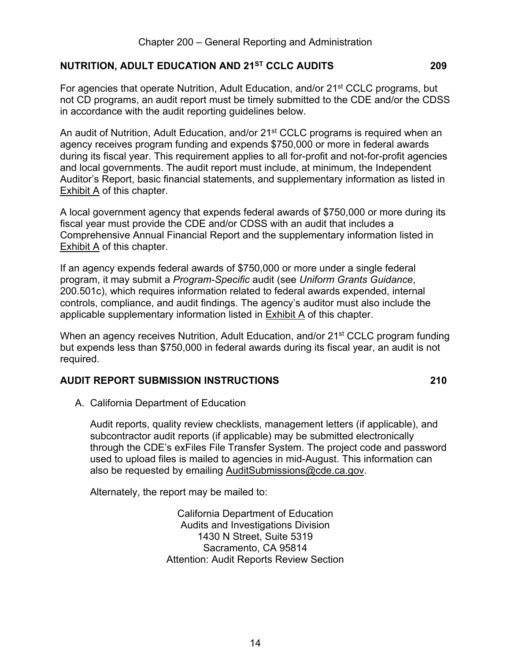#### <span id="page-18-0"></span>**NUTRITION, ADULT EDUCATION AND 21ST CCLC AUDITS 209**

For agencies that operate Nutrition, Adult Education, and/or 21<sup>st</sup> CCLC programs, but not CD programs, an audit report must be timely submitted to the CDE and/or the CDSS in accordance with the audit reporting guidelines below.

<span id="page-18-2"></span>An audit of Nutrition, Adult Education, and/or 21<sup>st</sup> CCLC programs is required when an agency receives program funding and expends \$750,000 or more in federal awards during its fiscal year. This requirement applies to all for-profit and not-for-profit agencies and local governments. The audit report must include, at minimum, the Independent Auditor's Report, basic financial statements, and supplementary information as listed in [Exhibit A](#page-26-0) of this chapter.

A local government agency that expends federal awards of \$750,000 or more during its fiscal year must provide the CDE and/or CDSS with an audit that includes a Comprehensive Annual Financial Report and the supplementary information listed in [Exhibit A](#page-26-0) of this chapter.

If an agency expends federal awards of \$750,000 or more under a single federal program, it may submit a *Program-Specific* audit (see *Uniform Grants Guidance*, 200.501c), which requires information related to federal awards expended, internal controls, compliance, and audit findings. The agency's auditor must also include the applicable supplementary information listed in [Exhibit A](#page-26-0) of this chapter.

When an agency receives Nutrition, Adult Education, and/or 21<sup>st</sup> CCLC program funding but expends less than \$750,000 in federal awards during its fiscal year, an audit is not required.

#### <span id="page-18-1"></span>**AUDIT REPORT SUBMISSION INSTRUCTIONS 210**

A. California Department of Education

Audit reports, quality review checklists, management letters (if applicable), and subcontractor audit reports (if applicable) may be submitted electronically through the CDE's exFiles File Transfer System. The project code and password used to upload files is mailed to agencies in mid-August. This information can also be requested by emailing [AuditSubmissions@cde.ca.gov.](mailto:AuditSubmissions@cde.ca.gov)

Alternately, the report may be mailed to:

California Department of Education Audits and Investigations Division 1430 N Street, Suite 5319 Sacramento, CA 95814 Attention: Audit Reports Review Section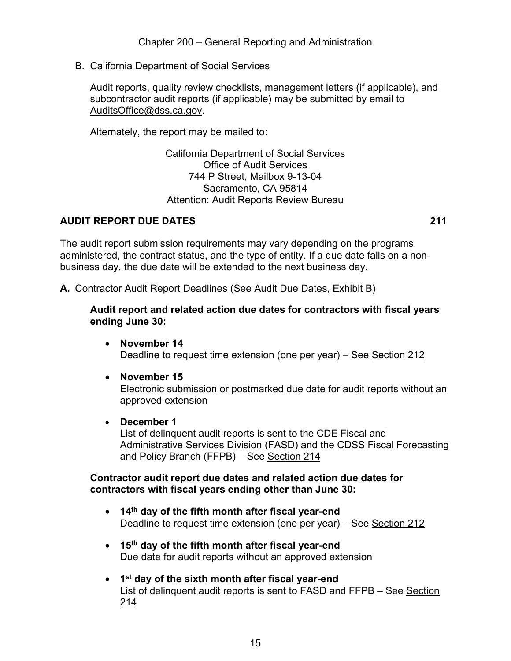Chapter 200 – General Reporting and Administration

B. California Department of Social Services

Audit reports, quality review checklists, management letters (if applicable), and subcontractor audit reports (if applicable) may be submitted by email to [AuditsOffice@dss.ca.gov.](mailto:AuditsOffice@dss.ca.gov)

Alternately, the report may be mailed to:

California Department of Social Services Office of Audit Services 744 P Street, Mailbox 9-13-04 Sacramento, CA 95814 Attention: Audit Reports Review Bureau

#### <span id="page-19-0"></span>**AUDIT REPORT DUE DATES 211**

<span id="page-19-1"></span>

The audit report submission requirements may vary depending on the programs administered, the contract status, and the type of entity. If a due date falls on a nonbusiness day, the due date will be extended to the next business day.

<span id="page-19-2"></span>**A.** Contractor Audit Report Deadlines (See Audit Due Dates, [Exhibit B\)](#page-28-0)

**Audit report and related action due dates for contractors with fiscal years ending June 30:**

- **November 14** Deadline to request time extension (one per year) – See [Section 212](#page-22-0)
- **November 15**

Electronic submission or postmarked due date for audit reports without an approved extension

• **December 1**

List of delinquent audit reports is sent to the CDE Fiscal and Administrative Services Division (FASD) and the CDSS Fiscal Forecasting and Policy Branch (FFPB) – See [Section 214](#page-22-1)

#### **Contractor audit report due dates and related action due dates for contractors with fiscal years ending other than June 30:**

- **14th day of the fifth month after fiscal year-end** Deadline to request time extension (one per year) – See [Section 212](#page-22-0)
- **15th day of the fifth month after fiscal year-end** Due date for audit reports without an approved extension
- <span id="page-19-3"></span>• **1st day of the sixth month after fiscal year-end** List of delinquent audit reports is sent to FASD and FFPB – See [Section](#page-22-1)  [214](#page-22-1)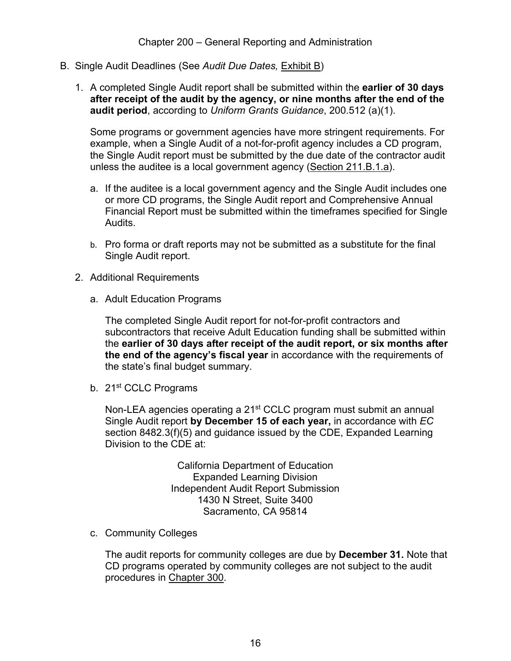- <span id="page-20-0"></span>B. Single Audit Deadlines (See *Audit Due Dates,* [Exhibit B\)](#page-28-0)
	- 1. A completed Single Audit report shall be submitted within the **earlier of 30 days after receipt of the audit by the agency, or nine months after the end of the audit period**, according to *Uniform Grants Guidance*, 200.512 (a)(1).

Some programs or government agencies have more stringent requirements. For example, when a Single Audit of a not-for-profit agency includes a CD program, the Single Audit report must be submitted by the due date of the contractor audit unless the auditee is a local government agency [\(Section 211.B.1.a](#page-20-0)).

- a. If the auditee is a local government agency and the Single Audit includes one or more CD programs, the Single Audit report and Comprehensive Annual Financial Report must be submitted within the timeframes specified for Single Audits.
- b. Pro forma or draft reports may not be submitted as a substitute for the final Single Audit report.
- 2. Additional Requirements
	- a. Adult Education Programs

The completed Single Audit report for not-for-profit contractors and subcontractors that receive Adult Education funding shall be submitted within the **earlier of 30 days after receipt of the audit report, or six months after the end of the agency's fiscal year** in accordance with the requirements of the state's final budget summary.

b. 21<sup>st</sup> CCLC Programs

Non-LEA agencies operating a 21<sup>st</sup> CCLC program must submit an annual Single Audit report **by December 15 of each year,** in accordance with *EC* section 8482.3(f)(5) and guidance issued by the CDE, Expanded Learning Division to the CDE at:

> California Department of Education Expanded Learning Division Independent Audit Report Submission 1430 N Street, Suite 3400 Sacramento, CA 95814

c. Community Colleges

The audit reports for community colleges are due by **December 31.** Note that CD programs operated by community colleges are not subject to the audit procedures in [Chapter 300.](#page-31-0)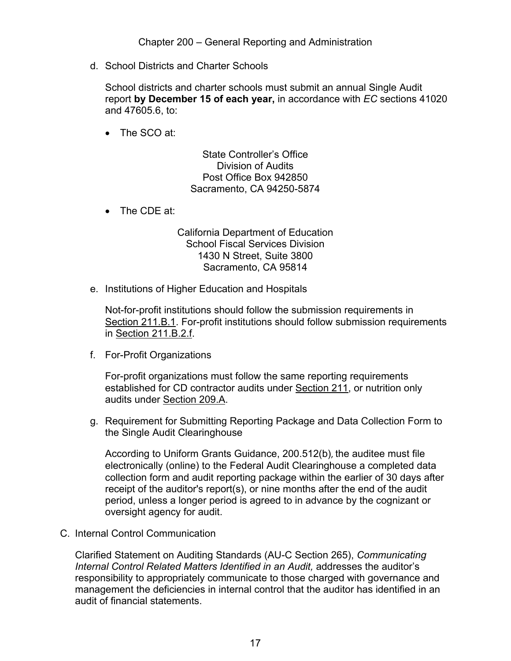Chapter 200 – General Reporting and Administration

d. School Districts and Charter Schools

School districts and charter schools must submit an annual Single Audit report **by December 15 of each year,** in accordance with *EC* sections 41020 and 47605.6, to:

• The SCO at:

State Controller's Office Division of Audits Post Office Box 942850 Sacramento, CA 94250-5874

• The CDE at:

California Department of Education School Fiscal Services Division 1430 N Street, Suite 3800 Sacramento, CA 95814

e. Institutions of Higher Education and Hospitals

<span id="page-21-0"></span>Not-for-profit institutions should follow the submission requirements in Section [211.B.1.](#page-20-0) For-profit institutions should follow submission requirements in [Section 211.B.2.f](#page-21-0).

f. For-Profit Organizations

For-profit organizations must follow the same reporting requirements established for CD contractor audits under [Section 211,](#page-19-1) or nutrition only audits under [Section 209.A.](#page-18-2)

<span id="page-21-1"></span>g. Requirement for Submitting Reporting Package and Data Collection Form to the Single Audit Clearinghouse

According to Uniform Grants Guidance, 200.512(b), the auditee must file electronically (online) to the Federal Audit Clearinghouse a completed data collection form and audit reporting package within the earlier of 30 days after receipt of the auditor's report(s), or nine months after the end of the audit period, unless a longer period is agreed to in advance by the cognizant or oversight agency for audit.

C. Internal Control Communication

Clarified Statement on Auditing Standards (AU-C Section 265), *Communicating Internal Control Related Matters Identified in an Audit,* addresses the auditor's responsibility to appropriately communicate to those charged with governance and management the deficiencies in internal control that the auditor has identified in an audit of financial statements.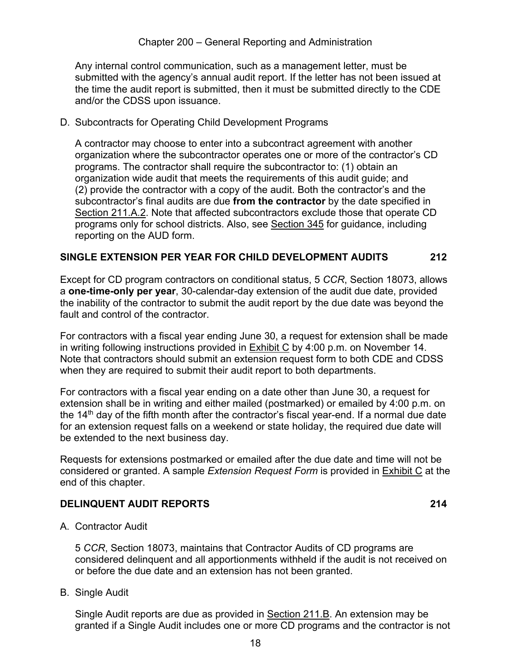Any internal control communication, such as a management letter, must be submitted with the agency's annual audit report. If the letter has not been issued at the time the audit report is submitted, then it must be submitted directly to the CDE and/or the CDSS upon issuance.

D. Subcontracts for Operating Child Development Programs

A contractor may choose to enter into a subcontract agreement with another organization where the subcontractor operates one or more of the contractor's CD programs. The contractor shall require the subcontractor to: (1) obtain an organization wide audit that meets the requirements of this audit guide; and (2) provide the contractor with a copy of the audit. Both the contractor's and the subcontractor's final audits are due **from the contractor** by the date specified in [Section 211.A.2.](#page-19-2) Note that affected subcontractors exclude those that operate CD programs only for school districts. Also, see [Section 345](#page-47-0) for guidance, including reporting on the AUD form.

#### <span id="page-22-0"></span>**SINGLE EXTENSION PER YEAR FOR CHILD DEVELOPMENT AUDITS 212**

Except for CD program contractors on conditional status, 5 *CCR*, Section 18073, allows a **one-time-only per year**, 30-calendar-day extension of the audit due date, provided the inability of the contractor to submit the audit report by the due date was beyond the fault and control of the contractor.

For contractors with a fiscal year ending June 30, a request for extension shall be made in writing following instructions provided in [Exhibit C](#page-29-0) by 4:00 p.m. on November 14. Note that contractors should submit an extension request form to both CDE and CDSS when they are required to submit their audit report to both departments.

For contractors with a fiscal year ending on a date other than June 30, a request for extension shall be in writing and either mailed (postmarked) or emailed by 4:00 p.m. on the  $14<sup>th</sup>$  day of the fifth month after the contractor's fiscal year-end. If a normal due date for an extension request falls on a weekend or state holiday, the required due date will be extended to the next business day.

Requests for extensions postmarked or emailed after the due date and time will not be considered or granted. A sample *Extension Request Form* is provided in [Exhibit C](#page-29-0) at the end of this chapter.

#### <span id="page-22-1"></span>**DELINQUENT AUDIT REPORTS 214**

A. Contractor Audit

5 *CCR*, Section 18073, maintains that Contractor Audits of CD programs are considered delinquent and all apportionments withheld if the audit is not received on or before the due date and an extension has not been granted.

B. Single Audit

Single Audit reports are due as provided in [Section 211.B.](#page-19-3) An extension may be granted if a Single Audit includes one or more CD programs and the contractor is not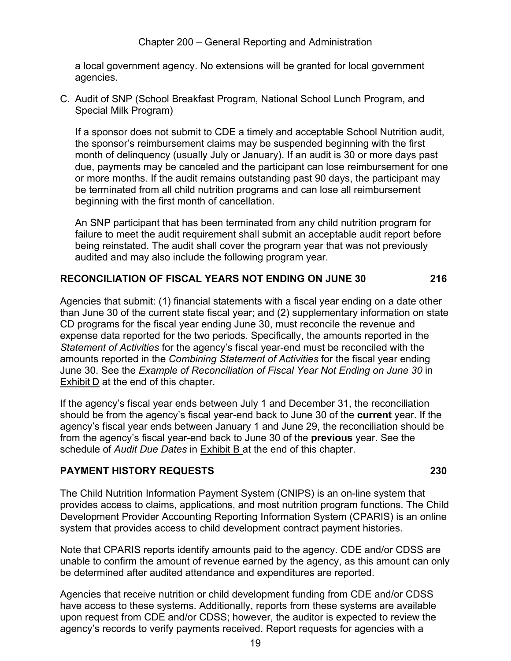a local government agency. No extensions will be granted for local government agencies.

C. Audit of SNP (School Breakfast Program, National School Lunch Program, and Special Milk Program)

If a sponsor does not submit to CDE a timely and acceptable School Nutrition audit, the sponsor's reimbursement claims may be suspended beginning with the first month of delinquency (usually July or January). If an audit is 30 or more days past due, payments may be canceled and the participant can lose reimbursement for one or more months. If the audit remains outstanding past 90 days, the participant may be terminated from all child nutrition programs and can lose all reimbursement beginning with the first month of cancellation.

An SNP participant that has been terminated from any child nutrition program for failure to meet the audit requirement shall submit an acceptable audit report before being reinstated. The audit shall cover the program year that was not previously audited and may also include the following program year.

#### <span id="page-23-0"></span>**RECONCILIATION OF FISCAL YEARS NOT ENDING ON JUNE 30 216**

Agencies that submit: (1) financial statements with a fiscal year ending on a date other than June 30 of the current state fiscal year; and (2) supplementary information on state CD programs for the fiscal year ending June 30, must reconcile the revenue and expense data reported for the two periods. Specifically, the amounts reported in the *Statement of Activities* for the agency's fiscal year-end must be reconciled with the amounts reported in the *Combining Statement of Activities* for the fiscal year ending June 30. See the *Example of Reconciliation of Fiscal Year Not Ending on June 30* in [Exhibit](#page-30-0) D at the end of this chapter.

If the agency's fiscal year ends between July 1 and December 31, the reconciliation should be from the agency's fiscal year-end back to June 30 of the **current** year. If the agency's fiscal year ends between January 1 and June 29, the reconciliation should be from the agency's fiscal year-end back to June 30 of the **previous** year. See the schedule of *Audit Due Dates* in [Exhibit B at the end of this chapter.](#page-28-0)

#### <span id="page-23-1"></span>**PAYMENT HISTORY REQUESTS 230**

The Child Nutrition Information Payment System (CNIPS) is an on-line system that provides access to claims, applications, and most nutrition program functions. The Child Development Provider Accounting Reporting Information System (CPARIS) is an online system that provides access to child development contract payment histories.

Note that CPARIS reports identify amounts paid to the agency. CDE and/or CDSS are unable to confirm the amount of revenue earned by the agency, as this amount can only be determined after audited attendance and expenditures are reported.

Agencies that receive nutrition or child development funding from CDE and/or CDSS have access to these systems. Additionally, reports from these systems are available upon request from CDE and/or CDSS; however, the auditor is expected to review the agency's records to verify payments received. Report requests for agencies with a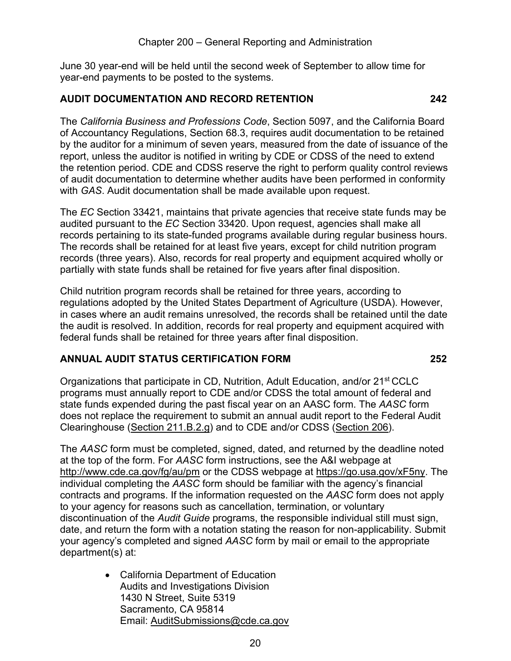June 30 year-end will be held until the second week of September to allow time for year-end payments to be posted to the systems.

#### <span id="page-24-0"></span>**AUDIT DOCUMENTATION AND RECORD RETENTION 242**

The *California Business and Professions Code*, Section 5097, and the California Board of Accountancy Regulations, Section 68.3, requires audit documentation to be retained by the auditor for a minimum of seven years, measured from the date of issuance of the report, unless the auditor is notified in writing by CDE or CDSS of the need to extend the retention period. CDE and CDSS reserve the right to perform quality control reviews of audit documentation to determine whether audits have been performed in conformity with *GAS*. Audit documentation shall be made available upon request.

The *EC* Section 33421, maintains that private agencies that receive state funds may be audited pursuant to the *EC* Section 33420. Upon request, agencies shall make all records pertaining to its state-funded programs available during regular business hours. The records shall be retained for at least five years, except for child nutrition program records (three years). Also, records for real property and equipment acquired wholly or partially with state funds shall be retained for five years after final disposition.

Child nutrition program records shall be retained for three years, according to regulations adopted by the United States Department of Agriculture (USDA). However, in cases where an audit remains unresolved, the records shall be retained until the date the audit is resolved. In addition, records for real property and equipment acquired with federal funds shall be retained for three years after final disposition.

#### <span id="page-24-1"></span>**ANNUAL AUDIT STATUS CERTIFICATION FORM 252**

Organizations that participate in CD, Nutrition, Adult Education, and/or 21st CCLC programs must annually report to CDE and/or CDSS the total amount of federal and state funds expended during the past fiscal year on an AASC form. The *AASC* form does not replace the requirement to submit an annual audit report to the [Federal Audit](http://harvester.census.gov/sac/index.html?submit=+++++++++++++Return+to+FAC+Home+Page++++++++++++++)  [Clearinghouse](http://harvester.census.gov/sac/index.html?submit=+++++++++++++Return+to+FAC+Home+Page++++++++++++++) [\(Section 211.B.2](#page-21-1).g) and to CDE and/or CDSS [\(Section 206\)](#page-16-0).

The *AASC* form must be completed, signed, dated, and returned by the deadline noted at the top of the form. For *AASC* form instructions, see the A&I webpage at <http://www.cde.ca.gov/fg/au/pm> or the CDSS webpage at [https://go.usa.gov/xF5ny.](https://go.usa.gov/xF5ny) The individual completing the *AASC* form should be familiar with the agency's financial contracts and programs. If the information requested on the *AASC* form does not apply to your agency for reasons such as cancellation, termination, or voluntary discontinuation of the *Audit Guide* programs, the responsible individual still must sign, date, and return the form with a notation stating the reason for non-applicability. Submit your agency's completed and signed *AASC* form by mail or email to the appropriate department(s) at:

> • California Department of Education Audits and Investigations Division 1430 N Street, Suite 5319 Sacramento, CA 95814 Email: [AuditSubmissions@cde.ca.gov](mailto:AuditSubmissions@cde.ca.gov)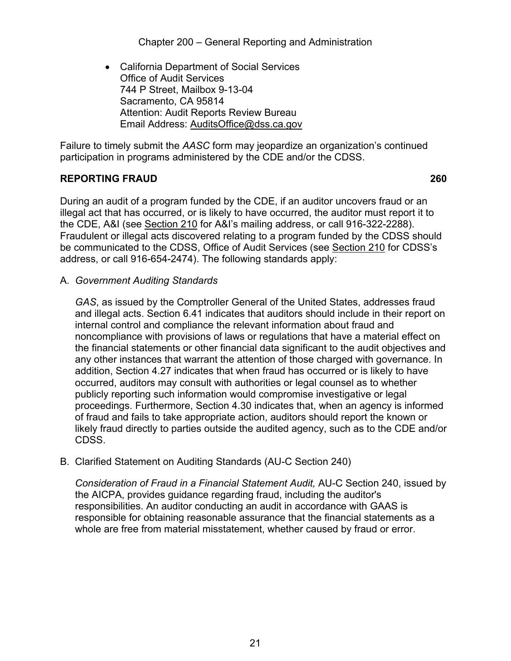Chapter 200 – General Reporting and Administration

• California Department of Social Services Office of Audit Services 744 P Street, Mailbox 9-13-04 Sacramento, CA 95814 Attention: Audit Reports Review Bureau Email Address: [AuditsOffice@dss.ca.gov](mailto:AuditsOffice@dss.ca.gov)

Failure to timely submit the *AASC* form may jeopardize an organization's continued participation in programs administered by the CDE and/or the CDSS.

#### <span id="page-25-0"></span>**REPORTING FRAUD 260**

During an audit of a program funded by the CDE, if an auditor uncovers fraud or an illegal act that has occurred, or is likely to have occurred, the auditor must report it to the CDE, A&I (see [Section 210](#page-18-1) for A&I's mailing address, or call 916-322-2288). Fraudulent or illegal acts discovered relating to a program funded by the CDSS should be communicated to the CDSS, Office of Audit Services (see [Section 210](#page-18-1) for CDSS's address, or call 916-654-2474). The following standards apply:

A. *Government Auditing Standards*

*GAS*, as issued by the Comptroller General of the United States, addresses fraud and illegal acts. Section 6.41 indicates that auditors should include in their report on internal control and compliance the relevant information about fraud and noncompliance with provisions of laws or regulations that have a material effect on the financial statements or other financial data significant to the audit objectives and any other instances that warrant the attention of those charged with governance. In addition, Section 4.27 indicates that when fraud has occurred or is likely to have occurred, auditors may consult with authorities or legal counsel as to whether publicly reporting such information would compromise investigative or legal proceedings. Furthermore, Section 4.30 indicates that, when an agency is informed of fraud and fails to take appropriate action, auditors should report the known or likely fraud directly to parties outside the audited agency, such as to the CDE and/or CDSS.

B. Clarified Statement on Auditing Standards (AU-C Section 240)

*Consideration of Fraud in a Financial Statement Audit,* AU-C Section 240, issued by the AICPA, provides guidance regarding fraud, including the auditor's responsibilities. An auditor conducting an audit in accordance with GAAS is responsible for obtaining reasonable assurance that the financial statements as a whole are free from material misstatement, whether caused by fraud or error.

21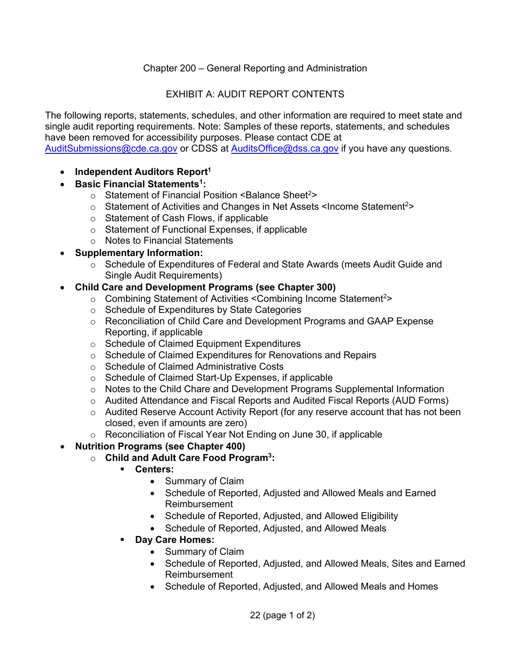#### Chapter 200 – General Reporting and Administration

#### EXHIBIT A: AUDIT REPORT CONTENTS

<span id="page-26-0"></span>The following reports, statements, schedules, and other information are required to meet state and single audit reporting requirements. Note: Samples of these reports, statements, and schedules have been removed for accessibility purposes. Please contact CDE at

AuditSubmissions@cde.ca.gov or CDSS at AuditsOffice@dss.ca.gov if you have any questions.

- **Independent Auditors Report<sup>1</sup>**
- **Basic Financial Statements1:**
	- $\circ$  Statement of Financial Position <Balance Sheet<sup>2</sup>>
	- o Statement of Activities and Changes in Net Assets <Income Statement<sup>2</sup>>
	- o Statement of Cash Flows, if applicable
	- o Statement of Functional Expenses, if applicable
	- o Notes to Financial Statements

#### • **Supplementary Information:**

 $\circ$  Schedule of Expenditures of Federal and State Awards (meets Audit Guide and Single Audit Requirements)

#### • **Child Care and Development Programs (see Chapter 300)**

- o Combining Statement of Activities <Combining Income Statement2>
- o Schedule of Expenditures by State Categories
- o Reconciliation of Child Care and Development Programs and GAAP Expense Reporting, if applicable
- o Schedule of Claimed Equipment Expenditures
- o Schedule of Claimed Expenditures for Renovations and Repairs
- o Schedule of Claimed Administrative Costs
- o Schedule of Claimed Start-Up Expenses, if applicable
- o Notes to the Child Chare and Development Programs Supplemental Information
- o Audited Attendance and Fiscal Reports and Audited Fiscal Reports (AUD Forms)
- o Audited Reserve Account Activity Report (for any reserve account that has not been closed, even if amounts are zero)
- o Reconciliation of Fiscal Year Not Ending on June 30, if applicable
- **Nutrition Programs (see Chapter 400)**
	- o **Child and Adult Care Food Program3:**
		- **Centers:**
			- Summary of Claim
			- Schedule of Reported, Adjusted and Allowed Meals and Earned Reimbursement
			- Schedule of Reported, Adjusted, and Allowed Eligibility
			- Schedule of Reported, Adjusted, and Allowed Meals
		- **Day Care Homes:**
			- Summary of Claim
			- Schedule of Reported, Adjusted, and Allowed Meals, Sites and Earned Reimbursement
			- Schedule of Reported, Adjusted, and Allowed Meals and Homes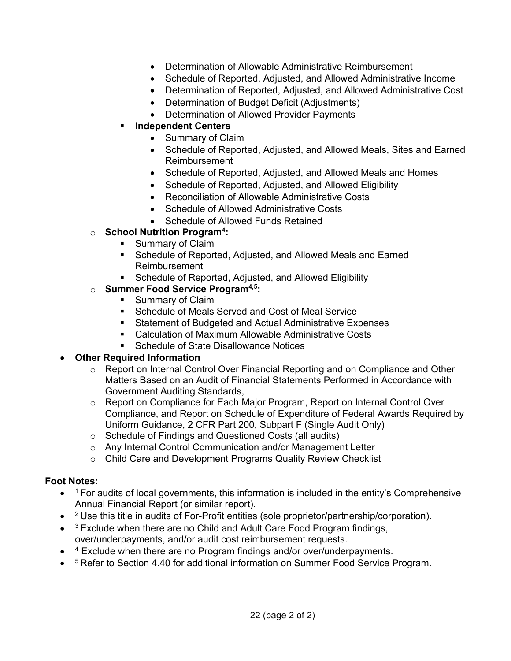- Determination of Allowable Administrative Reimbursement
- Schedule of Reported, Adjusted, and Allowed Administrative Income
- Determination of Reported, Adjusted, and Allowed Administrative Cost
- Determination of Budget Deficit (Adjustments)
- Determination of Allowed Provider Payments

#### **Independent Centers**

- Summary of Claim
- Schedule of Reported, Adjusted, and Allowed Meals, Sites and Earned Reimbursement
- Schedule of Reported, Adjusted, and Allowed Meals and Homes
- Schedule of Reported, Adjusted, and Allowed Eligibility
- Reconciliation of Allowable Administrative Costs
- Schedule of Allowed Administrative Costs
- Schedule of Allowed Funds Retained

#### o **School Nutrition Program4:**

- **Summary of Claim**
- Schedule of Reported, Adjusted, and Allowed Meals and Earned Reimbursement
- **Schedule of Reported, Adjusted, and Allowed Eligibility**

#### o **Summer Food Service Program4,5:**

- **Summary of Claim**
- **Schedule of Meals Served and Cost of Meal Service**
- Statement of Budgeted and Actual Administrative Expenses
- Calculation of Maximum Allowable Administrative Costs
- Schedule of State Disallowance Notices

#### • **Other Required Information**

- $\circ$  Report on Internal Control Over Financial Reporting and on Compliance and Other Matters Based on an Audit of Financial Statements Performed in Accordance with Government Auditing Standards,
- o Report on Compliance for Each Major Program, Report on Internal Control Over Compliance, and Report on Schedule of Expenditure of Federal Awards Required by Uniform Guidance, 2 CFR Part 200, Subpart F (Single Audit Only)
- o Schedule of Findings and Questioned Costs (all audits)
- o Any Internal Control Communication and/or Management Letter
- o Child Care and Development Programs Quality Review Checklist

#### **Foot Notes:**

- $\bullet$  <sup>1</sup> For audits of local governments, this information is included in the entity's Comprehensive Annual Financial Report (or similar report).
- <sup>2</sup> Use this title in audits of For-Profit entities (sole proprietor/partnership/corporation).
- $\bullet$  <sup>3</sup> Exclude when there are no Child and Adult Care Food Program findings, over/underpayments, and/or audit cost reimbursement requests.
- $\bullet$  4 Exclude when there are no Program findings and/or over/underpayments.
- <sup>5</sup> Refer to Section 4.40 for additional information on Summer Food Service Program.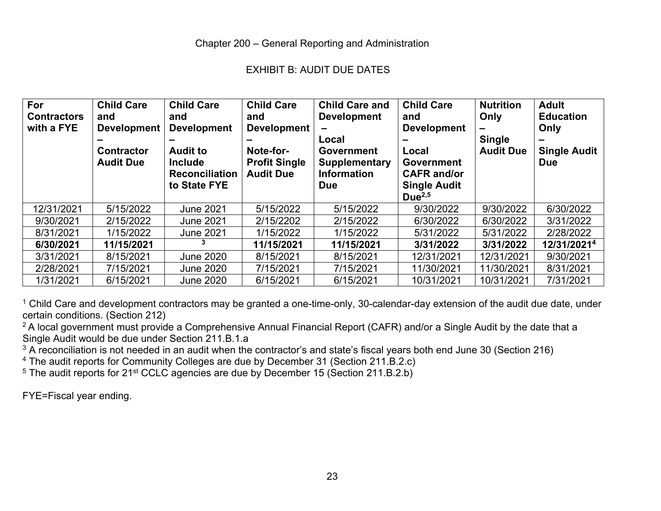#### <span id="page-28-0"></span>EXHIBIT B: AUDIT DUE DATES

| For<br><b>Contractors</b><br>with a FYE | <b>Child Care</b><br>and<br><b>Development</b><br><b>Contractor</b><br><b>Audit Due</b> | <b>Child Care</b><br>and<br><b>Development</b><br><b>Audit to</b><br><b>Include</b><br><b>Reconciliation</b><br>to State FYE | <b>Child Care</b><br>and<br><b>Development</b><br>Note-for-<br><b>Profit Single</b><br><b>Audit Due</b> | <b>Child Care and</b><br><b>Development</b><br>Local<br><b>Government</b><br><b>Supplementary</b><br><b>Information</b><br><b>Due</b> | <b>Child Care</b><br>and<br><b>Development</b><br>Local<br><b>Government</b><br><b>CAFR</b> and/or<br><b>Single Audit</b><br>Due $^{2,5}$ | <b>Nutrition</b><br>Only<br>-<br><b>Single</b><br><b>Audit Due</b> | <b>Adult</b><br><b>Education</b><br>Only<br><b>Single Audit</b><br><b>Due</b> |
|-----------------------------------------|-----------------------------------------------------------------------------------------|------------------------------------------------------------------------------------------------------------------------------|---------------------------------------------------------------------------------------------------------|---------------------------------------------------------------------------------------------------------------------------------------|-------------------------------------------------------------------------------------------------------------------------------------------|--------------------------------------------------------------------|-------------------------------------------------------------------------------|
| 12/31/2021                              | 5/15/2022                                                                               | <b>June 2021</b>                                                                                                             | 5/15/2022                                                                                               | 5/15/2022                                                                                                                             | 9/30/2022                                                                                                                                 | 9/30/2022                                                          | 6/30/2022                                                                     |
| 9/30/2021                               | 2/15/2022                                                                               | <b>June 2021</b>                                                                                                             | 2/15/2202                                                                                               | 2/15/2022                                                                                                                             | 6/30/2022                                                                                                                                 | 6/30/2022                                                          | 3/31/2022                                                                     |
| 8/31/2021                               | 1/15/2022                                                                               | <b>June 2021</b>                                                                                                             | 1/15/2022                                                                                               | 1/15/2022                                                                                                                             | 5/31/2022                                                                                                                                 | 5/31/2022                                                          | 2/28/2022                                                                     |
| 6/30/2021                               | 11/15/2021                                                                              | з                                                                                                                            | 11/15/2021                                                                                              | 11/15/2021                                                                                                                            | 3/31/2022                                                                                                                                 | 3/31/2022                                                          | 12/31/20214                                                                   |
| 3/31/2021                               | 8/15/2021                                                                               | <b>June 2020</b>                                                                                                             | 8/15/2021                                                                                               | 8/15/2021                                                                                                                             | 12/31/2021                                                                                                                                | 12/31/2021                                                         | 9/30/2021                                                                     |
| 2/28/2021                               | 7/15/2021                                                                               | <b>June 2020</b>                                                                                                             | 7/15/2021                                                                                               | 7/15/2021                                                                                                                             | 11/30/2021                                                                                                                                | 11/30/2021                                                         | 8/31/2021                                                                     |
| 1/31/2021                               | 6/15/2021                                                                               | <b>June 2020</b>                                                                                                             | 6/15/2021                                                                                               | 6/15/2021                                                                                                                             | 10/31/2021                                                                                                                                | 10/31/2021                                                         | 7/31/2021                                                                     |

 $1$  Child Care and development contractors may be granted a one-time-only, 30-calendar-day extension of the audit due date, under certain conditions. (Section 212)

<sup>2</sup> A local government must provide a Comprehensive Annual Financial Report (CAFR) and/or a Single Audit by the date that a Single Audit would be due under Section 211.B.1.a

 $3$  A reconciliation is not needed in an audit when the contractor's and state's fiscal years both end June 30 (Section 216)

<sup>4</sup> The audit reports for Community Colleges are due by December 31 (Section 211.B.2.c)

<sup>5</sup> The audit reports for 21<sup>st</sup> CCLC agencies are due by December 15 (Section 211.B.2.b)

FYE=Fiscal year ending.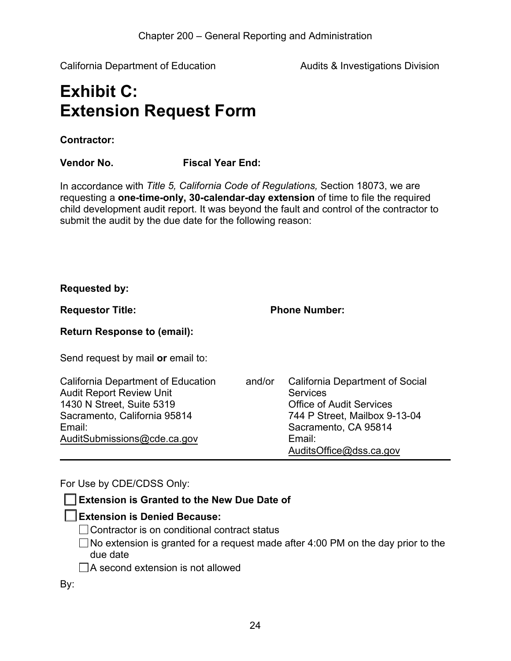California Department of Education **Audits & Investigations Division** 

# <span id="page-29-0"></span>**Exhibit C: Extension Request Form**

#### **Contractor:**

#### **Vendor No. Fiscal Year End:**

In accordance with *Title 5, California Code of Regulations,* Section 18073, we are requesting a **one-time-only, 30-calendar-day extension** of time to file the required child development audit report. It was beyond the fault and control of the contractor to submit the audit by the due date for the following reason:

#### **Requested by:**

| <b>Requestor Title:</b> |  |  |
|-------------------------|--|--|
|                         |  |  |

# **Phone Number:**

#### **Return Response to (email):**

Send request by mail **or** email to:

| <b>California Department of Education</b> | and/or | <b>California Department of Social</b> |
|-------------------------------------------|--------|----------------------------------------|
| <b>Audit Report Review Unit</b>           |        | <b>Services</b>                        |
| 1430 N Street, Suite 5319                 |        | <b>Office of Audit Services</b>        |
| Sacramento, California 95814              |        | 744 P Street, Mailbox 9-13-04          |
| Email:                                    |        | Sacramento, CA 95814                   |
| AuditSubmissions@cde.ca.gov               |        | Email:                                 |
|                                           |        | AuditsOffice@dss.ca.gov                |

#### For Use by CDE/CDSS Only:

#### **Extension is Granted to the New Due Date of**

#### **Extension is Denied Because:**

- Contractor is on conditional contract status
- $\Box$  No extension is granted for a request made after 4:00 PM on the day prior to the due date
- $\Box$  A second extension is not allowed

By: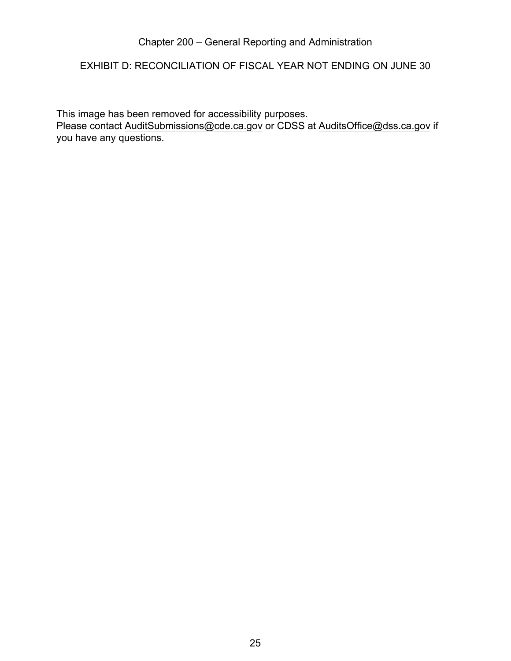#### <span id="page-30-0"></span>Chapter 200 – General Reporting and Administration

## EXHIBIT D: RECONCILIATION OF FISCAL YEAR NOT ENDING ON JUNE 30

This image has been removed for accessibility purposes.

Please contac[t AuditSubmissions@cde.ca.gov](AuditSubmissions@cde.ca.gov) or CDSS at<AuditsOffice@dss.ca.gov>if you have any questions.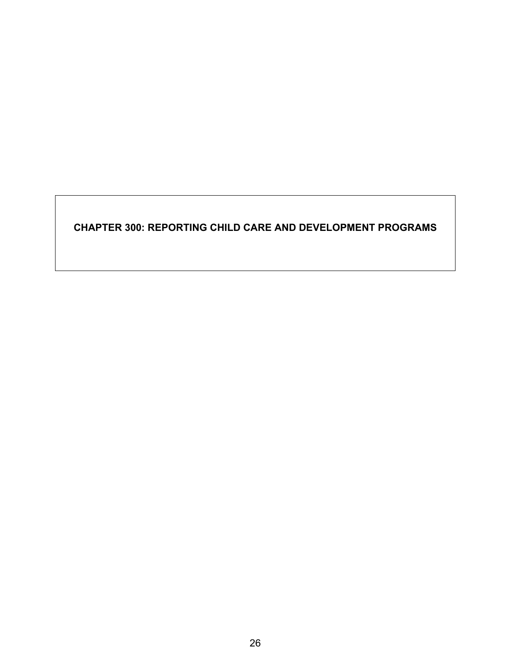<span id="page-31-0"></span>**CHAPTER 300: REPORTING CHILD CARE AND DEVELOPMENT PROGRAMS**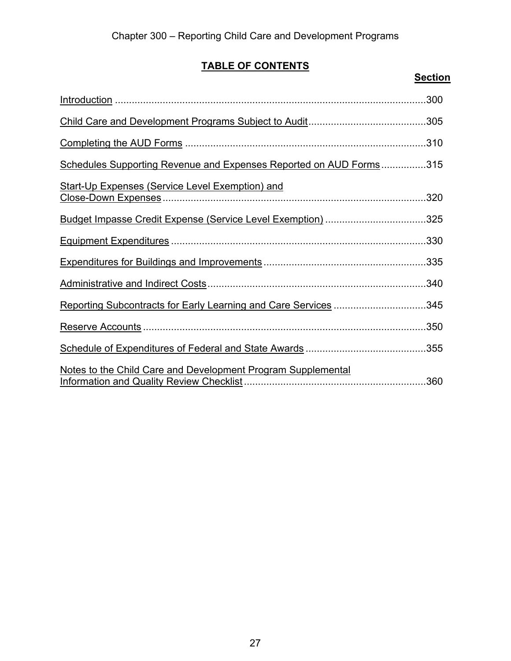# **TABLE OF CONTENTS**

#### **Section**

| Schedules Supporting Revenue and Expenses Reported on AUD Forms315 |  |
|--------------------------------------------------------------------|--|
| <b>Start-Up Expenses (Service Level Exemption) and</b>             |  |
| Budget Impasse Credit Expense (Service Level Exemption) 325        |  |
|                                                                    |  |
|                                                                    |  |
|                                                                    |  |
| Reporting Subcontracts for Early Learning and Care Services 345    |  |
|                                                                    |  |
|                                                                    |  |
| Notes to the Child Care and Development Program Supplemental       |  |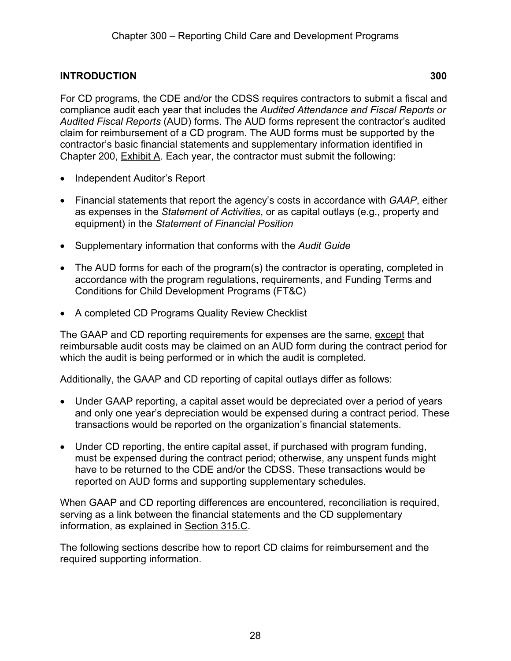# <span id="page-33-0"></span>**INTRODUCTION 300**

For CD programs, the CDE and/or the CDSS requires contractors to submit a fiscal and compliance audit each year that includes the *Audited Attendance and Fiscal Reports or Audited Fiscal Reports* (AUD) forms. The AUD forms represent the contractor's audited claim for reimbursement of a CD program. The AUD forms must be supported by the contractor's basic financial statements and supplementary information identified in Chapter 200, [Exhibit A.](#page-26-0) Each year, the contractor must submit the following:

- Independent Auditor's Report
- Financial statements that report the agency's costs in accordance with *GAAP*, either as expenses in the *Statement of Activities*, or as capital outlays (e.g., property and equipment) in the *Statement of Financial Position*
- Supplementary information that conforms with the *Audit Guide*
- The AUD forms for each of the program(s) the contractor is operating, completed in accordance with the program regulations, requirements, and Funding Terms and Conditions for Child Development Programs (FT&C)
- A completed CD Programs Quality Review Checklist

The GAAP and CD reporting requirements for expenses are the same, except that reimbursable audit costs may be claimed on an AUD form during the contract period for which the audit is being performed or in which the audit is completed.

Additionally, the GAAP and CD reporting of capital outlays differ as follows:

- Under GAAP reporting, a capital asset would be depreciated over a period of years and only one year's depreciation would be expensed during a contract period. These transactions would be reported on the organization's financial statements.
- Under CD reporting, the entire capital asset, if purchased with program funding, must be expensed during the contract period; otherwise, any unspent funds might have to be returned to the CDE and/or the CDSS. These transactions would be reported on AUD forms and supporting supplementary schedules.

When GAAP and CD reporting differences are encountered, reconciliation is required, serving as a link between the financial statements and the CD supplementary information, as explained in [Section 315.C.](#page-39-0)

The following sections describe how to report CD claims for reimbursement and the required supporting information.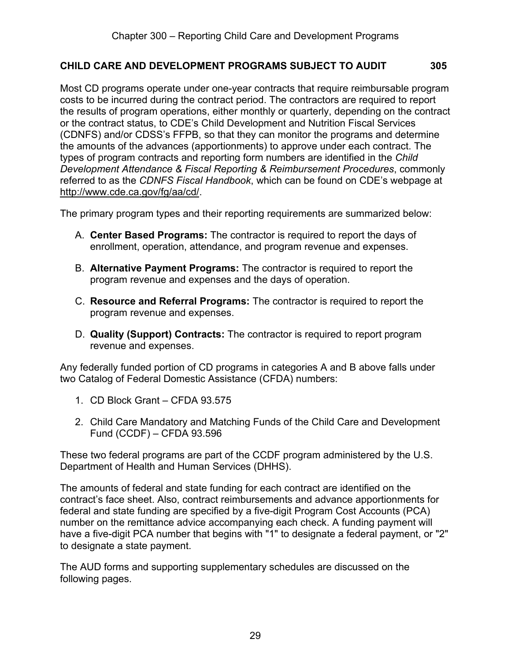#### <span id="page-34-0"></span>**CHILD CARE AND DEVELOPMENT PROGRAMS SUBJECT TO AUDIT 305**

Most CD programs operate under one-year contracts that require reimbursable program costs to be incurred during the contract period. The contractors are required to report the results of program operations, either monthly or quarterly, depending on the contract or the contract status, to CDE's Child Development and Nutrition Fiscal Services (CDNFS) and/or CDSS's FFPB, so that they can monitor the programs and determine the amounts of the advances (apportionments) to approve under each contract. The types of program contracts and reporting form numbers are identified in the *Child Development Attendance & Fiscal Reporting & Reimbursement Procedures*, commonly referred to as the *CDNFS Fiscal Handbook*, which can be found on CDE's webpage at [http://www.cde.ca.gov/fg/aa/cd/.](http://www.cde.ca.gov/fg/aa/cd/)

The primary program types and their reporting requirements are summarized below:

- A. **Center Based Programs:** The contractor is required to report the days of enrollment, operation, attendance, and program revenue and expenses.
- B. **Alternative Payment Programs:** The contractor is required to report the program revenue and expenses and the days of operation.
- C. **Resource and Referral Programs:** The contractor is required to report the program revenue and expenses.
- D. **Quality (Support) Contracts:** The contractor is required to report program revenue and expenses.

Any federally funded portion of CD programs in categories A and B above falls under two Catalog of Federal Domestic Assistance (CFDA) numbers:

- 1. CD Block Grant CFDA 93.575
- 2. Child Care Mandatory and Matching Funds of the Child Care and Development Fund (CCDF) – CFDA 93.596

These two federal programs are part of the CCDF program administered by the U.S. Department of Health and Human Services (DHHS).

The amounts of federal and state funding for each contract are identified on the contract's face sheet. Also, contract reimbursements and advance apportionments for federal and state funding are specified by a five-digit Program Cost Accounts (PCA) number on the remittance advice accompanying each check. A funding payment will have a five-digit PCA number that begins with "1" to designate a federal payment, or "2" to designate a state payment.

The AUD forms and supporting supplementary schedules are discussed on the following pages.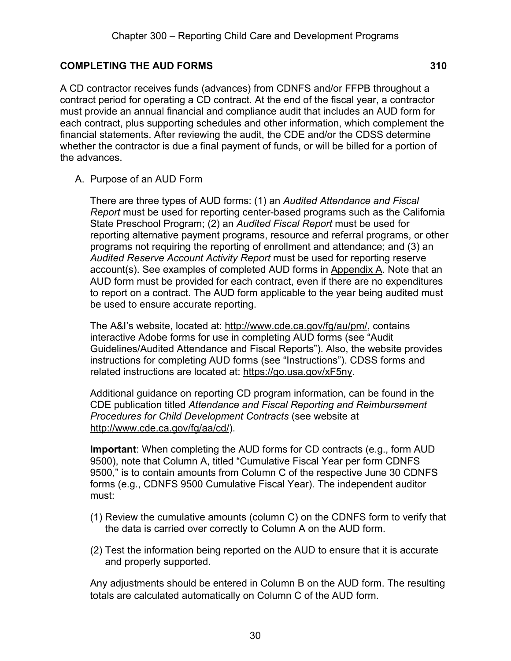#### <span id="page-35-0"></span>**COMPLETING THE AUD FORMS 310**

A CD contractor receives funds (advances) from CDNFS and/or FFPB throughout a contract period for operating a CD contract. At the end of the fiscal year, a contractor must provide an annual financial and compliance audit that includes an AUD form for each contract, plus supporting schedules and other information, which complement the financial statements. After reviewing the audit, the CDE and/or the CDSS determine whether the contractor is due a final payment of funds, or will be billed for a portion of the advances.

A. Purpose of an AUD Form

There are three types of AUD forms: (1) an *Audited Attendance and Fiscal Report* must be used for reporting center-based programs such as the California State Preschool Program; (2) an *Audited Fiscal Report* must be used for reporting alternative payment programs, resource and referral programs, or other programs not requiring the reporting of enrollment and attendance; and (3) an *Audited Reserve Account Activity Report* must be used for reporting reserve account(s). See examples of completed AUD forms in [Appendix A.](#page-112-0) Note that an AUD form must be provided for each contract, even if there are no expenditures to report on a contract. The AUD form applicable to the year being audited must be used to ensure accurate reporting.

The A&I's website, located at: [http://www.cde.ca.gov/fg/au/pm/,](http://www.cde.ca.gov/fg/au/pm/) contains interactive Adobe forms for use in completing AUD forms (see "Audit Guidelines/Audited Attendance and Fiscal Reports"). Also, the website provides instructions for completing AUD forms (see "Instructions"). CDSS forms and related instructions are located at: [https://go.usa.gov/xF5ny.](https://go.usa.gov/xF5ny)

Additional guidance on reporting CD program information, can be found in the CDE publication titled *Attendance and Fiscal Reporting and Reimbursement Procedures for Child Development Contracts* (see website at [http://www.cde.ca.gov/fg/aa/cd/\)](http://www.cde.ca.gov/fg/aa/cd/).

**Important**: When completing the AUD forms for CD contracts (e.g., form AUD 9500), note that Column A, titled "Cumulative Fiscal Year per form CDNFS 9500," is to contain amounts from Column C of the respective June 30 CDNFS forms (e.g., CDNFS 9500 Cumulative Fiscal Year). The independent auditor must:

- (1) Review the cumulative amounts (column C) on the CDNFS form to verify that the data is carried over correctly to Column A on the AUD form.
- (2) Test the information being reported on the AUD to ensure that it is accurate and properly supported.

Any adjustments should be entered in Column B on the AUD form. The resulting totals are calculated automatically on Column C of the AUD form.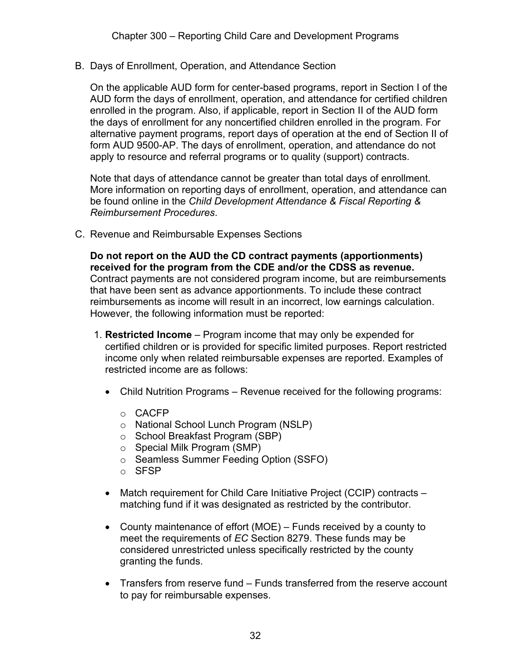B. Days of Enrollment, Operation, and Attendance Section

On the applicable AUD form for center-based programs, report in Section I of the AUD form the days of enrollment, operation, and attendance for certified children enrolled in the program. Also, if applicable, report in Section II of the AUD form the days of enrollment for any noncertified children enrolled in the program. For alternative payment programs, report days of operation at the end of Section II of form AUD 9500-AP. The days of enrollment, operation, and attendance do not apply to resource and referral programs or to quality (support) contracts.

Note that days of attendance cannot be greater than total days of enrollment. More information on reporting days of enrollment, operation, and attendance can be found online in the *[Child Development Attendance & Fiscal Reporting &](https://www.cde.ca.gov/fg/aa/cd/documents/greenbook17.pdf)  [Reimbursement Procedures](https://www.cde.ca.gov/fg/aa/cd/documents/greenbook17.pdf)*.

C. Revenue and Reimbursable Expenses Sections

**Do not report on the AUD the CD contract payments (apportionments) received for the program from the CDE and/or the CDSS as revenue.** Contract payments are not considered program income, but are reimbursements that have been sent as advance apportionments. To include these contract reimbursements as income will result in an incorrect, low earnings calculation. However, the following information must be reported:

- 1. **Restricted Income**  Program income that may only be expended for certified children or is provided for specific limited purposes. Report restricted income only when related reimbursable expenses are reported. Examples of restricted income are as follows:
	- Child Nutrition Programs Revenue received for the following programs:
		- o CACFP
		- o National School Lunch Program (NSLP)
		- o School Breakfast Program (SBP)
		- o Special Milk Program (SMP)
		- o Seamless Summer Feeding Option (SSFO)
		- o SFSP
	- Match requirement for Child Care Initiative Project (CCIP) contracts matching fund if it was designated as restricted by the contributor.
	- County maintenance of effort (MOE) Funds received by a county to meet the requirements of *EC* Section 8279. These funds may be considered unrestricted unless specifically restricted by the county granting the funds.
	- Transfers from reserve fund Funds transferred from the reserve account to pay for reimbursable expenses.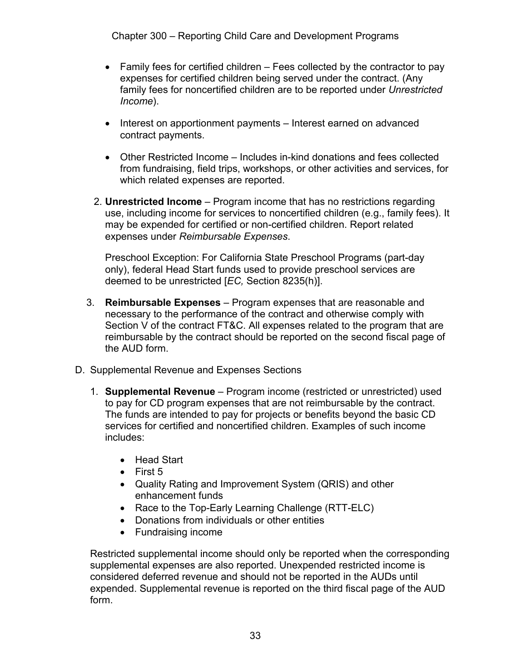Chapter 300 – Reporting Child Care and Development Programs

- Family fees for certified children Fees collected by the contractor to pay expenses for certified children being served under the contract. (Any family fees for noncertified children are to be reported under *Unrestricted Income*).
- Interest on apportionment payments Interest earned on advanced contract payments.
- Other Restricted Income Includes in-kind donations and fees collected from fundraising, field trips, workshops, or other activities and services, for which related expenses are reported.
- 2. **Unrestricted Income**  Program income that has no restrictions regarding use, including income for services to noncertified children (e.g., family fees). It may be expended for certified or non-certified children. Report related expenses under *Reimbursable Expenses*.

Preschool Exception: For California State Preschool Programs (part-day only), federal Head Start funds used to provide preschool services are deemed to be unrestricted [*EC,* Section 8235(h)].

- 3. **Reimbursable Expenses** Program expenses that are reasonable and necessary to the performance of the contract and otherwise comply with Section V of the contract FT&C. All expenses related to the program that are reimbursable by the contract should be reported on the second fiscal page of the AUD form.
- D. Supplemental Revenue and Expenses Sections
	- 1. **Supplemental Revenue** Program income (restricted or unrestricted) used to pay for CD program expenses that are not reimbursable by the contract. The funds are intended to pay for projects or benefits beyond the basic CD services for certified and noncertified children. Examples of such income includes:
		- Head Start
		- First 5
		- Quality Rating and Improvement System (QRIS) and other enhancement funds
		- Race to the Top-Early Learning Challenge (RTT-ELC)
		- Donations from individuals or other entities
		- Fundraising income

Restricted supplemental income should only be reported when the corresponding supplemental expenses are also reported. Unexpended restricted income is considered deferred revenue and should not be reported in the AUDs until expended. Supplemental revenue is reported on the third fiscal page of the AUD form.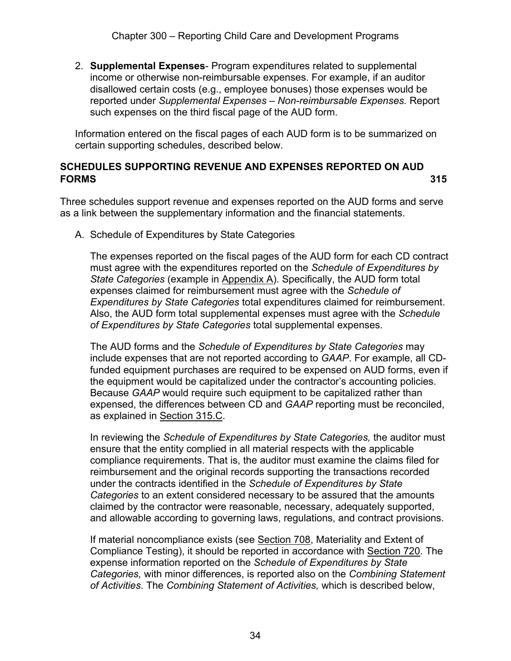2. **Supplemental Expenses**- Program expenditures related to supplemental income or otherwise non-reimbursable expenses. For example, if an auditor disallowed certain costs (e.g., employee bonuses) those expenses would be reported under *Supplemental Expenses – Non-reimbursable Expenses.* Report such expenses on the third fiscal page of the AUD form.

Information entered on the fiscal pages of each AUD form is to be summarized on certain supporting schedules, described below.

### **SCHEDULES SUPPORTING REVENUE AND EXPENSES REPORTED ON AUD FORMS 315**

Three schedules support revenue and expenses reported on the AUD forms and serve as a link between the supplementary information and the financial statements.

A. Schedule of Expenditures by State Categories

The expenses reported on the fiscal pages of the AUD form for each CD contract must agree with the expenditures reported on the *Schedule of Expenditures by State Categories* (example in [Appendix A\)](#page-112-0). Specifically, the AUD form total expenses claimed for reimbursement must agree with the *Schedule of Expenditures by State Categories* total expenditures claimed for reimbursement. Also, the AUD form total supplemental expenses must agree with the *Schedule of Expenditures by State Categories* total supplemental expenses.

The AUD forms and the *Schedule of Expenditures by State Categories* may include expenses that are not reported according to *GAAP*. For example, all CDfunded equipment purchases are required to be expensed on AUD forms, even if the equipment would be capitalized under the contractor's accounting policies. Because *GAAP* would require such equipment to be capitalized rather than expensed, the differences between CD and *GAAP* reporting must be reconciled, as explained in [Section 315.C.](#page-39-0)

In reviewing the *Schedule of Expenditures by State Categories,* the auditor must ensure that the entity complied in all material respects with the applicable compliance requirements. That is, the auditor must examine the claims filed for reimbursement and the original records supporting the transactions recorded under the contracts identified in the *Schedule of Expenditures by State Categories* to an extent considered necessary to be assured that the amounts claimed by the contractor were reasonable, necessary, adequately supported, and allowable according to governing laws, regulations, and contract provisions.

If material noncompliance exists (see [Section 708,](#page-75-0) Materiality and Extent of Compliance Testing), it should be reported in accordance with [Section 720.](#page-79-0) The expense information reported on the *Schedule of Expenditures by State Categories,* with minor differences, is reported also on the *Combining Statement of Activities*. The *Combining Statement of Activities,* which is described below,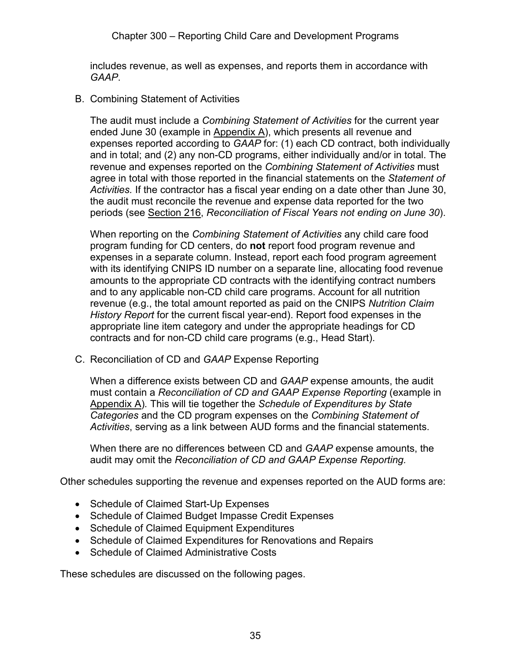### Chapter 300 – Reporting Child Care and Development Programs

includes revenue, as well as expenses, and reports them in accordance with *GAAP*.

B. Combining Statement of Activities

The audit must include a *Combining Statement of Activities* for the current year ended June 30 (example in Appendix  $\overline{A}$ ), which presents all revenue and expenses reported according to *GAAP* for: (1) each CD contract, both individually and in total; and (2) any non-CD programs, either individually and/or in total. The revenue and expenses reported on the *Combining Statement of Activities* must agree in total with those reported in the financial statements on the *Statement of Activities.* If the contractor has a fiscal year ending on a date other than June 30, the audit must reconcile the revenue and expense data reported for the two periods (see [Section 216,](#page-23-0) *Reconciliation of Fiscal Years not ending on June 30*).

When reporting on the *Combining Statement of Activities* any child care food program funding for CD centers, do **not** report food program revenue and expenses in a separate column. Instead, report each food program agreement with its identifying CNIPS ID number on a separate line, allocating food revenue amounts to the appropriate CD contracts with the identifying contract numbers and to any applicable non-CD child care programs. Account for all nutrition revenue (e.g., the total amount reported as paid on the CNIPS *Nutrition Claim History Report* for the current fiscal year-end). Report food expenses in the appropriate line item category and under the appropriate headings for CD contracts and for non-CD child care programs (e.g., Head Start).

<span id="page-39-0"></span>C. Reconciliation of CD and *GAAP* Expense Reporting

When a difference exists between CD and *GAAP* expense amounts, the audit must contain a *Reconciliation of CD and GAAP Expense Reporting* (example in [Appendix A\)](#page-112-0)*.* This will tie together the *Schedule of Expenditures by State Categories* and the CD program expenses on the *Combining Statement of Activities*, serving as a link between AUD forms and the financial statements.

When there are no differences between CD and *GAAP* expense amounts, the audit may omit the *Reconciliation of CD and GAAP Expense Reporting.*

Other schedules supporting the revenue and expenses reported on the AUD forms are:

- Schedule of Claimed Start-Up Expenses
- Schedule of Claimed Budget Impasse Credit Expenses
- Schedule of Claimed Equipment Expenditures
- Schedule of Claimed Expenditures for Renovations and Repairs
- Schedule of Claimed Administrative Costs

These schedules are discussed on the following pages.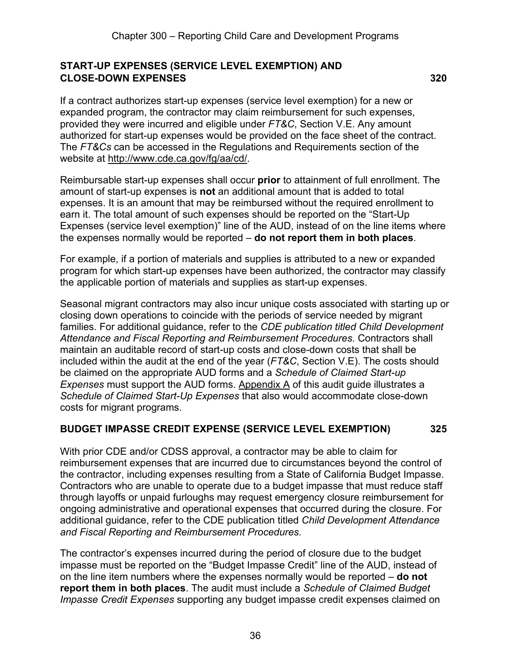### <span id="page-40-0"></span>**START-UP EXPENSES (SERVICE LEVEL EXEMPTION) AND CLOSE-DOWN EXPENSES 320**

If a contract authorizes start-up expenses (service level exemption) for a new or expanded program, the contractor may claim reimbursement for such expenses, provided they were incurred and eligible under *FT&C*, Section V.E. Any amount authorized for start-up expenses would be provided on the face sheet of the contract. The *FT&Cs* can be accessed in the Regulations and Requirements section of the website at [http://www.cde.ca.gov/fg/aa/cd/.](http://www.cde.ca.gov/fg/aa/cd/)

Reimbursable start-up expenses shall occur **prior** to attainment of full enrollment. The amount of start-up expenses is **not** an additional amount that is added to total expenses. It is an amount that may be reimbursed without the required enrollment to earn it. The total amount of such expenses should be reported on the "Start-Up Expenses (service level exemption)" line of the AUD, instead of on the line items where the expenses normally would be reported – **do not report them in both places**.

For example, if a portion of materials and supplies is attributed to a new or expanded program for which start-up expenses have been authorized, the contractor may classify the applicable portion of materials and supplies as start-up expenses.

Seasonal migrant contractors may also incur unique costs associated with starting up or closing down operations to coincide with the periods of service needed by migrant families. For additional guidance, refer to the *CDE publication titled Child Development Attendance and Fiscal Reporting and Reimbursement Procedures*. Contractors shall maintain an auditable record of start-up costs and close-down costs that shall be included within the audit at the end of the year (*FT&C*, Section V.E). The costs should be claimed on the appropriate AUD forms and a *Schedule of Claimed Start-up Expenses* must support the AUD forms. [Appendix A](#page-112-0) of this audit guide illustrates a *Schedule of Claimed Start-Up Expenses* that also would accommodate close-down costs for migrant programs.

### <span id="page-40-1"></span>**BUDGET IMPASSE CREDIT EXPENSE (SERVICE LEVEL EXEMPTION) 325**

With prior CDE and/or CDSS approval, a contractor may be able to claim for reimbursement expenses that are incurred due to circumstances beyond the control of the contractor, including expenses resulting from a State of California Budget Impasse. Contractors who are unable to operate due to a budget impasse that must reduce staff through layoffs or unpaid furloughs may request emergency closure reimbursement for ongoing administrative and operational expenses that occurred during the closure. For additional guidance, refer to the CDE publication titled *Child Development Attendance and Fiscal Reporting and Reimbursement Procedures.*

The contractor's expenses incurred during the period of closure due to the budget impasse must be reported on the "Budget Impasse Credit" line of the AUD, instead of on the line item numbers where the expenses normally would be reported – **do not report them in both places**. The audit must include a *Schedule of Claimed Budget Impasse Credit Expenses* supporting any budget impasse credit expenses claimed on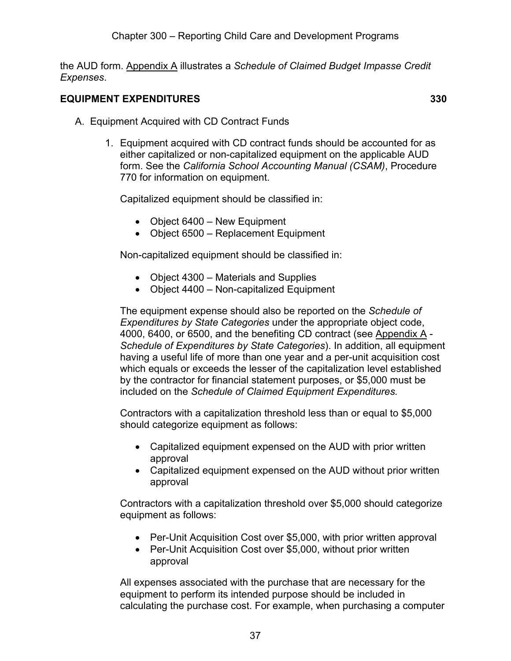the AUD form. [Appendix A](#page-112-0) illustrates a *Schedule of Claimed Budget Impasse Credit Expenses*.

### **EQUIPMENT EXPENDITURES 330**

- A. Equipment Acquired with CD Contract Funds
	- 1. Equipment acquired with CD contract funds should be accounted for as either capitalized or non-capitalized equipment on the applicable AUD form. See the *California School Accounting Manual (CSAM)*, Procedure 770 for information on equipment.

Capitalized equipment should be classified in:

- Object 6400 New Equipment
- Object 6500 Replacement Equipment

Non-capitalized equipment should be classified in:

- Object 4300 Materials and Supplies
- Object 4400 Non-capitalized Equipment

The equipment expense should also be reported on the *Schedule of Expenditures by State Categories* under the appropriate object code, 4000, 6400, or 6500, and the benefiting CD contract (see [Appendix A](#page-112-0) - *Schedule of Expenditures by State Categories*). In addition, all equipment having a useful life of more than one year and a per-unit acquisition cost which equals or exceeds the lesser of the capitalization level established by the contractor for financial statement purposes, or \$5,000 must be included on the *Schedule of Claimed Equipment Expenditures.*

Contractors with a capitalization threshold less than or equal to \$5,000 should categorize equipment as follows:

- Capitalized equipment expensed on the AUD with prior written approval
- Capitalized equipment expensed on the AUD without prior written approval

Contractors with a capitalization threshold over \$5,000 should categorize equipment as follows:

- Per-Unit Acquisition Cost over \$5,000, with prior written approval
- Per-Unit Acquisition Cost over \$5,000, without prior written approval

All expenses associated with the purchase that are necessary for the equipment to perform its intended purpose should be included in calculating the purchase cost. For example, when purchasing a computer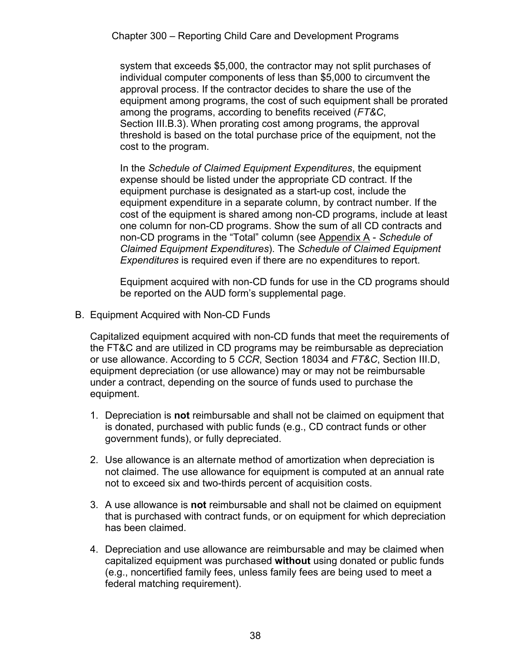system that exceeds \$5,000, the contractor may not split purchases of individual computer components of less than \$5,000 to circumvent the approval process. If the contractor decides to share the use of the equipment among programs, the cost of such equipment shall be prorated among the programs, according to benefits received (*FT&C*, Section III.B.3). When prorating cost among programs, the approval threshold is based on the total purchase price of the equipment, not the cost to the program.

In the *Schedule of Claimed Equipment Expenditures*, the equipment expense should be listed under the appropriate CD contract. If the equipment purchase is designated as a start-up cost, include the equipment expenditure in a separate column, by contract number. If the cost of the equipment is shared among non-CD programs, include at least one column for non-CD programs. Show the sum of all CD contracts and non-CD programs in the "Total" column (see [Appendix A](#page-112-0) - *Schedule of Claimed Equipment Expenditures*). The *Schedule of Claimed Equipment Expenditures* is required even if there are no expenditures to report.

Equipment acquired with non-CD funds for use in the CD programs should be reported on the AUD form's supplemental page.

B. Equipment Acquired with Non-CD Funds

Capitalized equipment acquired with non-CD funds that meet the requirements of the FT&C and are utilized in CD programs may be reimbursable as depreciation or use allowance. According to 5 *CCR*, Section 18034 and *FT&C*, Section III.D, equipment depreciation (or use allowance) may or may not be reimbursable under a contract, depending on the source of funds used to purchase the equipment.

- 1. Depreciation is **not** reimbursable and shall not be claimed on equipment that is donated, purchased with public funds (e.g., CD contract funds or other government funds), or fully depreciated.
- 2. Use allowance is an alternate method of amortization when depreciation is not claimed. The use allowance for equipment is computed at an annual rate not to exceed six and two-thirds percent of acquisition costs.
- 3. A use allowance is **not** reimbursable and shall not be claimed on equipment that is purchased with contract funds, or on equipment for which depreciation has been claimed.
- 4. Depreciation and use allowance are reimbursable and may be claimed when capitalized equipment was purchased **without** using donated or public funds (e.g., noncertified family fees, unless family fees are being used to meet a federal matching requirement).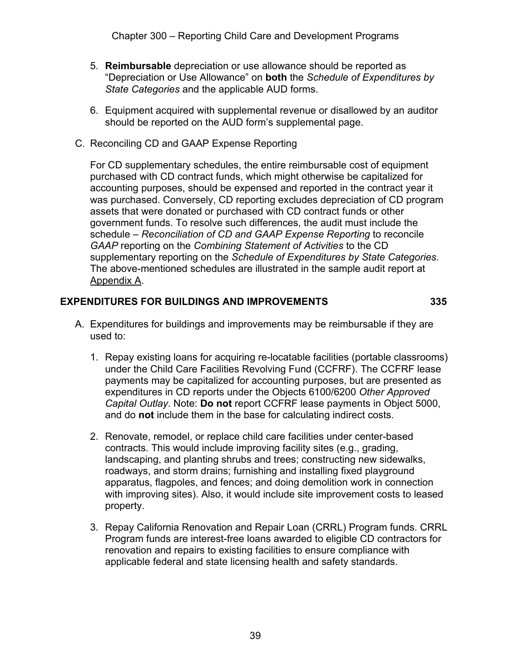- 5. **Reimbursable** depreciation or use allowance should be reported as "Depreciation or Use Allowance" on **both** the *Schedule of Expenditures by State Categories* and the applicable AUD forms.
- 6. Equipment acquired with supplemental revenue or disallowed by an auditor should be reported on the AUD form's supplemental page.
- C. Reconciling CD and GAAP Expense Reporting

For CD supplementary schedules, the entire reimbursable cost of equipment purchased with CD contract funds, which might otherwise be capitalized for accounting purposes, should be expensed and reported in the contract year it was purchased. Conversely, CD reporting excludes depreciation of CD program assets that were donated or purchased with CD contract funds or other government funds. To resolve such differences, the audit must include the schedule – *Reconciliation of CD and GAAP Expense Reporting* to reconcile *GAAP* reporting on the *Combining Statement of Activities* to the CD supplementary reporting on the *Schedule of Expenditures by State Categories*. The above-mentioned schedules are illustrated in the sample audit report at [Appendix A.](#page-112-0)

### **EXPENDITURES FOR BUILDINGS AND IMPROVEMENTS 335**

- 
- A. Expenditures for buildings and improvements may be reimbursable if they are used to:
	- 1. Repay existing loans for acquiring re-locatable facilities (portable classrooms) under the Child Care Facilities Revolving Fund (CCFRF). The CCFRF lease payments may be capitalized for accounting purposes, but are presented as expenditures in CD reports under the Objects 6100/6200 *Other Approved Capital Outlay*. Note: **Do not** report CCFRF lease payments in Object 5000, and do **not** include them in the base for calculating indirect costs.
	- 2. Renovate, remodel, or replace child care facilities under center-based contracts. This would include improving facility sites (e.g., grading, landscaping, and planting shrubs and trees; constructing new sidewalks, roadways, and storm drains; furnishing and installing fixed playground apparatus, flagpoles, and fences; and doing demolition work in connection with improving sites). Also, it would include site improvement costs to leased property.
	- 3. Repay California Renovation and Repair Loan (CRRL) Program funds. CRRL Program funds are interest-free loans awarded to eligible CD contractors for renovation and repairs to existing facilities to ensure compliance with applicable federal and state licensing health and safety standards.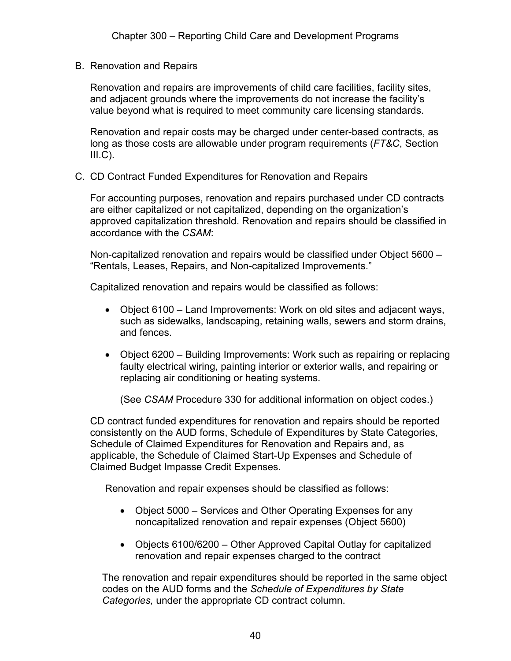B. Renovation and Repairs

Renovation and repairs are improvements of child care facilities, facility sites, and adjacent grounds where the improvements do not increase the facility's value beyond what is required to meet community care licensing standards.

Renovation and repair costs may be charged under center-based contracts, as long as those costs are allowable under program requirements (*FT&C*, Section  $III.C$ ).

C. CD Contract Funded Expenditures for Renovation and Repairs

For accounting purposes, renovation and repairs purchased under CD contracts are either capitalized or not capitalized, depending on the organization's approved capitalization threshold. Renovation and repairs should be classified in accordance with the *CSAM*:

Non-capitalized renovation and repairs would be classified under Object 5600 – "Rentals, Leases, Repairs, and Non-capitalized Improvements."

Capitalized renovation and repairs would be classified as follows:

- Object 6100 Land Improvements: Work on old sites and adjacent ways, such as sidewalks, landscaping, retaining walls, sewers and storm drains, and fences.
- Object 6200 Building Improvements: Work such as repairing or replacing faulty electrical wiring, painting interior or exterior walls, and repairing or replacing air conditioning or heating systems.

(See *CSAM* Procedure 330 for additional information on object codes.)

CD contract funded expenditures for renovation and repairs should be reported consistently on the AUD forms, Schedule of Expenditures by State Categories, Schedule of Claimed Expenditures for Renovation and Repairs and, as applicable, the Schedule of Claimed Start-Up Expenses and Schedule of Claimed Budget Impasse Credit Expenses.

Renovation and repair expenses should be classified as follows:

- Object 5000 Services and Other Operating Expenses for any noncapitalized renovation and repair expenses (Object 5600)
- Objects 6100/6200 Other Approved Capital Outlay for capitalized renovation and repair expenses charged to the contract

The renovation and repair expenditures should be reported in the same object codes on the AUD forms and the *Schedule of Expenditures by State Categories,* under the appropriate CD contract column.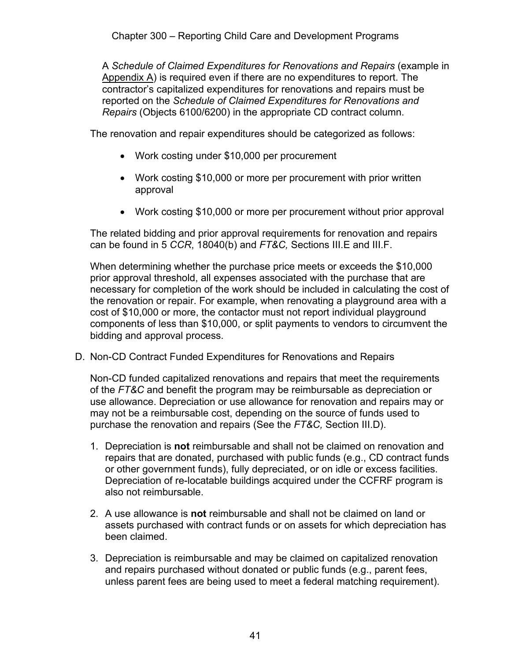A *Schedule of Claimed Expenditures for Renovations and Repairs* (example in [Appendix A\)](#page-112-0) is required even if there are no expenditures to report. The contractor's capitalized expenditures for renovations and repairs must be reported on the *Schedule of Claimed Expenditures for Renovations and Repairs* (Objects 6100/6200) in the appropriate CD contract column.

The renovation and repair expenditures should be categorized as follows:

- Work costing under \$10,000 per procurement
- Work costing \$10,000 or more per procurement with prior written approval
- Work costing \$10,000 or more per procurement without prior approval

The related bidding and prior approval requirements for renovation and repairs can be found in 5 *CCR*, 18040(b) and *FT&C,* Sections III.E and III.F.

When determining whether the purchase price meets or exceeds the \$10,000 prior approval threshold, all expenses associated with the purchase that are necessary for completion of the work should be included in calculating the cost of the renovation or repair. For example, when renovating a playground area with a cost of \$10,000 or more, the contactor must not report individual playground components of less than \$10,000, or split payments to vendors to circumvent the bidding and approval process.

D. Non-CD Contract Funded Expenditures for Renovations and Repairs

Non-CD funded capitalized renovations and repairs that meet the requirements of the *FT&C* and benefit the program may be reimbursable as depreciation or use allowance. Depreciation or use allowance for renovation and repairs may or may not be a reimbursable cost, depending on the source of funds used to purchase the renovation and repairs (See the *FT&C,* Section III.D).

- <span id="page-45-0"></span>1. Depreciation is **not** reimbursable and shall not be claimed on renovation and repairs that are donated, purchased with public funds (e.g., CD contract funds or other government funds), fully depreciated, or on idle or excess facilities. Depreciation of re-locatable buildings acquired under the CCFRF program is also not reimbursable.
- 2. A use allowance is **not** reimbursable and shall not be claimed on land or assets purchased with contract funds or on assets for which depreciation has been claimed.
- 3. Depreciation is reimbursable and may be claimed on capitalized renovation and repairs purchased without donated or public funds (e.g., parent fees, unless parent fees are being used to meet a federal matching requirement).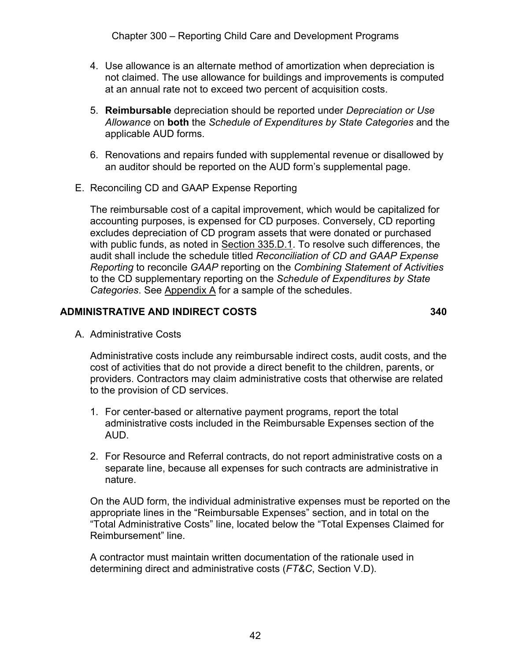- 4. Use allowance is an alternate method of amortization when depreciation is not claimed. The use allowance for buildings and improvements is computed at an annual rate not to exceed two percent of acquisition costs.
- 5. **Reimbursable** depreciation should be reported under *Depreciation or Use Allowance* on **both** the *Schedule of Expenditures by State Categories* and the applicable AUD forms.
- 6. Renovations and repairs funded with supplemental revenue or disallowed by an auditor should be reported on the AUD form's supplemental page.
- E. Reconciling CD and GAAP Expense Reporting

The reimbursable cost of a capital improvement, which would be capitalized for accounting purposes, is expensed for CD purposes. Conversely, CD reporting excludes depreciation of CD program assets that were donated or purchased with public funds, as noted in [Section 335.D.1.](#page-45-0) To resolve such differences, the audit shall include the schedule titled *Reconciliation of CD and GAAP Expense Reporting* to reconcile *GAAP* reporting on the *Combining Statement of Activities* to the CD supplementary reporting on the *Schedule of Expenditures by State Categories*. See [Appendix A](#page-112-0) for a sample of the schedules.

### **ADMINISTRATIVE AND INDIRECT COSTS 340**

A. Administrative Costs

Administrative costs include any reimbursable indirect costs, audit costs, and the cost of activities that do not provide a direct benefit to the children, parents, or providers. Contractors may claim administrative costs that otherwise are related to the provision of CD services.

- 1. For center-based or alternative payment programs, report the total administrative costs included in the Reimbursable Expenses section of the AUD.
- 2. For Resource and Referral contracts, do not report administrative costs on a separate line, because all expenses for such contracts are administrative in nature.

On the AUD form, the individual administrative expenses must be reported on the appropriate lines in the "Reimbursable Expenses" section, and in total on the "Total Administrative Costs" line, located below the "Total Expenses Claimed for Reimbursement" line.

A contractor must maintain written documentation of the rationale used in determining direct and administrative costs (*FT&C*, Section V.D).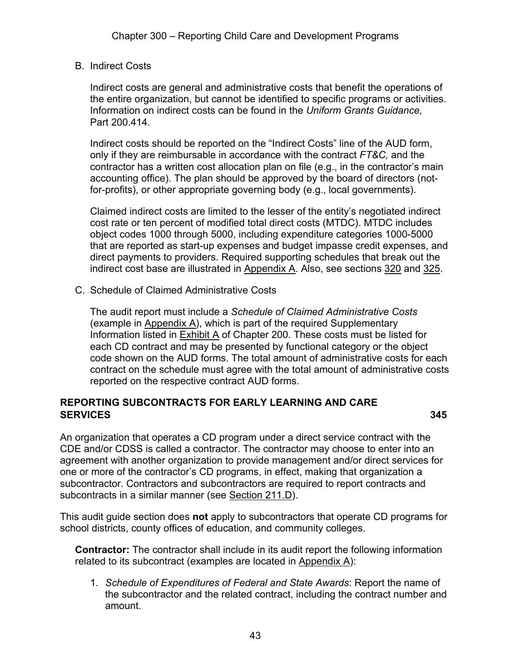B. Indirect Costs

Indirect costs are general and administrative costs that benefit the operations of the entire organization, but cannot be identified to specific programs or activities. Information on indirect costs can be found in the *Uniform Grants Guidance,* Part 200.414.

Indirect costs should be reported on the "Indirect Costs" line of the AUD form, only if they are reimbursable in accordance with the contract *FT&C,* and the contractor has a written cost allocation plan on file (e.g., in the contractor's main accounting office). The plan should be approved by the board of directors (notfor-profits), or other appropriate governing body (e.g., local governments).

Claimed indirect costs are limited to the lesser of the entity's negotiated indirect cost rate or ten percent of modified total direct costs (MTDC). MTDC includes object codes 1000 through 5000, including expenditure categories 1000-5000 that are reported as start-up expenses and budget impasse credit expenses, and direct payments to providers. Required supporting schedules that break out the indirect cost base are illustrated in [Appendix A.](#page-112-0) Also, see sections [320](#page-40-0) and [325.](#page-40-1)

C. Schedule of Claimed Administrative Costs

The audit report must include a *Schedule of Claimed Administrative Costs*  (example in [Appendix A\)](#page-112-0), which is part of the required Supplementary Information listed in [Exhibit A](#page-26-0) of Chapter 200. These costs must be listed for each CD contract and may be presented by functional category or the object code shown on the AUD forms. The total amount of administrative costs for each contract on the schedule must agree with the total amount of administrative costs reported on the respective contract AUD forms.

### **REPORTING SUBCONTRACTS FOR EARLY LEARNING AND CARE SERVICES 345**

An organization that operates a CD program under a direct service contract with the CDE and/or CDSS is called a contractor. The contractor may choose to enter into an agreement with another organization to provide management and/or direct services for one or more of the contractor's CD programs, in effect, making that organization a subcontractor. Contractors and subcontractors are required to report contracts and subcontracts in a similar manner (see [Section 211.D\)](#page-22-0).

This audit guide section does **not** apply to subcontractors that operate CD programs for school districts, county offices of education, and community colleges.

**Contractor:** The contractor shall include in its audit report the following information related to its subcontract (examples are located in [Appendix A\)](#page-112-0):

1. *Schedule of Expenditures of Federal and State Awards*: Report the name of the subcontractor and the related contract, including the contract number and amount.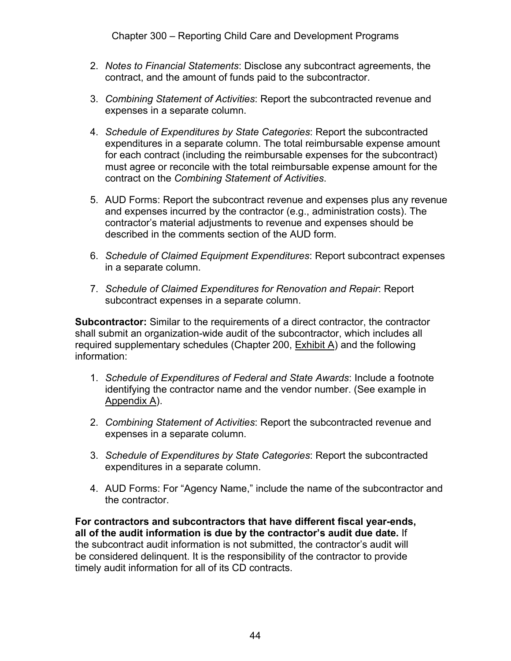- 2. *Notes to Financial Statements*: Disclose any subcontract agreements, the contract, and the amount of funds paid to the subcontractor.
- 3. *Combining Statement of Activities*: Report the subcontracted revenue and expenses in a separate column.
- 4. *Schedule of Expenditures by State Categories*: Report the subcontracted expenditures in a separate column. The total reimbursable expense amount for each contract (including the reimbursable expenses for the subcontract) must agree or reconcile with the total reimbursable expense amount for the contract on the *Combining Statement of Activities*.
- 5. AUD Forms: Report the subcontract revenue and expenses plus any revenue and expenses incurred by the contractor (e.g., administration costs). The contractor's material adjustments to revenue and expenses should be described in the comments section of the AUD form.
- 6. *Schedule of Claimed Equipment Expenditures*: Report subcontract expenses in a separate column.
- 7. *Schedule of Claimed Expenditures for Renovation and Repair*: Report subcontract expenses in a separate column.

**Subcontractor:** Similar to the requirements of a direct contractor, the contractor shall submit an organization-wide audit of the subcontractor, which includes all required supplementary schedules (Chapter 200, [Exhibit A\)](#page-26-0) and the following information:

- 1. *Schedule of Expenditures of Federal and State Awards*: Include a footnote identifying the contractor name and the vendor number. (See example in [Appendix A\)](#page-112-0).
- 2. *Combining Statement of Activities*: Report the subcontracted revenue and expenses in a separate column.
- 3. *Schedule of Expenditures by State Categories*: Report the subcontracted expenditures in a separate column.
- 4. AUD Forms: For "Agency Name," include the name of the subcontractor and the contractor.

**For contractors and subcontractors that have different fiscal year-ends, all of the audit information is due by the contractor's audit due date.** If the subcontract audit information is not submitted, the contractor's audit will be considered delinquent. It is the responsibility of the contractor to provide timely audit information for all of its CD contracts.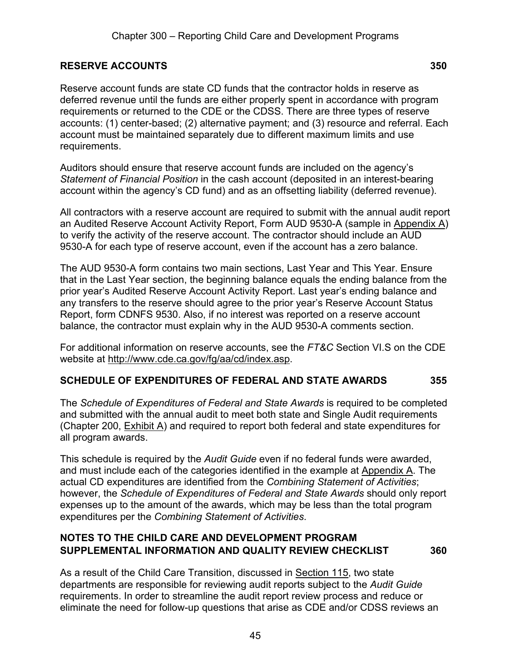## **RESERVE ACCOUNTS 350**

Reserve account funds are state CD funds that the contractor holds in reserve as deferred revenue until the funds are either properly spent in accordance with program requirements or returned to the CDE or the CDSS. There are three types of reserve accounts: (1) center-based; (2) alternative payment; and (3) resource and referral. Each account must be maintained separately due to different maximum limits and use requirements.

Auditors should ensure that reserve account funds are included on the agency's *Statement of Financial Position* in the cash account (deposited in an interest-bearing account within the agency's CD fund) and as an offsetting liability (deferred revenue).

All contractors with a reserve account are required to submit with the annual audit report an Audited Reserve Account Activity Report, Form AUD 9530-A (sample in [Appendix A\)](#page-112-0) to verify the activity of the reserve account. The contractor should include an AUD 9530-A for each type of reserve account, even if the account has a zero balance.

The AUD 9530-A form contains two main sections, Last Year and This Year. Ensure that in the Last Year section, the beginning balance equals the ending balance from the prior year's Audited Reserve Account Activity Report. Last year's ending balance and any transfers to the reserve should agree to the prior year's Reserve Account Status Report, form CDNFS 9530. Also, if no interest was reported on a reserve account balance, the contractor must explain why in the AUD 9530-A comments section.

For additional information on reserve accounts, see the *FT&C* Section VI.S on the CDE website at [http://www.cde.ca.gov/fg/aa/cd/index.asp.](http://www.cde.ca.gov/fg/aa/cd/index.asp)

# **SCHEDULE OF EXPENDITURES OF FEDERAL AND STATE AWARDS 355**

The *Schedule of Expenditures of Federal and State Awards* is required to be completed and submitted with the annual audit to meet both state and Single Audit requirements (Chapter 200, [Exhibit A\)](#page-26-0) and required to report both federal and state expenditures for all program awards.

This schedule is required by the *Audit Guide* even if no federal funds were awarded, and must include each of the categories identified in the example at [Appendix A.](#page-112-0) The actual CD expenditures are identified from the *Combining Statement of Activities*; however, the *Schedule of Expenditures of Federal and State Awards* should only report expenses up to the amount of the awards, which may be less than the total program expenditures per the *Combining Statement of Activities*.

### **NOTES TO THE CHILD CARE AND DEVELOPMENT PROGRAM SUPPLEMENTAL INFORMATION AND QUALITY REVIEW CHECKLIST 360**

As a result of the Child Care Transition, discussed in [Section 115,](#page-8-0) two state departments are responsible for reviewing audit reports subject to the *Audit Guide* requirements. In order to streamline the audit report review process and reduce or eliminate the need for follow-up questions that arise as CDE and/or CDSS reviews an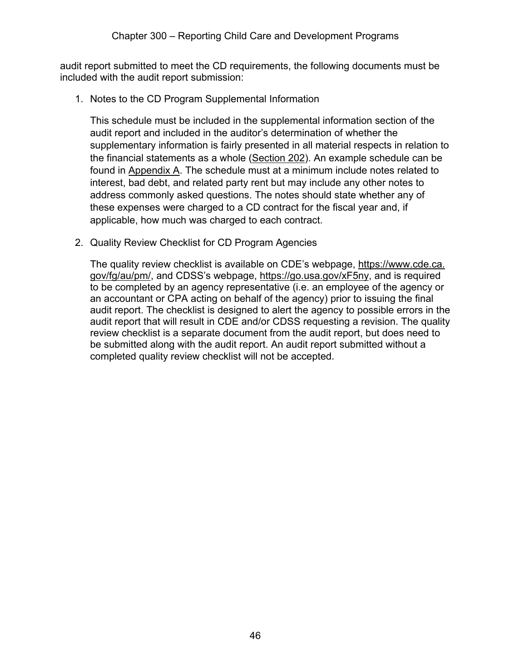audit report submitted to meet the CD requirements, the following documents must be included with the audit report submission:

1. Notes to the CD Program Supplemental Information

This schedule must be included in the supplemental information section of the audit report and included in the auditor's determination of whether the supplementary information is fairly presented in all material respects in relation to the financial statements as a whole [\(Section 202\)](#page-15-0). An example schedule can be found in [Appendix A.](#page-112-0) The schedule must at a minimum include notes related to interest, bad debt, and related party rent but may include any other notes to address commonly asked questions. The notes should state whether any of these expenses were charged to a CD contract for the fiscal year and, if applicable, how much was charged to each contract.

2. Quality Review Checklist for CD Program Agencies

The quality review checklist is available on CDE's webpage, [https://www.cde.ca.](https://www.cde.ca.gov/fg/au/pm/) [gov/fg/au/pm/,](https://www.cde.ca.gov/fg/au/pm/) and CDSS's webpage, [https://go.usa.gov/xF5ny,](https://go.usa.gov/xF5ny) and is required to be completed by an agency representative (i.e. an employee of the agency or an accountant or CPA acting on behalf of the agency) prior to issuing the final audit report. The checklist is designed to alert the agency to possible errors in the audit report that will result in CDE and/or CDSS requesting a revision. The quality review checklist is a separate document from the audit report, but does need to be submitted along with the audit report. An audit report submitted without a completed quality review checklist will not be accepted.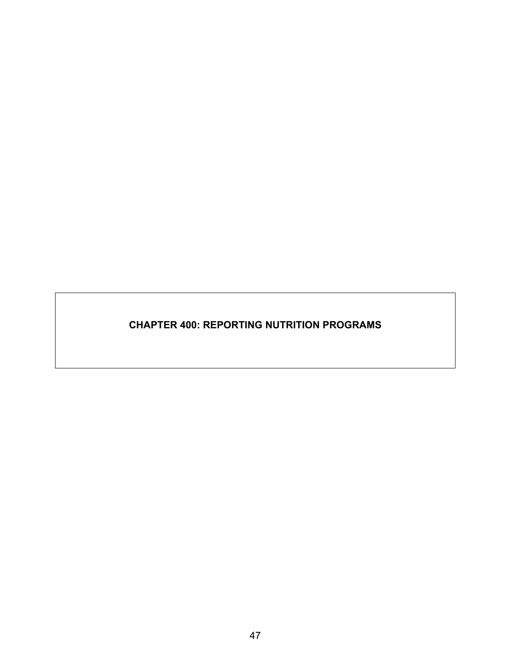**CHAPTER 400: REPORTING NUTRITION PROGRAMS**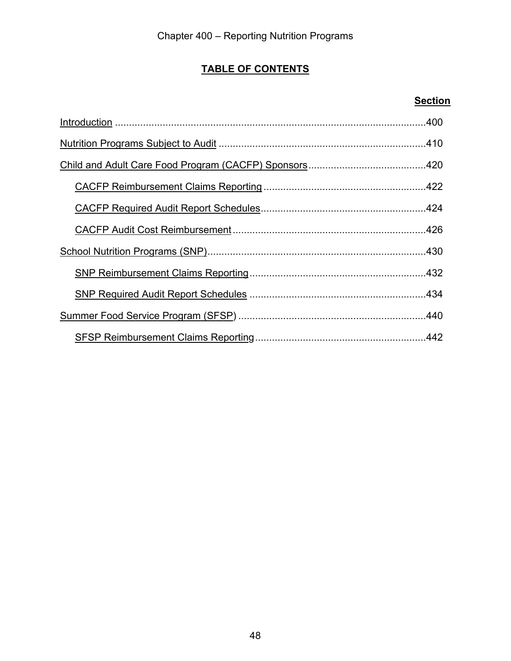# **TABLE OF CONTENTS**

# **Section**

<span id="page-52-0"></span>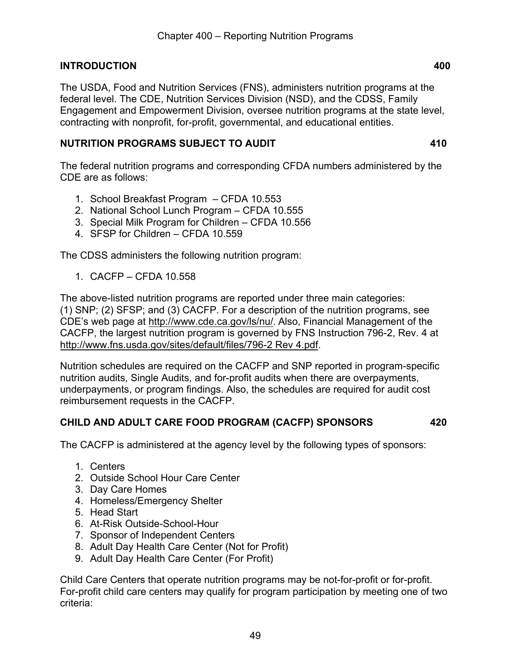### **INTRODUCTION 400**

The USDA, Food and Nutrition Services (FNS), administers nutrition programs at the federal level. The CDE, Nutrition Services Division (NSD), and the CDSS, Family Engagement and Empowerment Division, oversee nutrition programs at the state level, contracting with nonprofit, for-profit, governmental, and educational entities.

### <span id="page-53-0"></span>**NUTRITION PROGRAMS SUBJECT TO AUDIT 410**

The federal nutrition programs and corresponding CFDA numbers administered by the CDE are as follows:

- 1. School Breakfast Program CFDA 10.553
- 2. National School Lunch Program CFDA 10.555
- 3. Special Milk Program for Children CFDA 10.556
- 4. SFSP for Children CFDA 10.559

The CDSS administers the following nutrition program:

1. CACFP – CFDA 10.558

The above-listed nutrition programs are reported under three main categories: (1) SNP; (2) SFSP; and (3) CACFP. For a description of the nutrition programs, see CDE's web page at <http://www.cde.ca.gov/ls/nu/>. Also, Financial Management of the CACFP, the largest nutrition program is governed by FNS Instruction 796-2, Rev. 4 at [http://www.fns.usda.gov/sites/default/files/796-2 Rev 4.pdf.](http://www.fns.usda.gov/sites/default/files/796-2%20Rev%204.pdf)

Nutrition schedules are required on the CACFP and SNP reported in program-specific nutrition audits, Single Audits, and for-profit audits when there are overpayments, underpayments, or program findings. Also, the schedules are required for audit cost reimbursement requests in the CACFP.

### <span id="page-53-1"></span>**CHILD AND ADULT CARE FOOD PROGRAM (CACFP) SPONSORS 420**

The CACFP is administered at the agency level by the following types of sponsors:

- 1. Centers
- 2. Outside School Hour Care Center
- 3. Day Care Homes
- 4. Homeless/Emergency Shelter
- 5. Head Start
- 6. At-Risk Outside-School-Hour
- 7. Sponsor of Independent Centers
- 8. Adult Day Health Care Center (Not for Profit)
- 9. Adult Day Health Care Center (For Profit)

Child Care Centers that operate nutrition programs may be not-for-profit or for-profit. For-profit child care centers may qualify for program participation by meeting one of two criteria: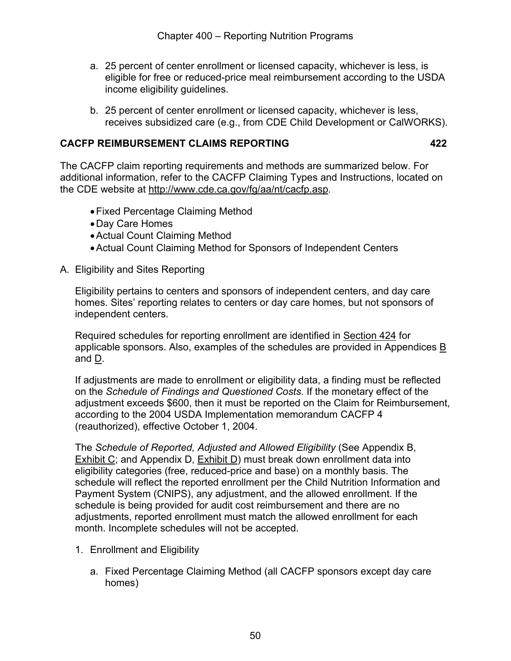- a. 25 percent of center enrollment or licensed capacity, whichever is less, is eligible for free or reduced-price meal reimbursement according to the USDA income eligibility guidelines.
- b. 25 percent of center enrollment or licensed capacity, whichever is less, receives subsidized care (e.g., from CDE Child Development or CalWORKS).

### <span id="page-54-0"></span>**CACFP REIMBURSEMENT CLAIMS REPORTING 422**

The CACFP claim reporting requirements and methods are summarized below. For additional information, refer to the CACFP Claiming Types and Instructions, located on the CDE website at<http://www.cde.ca.gov/fg/aa/nt/cacfp.asp>*.*

- •Fixed Percentage Claiming Method
- •Day Care Homes
- •Actual Count Claiming Method
- •Actual Count Claiming Method for Sponsors of Independent Centers
- A. Eligibility and Sites Reporting

Eligibility pertains to centers and sponsors of independent centers, and day care homes. Sites' reporting relates to centers or day care homes, but not sponsors of independent centers.

Required schedules for reporting enrollment are identified in [Section 424](#page-58-0) for applicable sponsors. Also, examples of the schedules are provided in Appendices [B](#page-185-0) and [D.](#page-203-0)

If adjustments are made to enrollment or eligibility data, a finding must be reflected on the *Schedule of Findings and Questioned Costs*. If the monetary effect of the adjustment exceeds \$600, then it must be reported on the Claim for Reimbursement, according to the 2004 USDA Implementation memorandum CACFP 4 (reauthorized), effective October 1, 2004.

The *Schedule of Reported, Adjusted and Allowed Eligibility* (See [Appendix B,](#page-185-0) [Exhibit C;](#page-189-0) and Appendix D, [Exhibit D\)](#page-208-0) must break down enrollment data into eligibility categories (free, reduced-price and base) on a monthly basis. The schedule will reflect the reported enrollment per the Child Nutrition Information and Payment System (CNIPS), any adjustment, and the allowed enrollment. If the schedule is being provided for audit cost reimbursement and there are no adjustments, reported enrollment must match the allowed enrollment for each month. Incomplete schedules will not be accepted.

- 1. Enrollment and Eligibility
	- a. Fixed Percentage Claiming Method (all CACFP sponsors except day care homes)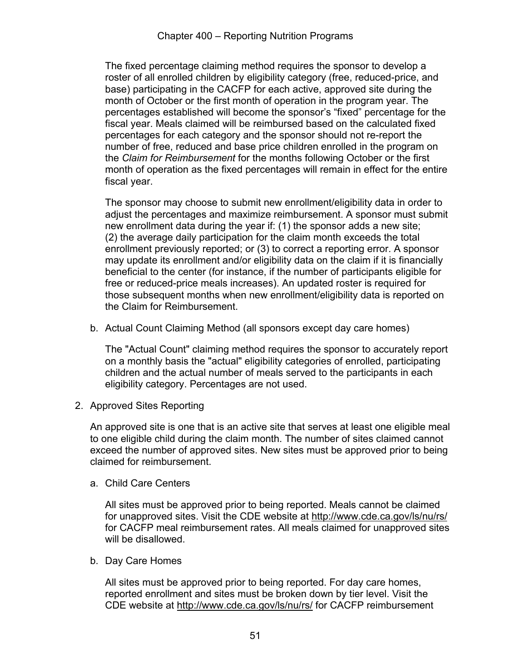The fixed percentage claiming method requires the sponsor to develop a roster of all enrolled children by eligibility category (free, reduced-price, and base) participating in the CACFP for each active, approved site during the month of October or the first month of operation in the program year. The percentages established will become the sponsor's "fixed" percentage for the fiscal year. Meals claimed will be reimbursed based on the calculated fixed percentages for each category and the sponsor should not re-report the number of free, reduced and base price children enrolled in the program on the *Claim for Reimbursement* for the months following October or the first month of operation as the fixed percentages will remain in effect for the entire fiscal year.

The sponsor may choose to submit new enrollment/eligibility data in order to adjust the percentages and maximize reimbursement. A sponsor must submit new enrollment data during the year if: (1) the sponsor adds a new site; (2) the average daily participation for the claim month exceeds the total enrollment previously reported; or (3) to correct a reporting error. A sponsor may update its enrollment and/or eligibility data on the claim if it is financially beneficial to the center (for instance, if the number of participants eligible for free or reduced-price meals increases). An updated roster is required for those subsequent months when new enrollment/eligibility data is reported on the Claim for Reimbursement.

b. Actual Count Claiming Method (all sponsors except day care homes)

The "Actual Count" claiming method requires the sponsor to accurately report on a monthly basis the "actual" eligibility categories of enrolled, participating children and the actual number of meals served to the participants in each eligibility category. Percentages are not used.

2. Approved Sites Reporting

An approved site is one that is an active site that serves at least one eligible meal to one eligible child during the claim month. The number of sites claimed cannot exceed the number of approved sites. New sites must be approved prior to being claimed for reimbursement.

a. Child Care Centers

All sites must be approved prior to being reported. Meals cannot be claimed for unapproved sites. Visit the CDE website at<http://www.cde.ca.gov/ls/nu/rs/> for CACFP meal reimbursement rates. All meals claimed for unapproved sites will be disallowed.

b. Day Care Homes

All sites must be approved prior to being reported. For day care homes, reported enrollment and sites must be broken down by tier level. Visit the CDE website at<http://www.cde.ca.gov/ls/nu/rs/> for CACFP reimbursement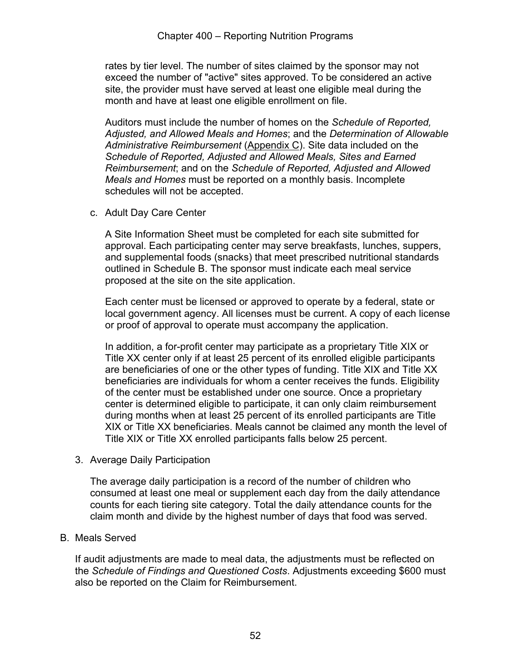rates by tier level. The number of sites claimed by the sponsor may not exceed the number of "active" sites approved. To be considered an active site, the provider must have served at least one eligible meal during the month and have at least one eligible enrollment on file.

Auditors must include the number of homes on the *Schedule of Reported, Adjusted, and Allowed Meals and Homes*; and the *Determination of Allowable Administrative Reimbursement* [\(Appendix C\)](#page-193-0). Site data included on the *Schedule of Reported, Adjusted and Allowed Meals, Sites and Earned Reimbursement*; and on the *Schedule of Reported, Adjusted and Allowed Meals and Homes* must be reported on a monthly basis. Incomplete schedules will not be accepted.

c. Adult Day Care Center

A Site Information Sheet must be completed for each site submitted for approval. Each participating center may serve breakfasts, lunches, suppers, and supplemental foods (snacks) that meet prescribed nutritional standards outlined in Schedule B. The sponsor must indicate each meal service proposed at the site on the site application.

Each center must be licensed or approved to operate by a federal, state or local government agency. All licenses must be current. A copy of each license or proof of approval to operate must accompany the application.

In addition, a for-profit center may participate as a proprietary Title XIX or Title XX center only if at least 25 percent of its enrolled eligible participants are beneficiaries of one or the other types of funding. Title XIX and Title XX beneficiaries are individuals for whom a center receives the funds. Eligibility of the center must be established under one source. Once a proprietary center is determined eligible to participate, it can only claim reimbursement during months when at least 25 percent of its enrolled participants are Title XIX or Title XX beneficiaries. Meals cannot be claimed any month the level of Title XIX or Title XX enrolled participants falls below 25 percent.

3. Average Daily Participation

The average daily participation is a record of the number of children who consumed at least one meal or supplement each day from the daily attendance counts for each tiering site category. Total the daily attendance counts for the claim month and divide by the highest number of days that food was served.

#### B. Meals Served

If audit adjustments are made to meal data, the adjustments must be reflected on the *Schedule of Findings and Questioned Costs*. Adjustments exceeding \$600 must also be reported on the Claim for Reimbursement.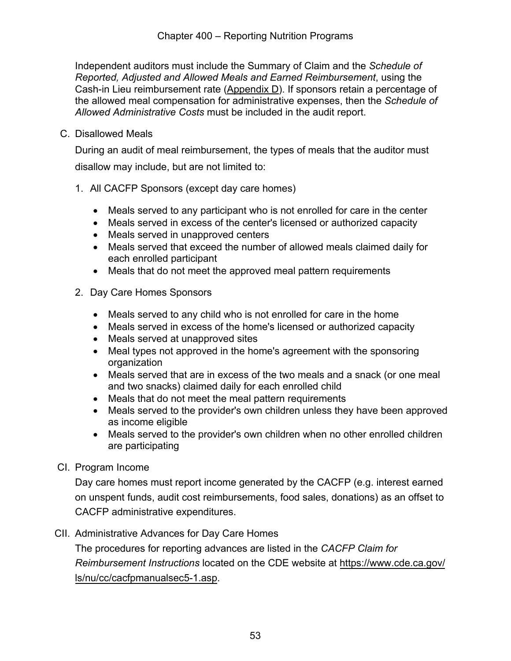Independent auditors must include the Summary of Claim and the *Schedule of Reported, Adjusted and Allowed Meals and Earned Reimbursement*, using the Cash-in Lieu reimbursement rate [\(Appendix D\)](#page-203-0). If sponsors retain a percentage of the allowed meal compensation for administrative expenses, then the *Schedule of Allowed Administrative Costs* must be included in the audit report.

C. Disallowed Meals

During an audit of meal reimbursement, the types of meals that the auditor must disallow may include, but are not limited to:

- 1. All CACFP Sponsors (except day care homes)
	- Meals served to any participant who is not enrolled for care in the center
	- Meals served in excess of the center's licensed or authorized capacity
	- Meals served in unapproved centers
	- Meals served that exceed the number of allowed meals claimed daily for each enrolled participant
	- Meals that do not meet the approved meal pattern requirements
- 2. Day Care Homes Sponsors
	- Meals served to any child who is not enrolled for care in the home
	- Meals served in excess of the home's licensed or authorized capacity
	- Meals served at unapproved sites
	- Meal types not approved in the home's agreement with the sponsoring organization
	- Meals served that are in excess of the two meals and a snack (or one meal and two snacks) claimed daily for each enrolled child
	- Meals that do not meet the meal pattern requirements
	- Meals served to the provider's own children unless they have been approved as income eligible
	- Meals served to the provider's own children when no other enrolled children are participating
- CI. Program Income

Day care homes must report income generated by the CACFP (e.g. interest earned on unspent funds, audit cost reimbursements, food sales, donations) as an offset to CACFP administrative expenditures.

CII. Administrative Advances for Day Care Homes

The procedures for reporting advances are listed in the *CACFP Claim for Reimbursement Instructions* located on the CDE website at [https://www.cde.ca.gov/](https://www.cde.ca.gov/ls/nu/cc/cacfpmanualsec5-1.asp) [ls/nu/cc/cacfpmanualsec5-1.asp.](https://www.cde.ca.gov/ls/nu/cc/cacfpmanualsec5-1.asp)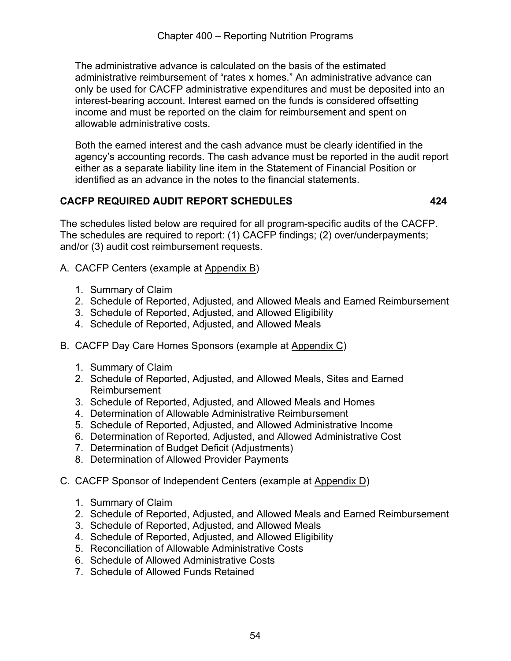The administrative advance is calculated on the basis of the estimated administrative reimbursement of "rates x homes." An administrative advance can only be used for CACFP administrative expenditures and must be deposited into an interest-bearing account. Interest earned on the funds is considered offsetting income and must be reported on the claim for reimbursement and spent on allowable administrative costs.

Both the earned interest and the cash advance must be clearly identified in the agency's accounting records. The cash advance must be reported in the audit report either as a separate liability line item in the Statement of Financial Position or identified as an advance in the notes to the financial statements.

# <span id="page-58-0"></span>**CACFP REQUIRED AUDIT REPORT SCHEDULES 424**

The schedules listed below are required for all program-specific audits of the CACFP. The schedules are required to report: (1) CACFP findings; (2) over/underpayments; and/or (3) audit cost reimbursement requests.

- A. CACFP Centers (example at [Appendix B\)](#page-185-0)
	- 1. Summary of Claim
	- 2. Schedule of Reported, Adjusted, and Allowed Meals and Earned Reimbursement
	- 3. Schedule of Reported, Adjusted, and Allowed Eligibility
	- 4. Schedule of Reported, Adjusted, and Allowed Meals
- B. CACFP Day Care Homes Sponsors (example at [Appendix C\)](#page-193-0)
	- 1. Summary of Claim
	- 2. Schedule of Reported, Adjusted, and Allowed Meals, Sites and Earned Reimbursement
	- 3. Schedule of Reported, Adjusted, and Allowed Meals and Homes
	- 4. Determination of Allowable Administrative Reimbursement
	- 5. Schedule of Reported, Adjusted, and Allowed Administrative Income
	- 6. Determination of Reported, Adjusted, and Allowed Administrative Cost
	- 7. Determination of Budget Deficit (Adjustments)
	- 8. Determination of Allowed Provider Payments
- <span id="page-58-1"></span>C. CACFP Sponsor of Independent Centers (example at [Appendix D\)](#page-203-0)
	- 1. Summary of Claim
	- 2. Schedule of Reported, Adjusted, and Allowed Meals and Earned Reimbursement
	- 3. Schedule of Reported, Adjusted, and Allowed Meals
	- 4. Schedule of Reported, Adjusted, and Allowed Eligibility
	- 5. Reconciliation of Allowable Administrative Costs
	- 6. Schedule of Allowed Administrative Costs
	- 7. Schedule of Allowed Funds Retained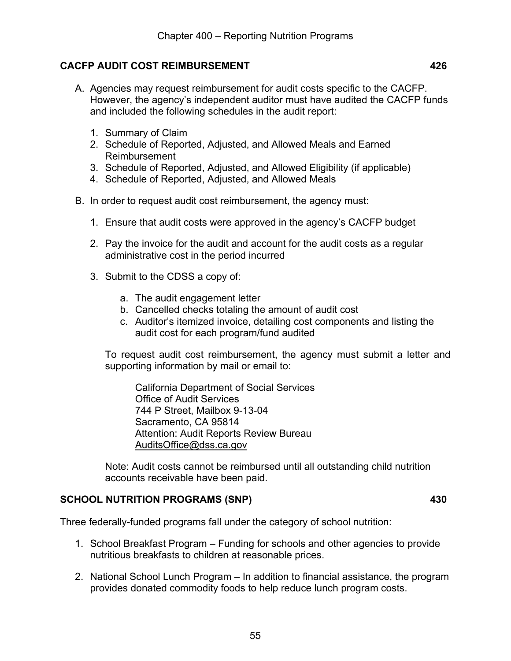### **CACFP AUDIT COST REIMBURSEMENT 426**

- A. Agencies may request reimbursement for audit costs specific to the CACFP. However, the agency's independent auditor must have audited the CACFP funds and included the following schedules in the audit report:
	- 1. Summary of Claim
	- 2. Schedule of Reported, Adjusted, and Allowed Meals and Earned Reimbursement
	- 3. Schedule of Reported, Adjusted, and Allowed Eligibility (if applicable)
	- 4. Schedule of Reported, Adjusted, and Allowed Meals
- B. In order to request audit cost reimbursement, the agency must:
	- 1. Ensure that audit costs were approved in the agency's CACFP budget
	- 2. Pay the invoice for the audit and account for the audit costs as a regular administrative cost in the period incurred
	- 3. Submit to the CDSS a copy of:
		- a. The audit engagement letter
		- b. Cancelled checks totaling the amount of audit cost
		- c. Auditor's itemized invoice, detailing cost components and listing the audit cost for each program/fund audited

To request audit cost reimbursement, the agency must submit a letter and supporting information by mail or email to:

California Department of Social Services Office of Audit Services 744 P Street, Mailbox 9-13-04 Sacramento, CA 95814 Attention: Audit Reports Review Bureau [AuditsOffice@dss.ca.gov](mailto:AuditsOffice@dss.ca.gov) 

Note: Audit costs cannot be reimbursed until all outstanding child nutrition accounts receivable have been paid.

### <span id="page-59-0"></span>**SCHOOL NUTRITION PROGRAMS (SNP) 430**

Three federally-funded programs fall under the category of school nutrition:

- 1. School Breakfast Program Funding for schools and other agencies to provide nutritious breakfasts to children at reasonable prices.
- 2. National School Lunch Program In addition to financial assistance, the program provides donated commodity foods to help reduce lunch program costs.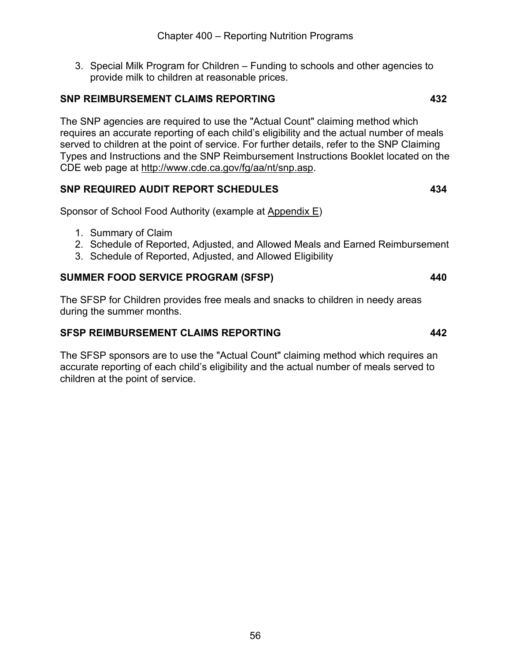3. Special Milk Program for Children – Funding to schools and other agencies to provide milk to children at reasonable prices.

#### <span id="page-60-0"></span>**SNP REIMBURSEMENT CLAIMS REPORTING 432**

The SNP agencies are required to use the "Actual Count" claiming method which requires an accurate reporting of each child's eligibility and the actual number of meals served to children at the point of service. For further details, refer to the SNP Claiming Types and Instructions and the SNP Reimbursement Instructions Booklet located on the CDE web page at [http://www.cde.ca.gov/fg/aa/nt/snp.asp.](http://www.cde.ca.gov/fg/aa/nt/snp.asp)

### <span id="page-60-1"></span>**SNP REQUIRED AUDIT REPORT SCHEDULES 434**

Sponsor of School Food Authority (example at [Appendix E\)](#page-212-0)

- 1. Summary of Claim
- 2. Schedule of Reported, Adjusted, and Allowed Meals and Earned Reimbursement
- 3. Schedule of Reported, Adjusted, and Allowed Eligibility

### <span id="page-60-2"></span>**SUMMER FOOD SERVICE PROGRAM (SFSP) 440**

The SFSP for Children provides free meals and snacks to children in needy areas during the summer months.

#### <span id="page-60-3"></span>**SFSP REIMBURSEMENT CLAIMS REPORTING 442**

The SFSP sponsors are to use the "Actual Count" claiming method which requires an accurate reporting of each child's eligibility and the actual number of meals served to children at the point of service.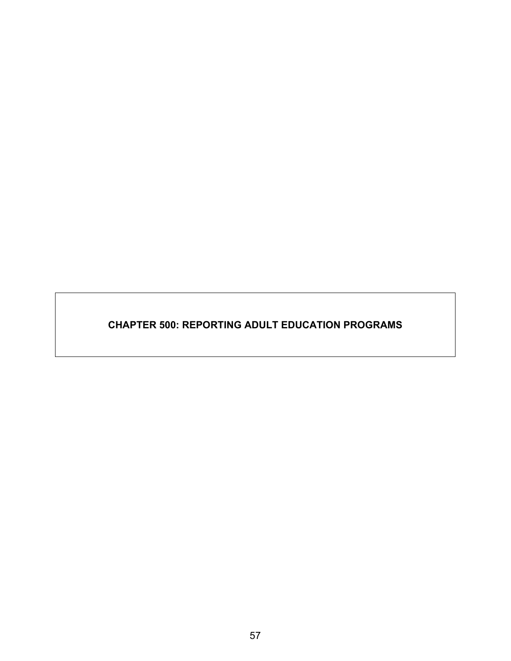**CHAPTER 500: REPORTING ADULT EDUCATION PROGRAMS**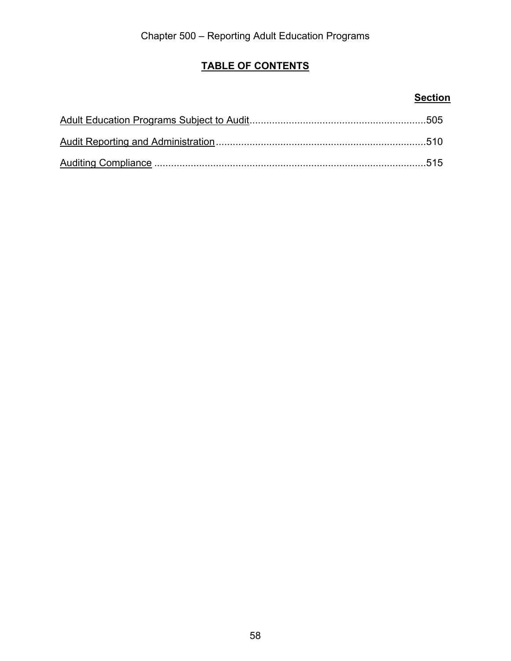# **TABLE OF CONTENTS**

# **Section**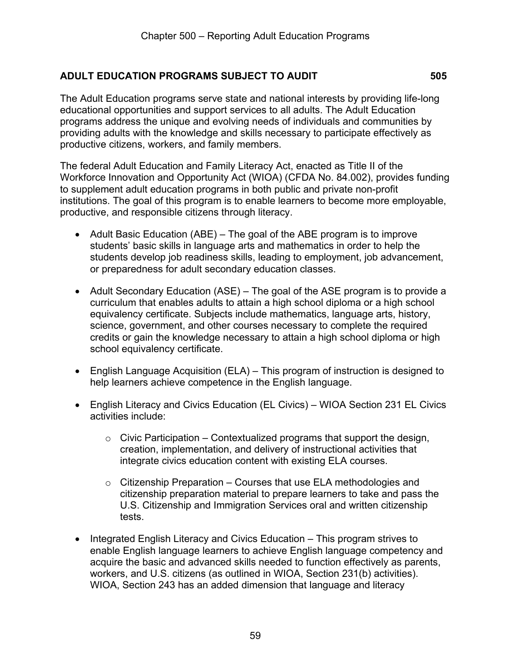### <span id="page-63-0"></span>**ADULT EDUCATION PROGRAMS SUBJECT TO AUDIT 505**

The Adult Education programs serve state and national interests by providing life-long educational opportunities and support services to all adults. The Adult Education programs address the unique and evolving needs of individuals and communities by providing adults with the knowledge and skills necessary to participate effectively as productive citizens, workers, and family members.

The federal Adult Education and Family Literacy Act, enacted as Title II of the Workforce Innovation and Opportunity Act (WIOA) (CFDA No. 84.002), provides funding to supplement adult education programs in both public and private non-profit institutions. The goal of this program is to enable learners to become more employable, productive, and responsible citizens through literacy.

- Adult Basic Education (ABE) The goal of the ABE program is to improve students' basic skills in language arts and mathematics in order to help the students develop job readiness skills, leading to employment, job advancement, or preparedness for adult secondary education classes.
- Adult Secondary Education (ASE) The goal of the ASE program is to provide a curriculum that enables adults to attain a high school diploma or a high school equivalency certificate. Subjects include mathematics, language arts, history, science, government, and other courses necessary to complete the required credits or gain the knowledge necessary to attain a high school diploma or high school equivalency certificate.
- English Language Acquisition (ELA) This program of instruction is designed to help learners achieve competence in the English language.
- English Literacy and Civics Education (EL Civics) WIOA Section 231 EL Civics activities include:
	- $\circ$  Civic Participation Contextualized programs that support the design, creation, implementation, and delivery of instructional activities that integrate civics education content with existing ELA courses.
	- $\circ$  Citizenship Preparation Courses that use ELA methodologies and citizenship preparation material to prepare learners to take and pass the U.S. Citizenship and Immigration Services oral and written citizenship tests.
- Integrated English Literacy and Civics Education This program strives to enable English language learners to achieve English language competency and acquire the basic and advanced skills needed to function effectively as parents, workers, and U.S. citizens (as outlined in WIOA, Section 231(b) activities). WIOA, Section 243 has an added dimension that language and literacy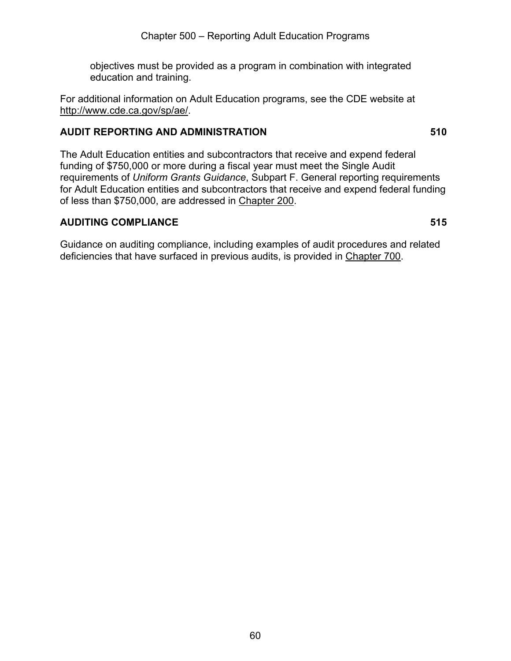objectives must be provided as a program in combination with integrated education and training.

For additional information on Adult Education programs, see the CDE website at [http://www.cde.ca.gov/sp/ae/.](http://www.cde.ca.gov/sp/ae/)

## <span id="page-64-0"></span>**AUDIT REPORTING AND ADMINISTRATION 510**

The Adult Education entities and subcontractors that receive and expend federal funding of \$750,000 or more during a fiscal year must meet the Single Audit requirements of *Uniform Grants Guidance*, Subpart F. General reporting requirements for Adult Education entities and subcontractors that receive and expend federal funding of less than \$750,000, are addressed in [Chapter](#page-14-0) 200.

### <span id="page-64-1"></span>**AUDITING COMPLIANCE 515**

Guidance on auditing compliance, including examples of audit procedures and related deficiencies that have surfaced in previous audits, is provided in [Chapter 700.](#page-68-0)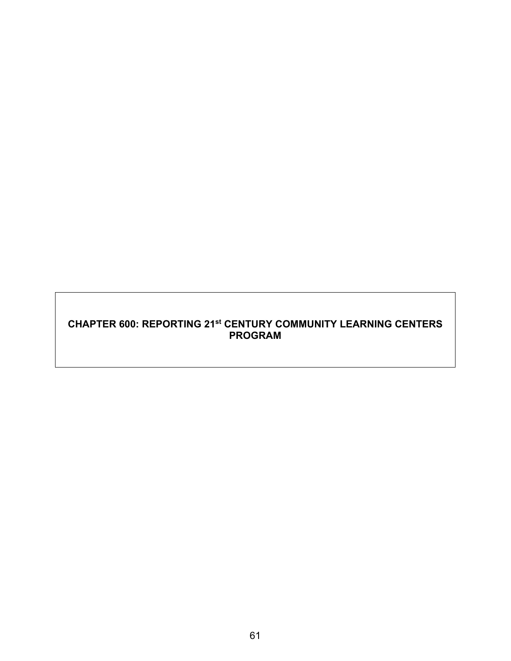# **CHAPTER 600: REPORTING 21st CENTURY COMMUNITY LEARNING CENTERS PROGRAM**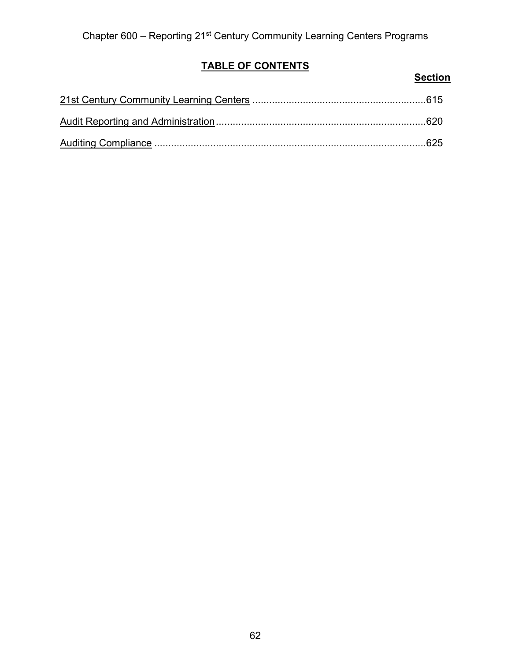# **TABLE OF CONTENTS**

## **Section**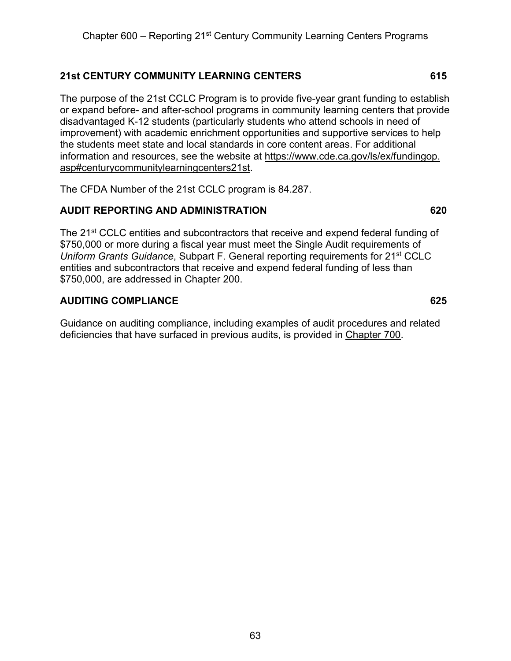## <span id="page-67-0"></span>**21st CENTURY COMMUNITY LEARNING CENTERS 615**

The purpose of the 21st CCLC Program is to provide five-year grant funding to establish or expand before- and after-school programs in community learning centers that provide disadvantaged K-12 students (particularly students who attend schools in need of improvement) with academic enrichment opportunities and supportive services to help the students meet state and local standards in core content areas. For additional information and resources, see the website at [https://www.cde.ca.gov/ls/ex/fundingop.](https://www.cde.ca.gov/ls/ex/fundingop.%E2%80%8Casp#centurycommunitylearningcenters21st) [asp#centurycommunitylearningcenters21st.](https://www.cde.ca.gov/ls/ex/fundingop.%E2%80%8Casp#centurycommunitylearningcenters21st)

<span id="page-67-1"></span>The CFDA Number of the 21st CCLC program is 84.287.

## **AUDIT REPORTING AND ADMINISTRATION 620**

The 21<sup>st</sup> CCLC entities and subcontractors that receive and expend federal funding of \$750,000 or more during a fiscal year must meet the Single Audit requirements of *Uniform Grants Guidance*, Subpart F. General reporting requirements for 21st CCLC entities and subcontractors that receive and expend federal funding of less than \$750,000, are addressed in [Chapter](#page-14-0) 200.

## <span id="page-67-2"></span>**AUDITING COMPLIANCE 625**

Guidance on auditing compliance, including examples of audit procedures and related deficiencies that have surfaced in previous audits, is provided in [Chapter 700.](#page-68-0)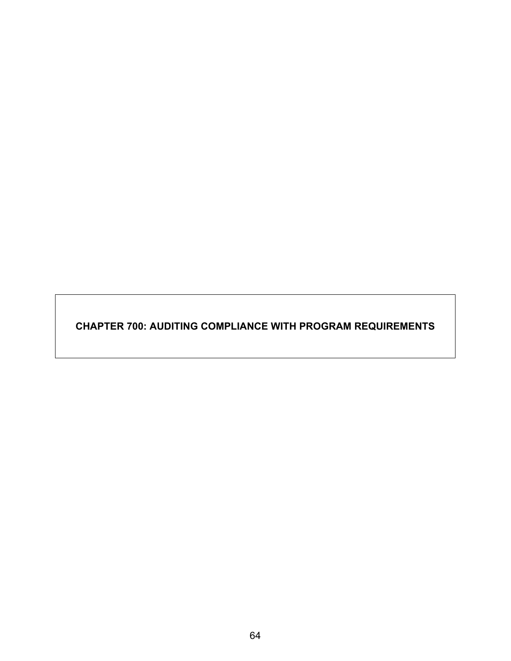<span id="page-68-0"></span>**CHAPTER 700: AUDITING COMPLIANCE WITH PROGRAM REQUIREMENTS**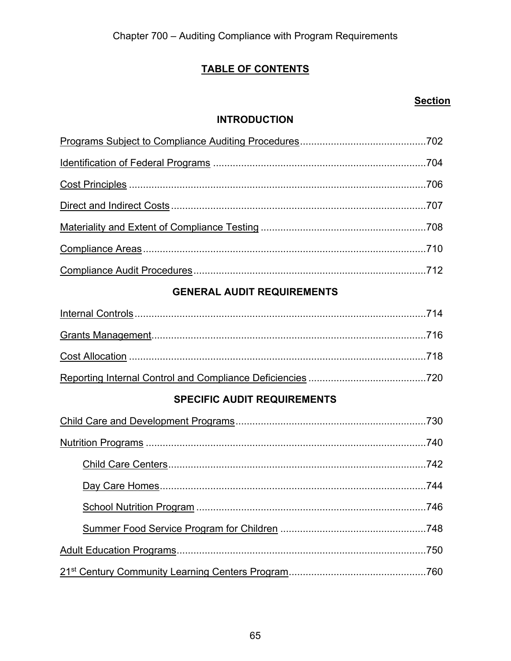# **TABLE OF CONTENTS**

### **Section**

### **INTRODUCTION**

# **GENERAL AUDIT REQUIREMENTS**

### **SPECIFIC AUDIT REQUIREMENTS**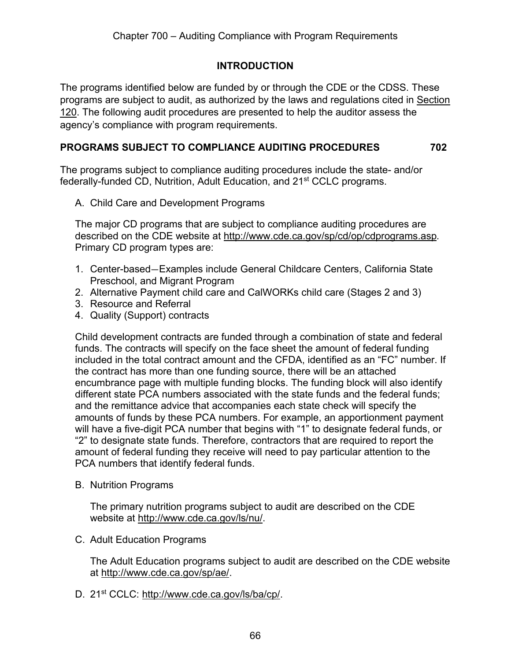# **INTRODUCTION**

The programs identified below are funded by or through the CDE or the CDSS. These programs are subject to audit, as authorized by the laws and regulations cited in [Section](#page-9-0)  [120.](#page-9-0) The following audit procedures are presented to help the auditor assess the agency's compliance with program requirements.

### <span id="page-70-0"></span>**PROGRAMS SUBJECT TO COMPLIANCE AUDITING PROCEDURES 702**

The programs subject to compliance auditing procedures include the state- and/or federally-funded CD, Nutrition, Adult Education, and 21<sup>st</sup> CCLC programs.

A. Child Care and Development Programs

The major CD programs that are subject to compliance auditing procedures are described on the CDE website at<http://www.cde.ca.gov/sp/cd/op/cdprograms.asp>*.* Primary CD program types are:

- 1. Center-based—Examples include General Childcare Centers, California State Preschool, and Migrant Program
- 2. Alternative Payment child care and CalWORKs child care (Stages 2 and 3)
- 3. Resource and Referral
- 4. Quality (Support) contracts

Child development contracts are funded through a combination of state and federal funds. The contracts will specify on the face sheet the amount of federal funding included in the total contract amount and the CFDA, identified as an "FC" number. If the contract has more than one funding source, there will be an attached encumbrance page with multiple funding blocks. The funding block will also identify different state PCA numbers associated with the state funds and the federal funds; and the remittance advice that accompanies each state check will specify the amounts of funds by these PCA numbers. For example, an apportionment payment will have a five-digit PCA number that begins with "1" to designate federal funds, or "2" to designate state funds. Therefore, contractors that are required to report the amount of federal funding they receive will need to pay particular attention to the PCA numbers that identify federal funds.

B. Nutrition Programs

The primary nutrition programs subject to audit are described on the CDE website at [http://www.cde.ca.gov/ls/nu/.](http://www.cde.ca.gov/ls/nu/)

C. Adult Education Programs

The Adult Education programs subject to audit are described on the CDE website at [http://www.cde.ca.gov/sp/ae/.](http://www.cde.ca.gov/sp/ae/)

D. 21st CCLC: [http://www.cde.ca.gov/ls/ba/cp/.](http://www.cde.ca.gov/ls/ba/cp/)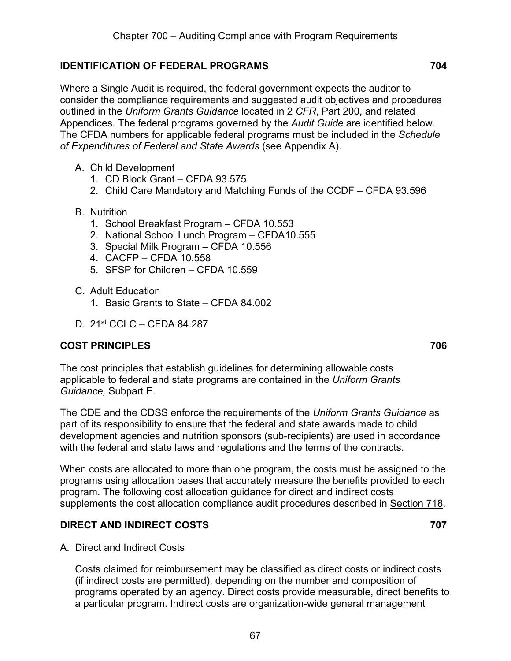# <span id="page-71-0"></span>**IDENTIFICATION OF FEDERAL PROGRAMS 704**

Where a Single Audit is required, the federal government expects the auditor to consider the compliance requirements and suggested audit objectives and procedures outlined in the *Uniform Grants Guidance* located in 2 *CFR*, Part 200, and related Appendices. The federal programs governed by the *Audit Guide* are identified below. The CFDA numbers for applicable federal programs must be included in the *Schedule of Expenditures of Federal and State Awards* (see [Appendix A\)](#page-112-0).

### A. Child Development

- 1. CD Block Grant CFDA 93.575
- 2. Child Care Mandatory and Matching Funds of the CCDF CFDA 93.596

## B. Nutrition

- 1. School Breakfast Program CFDA 10.553
- 2. National School Lunch Program CFDA10.555
- 3. Special Milk Program CFDA 10.556
- 4. CACFP CFDA 10.558
- 5. SFSP for Children CFDA 10.559
- C. Adult Education
	- 1. Basic Grants to State CFDA 84.002
- D. 21st CCLC CFDA 84.287

# <span id="page-71-1"></span>**COST PRINCIPLES 706**

The cost principles that establish guidelines for determining allowable costs applicable to federal and state programs are contained in the *Uniform Grants Guidance,* Subpart E*.*

The CDE and the CDSS enforce the requirements of the *Uniform Grants Guidance* as part of its responsibility to ensure that the federal and state awards made to child development agencies and nutrition sponsors (sub-recipients) are used in accordance with the federal and state laws and regulations and the terms of the contracts.

When costs are allocated to more than one program, the costs must be assigned to the programs using allocation bases that accurately measure the benefits provided to each program. The following cost allocation guidance for direct and indirect costs supplements the cost allocation compliance audit procedures described in [Section 718.](#page-78-1)

# <span id="page-71-2"></span>**DIRECT AND INDIRECT COSTS 707**

A. Direct and Indirect Costs

Costs claimed for reimbursement may be classified as direct costs or indirect costs (if indirect costs are permitted), depending on the number and composition of programs operated by an agency. Direct costs provide measurable, direct benefits to a particular program. Indirect costs are organization-wide general management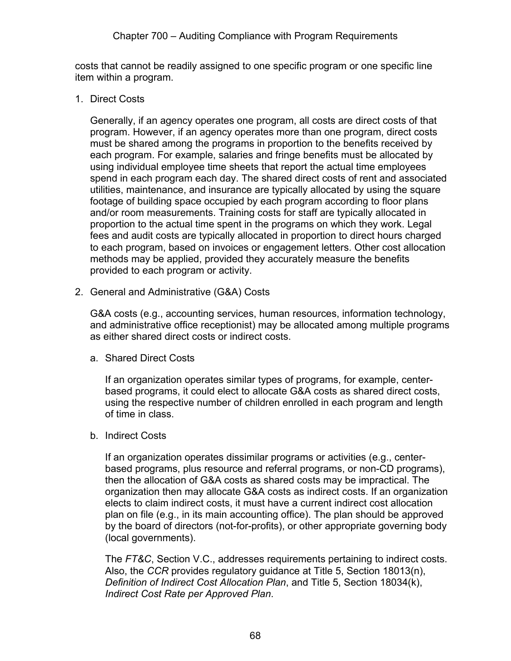costs that cannot be readily assigned to one specific program or one specific line item within a program.

1. Direct Costs

Generally, if an agency operates one program, all costs are direct costs of that program. However, if an agency operates more than one program, direct costs must be shared among the programs in proportion to the benefits received by each program. For example, salaries and fringe benefits must be allocated by using individual employee time sheets that report the actual time employees spend in each program each day. The shared direct costs of rent and associated utilities, maintenance, and insurance are typically allocated by using the square footage of building space occupied by each program according to floor plans and/or room measurements. Training costs for staff are typically allocated in proportion to the actual time spent in the programs on which they work. Legal fees and audit costs are typically allocated in proportion to direct hours charged to each program, based on invoices or engagement letters. Other cost allocation methods may be applied, provided they accurately measure the benefits provided to each program or activity.

2. General and Administrative (G&A) Costs

G&A costs (e.g., accounting services, human resources, information technology, and administrative office receptionist) may be allocated among multiple programs as either shared direct costs or indirect costs.

a. Shared Direct Costs

If an organization operates similar types of programs, for example, centerbased programs, it could elect to allocate G&A costs as shared direct costs, using the respective number of children enrolled in each program and length of time in class.

# b. Indirect Costs

If an organization operates dissimilar programs or activities (e.g., centerbased programs, plus resource and referral programs, or non-CD programs), then the allocation of G&A costs as shared costs may be impractical. The organization then may allocate G&A costs as indirect costs. If an organization elects to claim indirect costs, it must have a current indirect cost allocation plan on file (e.g., in its main accounting office). The plan should be approved by the board of directors (not-for-profits), or other appropriate governing body (local governments).

The *FT&C*, Section V.C., addresses requirements pertaining to indirect costs. Also, the *CCR* provides regulatory guidance at Title 5, Section 18013(n), *Definition of Indirect Cost Allocation Plan*, and Title 5, Section 18034(k), *Indirect Cost Rate per Approved Plan*.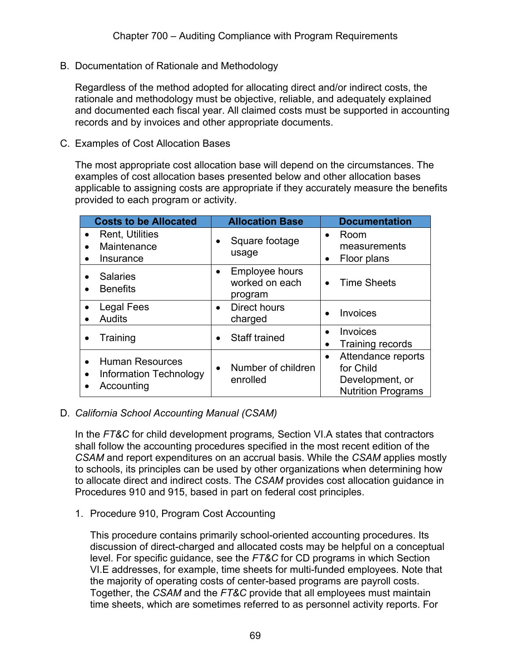B. Documentation of Rationale and Methodology

Regardless of the method adopted for allocating direct and/or indirect costs, the rationale and methodology must be objective, reliable, and adequately explained and documented each fiscal year. All claimed costs must be supported in accounting records and by invoices and other appropriate documents.

C. Examples of Cost Allocation Bases

The most appropriate cost allocation base will depend on the circumstances. The examples of cost allocation bases presented below and other allocation bases applicable to assigning costs are appropriate if they accurately measure the benefits provided to each program or activity.

| <b>Costs to be Allocated</b>                                                | <b>Allocation Base</b>                                          | <b>Documentation</b>                                                                         |
|-----------------------------------------------------------------------------|-----------------------------------------------------------------|----------------------------------------------------------------------------------------------|
| <b>Rent, Utilities</b><br>$\bullet$<br>Maintenance<br>Insurance             | Square footage<br>$\bullet$<br>usage                            | Room<br>$\bullet$<br>measurements<br>Floor plans<br>$\bullet$                                |
| <b>Salaries</b><br><b>Benefits</b>                                          | <b>Employee hours</b><br>$\bullet$<br>worked on each<br>program | <b>Time Sheets</b><br>$\bullet$                                                              |
| <b>Legal Fees</b><br><b>Audits</b>                                          | <b>Direct hours</b><br>$\bullet$<br>charged                     | Invoices<br>$\bullet$                                                                        |
| Training                                                                    | <b>Staff trained</b><br>$\bullet$                               | <b>Invoices</b><br>$\bullet$<br><b>Training records</b><br>$\bullet$                         |
| <b>Human Resources</b><br>Information Technology<br>$\bullet$<br>Accounting | Number of children<br>$\bullet$<br>enrolled                     | Attendance reports<br>$\bullet$<br>for Child<br>Development, or<br><b>Nutrition Programs</b> |

# D. *California School Accounting Manual (CSAM)*

In the *FT&C* for child development programs*,* Section VI.A states that contractors shall follow the accounting procedures specified in the most recent edition of the *CSAM* and report expenditures on an accrual basis. While the *CSAM* applies mostly to schools, its principles can be used by other organizations when determining how to allocate direct and indirect costs. The *CSAM* provides cost allocation guidance in Procedures 910 and 915, based in part on federal cost principles.

1. Procedure 910, Program Cost Accounting

This procedure contains primarily school-oriented accounting procedures. Its discussion of direct-charged and allocated costs may be helpful on a conceptual level. For specific guidance, see the *FT&C* for CD programs in which Section VI.E addresses, for example, time sheets for multi-funded employees. Note that the majority of operating costs of center-based programs are payroll costs. Together, the *CSAM* and the *FT&C* provide that all employees must maintain time sheets, which are sometimes referred to as personnel activity reports. For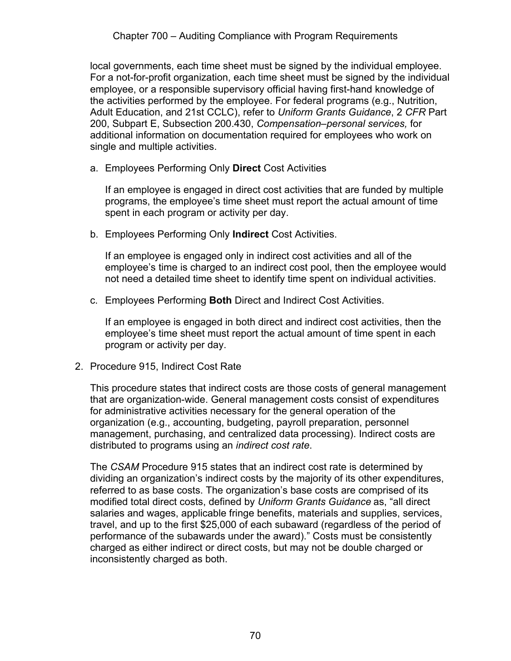local governments, each time sheet must be signed by the individual employee. For a not-for-profit organization, each time sheet must be signed by the individual employee, or a responsible supervisory official having first-hand knowledge of the activities performed by the employee. For federal programs (e.g., Nutrition, Adult Education, and 21st CCLC), refer to *Uniform Grants Guidance*, 2 *CFR* Part 200, Subpart E, Subsection 200.430, *Compensation–personal services,* for additional information on documentation required for employees who work on single and multiple activities.

a. Employees Performing Only **Direct** Cost Activities

If an employee is engaged in direct cost activities that are funded by multiple programs, the employee's time sheet must report the actual amount of time spent in each program or activity per day.

b. Employees Performing Only **Indirect** Cost Activities.

If an employee is engaged only in indirect cost activities and all of the employee's time is charged to an indirect cost pool, then the employee would not need a detailed time sheet to identify time spent on individual activities.

c. Employees Performing **Both** Direct and Indirect Cost Activities.

If an employee is engaged in both direct and indirect cost activities, then the employee's time sheet must report the actual amount of time spent in each program or activity per day.

2. Procedure 915, Indirect Cost Rate

This procedure states that indirect costs are those costs of general management that are organization-wide. General management costs consist of expenditures for administrative activities necessary for the general operation of the organization (e.g., accounting, budgeting, payroll preparation, personnel management, purchasing, and centralized data processing). Indirect costs are distributed to programs using an *indirect cost rate*.

The *CSAM* Procedure 915 states that an indirect cost rate is determined by dividing an organization's indirect costs by the majority of its other expenditures, referred to as base costs. The organization's base costs are comprised of its modified total direct costs, defined by *Uniform Grants Guidance* as, "all direct salaries and wages, applicable fringe benefits, materials and supplies, services, travel, and up to the first \$25,000 of each subaward (regardless of the period of performance of the subawards under the award)." Costs must be consistently charged as either indirect or direct costs, but may not be double charged or inconsistently charged as both.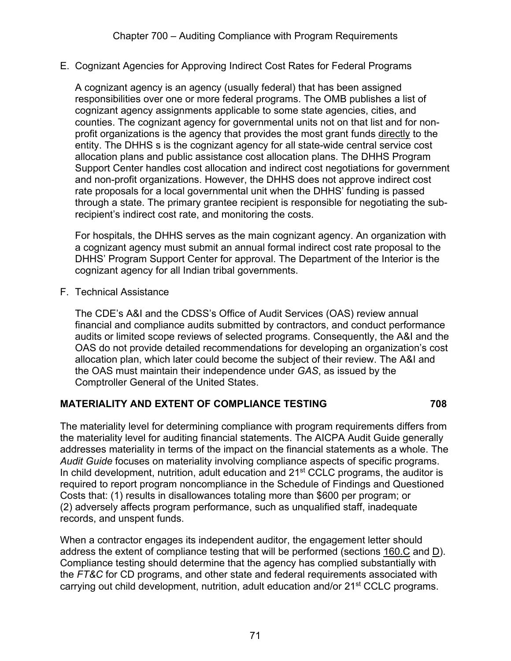E. Cognizant Agencies for Approving Indirect Cost Rates for Federal Programs

A cognizant agency is an agency (usually federal) that has been assigned responsibilities over one or more federal programs. The OMB publishes a list of cognizant agency assignments applicable to some state agencies, cities, and counties. The cognizant agency for governmental units not on that list and for nonprofit organizations is the agency that provides the most grant funds directly to the entity. The DHHS s is the cognizant agency for all state-wide central service cost allocation plans and public assistance cost allocation plans. The DHHS Program Support Center handles cost allocation and indirect cost negotiations for government and non-profit organizations. However, the DHHS does not approve indirect cost rate proposals for a local governmental unit when the DHHS' funding is passed through a state. The primary grantee recipient is responsible for negotiating the subrecipient's indirect cost rate, and monitoring the costs.

For hospitals, the DHHS serves as the main cognizant agency. An organization with a cognizant agency must submit an annual formal indirect cost rate proposal to the DHHS' Program Support Center for approval. The Department of the Interior is the cognizant agency for all Indian tribal governments.

F. Technical Assistance

The CDE's A&I and the CDSS's Office of Audit Services (OAS) review annual financial and compliance audits submitted by contractors, and conduct performance audits or limited scope reviews of selected programs. Consequently, the A&I and the OAS do not provide detailed recommendations for developing an organization's cost allocation plan, which later could become the subject of their review. The A&I and the OAS must maintain their independence under *GAS*, as issued by the Comptroller General of the United States.

# **MATERIALITY AND EXTENT OF COMPLIANCE TESTING 708**

The materiality level for determining compliance with program requirements differs from the materiality level for auditing financial statements. The AICPA Audit Guide generally addresses materiality in terms of the impact on the financial statements as a whole. The *Audit Guide* focuses on materiality involving compliance aspects of specific programs. In child development, nutrition, adult education and  $21<sup>st</sup> CCLC$  programs, the auditor is required to report program noncompliance in the Schedule of Findings and Questioned Costs that: (1) results in disallowances totaling more than \$600 per program; or (2) adversely affects program performance, such as unqualified staff, inadequate records, and unspent funds.

When a contractor engages its independent auditor, the engagement letter should address the extent of compliance testing that will be performed (sections [160.C](#page-12-0) and [D\)](#page-12-1). Compliance testing should determine that the agency has complied substantially with the *FT&C* for CD programs, and other state and federal requirements associated with carrying out child development, nutrition, adult education and/or 21<sup>st</sup> CCLC programs.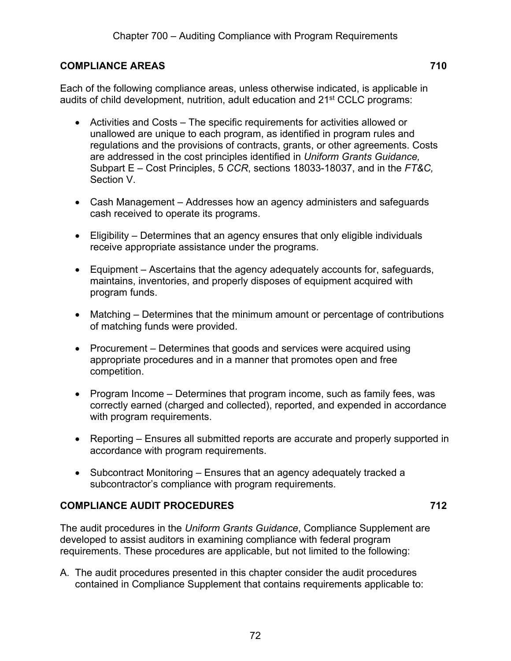# <span id="page-76-0"></span>**COMPLIANCE AREAS 710**

Each of the following compliance areas, unless otherwise indicated, is applicable in audits of child development, nutrition, adult education and 21<sup>st</sup> CCLC programs:

- Activities and Costs The specific requirements for activities allowed or unallowed are unique to each program, as identified in program rules and regulations and the provisions of contracts, grants, or other agreements. Costs are addressed in the cost principles identified in *Uniform Grants Guidance,* Subpart E – Cost Principles, 5 *CCR*, sections 18033-18037, and in the *FT&C,* Section V.
- Cash Management Addresses how an agency administers and safeguards cash received to operate its programs.
- Eligibility Determines that an agency ensures that only eligible individuals receive appropriate assistance under the programs.
- Equipment Ascertains that the agency adequately accounts for, safeguards, maintains, inventories, and properly disposes of equipment acquired with program funds.
- Matching Determines that the minimum amount or percentage of contributions of matching funds were provided.
- Procurement Determines that goods and services were acquired using appropriate procedures and in a manner that promotes open and free competition.
- Program Income Determines that program income, such as family fees, was correctly earned (charged and collected), reported, and expended in accordance with program requirements.
- Reporting Ensures all submitted reports are accurate and properly supported in accordance with program requirements.
- Subcontract Monitoring Ensures that an agency adequately tracked a subcontractor's compliance with program requirements.

# **COMPLIANCE AUDIT PROCEDURES 712**

The audit procedures in the *Uniform Grants Guidance*, Compliance Supplement are developed to assist auditors in examining compliance with federal program requirements. These procedures are applicable, but not limited to the following:

A. The audit procedures presented in this chapter consider the audit procedures contained in Compliance Supplement that contains requirements applicable to: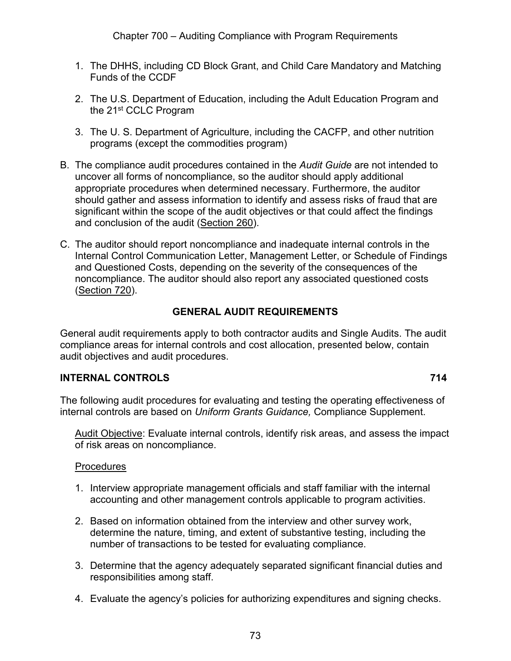- 1. The DHHS, including CD Block Grant, and Child Care Mandatory and Matching Funds of the CCDF
- 2. The U.S. Department of Education, including the Adult Education Program and the 21<sup>st</sup> CCLC Program
- 3. The U. S. Department of Agriculture, including the CACFP, and other nutrition programs (except the commodities program)
- B. The compliance audit procedures contained in the *Audit Guide* are not intended to uncover all forms of noncompliance, so the auditor should apply additional appropriate procedures when determined necessary. Furthermore, the auditor should gather and assess information to identify and assess risks of fraud that are significant within the scope of the audit objectives or that could affect the findings and conclusion of the audit [\(Section 260\)](#page-25-0).
- C. The auditor should report noncompliance and inadequate internal controls in the Internal Control Communication Letter, Management Letter, or Schedule of Findings and Questioned Costs, depending on the severity of the consequences of the noncompliance. The auditor should also report any associated questioned costs [\(Section 720\)](#page-79-0).

# **GENERAL AUDIT REQUIREMENTS**

General audit requirements apply to both contractor audits and Single Audits. The audit compliance areas for internal controls and cost allocation, presented below, contain audit objectives and audit procedures.

# **INTERNAL CONTROLS 714**

The following audit procedures for evaluating and testing the operating effectiveness of internal controls are based on *Uniform Grants Guidance,* Compliance Supplement.

Audit Objective: Evaluate internal controls, identify risk areas, and assess the impact of risk areas on noncompliance.

- 1. Interview appropriate management officials and staff familiar with the internal accounting and other management controls applicable to program activities.
- 2. Based on information obtained from the interview and other survey work, determine the nature, timing, and extent of substantive testing, including the number of transactions to be tested for evaluating compliance.
- 3. Determine that the agency adequately separated significant financial duties and responsibilities among staff.
- 4. Evaluate the agency's policies for authorizing expenditures and signing checks.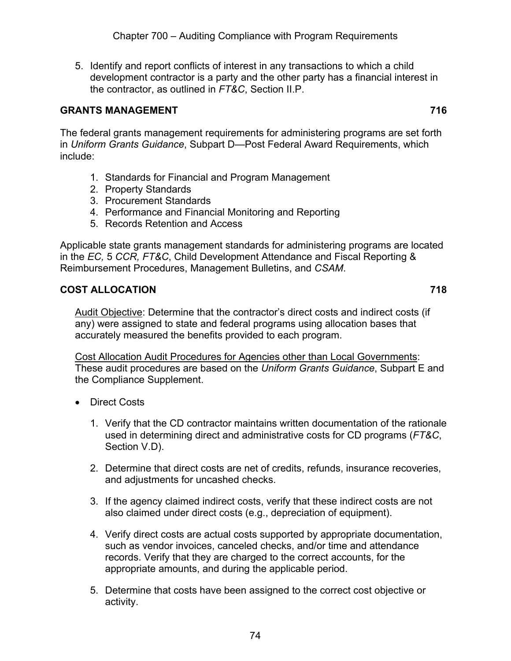5. Identify and report conflicts of interest in any transactions to which a child development contractor is a party and the other party has a financial interest in the contractor, as outlined in *FT&C*, Section II.P.

# **GRANTS MANAGEMENT 716**

The federal grants management requirements for administering programs are set forth in *Uniform Grants Guidance*, Subpart D—Post Federal Award Requirements, which include:

- 1. Standards for Financial and Program Management
- 2. Property Standards
- 3. Procurement Standards
- 4. Performance and Financial Monitoring and Reporting
- 5. Records Retention and Access

Applicable state grants management standards for administering programs are located in the *EC,* 5 *CCR, FT&C*, Child Development Attendance and Fiscal Reporting & Reimbursement Procedures, Management Bulletins, and *CSAM*.

# <span id="page-78-0"></span>**COST ALLOCATION 718**

Audit Objective: Determine that the contractor's direct costs and indirect costs (if any) were assigned to state and federal programs using allocation bases that accurately measured the benefits provided to each program.

Cost Allocation Audit Procedures for Agencies other than Local Governments: These audit procedures are based on the *Uniform Grants Guidance*, Subpart E and the Compliance Supplement.

- Direct Costs
	- 1. Verify that the CD contractor maintains written documentation of the rationale used in determining direct and administrative costs for CD programs (*FT&C*, Section V.D).
	- 2. Determine that direct costs are net of credits, refunds, insurance recoveries, and adjustments for uncashed checks.
	- 3. If the agency claimed indirect costs, verify that these indirect costs are not also claimed under direct costs (e.g., depreciation of equipment).
	- 4. Verify direct costs are actual costs supported by appropriate documentation, such as vendor invoices, canceled checks, and/or time and attendance records. Verify that they are charged to the correct accounts, for the appropriate amounts, and during the applicable period.
	- 5. Determine that costs have been assigned to the correct cost objective or activity.

<span id="page-78-1"></span>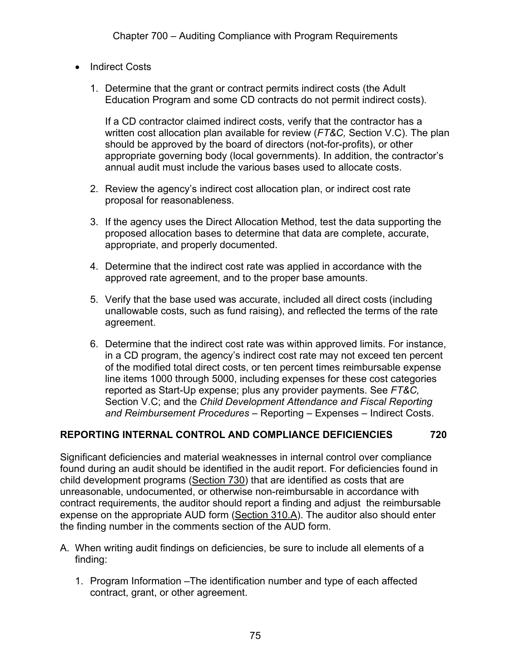- Indirect Costs
	- 1. Determine that the grant or contract permits indirect costs (the Adult Education Program and some CD contracts do not permit indirect costs).

If a CD contractor claimed indirect costs, verify that the contractor has a written cost allocation plan available for review (*FT&C,* Section V.C). The plan should be approved by the board of directors (not-for-profits), or other appropriate governing body (local governments). In addition, the contractor's annual audit must include the various bases used to allocate costs.

- 2. Review the agency's indirect cost allocation plan, or indirect cost rate proposal for reasonableness.
- 3. If the agency uses the Direct Allocation Method, test the data supporting the proposed allocation bases to determine that data are complete, accurate, appropriate, and properly documented.
- 4. Determine that the indirect cost rate was applied in accordance with the approved rate agreement, and to the proper base amounts.
- 5. Verify that the base used was accurate, included all direct costs (including unallowable costs, such as fund raising), and reflected the terms of the rate agreement.
- 6. Determine that the indirect cost rate was within approved limits. For instance, in a CD program, the agency's indirect cost rate may not exceed ten percent of the modified total direct costs, or ten percent times reimbursable expense line items 1000 through 5000, including expenses for these cost categories reported as Start-Up expense; plus any provider payments. See *FT&C,* Section V.C; and the *Child Development Attendance and Fiscal Reporting and Reimbursement Procedures* – Reporting – Expenses – Indirect Costs.

# <span id="page-79-0"></span>**REPORTING INTERNAL CONTROL AND COMPLIANCE DEFICIENCIES 720**

Significant deficiencies and material weaknesses in internal control over compliance found during an audit should be identified in the audit report. For deficiencies found in child development programs [\(Section 730\)](#page-80-0) that are identified as costs that are unreasonable, undocumented, or otherwise non-reimbursable in accordance with contract requirements, the auditor should report a finding and adjust the reimbursable expense on the appropriate AUD form [\(Section 310.A\)](#page-35-0). The auditor also should enter the finding number in the comments section of the AUD form.

- A. When writing audit findings on deficiencies, be sure to include all elements of a finding:
	- 1. Program Information –The identification number and type of each affected contract, grant, or other agreement.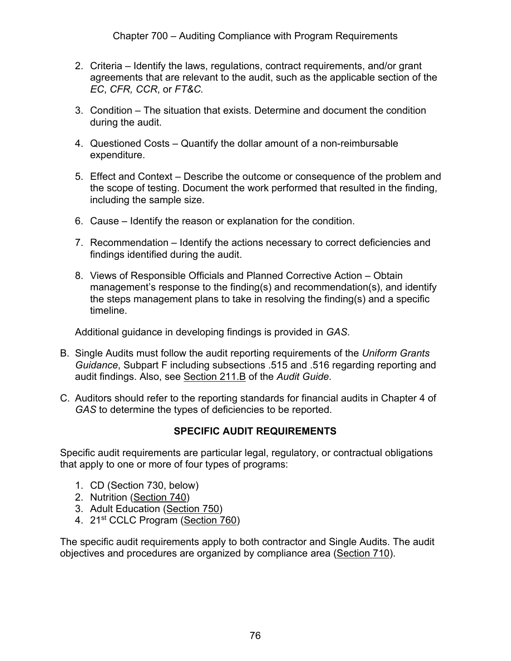- 2. Criteria Identify the laws, regulations, contract requirements, and/or grant agreements that are relevant to the audit, such as the applicable section of the *EC*, *CFR, CCR*, or *FT&C.*
- 3. Condition The situation that exists. Determine and document the condition during the audit.
- 4. Questioned Costs Quantify the dollar amount of a non-reimbursable expenditure.
- 5. Effect and Context Describe the outcome or consequence of the problem and the scope of testing. Document the work performed that resulted in the finding, including the sample size.
- 6. Cause Identify the reason or explanation for the condition.
- 7. Recommendation Identify the actions necessary to correct deficiencies and findings identified during the audit.
- 8. Views of Responsible Officials and Planned Corrective Action Obtain management's response to the finding(s) and recommendation(s), and identify the steps management plans to take in resolving the finding(s) and a specific timeline.

Additional guidance in developing findings is provided in *GAS*.

- B. Single Audits must follow the audit reporting requirements of the *Uniform Grants Guidance*, Subpart F including subsections .515 and .516 regarding reporting and audit findings. Also, see [Section 211.B](#page-19-0) of the *Audit Guide*.
- C. Auditors should refer to the reporting standards for financial audits in Chapter 4 of *GAS* to determine the types of deficiencies to be reported.

# **SPECIFIC AUDIT REQUIREMENTS**

Specific audit requirements are particular legal, regulatory, or contractual obligations that apply to one or more of four types of programs:

- 1. CD (Section 730, below)
- 2. Nutrition [\(Section 740\)](#page-91-0)
- 3. Adult Education [\(Section 750\)](#page-102-0)
- 4. 21<sup>st</sup> CCLC Program [\(Section 760\)](#page-106-0)

<span id="page-80-0"></span>The specific audit requirements apply to both contractor and Single Audits. The audit objectives and procedures are organized by compliance area [\(Section 710\)](#page-76-0).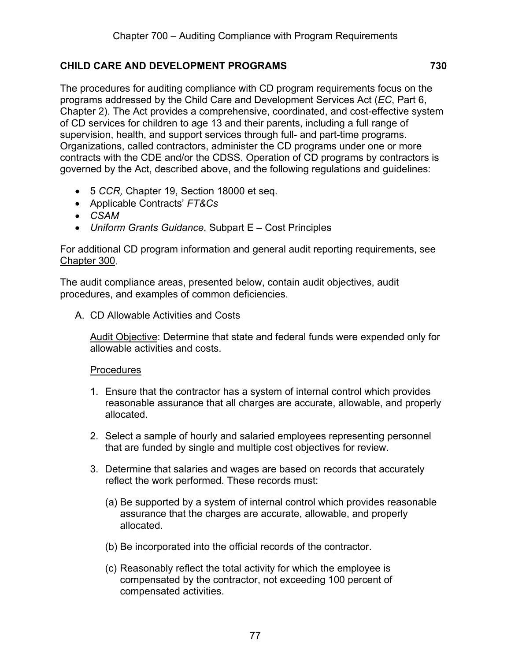# **CHILD CARE AND DEVELOPMENT PROGRAMS 730**

The procedures for auditing compliance with CD program requirements focus on the programs addressed by the Child Care and Development Services Act (*EC*, Part 6, Chapter 2). The Act provides a comprehensive, coordinated, and cost-effective system of CD services for children to age 13 and their parents, including a full range of supervision, health, and support services through full- and part-time programs. Organizations, called contractors, administer the CD programs under one or more contracts with the CDE and/or the CDSS. Operation of CD programs by contractors is governed by the Act, described above, and the following regulations and guidelines:

- 5 *CCR,* Chapter 19, Section 18000 et seq.
- Applicable Contracts' *FT&Cs*
- *CSAM*
- *Uniform Grants Guidance*, Subpart E Cost Principles

For additional CD program information and general audit reporting requirements, see [Chapter 300.](#page-33-0)

The audit compliance areas, presented below, contain audit objectives, audit procedures, and examples of common deficiencies.

A. CD Allowable Activities and Costs

Audit Objective: Determine that state and federal funds were expended only for allowable activities and costs.

- 1. Ensure that the contractor has a system of internal control which provides reasonable assurance that all charges are accurate, allowable, and properly allocated.
- 2. Select a sample of hourly and salaried employees representing personnel that are funded by single and multiple cost objectives for review.
- 3. Determine that salaries and wages are based on records that accurately reflect the work performed. These records must:
	- (a) Be supported by a system of internal control which provides reasonable assurance that the charges are accurate, allowable, and properly allocated.
	- (b) Be incorporated into the official records of the contractor.
	- (c) Reasonably reflect the total activity for which the employee is compensated by the contractor, not exceeding 100 percent of compensated activities.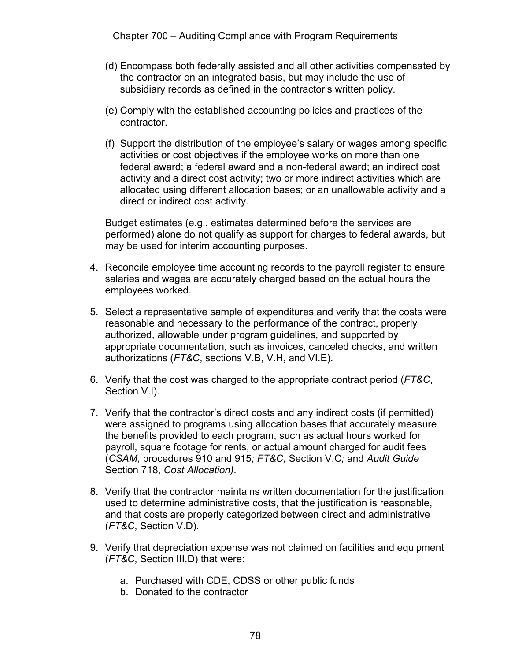- (d) Encompass both federally assisted and all other activities compensated by the contractor on an integrated basis, but may include the use of subsidiary records as defined in the contractor's written policy.
- (e) Comply with the established accounting policies and practices of the contractor.
- (f) Support the distribution of the employee's salary or wages among specific activities or cost objectives if the employee works on more than one federal award; a federal award and a non-federal award; an indirect cost activity and a direct cost activity; two or more indirect activities which are allocated using different allocation bases; or an unallowable activity and a direct or indirect cost activity.

Budget estimates (e.g., estimates determined before the services are performed) alone do not qualify as support for charges to federal awards, but may be used for interim accounting purposes.

- 4. Reconcile employee time accounting records to the payroll register to ensure salaries and wages are accurately charged based on the actual hours the employees worked.
- 5. Select a representative sample of expenditures and verify that the costs were reasonable and necessary to the performance of the contract, properly authorized, allowable under program guidelines, and supported by appropriate documentation, such as invoices, canceled checks, and written authorizations (*FT&C*, sections V.B, V.H, and VI.E).
- 6. Verify that the cost was charged to the appropriate contract period (*FT&C*, Section V.I).
- 7. Verify that the contractor's direct costs and any indirect costs (if permitted) were assigned to programs using allocation bases that accurately measure the benefits provided to each program, such as actual hours worked for payroll, square footage for rents, or actual amount charged for audit fees (*CSAM,* procedures 910 and 915*; FT&C,* Section V.C*;* and *Audit Guide* [Section 718,](#page-78-0) *Cost Allocation)*.
- 8. Verify that the contractor maintains written documentation for the justification used to determine administrative costs, that the justification is reasonable, and that costs are properly categorized between direct and administrative (*FT&C*, Section V.D).
- 9. Verify that depreciation expense was not claimed on facilities and equipment (*FT&C*, Section III.D) that were:
	- a. Purchased with CDE, CDSS or other public funds
	- b. Donated to the contractor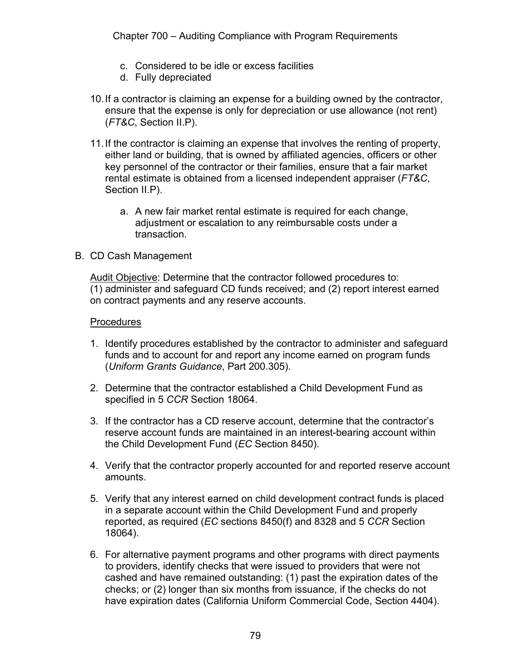- c. Considered to be idle or excess facilities
- d. Fully depreciated
- 10.If a contractor is claiming an expense for a building owned by the contractor, ensure that the expense is only for depreciation or use allowance (not rent) (*FT&C*, Section II.P).
- 11.If the contractor is claiming an expense that involves the renting of property, either land or building, that is owned by affiliated agencies, officers or other key personnel of the contractor or their families, ensure that a fair market rental estimate is obtained from a licensed independent appraiser (*FT&C*, Section II.P).
	- a. A new fair market rental estimate is required for each change, adjustment or escalation to any reimbursable costs under a transaction.
- B. CD Cash Management

Audit Objective: Determine that the contractor followed procedures to: (1) administer and safeguard CD funds received; and (2) report interest earned on contract payments and any reserve accounts.

- 1. Identify procedures established by the contractor to administer and safeguard funds and to account for and report any income earned on program funds (*Uniform Grants Guidance*, Part 200.305).
- 2. Determine that the contractor established a Child Development Fund as specified in 5 *CCR* Section 18064.
- 3. If the contractor has a CD reserve account, determine that the contractor's reserve account funds are maintained in an interest-bearing account within the Child Development Fund (*EC* Section 8450).
- 4. Verify that the contractor properly accounted for and reported reserve account amounts.
- 5. Verify that any interest earned on child development contract funds is placed in a separate account within the Child Development Fund and properly reported, as required (*EC* sections 8450(f) and 8328 and 5 *CCR* Section 18064).
- 6. For alternative payment programs and other programs with direct payments to providers, identify checks that were issued to providers that were not cashed and have remained outstanding: (1) past the expiration dates of the checks; or (2) longer than six months from issuance, if the checks do not have expiration dates (California Uniform Commercial Code, Section 4404).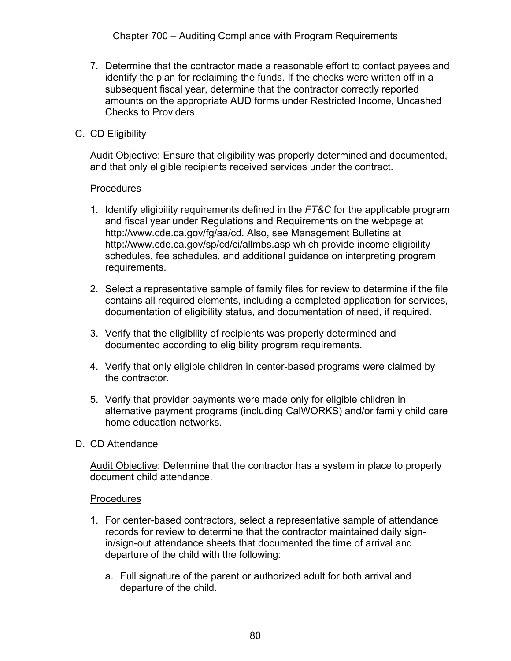Chapter 700 – Auditing Compliance with Program Requirements

- 7. Determine that the contractor made a reasonable effort to contact payees and identify the plan for reclaiming the funds. If the checks were written off in a subsequent fiscal year, determine that the contractor correctly reported amounts on the appropriate AUD forms under Restricted Income, Uncashed Checks to Providers.
- C. CD Eligibility

Audit Objective: Ensure that eligibility was properly determined and documented, and that only eligible recipients received services under the contract.

#### **Procedures**

- 1. Identify eligibility requirements defined in the *FT&C* for the applicable program and fiscal year under Regulations and Requirements on the webpage at [http://www.cde.ca.gov/fg/aa/cd.](http://www.cde.ca.gov/fg/aa/cd) Also, see Management Bulletins at <http://www.cde.ca.gov/sp/cd/ci/allmbs.asp> which provide income eligibility schedules, fee schedules, and additional guidance on interpreting program requirements.
- 2. Select a representative sample of family files for review to determine if the file contains all required elements, including a completed application for services, documentation of eligibility status, and documentation of need, if required.
- 3. Verify that the eligibility of recipients was properly determined and documented according to eligibility program requirements.
- 4. Verify that only eligible children in center-based programs were claimed by the contractor.
- 5. Verify that provider payments were made only for eligible children in alternative payment programs (including CalWORKS) and/or family child care home education networks.
- D. CD Attendance

Audit Objective: Determine that the contractor has a system in place to properly document child attendance.

- 1. For center-based contractors, select a representative sample of attendance records for review to determine that the contractor maintained daily signin/sign-out attendance sheets that documented the time of arrival and departure of the child with the following:
	- a. Full signature of the parent or authorized adult for both arrival and departure of the child.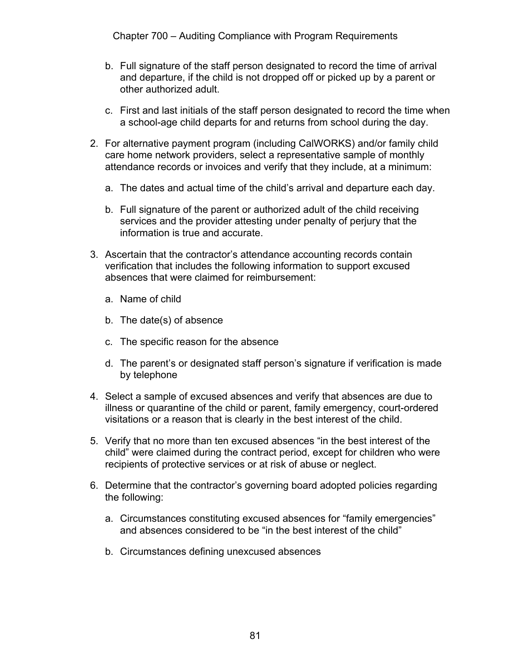Chapter 700 – Auditing Compliance with Program Requirements

- b. Full signature of the staff person designated to record the time of arrival and departure, if the child is not dropped off or picked up by a parent or other authorized adult.
- c. First and last initials of the staff person designated to record the time when a school-age child departs for and returns from school during the day.
- 2. For alternative payment program (including CalWORKS) and/or family child care home network providers, select a representative sample of monthly attendance records or invoices and verify that they include, at a minimum:
	- a. The dates and actual time of the child's arrival and departure each day.
	- b. Full signature of the parent or authorized adult of the child receiving services and the provider attesting under penalty of perjury that the information is true and accurate.
- 3. Ascertain that the contractor's attendance accounting records contain verification that includes the following information to support excused absences that were claimed for reimbursement:
	- a. Name of child
	- b. The date(s) of absence
	- c. The specific reason for the absence
	- d. The parent's or designated staff person's signature if verification is made by telephone
- 4. Select a sample of excused absences and verify that absences are due to illness or quarantine of the child or parent, family emergency, court-ordered visitations or a reason that is clearly in the best interest of the child.
- 5. Verify that no more than ten excused absences "in the best interest of the child" were claimed during the contract period, except for children who were recipients of protective services or at risk of abuse or neglect.
- 6. Determine that the contractor's governing board adopted policies regarding the following:
	- a. Circumstances constituting excused absences for "family emergencies" and absences considered to be "in the best interest of the child"
	- b. Circumstances defining unexcused absences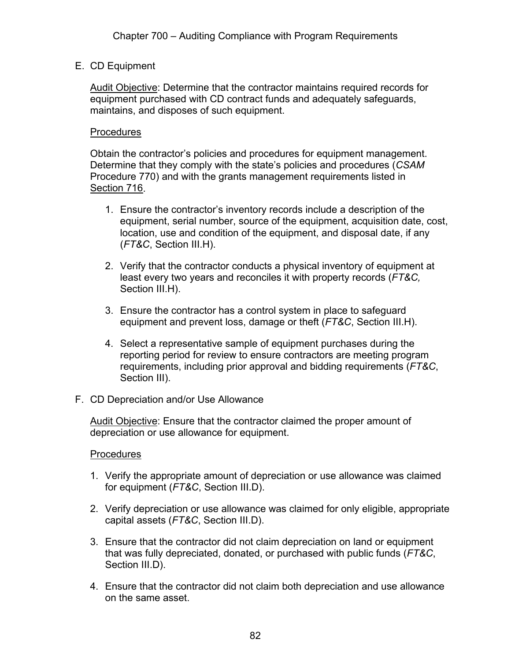E. CD Equipment

Audit Objective: Determine that the contractor maintains required records for equipment purchased with CD contract funds and adequately safeguards, maintains, and disposes of such equipment.

### Procedures

Obtain the contractor's policies and procedures for equipment management. Determine that they comply with the state's policies and procedures (*CSAM* Procedure 770) and with the grants management requirements listed in [Section](#page-78-1) 716.

- 1. Ensure the contractor's inventory records include a description of the equipment, serial number, source of the equipment, acquisition date, cost, location, use and condition of the equipment, and disposal date, if any (*FT&C*, Section III.H).
- 2. Verify that the contractor conducts a physical inventory of equipment at least every two years and reconciles it with property records (*FT&C,* Section III.H).
- 3. Ensure the contractor has a control system in place to safeguard equipment and prevent loss, damage or theft (*FT&C*, Section III.H).
- 4. Select a representative sample of equipment purchases during the reporting period for review to ensure contractors are meeting program requirements, including prior approval and bidding requirements (*FT&C*, Section III).
- F. CD Depreciation and/or Use Allowance

Audit Objective: Ensure that the contractor claimed the proper amount of depreciation or use allowance for equipment.

- 1. Verify the appropriate amount of depreciation or use allowance was claimed for equipment (*FT&C*, Section III.D).
- 2. Verify depreciation or use allowance was claimed for only eligible, appropriate capital assets (*FT&C*, Section III.D).
- 3. Ensure that the contractor did not claim depreciation on land or equipment that was fully depreciated, donated, or purchased with public funds (*FT&C*, Section III.D).
- 4. Ensure that the contractor did not claim both depreciation and use allowance on the same asset.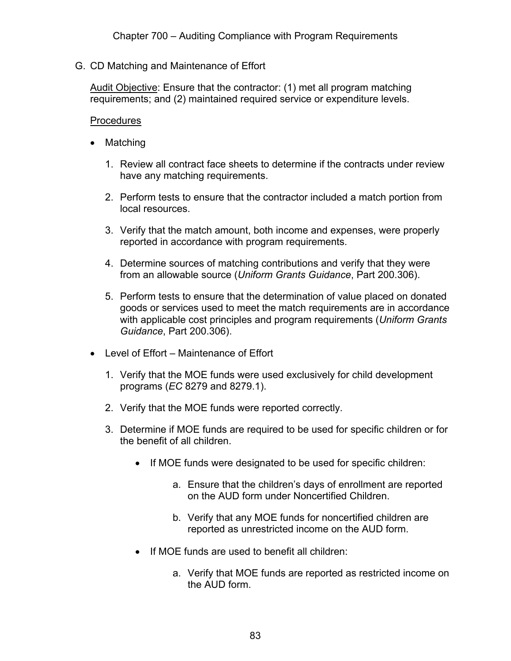G. CD Matching and Maintenance of Effort

Audit Objective: Ensure that the contractor: (1) met all program matching requirements; and (2) maintained required service or expenditure levels.

- Matching
	- 1. Review all contract face sheets to determine if the contracts under review have any matching requirements.
	- 2. Perform tests to ensure that the contractor included a match portion from local resources.
	- 3. Verify that the match amount, both income and expenses, were properly reported in accordance with program requirements.
	- 4. Determine sources of matching contributions and verify that they were from an allowable source (*Uniform Grants Guidance*, Part 200.306).
	- 5. Perform tests to ensure that the determination of value placed on donated goods or services used to meet the match requirements are in accordance with applicable cost principles and program requirements (*Uniform Grants Guidance*, Part 200.306).
- Level of Effort Maintenance of Effort
	- 1. Verify that the MOE funds were used exclusively for child development programs (*EC* 8279 and 8279.1).
	- 2. Verify that the MOE funds were reported correctly.
	- 3. Determine if MOE funds are required to be used for specific children or for the benefit of all children.
		- If MOE funds were designated to be used for specific children:
			- a. Ensure that the children's days of enrollment are reported on the AUD form under Noncertified Children.
			- b. Verify that any MOE funds for noncertified children are reported as unrestricted income on the AUD form.
		- If MOE funds are used to benefit all children:
			- a. Verify that MOE funds are reported as restricted income on the AUD form.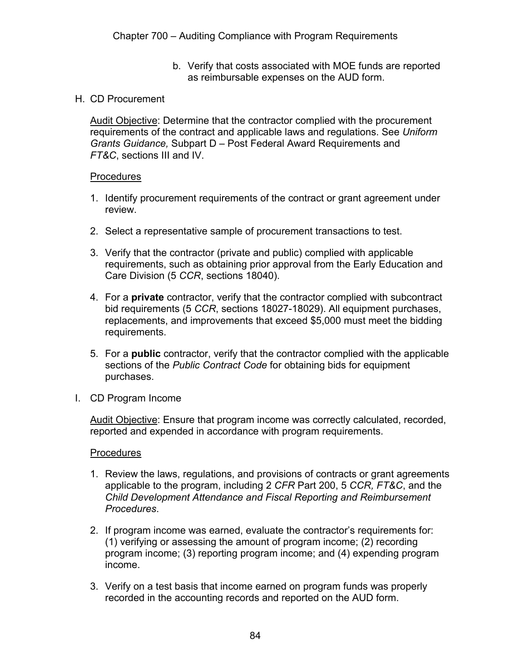- b. Verify that costs associated with MOE funds are reported as reimbursable expenses on the AUD form.
- H. CD Procurement

Audit Objective: Determine that the contractor complied with the procurement requirements of the contract and applicable laws and regulations. See *Uniform Grants Guidance,* Subpart D – Post Federal Award Requirements and *FT&C*, sections III and IV.

#### **Procedures**

- 1. Identify procurement requirements of the contract or grant agreement under review.
- 2. Select a representative sample of procurement transactions to test.
- 3. Verify that the contractor (private and public) complied with applicable requirements, such as obtaining prior approval from the Early Education and Care Division (5 *CCR*, sections 18040).
- 4. For a **private** contractor, verify that the contractor complied with subcontract bid requirements (5 *CCR*, sections 18027-18029). All equipment purchases, replacements, and improvements that exceed \$5,000 must meet the bidding requirements.
- 5. For a **public** contractor, verify that the contractor complied with the applicable sections of the *Public Contract Code* for obtaining bids for equipment purchases.
- I. CD Program Income

Audit Objective: Ensure that program income was correctly calculated, recorded, reported and expended in accordance with program requirements.

- 1. Review the laws, regulations, and provisions of contracts or grant agreements applicable to the program, including 2 *CFR* Part 200, 5 *CCR, FT&C*, and the *Child Development Attendance and Fiscal Reporting and Reimbursement Procedures*.
- 2. If program income was earned, evaluate the contractor's requirements for: (1) verifying or assessing the amount of program income; (2) recording program income; (3) reporting program income; and (4) expending program income.
- 3. Verify on a test basis that income earned on program funds was properly recorded in the accounting records and reported on the AUD form.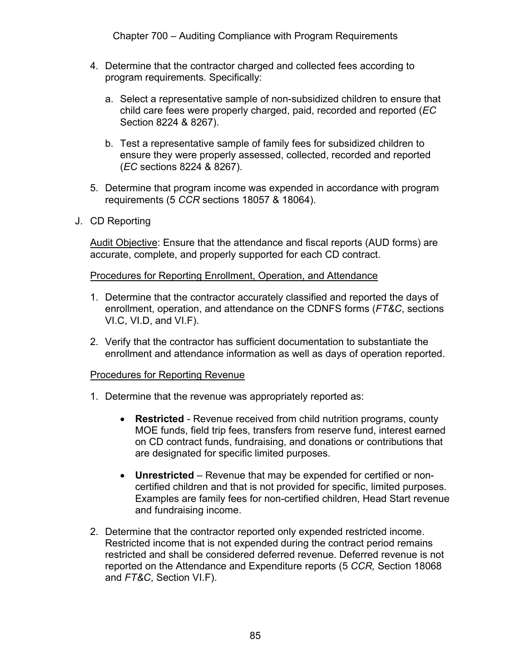Chapter 700 – Auditing Compliance with Program Requirements

- 4. Determine that the contractor charged and collected fees according to program requirements. Specifically:
	- a. Select a representative sample of non-subsidized children to ensure that child care fees were properly charged, paid, recorded and reported (*EC* Section 8224 & 8267).
	- b. Test a representative sample of family fees for subsidized children to ensure they were properly assessed, collected, recorded and reported (*EC* sections 8224 & 8267).
- 5. Determine that program income was expended in accordance with program requirements (5 *CCR* sections 18057 & 18064).
- J. CD Reporting

Audit Objective: Ensure that the attendance and fiscal reports (AUD forms) are accurate, complete, and properly supported for each CD contract.

#### Procedures for Reporting Enrollment, Operation, and Attendance

- 1. Determine that the contractor accurately classified and reported the days of enrollment, operation, and attendance on the CDNFS forms (*FT&C*, sections VI.C, VI.D, and VI.F).
- 2. Verify that the contractor has sufficient documentation to substantiate the enrollment and attendance information as well as days of operation reported.

# Procedures for Reporting Revenue

- 1. Determine that the revenue was appropriately reported as:
	- **Restricted** Revenue received from child nutrition programs, county MOE funds, field trip fees, transfers from reserve fund, interest earned on CD contract funds, fundraising, and donations or contributions that are designated for specific limited purposes.
	- **Unrestricted** Revenue that may be expended for certified or noncertified children and that is not provided for specific, limited purposes. Examples are family fees for non-certified children, Head Start revenue and fundraising income.
- 2. Determine that the contractor reported only expended restricted income. Restricted income that is not expended during the contract period remains restricted and shall be considered deferred revenue. Deferred revenue is not reported on the Attendance and Expenditure reports (5 *CCR,* Section 18068 and *FT&C*, Section VI.F).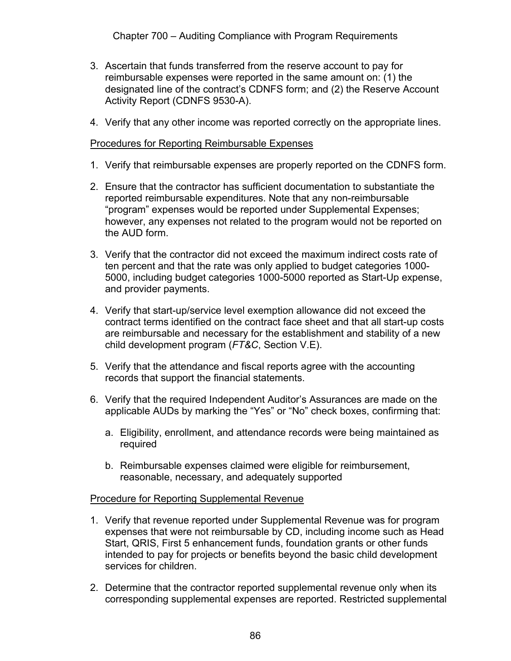- 3. Ascertain that funds transferred from the reserve account to pay for reimbursable expenses were reported in the same amount on: (1) the designated line of the contract's CDNFS form; and (2) the Reserve Account Activity Report (CDNFS 9530-A).
- 4. Verify that any other income was reported correctly on the appropriate lines.

### Procedures for Reporting Reimbursable Expenses

- 1. Verify that reimbursable expenses are properly reported on the CDNFS form.
- 2. Ensure that the contractor has sufficient documentation to substantiate the reported reimbursable expenditures. Note that any non-reimbursable "program" expenses would be reported under Supplemental Expenses; however, any expenses not related to the program would not be reported on the AUD form.
- 3. Verify that the contractor did not exceed the maximum indirect costs rate of ten percent and that the rate was only applied to budget categories 1000- 5000, including budget categories 1000-5000 reported as Start-Up expense, and provider payments.
- 4. Verify that start-up/service level exemption allowance did not exceed the contract terms identified on the contract face sheet and that all start-up costs are reimbursable and necessary for the establishment and stability of a new child development program (*FT&C*, Section V.E).
- 5. Verify that the attendance and fiscal reports agree with the accounting records that support the financial statements.
- 6. Verify that the required Independent Auditor's Assurances are made on the applicable AUDs by marking the "Yes" or "No" check boxes, confirming that:
	- a. Eligibility, enrollment, and attendance records were being maintained as required
	- b. Reimbursable expenses claimed were eligible for reimbursement, reasonable, necessary, and adequately supported

#### Procedure for Reporting Supplemental Revenue

- 1. Verify that revenue reported under Supplemental Revenue was for program expenses that were not reimbursable by CD, including income such as Head Start, QRIS, First 5 enhancement funds, foundation grants or other funds intended to pay for projects or benefits beyond the basic child development services for children.
- 2. Determine that the contractor reported supplemental revenue only when its corresponding supplemental expenses are reported. Restricted supplemental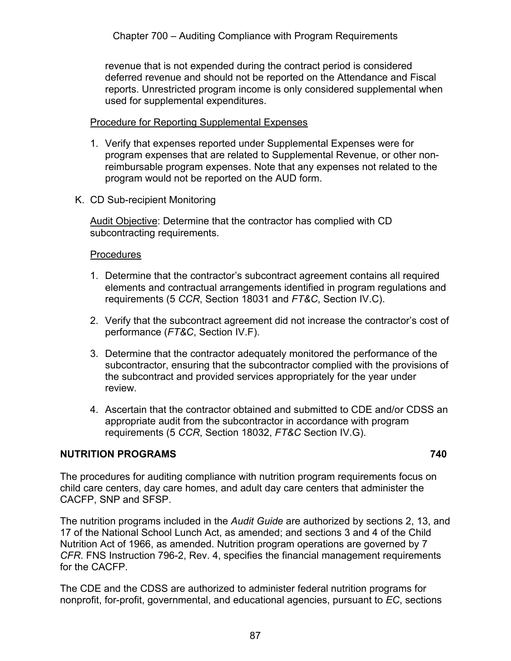revenue that is not expended during the contract period is considered deferred revenue and should not be reported on the Attendance and Fiscal reports. Unrestricted program income is only considered supplemental when used for supplemental expenditures.

### Procedure for Reporting Supplemental Expenses

- 1. Verify that expenses reported under Supplemental Expenses were for program expenses that are related to Supplemental Revenue, or other nonreimbursable program expenses. Note that any expenses not related to the program would not be reported on the AUD form.
- K. CD Sub-recipient Monitoring

Audit Objective: Determine that the contractor has complied with CD subcontracting requirements.

#### **Procedures**

- 1. Determine that the contractor's subcontract agreement contains all required elements and contractual arrangements identified in program regulations and requirements (5 *CCR*, Section 18031 and *FT&C*, Section IV.C).
- 2. Verify that the subcontract agreement did not increase the contractor's cost of performance (*FT&C*, Section IV.F).
- 3. Determine that the contractor adequately monitored the performance of the subcontractor, ensuring that the subcontractor complied with the provisions of the subcontract and provided services appropriately for the year under review.
- 4. Ascertain that the contractor obtained and submitted to CDE and/or CDSS an appropriate audit from the subcontractor in accordance with program requirements (5 *CCR*, Section 18032, *FT&C* Section IV.G).

# <span id="page-91-0"></span>**NUTRITION PROGRAMS 740**

The procedures for auditing compliance with nutrition program requirements focus on child care centers, day care homes, and adult day care centers that administer the CACFP, SNP and SFSP.

The nutrition programs included in the *Audit Guide* are authorized by sections 2, 13, and 17 of the National School Lunch Act, as amended; and sections 3 and 4 of the Child Nutrition Act of 1966, as amended. Nutrition program operations are governed by 7 *CFR*. FNS Instruction 796-2, Rev. 4, specifies the financial management requirements for the CACFP.

The CDE and the CDSS are authorized to administer federal nutrition programs for nonprofit, for-profit, governmental, and educational agencies, pursuant to *EC*, sections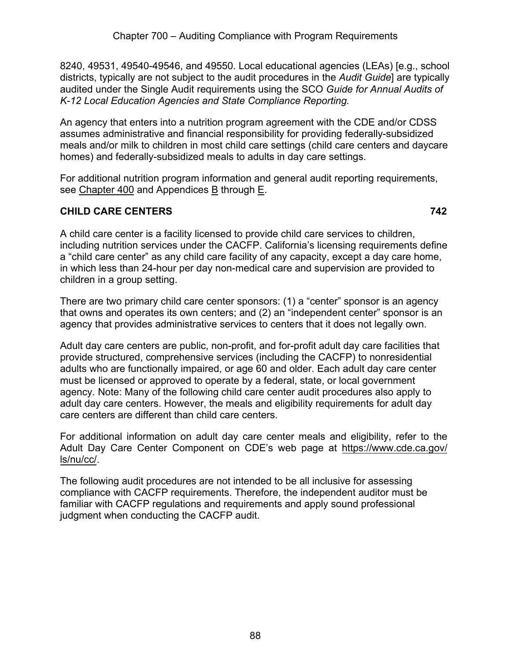8240, 49531, 49540-49546, and 49550. Local educational agencies (LEAs) [e.g., school districts, typically are not subject to the audit procedures in the *Audit Guide*] are typically audited under the Single Audit requirements using the SCO *Guide for Annual Audits of K-12 Local Education Agencies and State Compliance Reporting.*

An agency that enters into a nutrition program agreement with the CDE and/or CDSS assumes administrative and financial responsibility for providing federally-subsidized meals and/or milk to children in most child care settings (child care centers and daycare homes) and federally-subsidized meals to adults in day care settings.

For additional nutrition program information and general audit reporting requirements, see [Chapter 400](#page-51-0) and Appendices [B](#page-185-0) through [E.](#page-212-0)

# **CHILD CARE CENTERS 742**

A child care center is a facility licensed to provide child care services to children, including nutrition services under the CACFP. California's licensing requirements define a "child care center" as any child care facility of any capacity, except a day care home, in which less than 24-hour per day non-medical care and supervision are provided to children in a group setting.

There are two primary child care center sponsors: (1) a "center" sponsor is an agency that owns and operates its own centers; and (2) an "independent center" sponsor is an agency that provides administrative services to centers that it does not legally own.

Adult day care centers are public, non-profit, and for-profit adult day care facilities that provide structured, comprehensive services (including the CACFP) to nonresidential adults who are functionally impaired, or age 60 and older. Each adult day care center must be licensed or approved to operate by a federal, state, or local government agency. Note: Many of the following child care center audit procedures also apply to adult day care centers. However, the meals and eligibility requirements for adult day care centers are different than child care centers.

For additional information on adult day care center meals and eligibility, refer to the Adult Day Care Center Component on CDE's web pag[e at https://www.cde.ca.gov/](https://www.cde.ca.gov/%E2%80%8Cls/nu/cc/) [ls/nu/cc/.](https://www.cde.ca.gov/%E2%80%8Cls/nu/cc/)

The following audit procedures are not intended to be all inclusive for assessing compliance with CACFP requirements. Therefore, the independent auditor must be familiar with CACFP regulations and requirements and apply sound professional judgment when conducting the CACFP audit.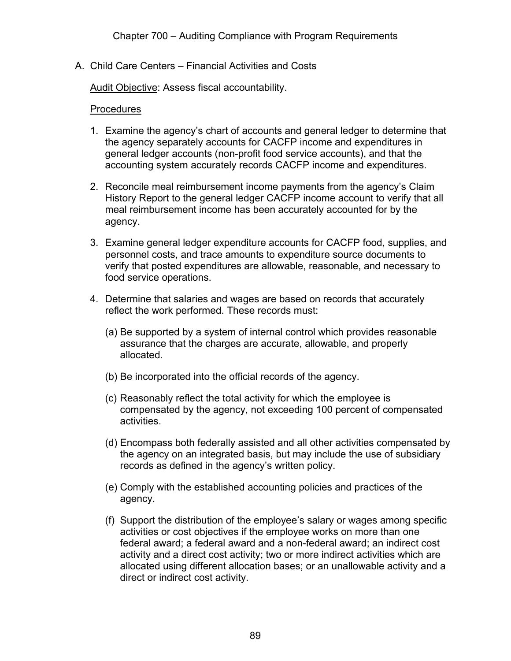A. Child Care Centers – Financial Activities and Costs

Audit Objective: Assess fiscal accountability.

- 1. Examine the agency's chart of accounts and general ledger to determine that the agency separately accounts for CACFP income and expenditures in general ledger accounts (non-profit food service accounts), and that the accounting system accurately records CACFP income and expenditures.
- 2. Reconcile meal reimbursement income payments from the agency's Claim History Report to the general ledger CACFP income account to verify that all meal reimbursement income has been accurately accounted for by the agency.
- 3. Examine general ledger expenditure accounts for CACFP food, supplies, and personnel costs, and trace amounts to expenditure source documents to verify that posted expenditures are allowable, reasonable, and necessary to food service operations.
- 4. Determine that salaries and wages are based on records that accurately reflect the work performed. These records must:
	- (a) Be supported by a system of internal control which provides reasonable assurance that the charges are accurate, allowable, and properly allocated.
	- (b) Be incorporated into the official records of the agency.
	- (c) Reasonably reflect the total activity for which the employee is compensated by the agency, not exceeding 100 percent of compensated activities.
	- (d) Encompass both federally assisted and all other activities compensated by the agency on an integrated basis, but may include the use of subsidiary records as defined in the agency's written policy.
	- (e) Comply with the established accounting policies and practices of the agency.
	- (f) Support the distribution of the employee's salary or wages among specific activities or cost objectives if the employee works on more than one federal award; a federal award and a non-federal award; an indirect cost activity and a direct cost activity; two or more indirect activities which are allocated using different allocation bases; or an unallowable activity and a direct or indirect cost activity.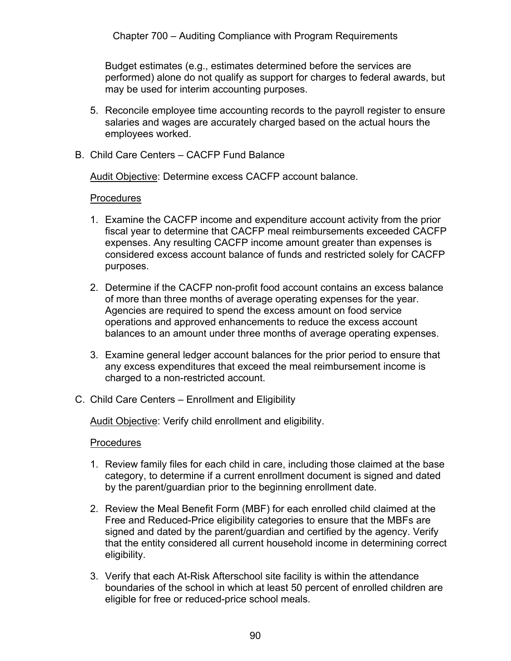Budget estimates (e.g., estimates determined before the services are performed) alone do not qualify as support for charges to federal awards, but may be used for interim accounting purposes.

- 5. Reconcile employee time accounting records to the payroll register to ensure salaries and wages are accurately charged based on the actual hours the employees worked.
- B. Child Care Centers CACFP Fund Balance

Audit Objective: Determine excess CACFP account balance.

#### **Procedures**

- 1. Examine the CACFP income and expenditure account activity from the prior fiscal year to determine that CACFP meal reimbursements exceeded CACFP expenses. Any resulting CACFP income amount greater than expenses is considered excess account balance of funds and restricted solely for CACFP purposes.
- 2. Determine if the CACFP non-profit food account contains an excess balance of more than three months of average operating expenses for the year. Agencies are required to spend the excess amount on food service operations and approved enhancements to reduce the excess account balances to an amount under three months of average operating expenses.
- 3. Examine general ledger account balances for the prior period to ensure that any excess expenditures that exceed the meal reimbursement income is charged to a non-restricted account.
- C. Child Care Centers Enrollment and Eligibility

Audit Objective: Verify child enrollment and eligibility.

- 1. Review family files for each child in care, including those claimed at the base category, to determine if a current enrollment document is signed and dated by the parent/guardian prior to the beginning enrollment date.
- 2. Review the Meal Benefit Form (MBF) for each enrolled child claimed at the Free and Reduced-Price eligibility categories to ensure that the MBFs are signed and dated by the parent/guardian and certified by the agency. Verify that the entity considered all current household income in determining correct eligibility.
- 3. Verify that each At-Risk Afterschool site facility is within the attendance boundaries of the school in which at least 50 percent of enrolled children are eligible for free or reduced-price school meals.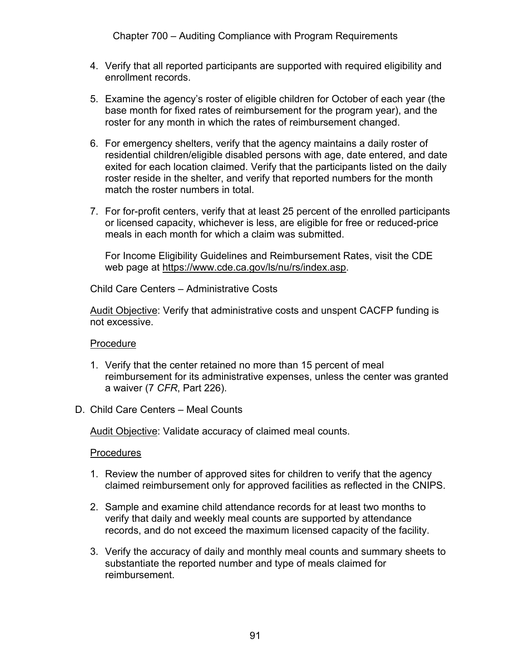- 4. Verify that all reported participants are supported with required eligibility and enrollment records.
- 5. Examine the agency's roster of eligible children for October of each year (the base month for fixed rates of reimbursement for the program year), and the roster for any month in which the rates of reimbursement changed.
- 6. For emergency shelters, verify that the agency maintains a daily roster of residential children/eligible disabled persons with age, date entered, and date exited for each location claimed. Verify that the participants listed on the daily roster reside in the shelter, and verify that reported numbers for the month match the roster numbers in total.
- 7. For for-profit centers, verify that at least 25 percent of the enrolled participants or licensed capacity, whichever is less, are eligible for free or reduced-price meals in each month for which a claim was submitted.

For Income Eligibility Guidelines and Reimbursement Rates, visit the CDE web page at [https://www.cde.ca.gov/ls/nu/rs/index.asp.](https://www.cde.ca.gov/ls/nu/rs/index.asp)

Child Care Centers – Administrative Costs

Audit Objective: Verify that administrative costs and unspent CACFP funding is not excessive.

# Procedure

- 1. Verify that the center retained no more than 15 percent of meal reimbursement for its administrative expenses, unless the center was granted a waiver (7 *CFR*, Part 226).
- D. Child Care Centers Meal Counts

Audit Objective: Validate accuracy of claimed meal counts.

- 1. Review the number of approved sites for children to verify that the agency claimed reimbursement only for approved facilities as reflected in the CNIPS.
- 2. Sample and examine child attendance records for at least two months to verify that daily and weekly meal counts are supported by attendance records, and do not exceed the maximum licensed capacity of the facility.
- 3. Verify the accuracy of daily and monthly meal counts and summary sheets to substantiate the reported number and type of meals claimed for reimbursement.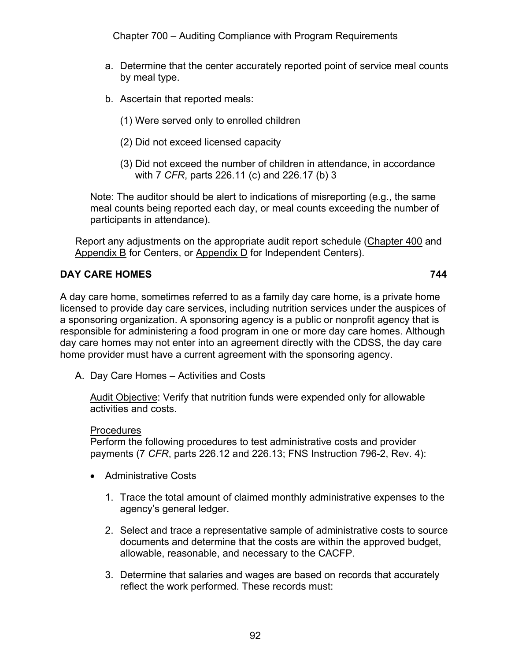Chapter 700 – Auditing Compliance with Program Requirements

- a. Determine that the center accurately reported point of service meal counts by meal type.
- b. Ascertain that reported meals:
	- (1) Were served only to enrolled children
	- (2) Did not exceed licensed capacity
	- (3) Did not exceed the number of children in attendance, in accordance with 7 *CFR*, parts 226.11 (c) and 226.17 (b) 3

Note: The auditor should be alert to indications of misreporting (e.g., the same meal counts being reported each day, or meal counts exceeding the number of participants in attendance).

Report any adjustments on the appropriate audit report schedule [\(Chapter 400](#page-53-0) and [Appendix B](#page-185-0) for Centers, or [Appendix D](#page-203-0) for Independent Centers).

# **DAY CARE HOMES 744**

A day care home, sometimes referred to as a family day care home, is a private home licensed to provide day care services, including nutrition services under the auspices of a sponsoring organization. A sponsoring agency is a public or nonprofit agency that is responsible for administering a food program in one or more day care homes. Although day care homes may not enter into an agreement directly with the CDSS, the day care home provider must have a current agreement with the sponsoring agency.

A. Day Care Homes – Activities and Costs

Audit Objective: Verify that nutrition funds were expended only for allowable activities and costs.

#### **Procedures**

Perform the following procedures to test administrative costs and provider payments (7 *CFR*, parts 226.12 and 226.13; FNS Instruction 796-2, Rev. 4):

- Administrative Costs
	- 1. Trace the total amount of claimed monthly administrative expenses to the agency's general ledger.
	- 2. Select and trace a representative sample of administrative costs to source documents and determine that the costs are within the approved budget, allowable, reasonable, and necessary to the CACFP.
	- 3. Determine that salaries and wages are based on records that accurately reflect the work performed. These records must: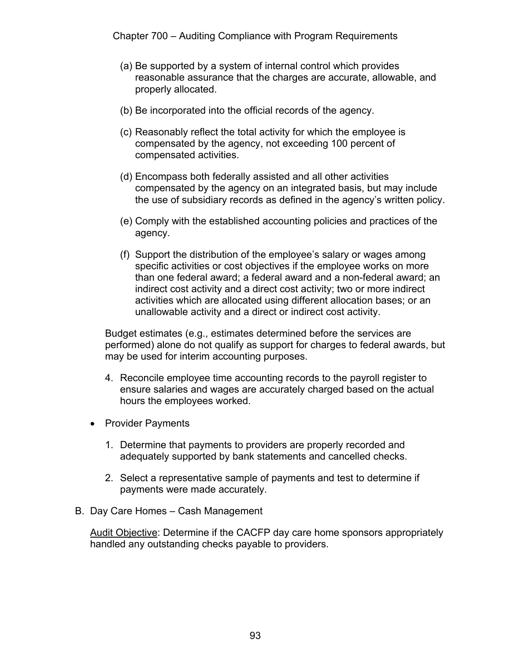- (a) Be supported by a system of internal control which provides reasonable assurance that the charges are accurate, allowable, and properly allocated.
- (b) Be incorporated into the official records of the agency.
- (c) Reasonably reflect the total activity for which the employee is compensated by the agency, not exceeding 100 percent of compensated activities.
- (d) Encompass both federally assisted and all other activities compensated by the agency on an integrated basis, but may include the use of subsidiary records as defined in the agency's written policy.
- (e) Comply with the established accounting policies and practices of the agency.
- (f) Support the distribution of the employee's salary or wages among specific activities or cost objectives if the employee works on more than one federal award; a federal award and a non-federal award; an indirect cost activity and a direct cost activity; two or more indirect activities which are allocated using different allocation bases; or an unallowable activity and a direct or indirect cost activity.

Budget estimates (e.g., estimates determined before the services are performed) alone do not qualify as support for charges to federal awards, but may be used for interim accounting purposes.

- 4. Reconcile employee time accounting records to the payroll register to ensure salaries and wages are accurately charged based on the actual hours the employees worked.
- Provider Payments
	- 1. Determine that payments to providers are properly recorded and adequately supported by bank statements and cancelled checks.
	- 2. Select a representative sample of payments and test to determine if payments were made accurately.
- B. Day Care Homes Cash Management

Audit Objective: Determine if the CACFP day care home sponsors appropriately handled any outstanding checks payable to providers.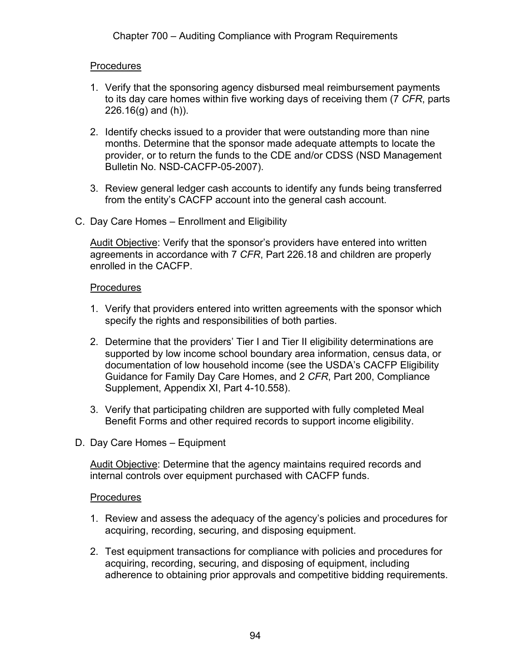# **Procedures**

- 1. Verify that the sponsoring agency disbursed meal reimbursement payments to its day care homes within five working days of receiving them (7 *CFR*, parts 226.16(g) and (h)).
- 2. Identify checks issued to a provider that were outstanding more than nine months. Determine that the sponsor made adequate attempts to locate the provider, or to return the funds to the CDE and/or CDSS (NSD Management Bulletin No. NSD-CACFP-05-2007).
- 3. Review general ledger cash accounts to identify any funds being transferred from the entity's CACFP account into the general cash account.
- C. Day Care Homes Enrollment and Eligibility

Audit Objective: Verify that the sponsor's providers have entered into written agreements in accordance with 7 *CFR*, Part 226.18 and children are properly enrolled in the CACFP.

### Procedures

- 1. Verify that providers entered into written agreements with the sponsor which specify the rights and responsibilities of both parties.
- 2. Determine that the providers' Tier I and Tier II eligibility determinations are supported by low income school boundary area information, census data, or documentation of low household income (see the USDA's CACFP Eligibility Guidance for Family Day Care Homes, and 2 *CFR*, Part 200, Compliance Supplement, Appendix XI, Part 4-10.558).
- 3. Verify that participating children are supported with fully completed Meal Benefit Forms and other required records to support income eligibility.
- D. Day Care Homes Equipment

Audit Objective: Determine that the agency maintains required records and internal controls over equipment purchased with CACFP funds.

- 1. Review and assess the adequacy of the agency's policies and procedures for acquiring, recording, securing, and disposing equipment.
- 2. Test equipment transactions for compliance with policies and procedures for acquiring, recording, securing, and disposing of equipment, including adherence to obtaining prior approvals and competitive bidding requirements.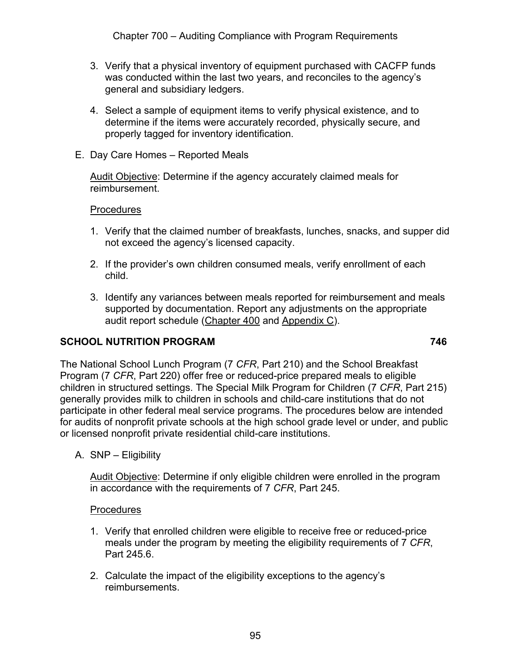- 3. Verify that a physical inventory of equipment purchased with CACFP funds was conducted within the last two years, and reconciles to the agency's general and subsidiary ledgers.
- 4. Select a sample of equipment items to verify physical existence, and to determine if the items were accurately recorded, physically secure, and properly tagged for inventory identification.
- E. Day Care Homes Reported Meals

Audit Objective: Determine if the agency accurately claimed meals for reimbursement.

### Procedures

- 1. Verify that the claimed number of breakfasts, lunches, snacks, and supper did not exceed the agency's licensed capacity.
- 2. If the provider's own children consumed meals, verify enrollment of each child.
- 3. Identify any variances between meals reported for reimbursement and meals supported by documentation. Report any adjustments on the appropriate audit report schedule [\(Chapter 400](#page-51-0) and [Appendix C\)](#page-193-0).

# **SCHOOL NUTRITION PROGRAM 746**

The National School Lunch Program (7 *CFR*, Part 210) and the School Breakfast Program (7 *CFR*, Part 220) offer free or reduced-price prepared meals to eligible children in structured settings. The Special Milk Program for Children (7 *CFR*, Part 215) generally provides milk to children in schools and child-care institutions that do not participate in other federal meal service programs. The procedures below are intended for audits of nonprofit private schools at the high school grade level or under, and public or licensed nonprofit private residential child-care institutions.

A. SNP – Eligibility

Audit Objective: Determine if only eligible children were enrolled in the program in accordance with the requirements of 7 *CFR*, Part 245.

- 1. Verify that enrolled children were eligible to receive free or reduced-price meals under the program by meeting the eligibility requirements of 7 *CFR*, Part 245.6.
- 2. Calculate the impact of the eligibility exceptions to the agency's reimbursements.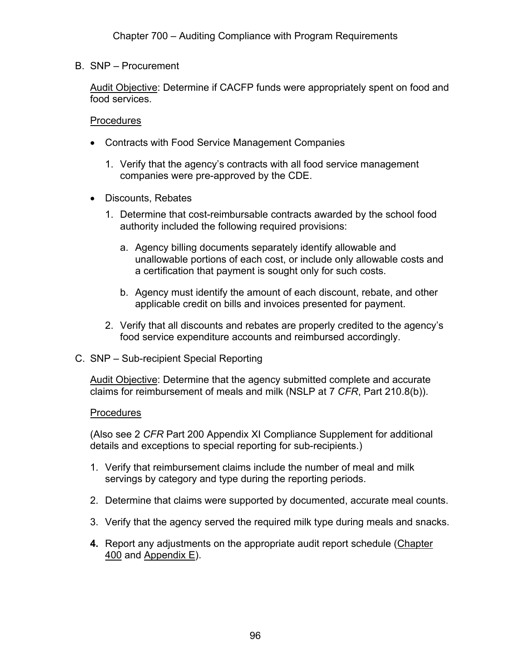B. SNP – Procurement

Audit Objective: Determine if CACFP funds were appropriately spent on food and food services.

#### **Procedures**

- Contracts with Food Service Management Companies
	- 1. Verify that the agency's contracts with all food service management companies were pre-approved by the CDE.
- Discounts, Rebates
	- 1. Determine that cost-reimbursable contracts awarded by the school food authority included the following required provisions:
		- a. Agency billing documents separately identify allowable and unallowable portions of each cost, or include only allowable costs and a certification that payment is sought only for such costs.
		- b. Agency must identify the amount of each discount, rebate, and other applicable credit on bills and invoices presented for payment.
	- 2. Verify that all discounts and rebates are properly credited to the agency's food service expenditure accounts and reimbursed accordingly.
- C. SNP Sub-recipient Special Reporting

Audit Objective: Determine that the agency submitted complete and accurate claims for reimbursement of meals and milk (NSLP at 7 *CFR*, Part 210.8(b)).

#### **Procedures**

(Also see 2 *CFR* Part 200 Appendix XI Compliance Supplement for additional details and exceptions to special reporting for sub-recipients.)

- 1. Verify that reimbursement claims include the number of meal and milk servings by category and type during the reporting periods.
- 2. Determine that claims were supported by documented, accurate meal counts.
- 3. Verify that the agency served the required milk type during meals and snacks.
- **4.** Report any adjustments on the appropriate audit report schedule [\(Chapter](#page-51-0) [400](#page-51-0) and [Appendix E\)](#page-212-0).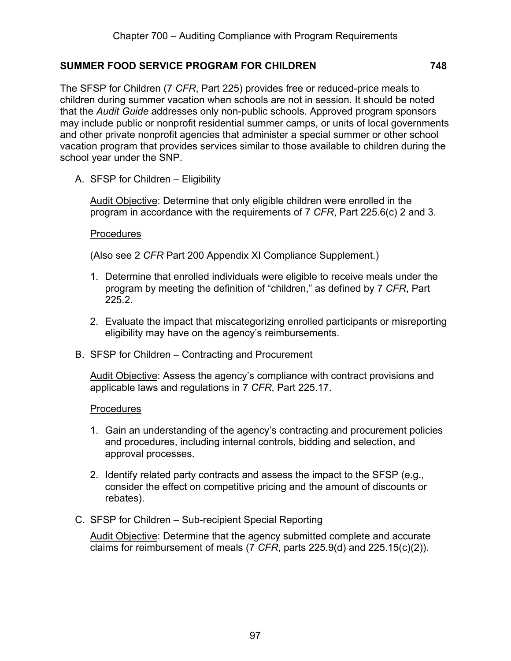# **SUMMER FOOD SERVICE PROGRAM FOR CHILDREN 748**

The SFSP for Children (7 *CFR*, Part 225) provides free or reduced-price meals to children during summer vacation when schools are not in session. It should be noted that the *Audit Guide* addresses only non-public schools. Approved program sponsors may include public or nonprofit residential summer camps, or units of local governments and other private nonprofit agencies that administer a special summer or other school vacation program that provides services similar to those available to children during the school year under the SNP.

A. SFSP for Children – Eligibility

Audit Objective: Determine that only eligible children were enrolled in the program in accordance with the requirements of 7 *CFR*, Part 225.6(c) 2 and 3.

# **Procedures**

(Also see 2 *CFR* Part 200 Appendix XI Compliance Supplement.)

- 1. Determine that enrolled individuals were eligible to receive meals under the program by meeting the definition of "children," as defined by 7 *CFR*, Part 225.2.
- 2. Evaluate the impact that miscategorizing enrolled participants or misreporting eligibility may have on the agency's reimbursements.
- B. SFSP for Children Contracting and Procurement

Audit Objective: Assess the agency's compliance with contract provisions and applicable laws and regulations in 7 *CFR*, Part 225.17.

# **Procedures**

- 1. Gain an understanding of the agency's contracting and procurement policies and procedures, including internal controls, bidding and selection, and approval processes.
- 2. Identify related party contracts and assess the impact to the SFSP (e.g., consider the effect on competitive pricing and the amount of discounts or rebates).
- C. SFSP for Children Sub-recipient Special Reporting

Audit Objective: Determine that the agency submitted complete and accurate claims for reimbursement of meals (7 *CFR*, parts 225.9(d) and 225.15(c)(2)).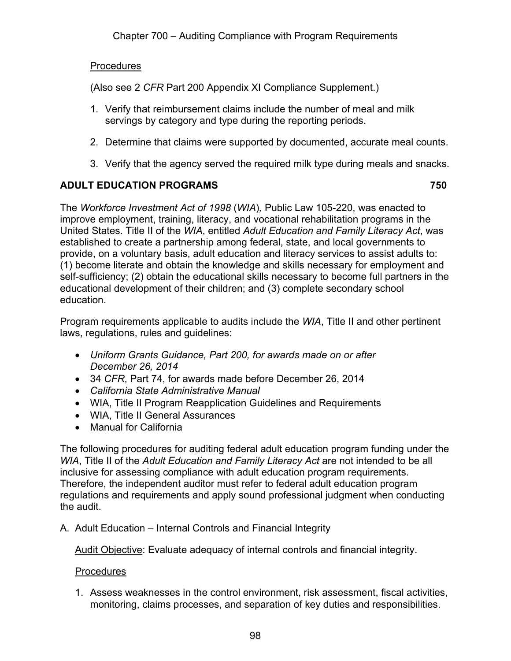# **Procedures**

(Also see 2 *CFR* Part 200 Appendix XI Compliance Supplement.)

- 1. Verify that reimbursement claims include the number of meal and milk servings by category and type during the reporting periods.
- 2. Determine that claims were supported by documented, accurate meal counts.
- 3. Verify that the agency served the required milk type during meals and snacks.

# <span id="page-102-0"></span>**ADULT EDUCATION PROGRAMS 750**

The *Workforce Investment Act of 1998* (*WIA*)*,* Public Law 105-220, was enacted to improve employment, training, literacy, and vocational rehabilitation programs in the United States. Title II of the *WIA*, entitled *Adult Education and Family Literacy Act*, was established to create a partnership among federal, state, and local governments to provide, on a voluntary basis, adult education and literacy services to assist adults to: (1) become literate and obtain the knowledge and skills necessary for employment and self-sufficiency; (2) obtain the educational skills necessary to become full partners in the educational development of their children; and (3) complete secondary school education.

Program requirements applicable to audits include the *WIA*, Title II and other pertinent laws, regulations, rules and guidelines:

- *Uniform Grants Guidance, Part 200, for awards made on or after December 26, 2014*
- 34 *CFR*, Part 74, for awards made before December 26, 2014
- *California State Administrative Manual*
- WIA, Title II Program Reapplication Guidelines and Requirements
- WIA, Title II General Assurances
- Manual for California

The following procedures for auditing federal adult education program funding under the *WIA*, Title II of the *Adult Education and Family Literacy Act* are not intended to be all inclusive for assessing compliance with adult education program requirements. Therefore, the independent auditor must refer to federal adult education program regulations and requirements and apply sound professional judgment when conducting the audit.

A. Adult Education – Internal Controls and Financial Integrity

Audit Objective: Evaluate adequacy of internal controls and financial integrity.

#### **Procedures**

1. Assess weaknesses in the control environment, risk assessment, fiscal activities, monitoring, claims processes, and separation of key duties and responsibilities.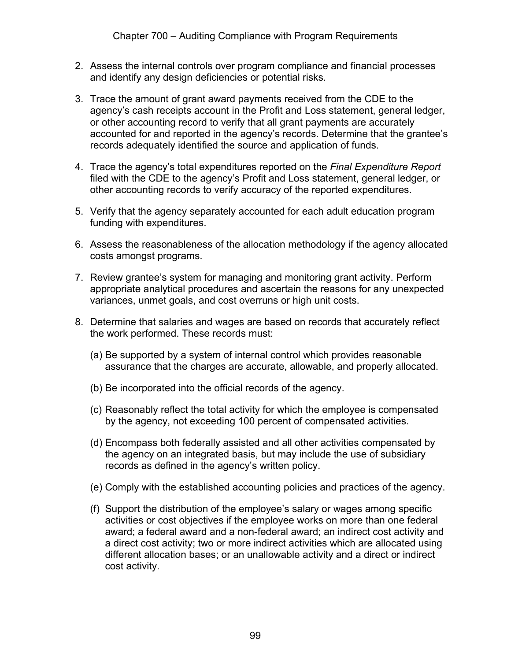- 2. Assess the internal controls over program compliance and financial processes and identify any design deficiencies or potential risks.
- 3. Trace the amount of grant award payments received from the CDE to the agency's cash receipts account in the Profit and Loss statement, general ledger, or other accounting record to verify that all grant payments are accurately accounted for and reported in the agency's records. Determine that the grantee's records adequately identified the source and application of funds.
- 4. Trace the agency's total expenditures reported on the *Final Expenditure Report* filed with the CDE to the agency's Profit and Loss statement, general ledger, or other accounting records to verify accuracy of the reported expenditures.
- 5. Verify that the agency separately accounted for each adult education program funding with expenditures.
- 6. Assess the reasonableness of the allocation methodology if the agency allocated costs amongst programs.
- 7. Review grantee's system for managing and monitoring grant activity. Perform appropriate analytical procedures and ascertain the reasons for any unexpected variances, unmet goals, and cost overruns or high unit costs.
- 8. Determine that salaries and wages are based on records that accurately reflect the work performed. These records must:
	- (a) Be supported by a system of internal control which provides reasonable assurance that the charges are accurate, allowable, and properly allocated.
	- (b) Be incorporated into the official records of the agency.
	- (c) Reasonably reflect the total activity for which the employee is compensated by the agency, not exceeding 100 percent of compensated activities.
	- (d) Encompass both federally assisted and all other activities compensated by the agency on an integrated basis, but may include the use of subsidiary records as defined in the agency's written policy.
	- (e) Comply with the established accounting policies and practices of the agency.
	- (f) Support the distribution of the employee's salary or wages among specific activities or cost objectives if the employee works on more than one federal award; a federal award and a non-federal award; an indirect cost activity and a direct cost activity; two or more indirect activities which are allocated using different allocation bases; or an unallowable activity and a direct or indirect cost activity.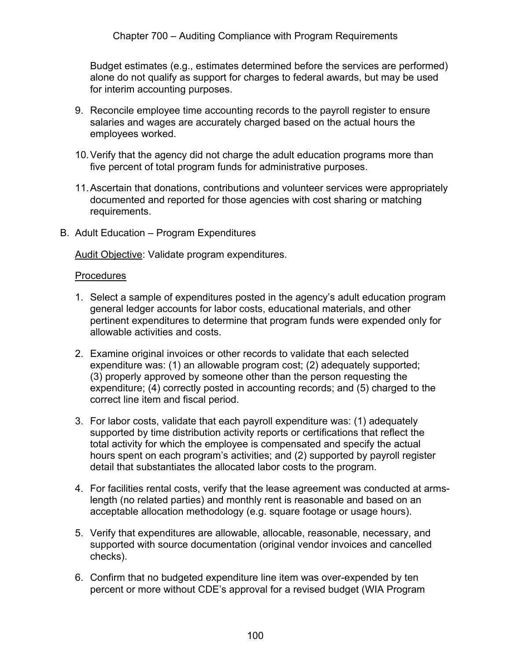Budget estimates (e.g., estimates determined before the services are performed) alone do not qualify as support for charges to federal awards, but may be used for interim accounting purposes.

- 9. Reconcile employee time accounting records to the payroll register to ensure salaries and wages are accurately charged based on the actual hours the employees worked.
- 10.Verify that the agency did not charge the adult education programs more than five percent of total program funds for administrative purposes.
- 11.Ascertain that donations, contributions and volunteer services were appropriately documented and reported for those agencies with cost sharing or matching requirements.
- B. Adult Education Program Expenditures

Audit Objective: Validate program expenditures.

- 1. Select a sample of expenditures posted in the agency's adult education program general ledger accounts for labor costs, educational materials, and other pertinent expenditures to determine that program funds were expended only for allowable activities and costs.
- 2. Examine original invoices or other records to validate that each selected expenditure was: (1) an allowable program cost; (2) adequately supported; (3) properly approved by someone other than the person requesting the expenditure; (4) correctly posted in accounting records; and (5) charged to the correct line item and fiscal period.
- 3. For labor costs, validate that each payroll expenditure was: (1) adequately supported by time distribution activity reports or certifications that reflect the total activity for which the employee is compensated and specify the actual hours spent on each program's activities; and (2) supported by payroll register detail that substantiates the allocated labor costs to the program.
- 4. For facilities rental costs, verify that the lease agreement was conducted at armslength (no related parties) and monthly rent is reasonable and based on an acceptable allocation methodology (e.g. square footage or usage hours).
- 5. Verify that expenditures are allowable, allocable, reasonable, necessary, and supported with source documentation (original vendor invoices and cancelled checks).
- 6. Confirm that no budgeted expenditure line item was over-expended by ten percent or more without CDE's approval for a revised budget (WIA Program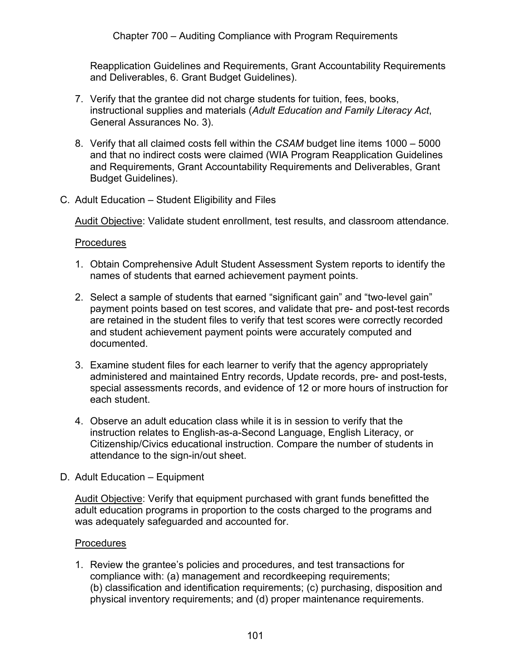Reapplication Guidelines and Requirements, Grant Accountability Requirements and Deliverables, 6. Grant Budget Guidelines).

- 7. Verify that the grantee did not charge students for tuition, fees, books, instructional supplies and materials (*Adult Education and Family Literacy Act*, General Assurances No. 3).
- 8. Verify that all claimed costs fell within the *CSAM* budget line items 1000 5000 and that no indirect costs were claimed (WIA Program Reapplication Guidelines and Requirements, Grant Accountability Requirements and Deliverables, Grant Budget Guidelines).
- C. Adult Education Student Eligibility and Files

Audit Objective: Validate student enrollment, test results, and classroom attendance.

### **Procedures**

- 1. Obtain Comprehensive Adult Student Assessment System reports to identify the names of students that earned achievement payment points.
- 2. Select a sample of students that earned "significant gain" and "two-level gain" payment points based on test scores, and validate that pre- and post-test records are retained in the student files to verify that test scores were correctly recorded and student achievement payment points were accurately computed and documented.
- 3. Examine student files for each learner to verify that the agency appropriately administered and maintained Entry records, Update records, pre- and post-tests, special assessments records, and evidence of 12 or more hours of instruction for each student.
- 4. Observe an adult education class while it is in session to verify that the instruction relates to English-as-a-Second Language, English Literacy, or Citizenship/Civics educational instruction. Compare the number of students in attendance to the sign-in/out sheet.
- D. Adult Education Equipment

Audit Objective: Verify that equipment purchased with grant funds benefitted the adult education programs in proportion to the costs charged to the programs and was adequately safeguarded and accounted for.

#### **Procedures**

1. Review the grantee's policies and procedures, and test transactions for compliance with: (a) management and recordkeeping requirements; (b) classification and identification requirements; (c) purchasing, disposition and physical inventory requirements; and (d) proper maintenance requirements.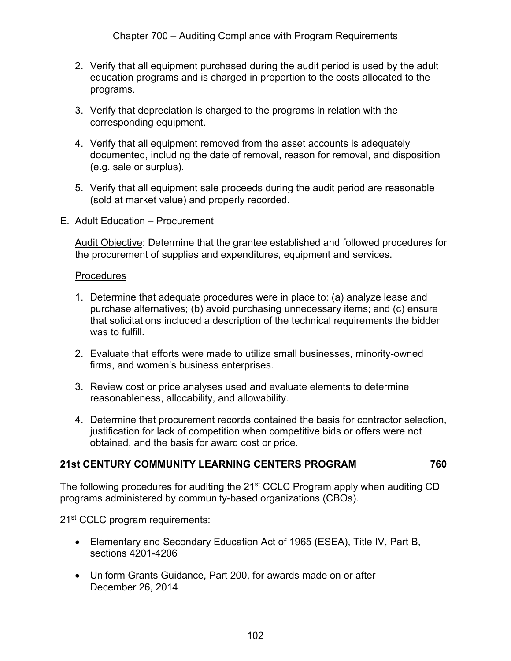- 2. Verify that all equipment purchased during the audit period is used by the adult education programs and is charged in proportion to the costs allocated to the programs.
- 3. Verify that depreciation is charged to the programs in relation with the corresponding equipment.
- 4. Verify that all equipment removed from the asset accounts is adequately documented, including the date of removal, reason for removal, and disposition (e.g. sale or surplus).
- 5. Verify that all equipment sale proceeds during the audit period are reasonable (sold at market value) and properly recorded.
- E. Adult Education Procurement

Audit Objective: Determine that the grantee established and followed procedures for the procurement of supplies and expenditures, equipment and services.

### **Procedures**

- 1. Determine that adequate procedures were in place to: (a) analyze lease and purchase alternatives; (b) avoid purchasing unnecessary items; and (c) ensure that solicitations included a description of the technical requirements the bidder was to fulfill.
- 2. Evaluate that efforts were made to utilize small businesses, minority-owned firms, and women's business enterprises.
- 3. Review cost or price analyses used and evaluate elements to determine reasonableness, allocability, and allowability.
- 4. Determine that procurement records contained the basis for contractor selection, justification for lack of competition when competitive bids or offers were not obtained, and the basis for award cost or price.

# <span id="page-106-0"></span>**21st CENTURY COMMUNITY LEARNING CENTERS PROGRAM 760**

The following procedures for auditing the 21<sup>st</sup> CCLC Program apply when auditing CD programs administered by community-based organizations (CBOs).

21<sup>st</sup> CCLC program requirements:

- Elementary and Secondary Education Act of 1965 (ESEA), Title IV, Part B, sections 4201-4206
- Uniform Grants Guidance, Part 200, for awards made on or after December 26, 2014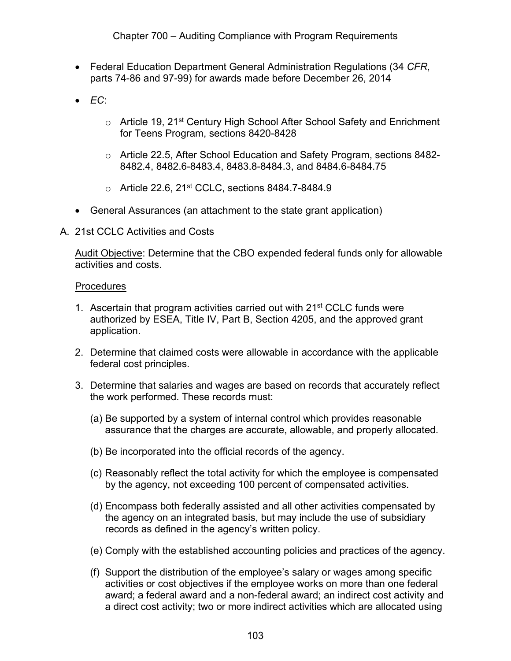- Federal Education Department General Administration Regulations (34 *CFR*, parts 74-86 and 97-99) for awards made before December 26, 2014
- *EC*:
	- o Article 19, 21<sup>st</sup> Century High School After School Safety and Enrichment for Teens Program, sections 8420-8428
	- o Article 22.5, After School Education and Safety Program, sections 8482- 8482.4, 8482.6-8483.4, 8483.8-8484.3, and 8484.6-8484.75
	- $\circ$  Article 22.6, 21<sup>st</sup> CCLC, sections 8484.7-8484.9
- General Assurances (an attachment to the state grant application)
- A. 21st CCLC Activities and Costs

Audit Objective: Determine that the CBO expended federal funds only for allowable activities and costs.

- 1. Ascertain that program activities carried out with 21<sup>st</sup> CCLC funds were authorized by ESEA, Title IV, Part B, Section 4205, and the approved grant application.
- 2. Determine that claimed costs were allowable in accordance with the applicable federal cost principles.
- 3. Determine that salaries and wages are based on records that accurately reflect the work performed. These records must:
	- (a) Be supported by a system of internal control which provides reasonable assurance that the charges are accurate, allowable, and properly allocated.
	- (b) Be incorporated into the official records of the agency.
	- (c) Reasonably reflect the total activity for which the employee is compensated by the agency, not exceeding 100 percent of compensated activities.
	- (d) Encompass both federally assisted and all other activities compensated by the agency on an integrated basis, but may include the use of subsidiary records as defined in the agency's written policy.
	- (e) Comply with the established accounting policies and practices of the agency.
	- (f) Support the distribution of the employee's salary or wages among specific activities or cost objectives if the employee works on more than one federal award; a federal award and a non-federal award; an indirect cost activity and a direct cost activity; two or more indirect activities which are allocated using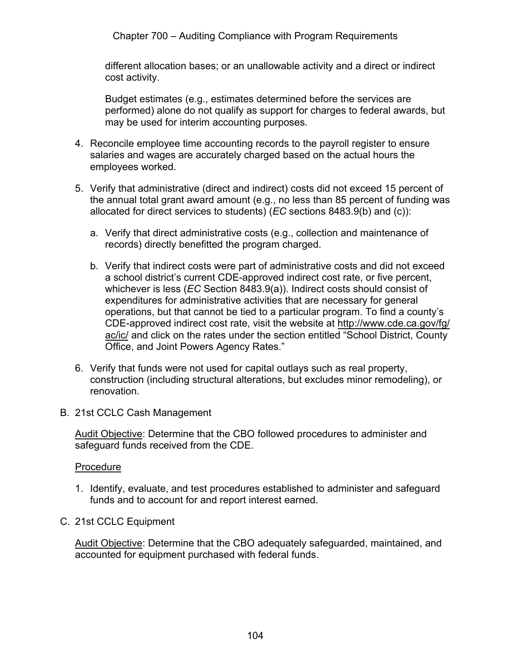Chapter 700 – Auditing Compliance with Program Requirements

different allocation bases; or an unallowable activity and a direct or indirect cost activity.

Budget estimates (e.g., estimates determined before the services are performed) alone do not qualify as support for charges to federal awards, but may be used for interim accounting purposes.

- 4. Reconcile employee time accounting records to the payroll register to ensure salaries and wages are accurately charged based on the actual hours the employees worked.
- 5. Verify that administrative (direct and indirect) costs did not exceed 15 percent of the annual total grant award amount (e.g., no less than 85 percent of funding was allocated for direct services to students) (*EC* sections 8483.9(b) and (c)):
	- a. Verify that direct administrative costs (e.g., collection and maintenance of records) directly benefitted the program charged.
	- b. Verify that indirect costs were part of administrative costs and did not exceed a school district's current CDE-approved indirect cost rate, or five percent, whichever is less (*EC* Section 8483.9(a)). Indirect costs should consist of expenditures for administrative activities that are necessary for general operations, but that cannot be tied to a particular program. To find a county's CDE-approved indirect cost rate, visit the website at [http://www.cde.ca.gov/fg/](http://www.cde.ca.gov/fg/%E2%80%8Cac/ic/) [ac/ic/](http://www.cde.ca.gov/fg/%E2%80%8Cac/ic/) and click on the rates under the section entitled "School District, County Office, and Joint Powers Agency Rates."
- 6. Verify that funds were not used for capital outlays such as real property, construction (including structural alterations, but excludes minor remodeling), or renovation.
- B. 21st CCLC Cash Management

Audit Objective: Determine that the CBO followed procedures to administer and safeguard funds received from the CDE.

#### **Procedure**

- 1. Identify, evaluate, and test procedures established to administer and safeguard funds and to account for and report interest earned.
- C. 21st CCLC Equipment

Audit Objective: Determine that the CBO adequately safeguarded, maintained, and accounted for equipment purchased with federal funds.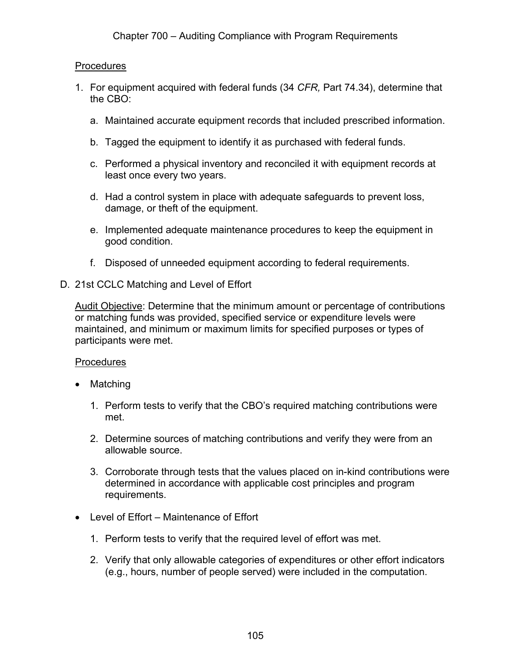### **Procedures**

- 1. For equipment acquired with federal funds (34 *CFR,* Part 74.34), determine that the CBO:
	- a. Maintained accurate equipment records that included prescribed information.
	- b. Tagged the equipment to identify it as purchased with federal funds.
	- c. Performed a physical inventory and reconciled it with equipment records at least once every two years.
	- d. Had a control system in place with adequate safeguards to prevent loss, damage, or theft of the equipment.
	- e. Implemented adequate maintenance procedures to keep the equipment in good condition.
	- f. Disposed of unneeded equipment according to federal requirements.
- D. 21st CCLC Matching and Level of Effort

Audit Objective: Determine that the minimum amount or percentage of contributions or matching funds was provided, specified service or expenditure levels were maintained, and minimum or maximum limits for specified purposes or types of participants were met.

#### **Procedures**

- Matching
	- 1. Perform tests to verify that the CBO's required matching contributions were met.
	- 2. Determine sources of matching contributions and verify they were from an allowable source.
	- 3. Corroborate through tests that the values placed on in-kind contributions were determined in accordance with applicable cost principles and program requirements.
- Level of Effort Maintenance of Effort
	- 1. Perform tests to verify that the required level of effort was met.
	- 2. Verify that only allowable categories of expenditures or other effort indicators (e.g., hours, number of people served) were included in the computation.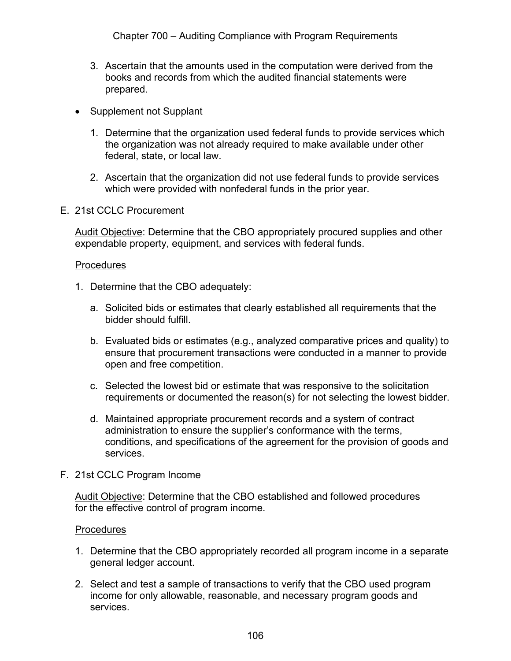Chapter 700 – Auditing Compliance with Program Requirements

- 3. Ascertain that the amounts used in the computation were derived from the books and records from which the audited financial statements were prepared.
- Supplement not Supplant
	- 1. Determine that the organization used federal funds to provide services which the organization was not already required to make available under other federal, state, or local law.
	- 2. Ascertain that the organization did not use federal funds to provide services which were provided with nonfederal funds in the prior year.
- E. 21st CCLC Procurement

Audit Objective: Determine that the CBO appropriately procured supplies and other expendable property, equipment, and services with federal funds.

#### **Procedures**

- 1. Determine that the CBO adequately:
	- a. Solicited bids or estimates that clearly established all requirements that the bidder should fulfill.
	- b. Evaluated bids or estimates (e.g., analyzed comparative prices and quality) to ensure that procurement transactions were conducted in a manner to provide open and free competition.
	- c. Selected the lowest bid or estimate that was responsive to the solicitation requirements or documented the reason(s) for not selecting the lowest bidder.
	- d. Maintained appropriate procurement records and a system of contract administration to ensure the supplier's conformance with the terms, conditions, and specifications of the agreement for the provision of goods and services.
- F. 21st CCLC Program Income

Audit Objective: Determine that the CBO established and followed procedures for the effective control of program income.

#### **Procedures**

- 1. Determine that the CBO appropriately recorded all program income in a separate general ledger account.
- 2. Select and test a sample of transactions to verify that the CBO used program income for only allowable, reasonable, and necessary program goods and services.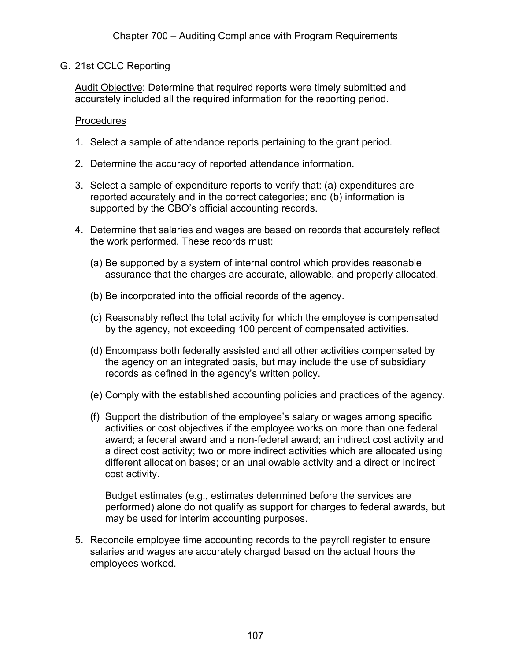G. 21st CCLC Reporting

Audit Objective: Determine that required reports were timely submitted and accurately included all the required information for the reporting period.

### **Procedures**

- 1. Select a sample of attendance reports pertaining to the grant period.
- 2. Determine the accuracy of reported attendance information.
- 3. Select a sample of expenditure reports to verify that: (a) expenditures are reported accurately and in the correct categories; and (b) information is supported by the CBO's official accounting records.
- 4. Determine that salaries and wages are based on records that accurately reflect the work performed. These records must:
	- (a) Be supported by a system of internal control which provides reasonable assurance that the charges are accurate, allowable, and properly allocated.
	- (b) Be incorporated into the official records of the agency.
	- (c) Reasonably reflect the total activity for which the employee is compensated by the agency, not exceeding 100 percent of compensated activities.
	- (d) Encompass both federally assisted and all other activities compensated by the agency on an integrated basis, but may include the use of subsidiary records as defined in the agency's written policy.
	- (e) Comply with the established accounting policies and practices of the agency.
	- (f) Support the distribution of the employee's salary or wages among specific activities or cost objectives if the employee works on more than one federal award; a federal award and a non-federal award; an indirect cost activity and a direct cost activity; two or more indirect activities which are allocated using different allocation bases; or an unallowable activity and a direct or indirect cost activity.

Budget estimates (e.g., estimates determined before the services are performed) alone do not qualify as support for charges to federal awards, but may be used for interim accounting purposes.

5. Reconcile employee time accounting records to the payroll register to ensure salaries and wages are accurately charged based on the actual hours the employees worked.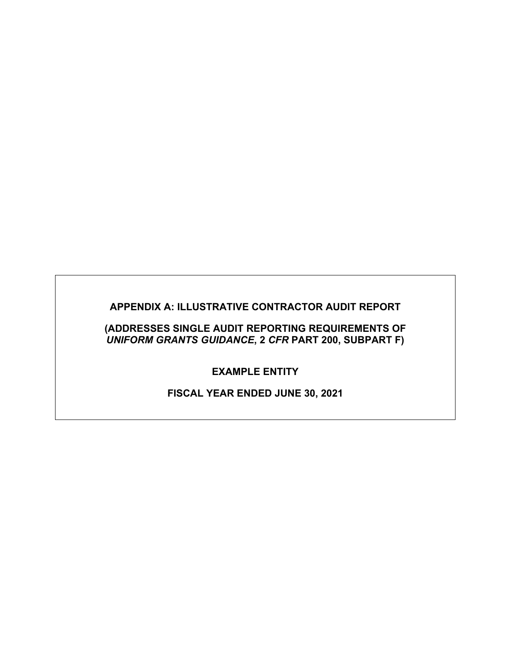**APPENDIX A: ILLUSTRATIVE CONTRACTOR AUDIT REPORT**

**(ADDRESSES SINGLE AUDIT REPORTING REQUIREMENTS OF** *UNIFORM GRANTS GUIDANCE***, 2** *CFR* **PART 200, SUBPART F)**

**EXAMPLE ENTITY**

**FISCAL YEAR ENDED JUNE 30, 2021**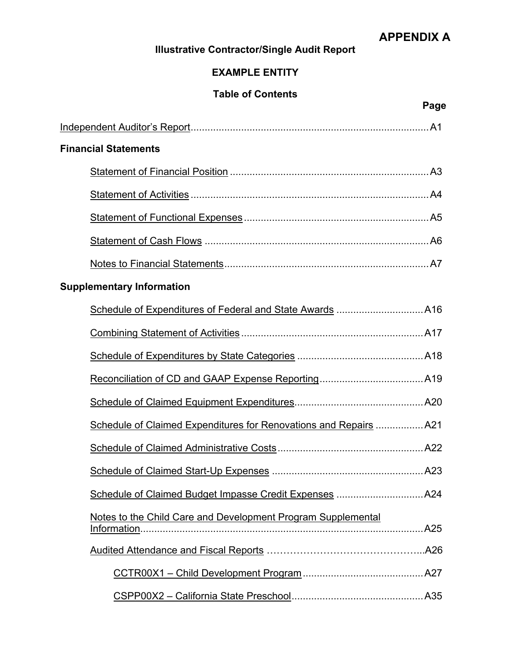# **Illustrative Contractor/Single Audit Report**

## **EXAMPLE ENTITY**

# **Table of Contents**

|                                                                   | Page |
|-------------------------------------------------------------------|------|
|                                                                   |      |
| <b>Financial Statements</b>                                       |      |
|                                                                   |      |
|                                                                   |      |
|                                                                   |      |
|                                                                   |      |
|                                                                   |      |
| <b>Supplementary Information</b>                                  |      |
|                                                                   |      |
|                                                                   |      |
|                                                                   |      |
|                                                                   |      |
|                                                                   |      |
| Schedule of Claimed Expenditures for Renovations and Repairs  A21 |      |
|                                                                   |      |
|                                                                   | A23  |
|                                                                   |      |
| Notes to the Child Care and Development Program Supplemental      |      |
|                                                                   |      |
|                                                                   |      |

[CSPP00X2 – California State Preschool.](#page-151-0).............................................. A35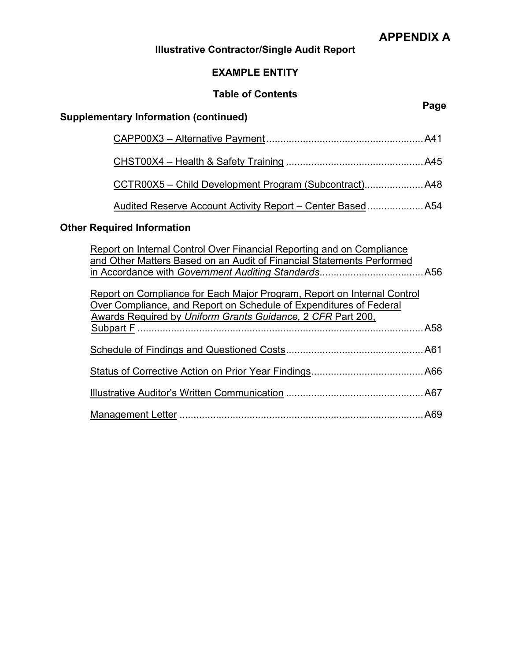**Illustrative Contractor/Single Audit Report**

## **EXAMPLE ENTITY**

### **Table of Contents**

# **Page Supplementary Information (continued)** [CAPP00X3 – Alternative Payment](#page-158-0) ........................................................ A41 [CHST00X4 – Health & Safety Training](#page-162-0) ................................................. A45 [CCTR00X5 – Child Development Program \(Subcontract\).](#page-165-0).................... A48 Audited Reserve Account Activity Report – Center Based.................... A54 **Other Required Information** [Report on Internal Control Over Financial Reporting and on Compliance](#page-170-0) [and Other Matters Based on an Audit of Financial Statements Performed](#page-170-0) in Accordance with *[Government Auditing Standards](#page-170-0)*..................................... A56 [Report on Compliance for Each Major Program, Report on Internal Control](#page-172-0) [Over Compliance, and Report on Schedule of Expenditures of Federal](#page-172-0) Awards Required by *[Uniform Grants Guidance,](#page-172-0)* 2 *CFR* Part 200, [Subpart F](#page-172-0) ...................................................................................................... A58 [Schedule of Findings and Questioned Costs.](#page-175-0)................................................ A61 [Status of Corrective Action on Prior Year Findings.](#page-180-0)....................................... A66 [Illustrative Auditor's Written Communication](#page-181-0) ................................................. A67 [Management Letter](#page-183-0) ....................................................................................... A69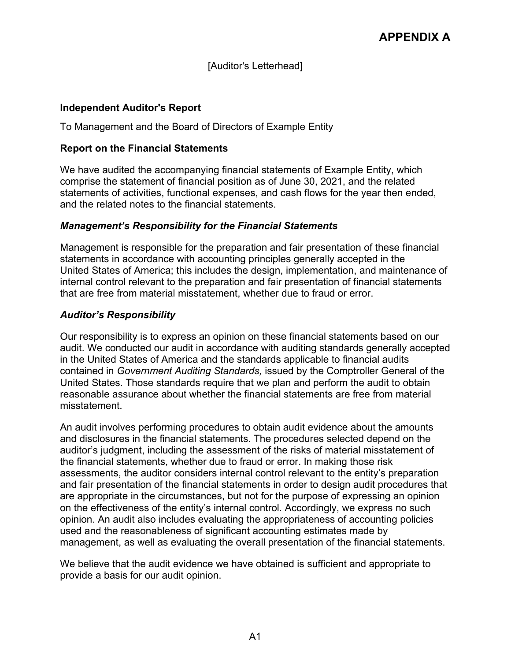### [Auditor's Letterhead]

#### <span id="page-115-0"></span>**Independent Auditor's Report**

To Management and the Board of Directors of Example Entity

#### **Report on the Financial Statements**

We have audited the accompanying financial statements of Example Entity, which comprise the statement of financial position as of June 30, 2021, and the related statements of activities, functional expenses, and cash flows for the year then ended, and the related notes to the financial statements.

#### *Management's Responsibility for the Financial Statements*

Management is responsible for the preparation and fair presentation of these financial statements in accordance with accounting principles generally accepted in the United States of America; this includes the design, implementation, and maintenance of internal control relevant to the preparation and fair presentation of financial statements that are free from material misstatement, whether due to fraud or error.

#### *Auditor's Responsibility*

Our responsibility is to express an opinion on these financial statements based on our audit. We conducted our audit in accordance with auditing standards generally accepted in the United States of America and the standards applicable to financial audits contained in *Government Auditing Standards,* issued by the Comptroller General of the United States. Those standards require that we plan and perform the audit to obtain reasonable assurance about whether the financial statements are free from material misstatement.

An audit involves performing procedures to obtain audit evidence about the amounts and disclosures in the financial statements. The procedures selected depend on the auditor's judgment, including the assessment of the risks of material misstatement of the financial statements, whether due to fraud or error. In making those risk assessments, the auditor considers internal control relevant to the entity's preparation and fair presentation of the financial statements in order to design audit procedures that are appropriate in the circumstances, but not for the purpose of expressing an opinion on the effectiveness of the entity's internal control. Accordingly, we express no such opinion. An audit also includes evaluating the appropriateness of accounting policies used and the reasonableness of significant accounting estimates made by management, as well as evaluating the overall presentation of the financial statements.

We believe that the audit evidence we have obtained is sufficient and appropriate to provide a basis for our audit opinion.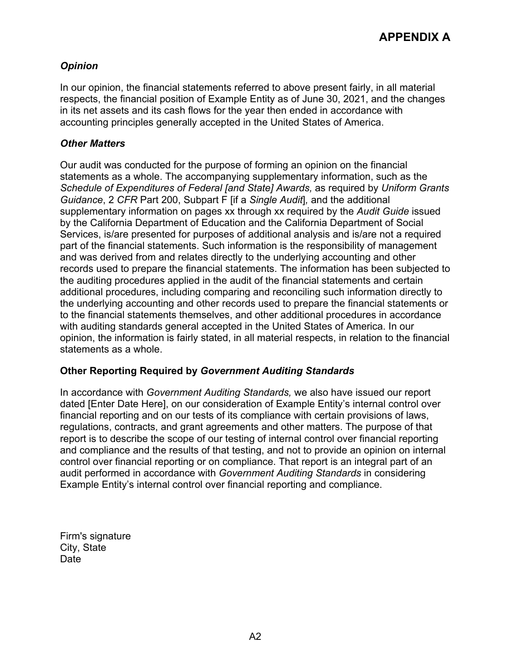## *Opinion*

In our opinion, the financial statements referred to above present fairly, in all material respects, the financial position of Example Entity as of June 30, 2021, and the changes in its net assets and its cash flows for the year then ended in accordance with accounting principles generally accepted in the United States of America.

#### *Other Matters*

Our audit was conducted for the purpose of forming an opinion on the financial statements as a whole. The accompanying supplementary information, such as the *Schedule of Expenditures of Federal [and State] Awards,* as required by *Uniform Grants Guidance*, 2 *CFR* Part 200, Subpart F [if a *Single Audit*]*,* and the additional supplementary information on pages xx through xx required by the *Audit Guide* issued by the California Department of Education and the California Department of Social Services, is/are presented for purposes of additional analysis and is/are not a required part of the financial statements. Such information is the responsibility of management and was derived from and relates directly to the underlying accounting and other records used to prepare the financial statements. The information has been subjected to the auditing procedures applied in the audit of the financial statements and certain additional procedures, including comparing and reconciling such information directly to the underlying accounting and other records used to prepare the financial statements or to the financial statements themselves, and other additional procedures in accordance with auditing standards general accepted in the United States of America. In our opinion, the information is fairly stated, in all material respects, in relation to the financial statements as a whole.

### **Other Reporting Required by** *Government Auditing Standards*

In accordance with *Government Auditing Standards,* we also have issued our report dated [Enter Date Here], on our consideration of Example Entity's internal control over financial reporting and on our tests of its compliance with certain provisions of laws, regulations, contracts, and grant agreements and other matters. The purpose of that report is to describe the scope of our testing of internal control over financial reporting and compliance and the results of that testing, and not to provide an opinion on internal control over financial reporting or on compliance. That report is an integral part of an audit performed in accordance with *Government Auditing Standards* in considering Example Entity's internal control over financial reporting and compliance.

Firm's signature City, State Date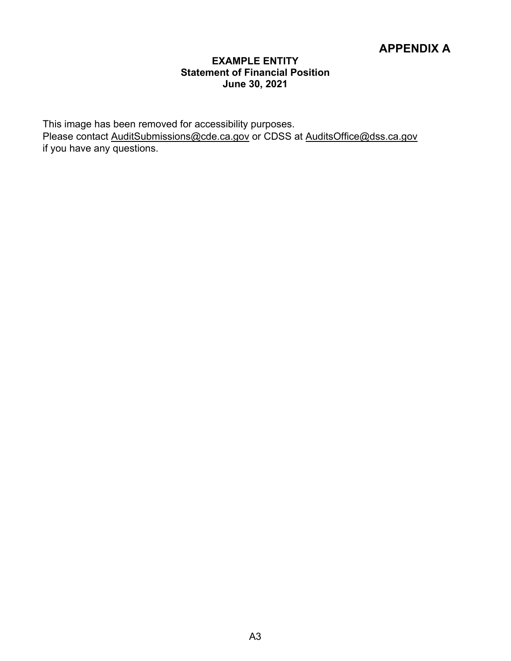### <span id="page-117-0"></span>**EXAMPLE ENTITY Statement of Financial Position June 30, 2021**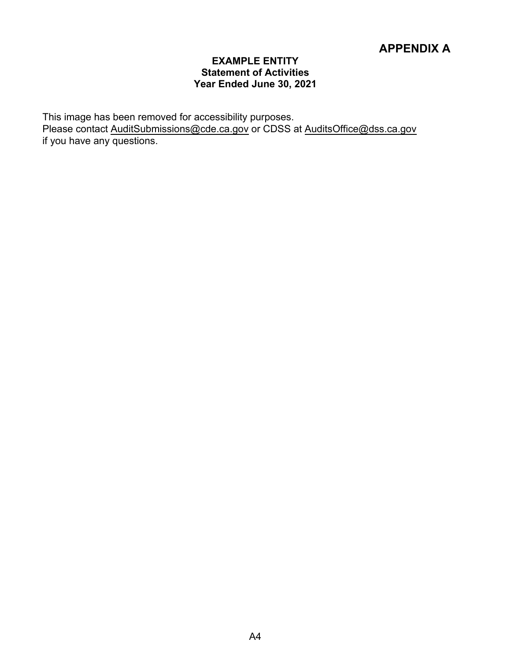#### <span id="page-118-0"></span>**EXAMPLE ENTITY Statement of Activities Year Ended June 30, 2021**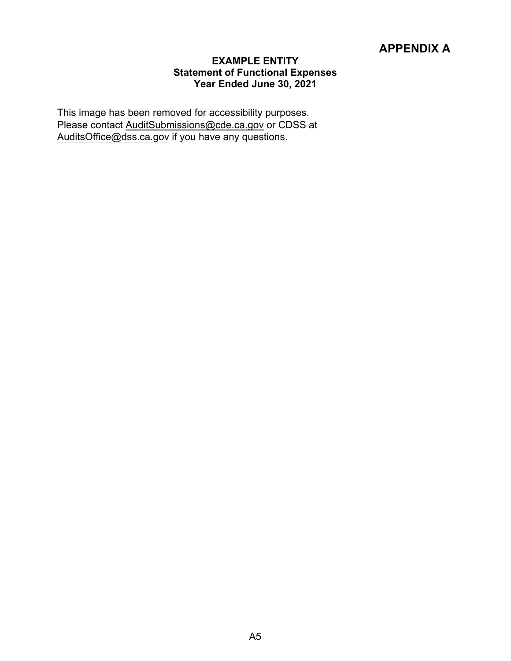#### <span id="page-119-0"></span>**EXAMPLE ENTITY Statement of Functional Expenses Year Ended June 30, 2021**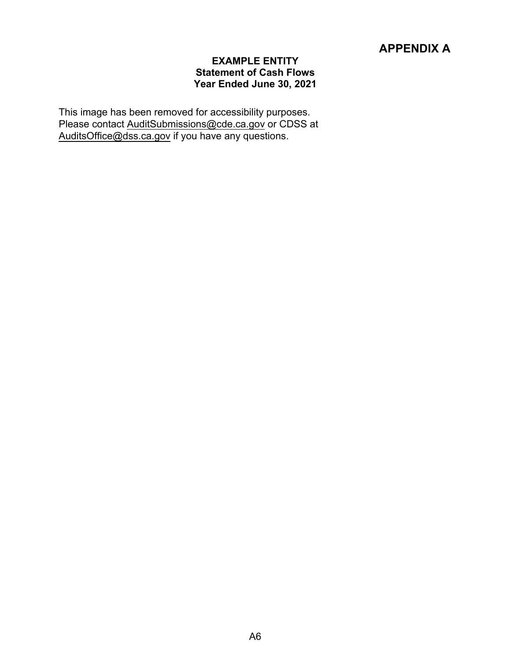#### <span id="page-120-0"></span>**EXAMPLE ENTITY Statement of Cash Flows Year Ended June 30, 2021**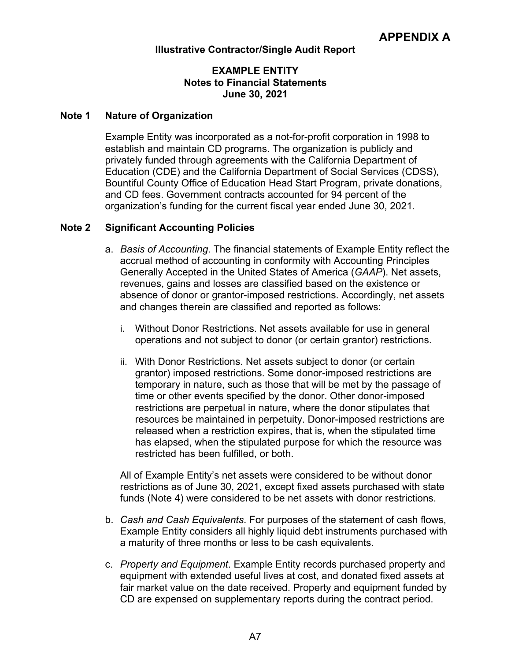#### <span id="page-121-0"></span>**Note 1 Nature of Organization**

Example Entity was incorporated as a not-for-profit corporation in 1998 to establish and maintain CD programs. The organization is publicly and privately funded through agreements with the California Department of Education (CDE) and the California Department of Social Services (CDSS), Bountiful County Office of Education Head Start Program, private donations, and CD fees. Government contracts accounted for 94 percent of the organization's funding for the current fiscal year ended June 30, 2021.

#### **Note 2 Significant Accounting Policies**

- a. *Basis of Accounting*. The financial statements of Example Entity reflect the accrual method of accounting in conformity with Accounting Principles Generally Accepted in the United States of America (*GAAP*). Net assets, revenues, gains and losses are classified based on the existence or absence of donor or grantor-imposed restrictions. Accordingly, net assets and changes therein are classified and reported as follows:
	- i. Without Donor Restrictions. Net assets available for use in general operations and not subject to donor (or certain grantor) restrictions.
	- ii. With Donor Restrictions. Net assets subject to donor (or certain grantor) imposed restrictions. Some donor-imposed restrictions are temporary in nature, such as those that will be met by the passage of time or other events specified by the donor. Other donor-imposed restrictions are perpetual in nature, where the donor stipulates that resources be maintained in perpetuity. Donor-imposed restrictions are released when a restriction expires, that is, when the stipulated time has elapsed, when the stipulated purpose for which the resource was restricted has been fulfilled, or both.

All of Example Entity's net assets were considered to be without donor restrictions as of June 30, 2021, except fixed assets purchased with state funds (Note 4) were considered to be net assets with donor restrictions.

- b. *Cash and Cash Equivalents*. For purposes of the statement of cash flows, Example Entity considers all highly liquid debt instruments purchased with a maturity of three months or less to be cash equivalents.
- c. *Property and Equipment*. Example Entity records purchased property and equipment with extended useful lives at cost, and donated fixed assets at fair market value on the date received. Property and equipment funded by CD are expensed on supplementary reports during the contract period.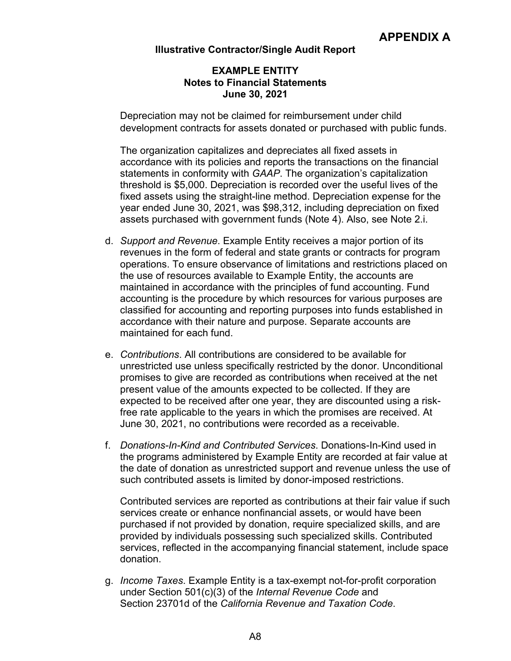#### **Illustrative Contractor/Single Audit Report**

#### **EXAMPLE ENTITY Notes to Financial Statements June 30, 2021**

Depreciation may not be claimed for reimbursement under child development contracts for assets donated or purchased with public funds.

The organization capitalizes and depreciates all fixed assets in accordance with its policies and reports the transactions on the financial statements in conformity with *GAAP*. The organization's capitalization threshold is \$5,000. Depreciation is recorded over the useful lives of the fixed assets using the straight-line method. Depreciation expense for the year ended June 30, 2021, was \$98,312, including depreciation on fixed assets purchased with government funds (Note 4). Also, see Note 2.i.

- d. *Support and Revenue*. Example Entity receives a major portion of its revenues in the form of federal and state grants or contracts for program operations. To ensure observance of limitations and restrictions placed on the use of resources available to Example Entity, the accounts are maintained in accordance with the principles of fund accounting. Fund accounting is the procedure by which resources for various purposes are classified for accounting and reporting purposes into funds established in accordance with their nature and purpose. Separate accounts are maintained for each fund.
- e. *Contributions*. All contributions are considered to be available for unrestricted use unless specifically restricted by the donor. Unconditional promises to give are recorded as contributions when received at the net present value of the amounts expected to be collected. If they are expected to be received after one year, they are discounted using a riskfree rate applicable to the years in which the promises are received. At June 30, 2021, no contributions were recorded as a receivable.
- f. *Donations-In-Kind and Contributed Services*. Donations-In-Kind used in the programs administered by Example Entity are recorded at fair value at the date of donation as unrestricted support and revenue unless the use of such contributed assets is limited by donor-imposed restrictions.

Contributed services are reported as contributions at their fair value if such services create or enhance nonfinancial assets, or would have been purchased if not provided by donation, require specialized skills, and are provided by individuals possessing such specialized skills. Contributed services, reflected in the accompanying financial statement, include space donation.

g. *Income Taxes*. Example Entity is a tax-exempt not-for-profit corporation under Section 501(c)(3) of the *Internal Revenue Code* and Section 23701d of the *California Revenue and Taxation Code*.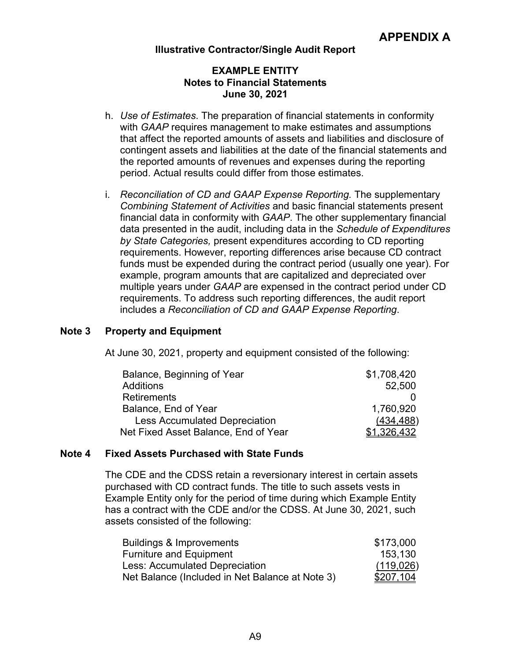#### **Illustrative Contractor/Single Audit Report**

#### **EXAMPLE ENTITY Notes to Financial Statements June 30, 2021**

- h. *Use of Estimates*. The preparation of financial statements in conformity with *GAAP* requires management to make estimates and assumptions that affect the reported amounts of assets and liabilities and disclosure of contingent assets and liabilities at the date of the financial statements and the reported amounts of revenues and expenses during the reporting period. Actual results could differ from those estimates.
- i. *Reconciliation of CD and GAAP Expense Reporting.* The supplementary *Combining Statement of Activities* and basic financial statements present financial data in conformity with *GAAP*. The other supplementary financial data presented in the audit, including data in the *Schedule of Expenditures by State Categories,* present expenditures according to CD reporting requirements. However, reporting differences arise because CD contract funds must be expended during the contract period (usually one year). For example, program amounts that are capitalized and depreciated over multiple years under *GAAP* are expensed in the contract period under CD requirements. To address such reporting differences, the audit report includes a *Reconciliation of CD and GAAP Expense Reporting*.

#### **Note 3 Property and Equipment**

At June 30, 2021, property and equipment consisted of the following:

| Balance, Beginning of Year           | \$1,708,420 |
|--------------------------------------|-------------|
| Additions                            | 52,500      |
| <b>Retirements</b>                   |             |
| Balance, End of Year                 | 1,760,920   |
| <b>Less Accumulated Depreciation</b> | (434, 488)  |
| Net Fixed Asset Balance, End of Year | \$1,326,432 |

#### **Note 4 Fixed Assets Purchased with State Funds**

The CDE and the CDSS retain a reversionary interest in certain assets purchased with CD contract funds. The title to such assets vests in Example Entity only for the period of time during which Example Entity has a contract with the CDE and/or the CDSS. At June 30, 2021, such assets consisted of the following:

| Buildings & Improvements                        | \$173,000  |
|-------------------------------------------------|------------|
| <b>Furniture and Equipment</b>                  | 153,130    |
| Less: Accumulated Depreciation                  | (119, 026) |
| Net Balance (Included in Net Balance at Note 3) | \$207,104  |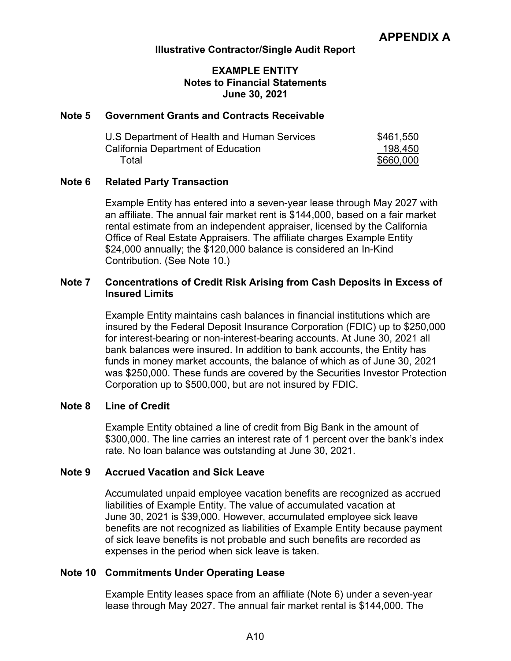#### **Note 5 Government Grants and Contracts Receivable**

| U.S Department of Health and Human Services | \$461.550 |
|---------------------------------------------|-----------|
| California Department of Education          | 198,450   |
| Total                                       | \$660,000 |

#### **Note 6 Related Party Transaction**

Example Entity has entered into a seven-year lease through May 2027 with an affiliate. The annual fair market rent is \$144,000, based on a fair market rental estimate from an independent appraiser, licensed by the California Office of Real Estate Appraisers. The affiliate charges Example Entity \$24,000 annually; the \$120,000 balance is considered an In-Kind Contribution. (See Note 10.)

#### **Note 7 Concentrations of Credit Risk Arising from Cash Deposits in Excess of Insured Limits**

Example Entity maintains cash balances in financial institutions which are insured by the Federal Deposit Insurance Corporation (FDIC) up to \$250,000 for interest-bearing or non-interest-bearing accounts. At June 30, 2021 all bank balances were insured. In addition to bank accounts, the Entity has funds in money market accounts, the balance of which as of June 30, 2021 was \$250,000. These funds are covered by the Securities Investor Protection Corporation up to \$500,000, but are not insured by FDIC.

#### **Note 8 Line of Credit**

Example Entity obtained a line of credit from Big Bank in the amount of \$300,000. The line carries an interest rate of 1 percent over the bank's index rate. No loan balance was outstanding at June 30, 2021.

#### **Note 9 Accrued Vacation and Sick Leave**

Accumulated unpaid employee vacation benefits are recognized as accrued liabilities of Example Entity. The value of accumulated vacation at June 30, 2021 is \$39,000. However, accumulated employee sick leave benefits are not recognized as liabilities of Example Entity because payment of sick leave benefits is not probable and such benefits are recorded as expenses in the period when sick leave is taken.

#### **Note 10 Commitments Under Operating Lease**

Example Entity leases space from an affiliate (Note 6) under a seven-year lease through May 2027. The annual fair market rental is \$144,000. The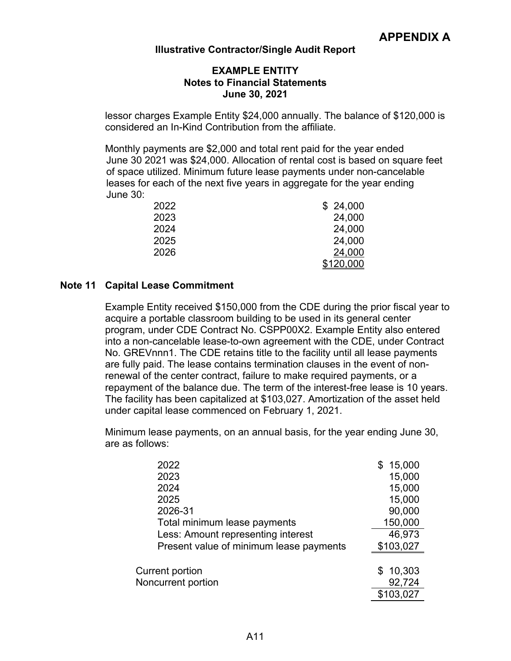#### **Illustrative Contractor/Single Audit Report**

#### **EXAMPLE ENTITY Notes to Financial Statements June 30, 2021**

lessor charges Example Entity \$24,000 annually. The balance of \$120,000 is considered an In-Kind Contribution from the affiliate.

Monthly payments are \$2,000 and total rent paid for the year ended June 30 2021 was \$24,000. Allocation of rental cost is based on square feet of space utilized. Minimum future lease payments under non-cancelable leases for each of the next five years in aggregate for the year ending June 30:

| 2022 | \$24,000  |
|------|-----------|
| 2023 | 24,000    |
| 2024 | 24,000    |
| 2025 | 24,000    |
| 2026 | 24,000    |
|      | \$120,000 |

#### **Note 11 Capital Lease Commitment**

Example Entity received \$150,000 from the CDE during the prior fiscal year to acquire a portable classroom building to be used in its general center program, under CDE Contract No. CSPP00X2. Example Entity also entered into a non-cancelable lease-to-own agreement with the CDE, under Contract No. GREVnnn1. The CDE retains title to the facility until all lease payments are fully paid. The lease contains termination clauses in the event of nonrenewal of the center contract, failure to make required payments, or a repayment of the balance due. The term of the interest-free lease is 10 years. The facility has been capitalized at \$103,027. Amortization of the asset held under capital lease commenced on February 1, 2021.

Minimum lease payments, on an annual basis, for the year ending June 30, are as follows:

| 2022                                    | 15,000    |
|-----------------------------------------|-----------|
| 2023                                    | 15,000    |
| 2024                                    | 15,000    |
| 2025                                    | 15,000    |
| 2026-31                                 | 90,000    |
| Total minimum lease payments            | 150,000   |
| Less: Amount representing interest      | 46,973    |
| Present value of minimum lease payments | \$103,027 |
|                                         |           |
| <b>Current portion</b>                  | \$10,303  |
| Noncurrent portion                      | 92,724    |
|                                         | \$103,027 |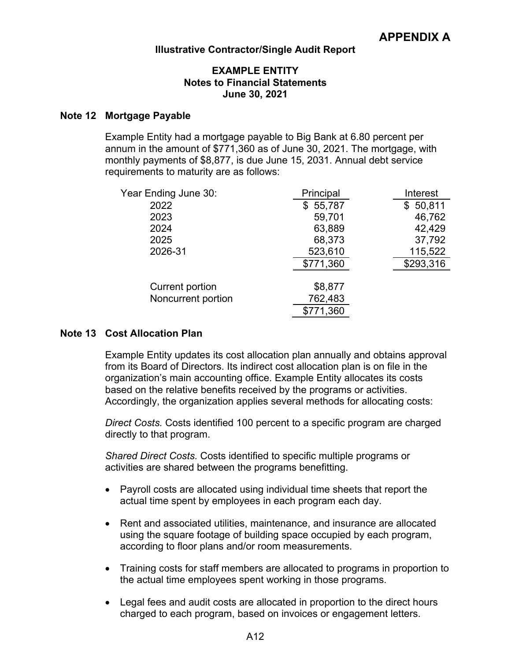#### **Note 12 Mortgage Payable**

Example Entity had a mortgage payable to Big Bank at 6.80 percent per annum in the amount of \$771,360 as of June 30, 2021. The mortgage, with monthly payments of \$8,877, is due June 15, 2031. Annual debt service requirements to maturity are as follows:

| Principal | Interest  |
|-----------|-----------|
| \$55,787  | \$50,811  |
| 59,701    | 46,762    |
| 63,889    | 42,429    |
| 68,373    | 37,792    |
| 523,610   | 115,522   |
| \$771,360 | \$293,316 |
| \$8,877   |           |
| 762,483   |           |
| \$771,360 |           |
|           |           |

#### **Note 13 Cost Allocation Plan**

Example Entity updates its cost allocation plan annually and obtains approval from its Board of Directors. Its indirect cost allocation plan is on file in the organization's main accounting office. Example Entity allocates its costs based on the relative benefits received by the programs or activities. Accordingly, the organization applies several methods for allocating costs:

*Direct Costs.* Costs identified 100 percent to a specific program are charged directly to that program.

*Shared Direct Costs.* Costs identified to specific multiple programs or activities are shared between the programs benefitting.

- Payroll costs are allocated using individual time sheets that report the actual time spent by employees in each program each day.
- Rent and associated utilities, maintenance, and insurance are allocated using the square footage of building space occupied by each program, according to floor plans and/or room measurements.
- Training costs for staff members are allocated to programs in proportion to the actual time employees spent working in those programs.
- Legal fees and audit costs are allocated in proportion to the direct hours charged to each program, based on invoices or engagement letters.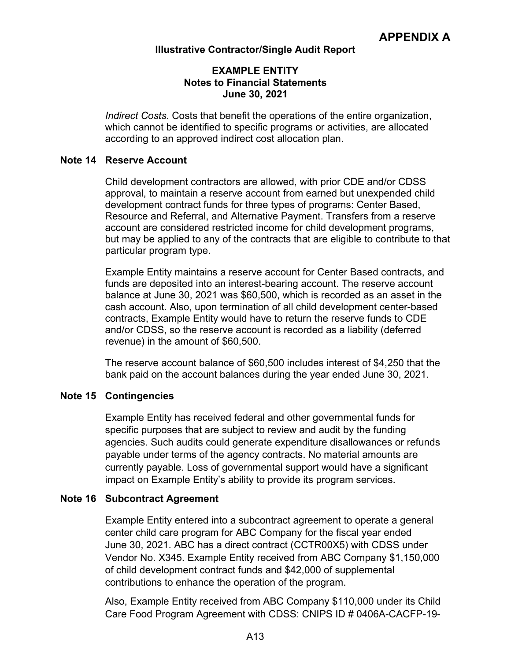*Indirect Costs*. Costs that benefit the operations of the entire organization, which cannot be identified to specific programs or activities, are allocated according to an approved indirect cost allocation plan.

#### **Note 14 Reserve Account**

Child development contractors are allowed, with prior CDE and/or CDSS approval, to maintain a reserve account from earned but unexpended child development contract funds for three types of programs: Center Based, Resource and Referral, and Alternative Payment. Transfers from a reserve account are considered restricted income for child development programs, but may be applied to any of the contracts that are eligible to contribute to that particular program type.

Example Entity maintains a reserve account for Center Based contracts, and funds are deposited into an interest-bearing account. The reserve account balance at June 30, 2021 was \$60,500, which is recorded as an asset in the cash account. Also, upon termination of all child development center-based contracts, Example Entity would have to return the reserve funds to CDE and/or CDSS, so the reserve account is recorded as a liability (deferred revenue) in the amount of \$60,500.

The reserve account balance of \$60,500 includes interest of \$4,250 that the bank paid on the account balances during the year ended June 30, 2021.

#### **Note 15 Contingencies**

Example Entity has received federal and other governmental funds for specific purposes that are subject to review and audit by the funding agencies. Such audits could generate expenditure disallowances or refunds payable under terms of the agency contracts. No material amounts are currently payable. Loss of governmental support would have a significant impact on Example Entity's ability to provide its program services.

#### **Note 16 Subcontract Agreement**

Example Entity entered into a subcontract agreement to operate a general center child care program for ABC Company for the fiscal year ended June 30, 2021. ABC has a direct contract (CCTR00X5) with CDSS under Vendor No. X345. Example Entity received from ABC Company \$1,150,000 of child development contract funds and \$42,000 of supplemental contributions to enhance the operation of the program.

Also, Example Entity received from ABC Company \$110,000 under its Child Care Food Program Agreement with CDSS: CNIPS ID # 0406A-CACFP-19-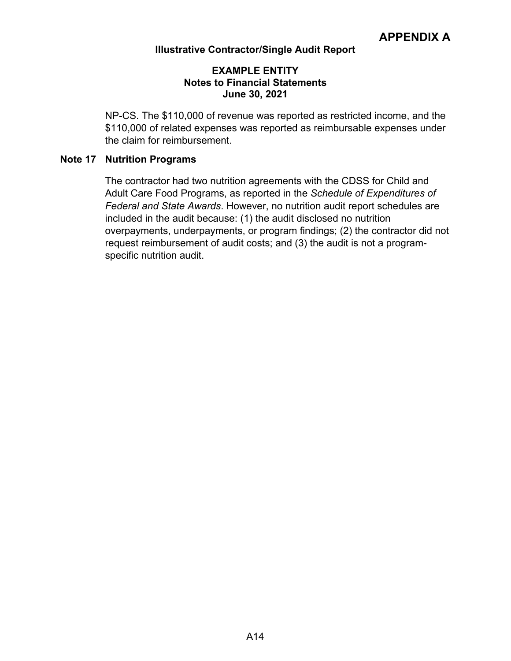NP-CS. The \$110,000 of revenue was reported as restricted income, and the \$110,000 of related expenses was reported as reimbursable expenses under the claim for reimbursement.

#### **Note 17 Nutrition Programs**

The contractor had two nutrition agreements with the CDSS for Child and Adult Care Food Programs, as reported in the *Schedule of Expenditures of Federal and State Awards*. However, no nutrition audit report schedules are included in the audit because: (1) the audit disclosed no nutrition overpayments, underpayments, or program findings; (2) the contractor did not request reimbursement of audit costs; and (3) the audit is not a programspecific nutrition audit.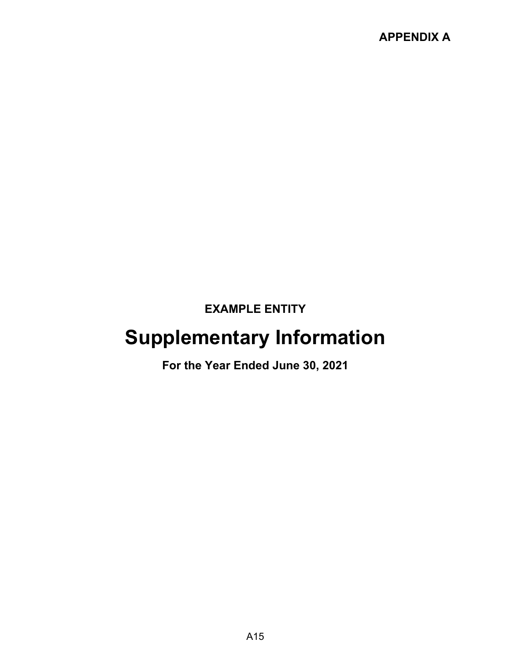**EXAMPLE ENTITY**

# **Supplementary Information**

**For the Year Ended June 30, 2021**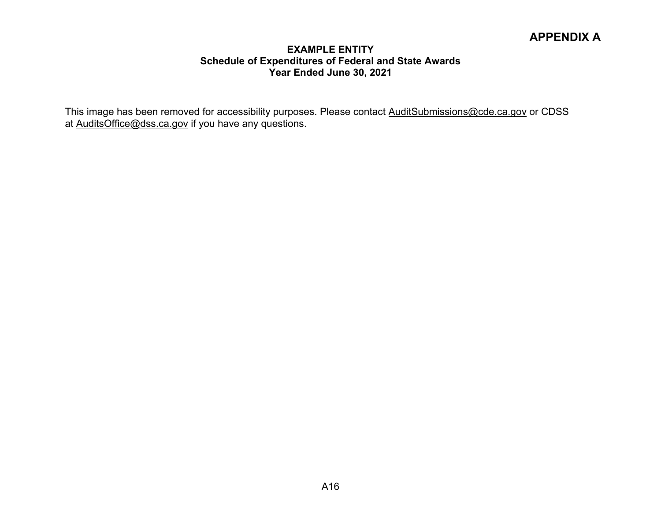#### <span id="page-130-0"></span>**EXAMPLE ENTITY Schedule of Expenditures of Federal and State Awards Year Ended June 30, 2021**

<span id="page-130-1"></span>This image has been removed for accessibility purposes. Please contac[t AuditSubmissions@cde.ca.gov o](AuditSubmissions@cde.ca.gov)r CDSS [at AuditsOffice@dss.ca.g](AuditsOffice@dss.ca.gov)ov if you have any questions.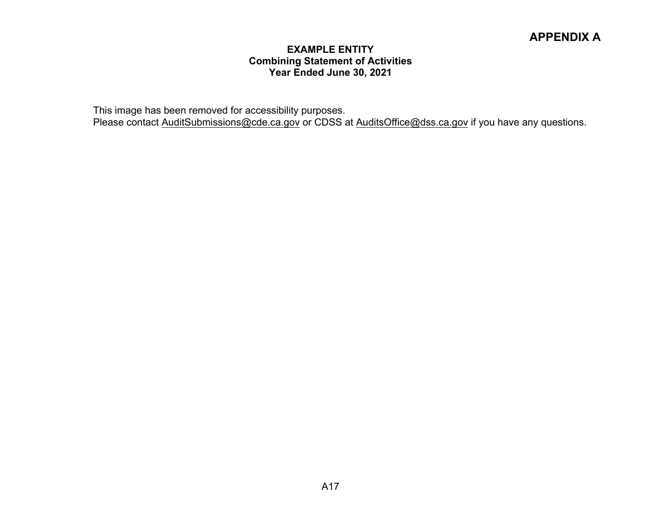#### **EXAMPLE ENTITY Combining Statement of Activities Year Ended June 30, 2021**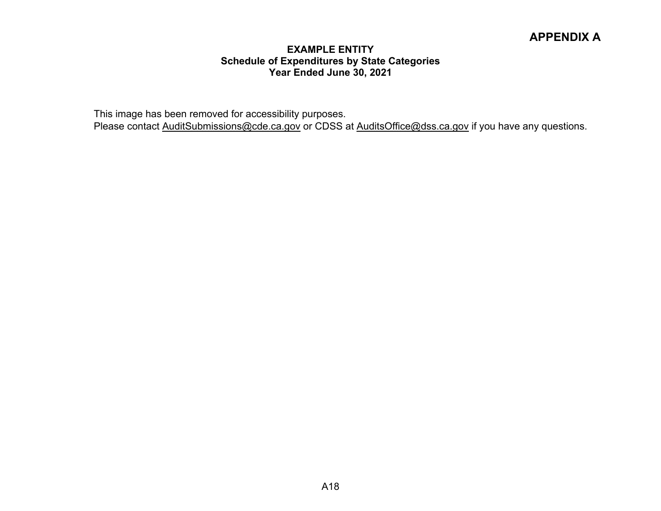#### <span id="page-132-1"></span><span id="page-132-0"></span>**EXAMPLE ENTITY Schedule of Expenditures by State Categories Year Ended June 30, 2021**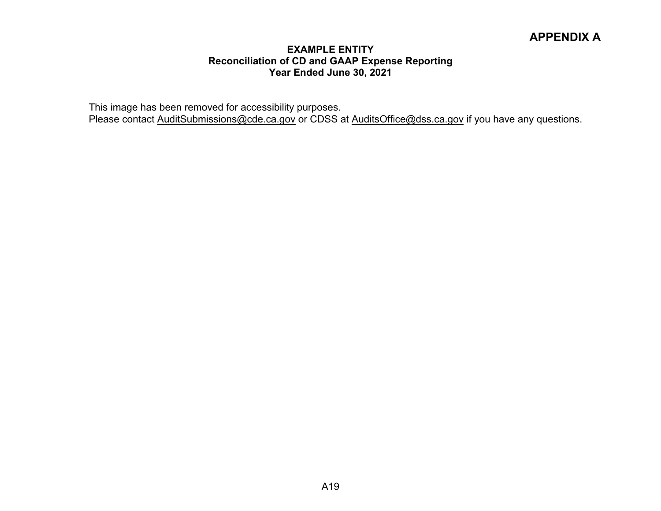#### **EXAMPLE ENTITY Reconciliation of CD and GAAP Expense Reporting Year Ended June 30, 2021**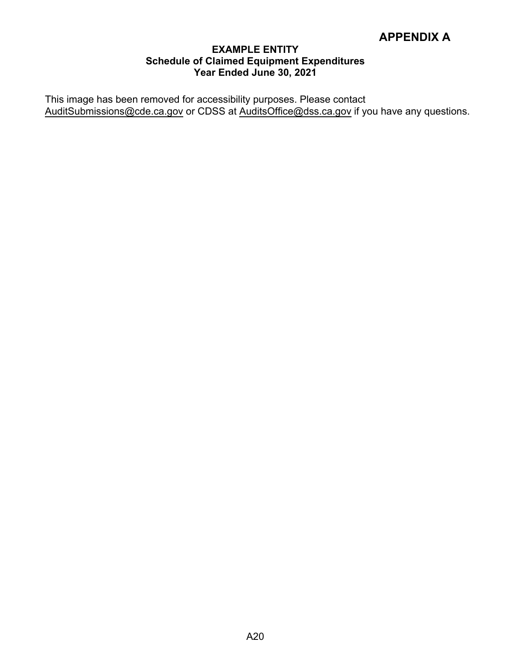#### <span id="page-134-0"></span>**EXAMPLE ENTITY Schedule of Claimed Equipment Expenditures Year Ended June 30, 2021**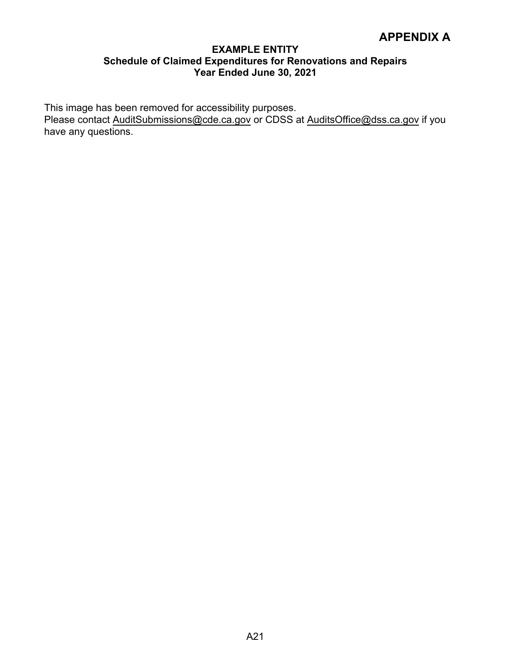#### <span id="page-135-0"></span>**EXAMPLE ENTITY Schedule of Claimed Expenditures for Renovations and Repairs Year Ended June 30, 2021**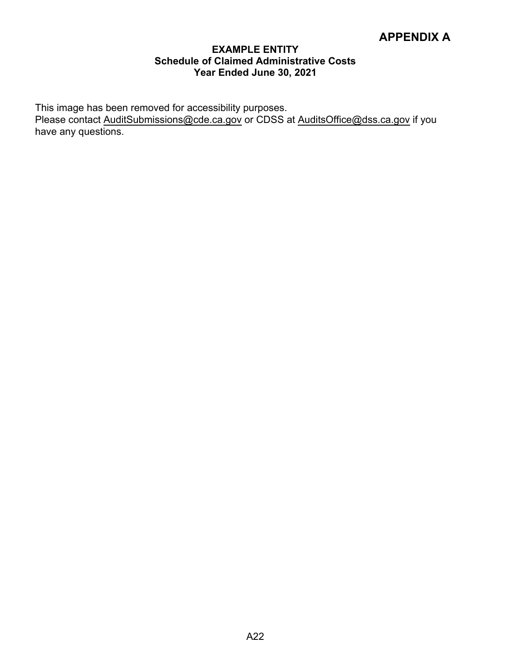#### <span id="page-136-0"></span>**EXAMPLE ENTITY Schedule of Claimed Administrative Costs Year Ended June 30, 2021**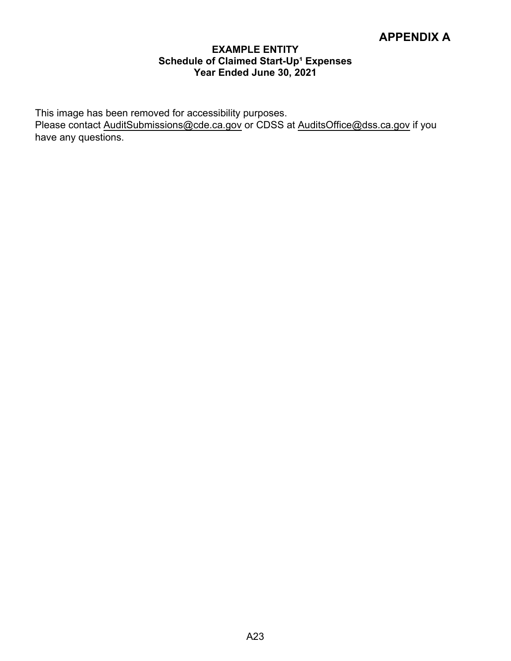#### <span id="page-137-0"></span>**EXAMPLE ENTITY Schedule of Claimed Start-Up<sup>1</sup> Expenses Year Ended June 30, 2021**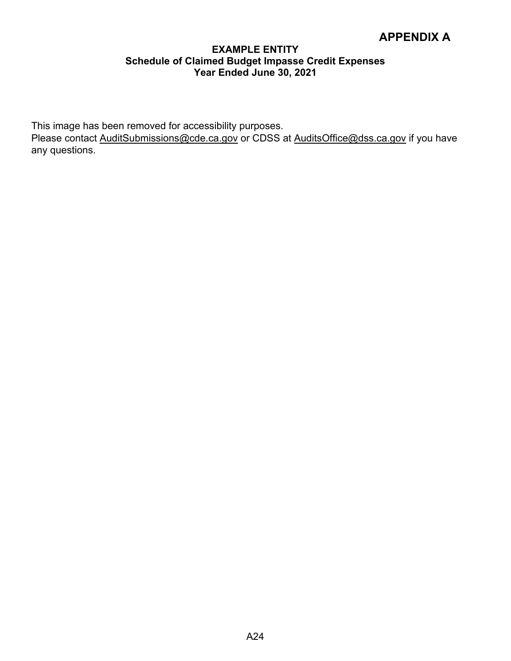#### <span id="page-138-0"></span>**EXAMPLE ENTITY Schedule of Claimed Budget Impasse Credit Expenses Year Ended June 30, 2021**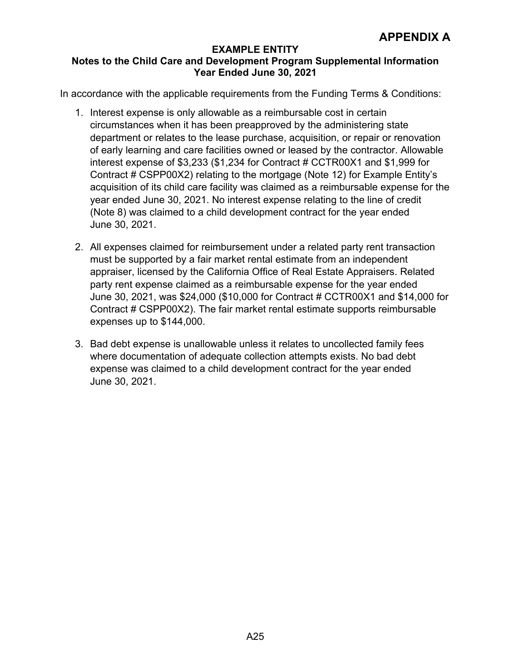## <span id="page-139-0"></span>**EXAMPLE ENTITY**

#### **Notes to the Child Care and Development Program Supplemental Information Year Ended June 30, 2021**

In accordance with the applicable requirements from the Funding Terms & Conditions:

- 1. Interest expense is only allowable as a reimbursable cost in certain circumstances when it has been preapproved by the administering state department or relates to the lease purchase, acquisition, or repair or renovation of early learning and care facilities owned or leased by the contractor. Allowable interest expense of \$3,233 (\$1,234 for Contract # CCTR00X1 and \$1,999 for Contract # CSPP00X2) relating to the mortgage (Note 12) for Example Entity's acquisition of its child care facility was claimed as a reimbursable expense for the year ended June 30, 2021. No interest expense relating to the line of credit (Note 8) was claimed to a child development contract for the year ended June 30, 2021.
- 2. All expenses claimed for reimbursement under a related party rent transaction must be supported by a fair market rental estimate from an independent appraiser, licensed by the California Office of Real Estate Appraisers. Related party rent expense claimed as a reimbursable expense for the year ended June 30, 2021, was \$24,000 (\$10,000 for Contract # CCTR00X1 and \$14,000 for Contract # CSPP00X2). The fair market rental estimate supports reimbursable expenses up to \$144,000.
- 3. Bad debt expense is unallowable unless it relates to uncollected family fees where documentation of adequate collection attempts exists. No bad debt expense was claimed to a child development contract for the year ended June 30, 2021.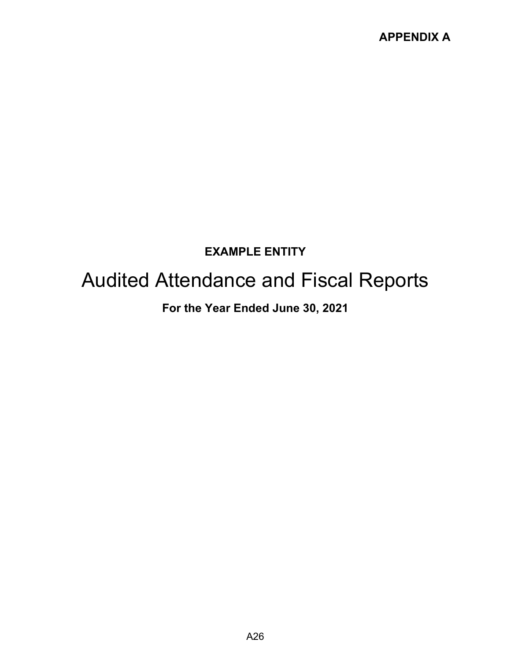# **EXAMPLE ENTITY**

# <span id="page-140-0"></span>Audited Attendance and Fiscal Reports

# **For the Year Ended June 30, 2021**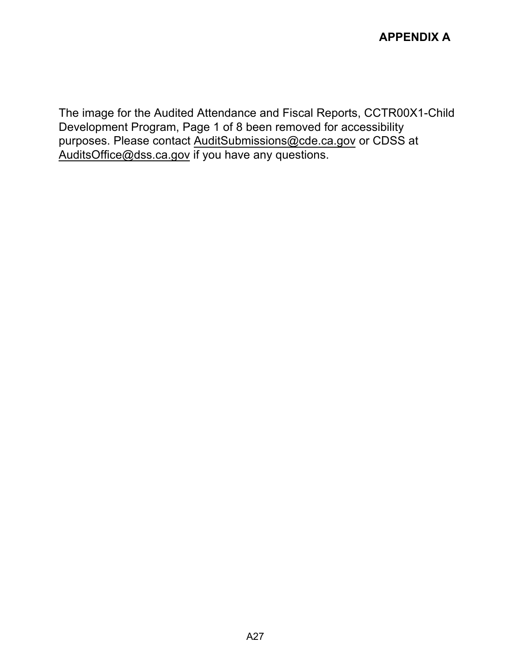<span id="page-141-0"></span>The image for the Audited Attendance and Fiscal Reports, CCTR00X1-Child Development Program, Page 1 of 8 been removed for accessibility purposes. Please conta[ct AuditSubmissions@cde.ca.gov](AuditSubmissions@cde.ca.gov) or CDSS at <AuditsOffice@dss.ca.gov> if you have any questions.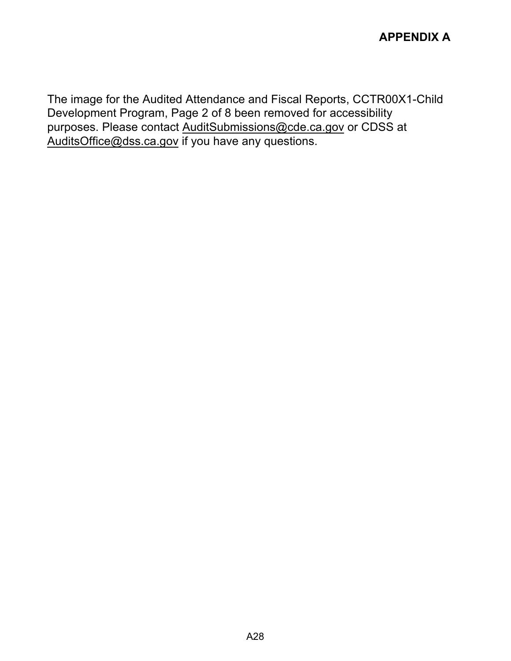The image for the Audited Attendance and Fiscal Reports, CCTR00X1-Child Development Program, Page 2 of 8 been removed for accessibility purposes. Please conta[ct AuditSubmissions@cde.ca.gov](AuditSubmissions@cde.ca.gov) or CDSS at <AuditsOffice@dss.ca.gov> if you have any questions.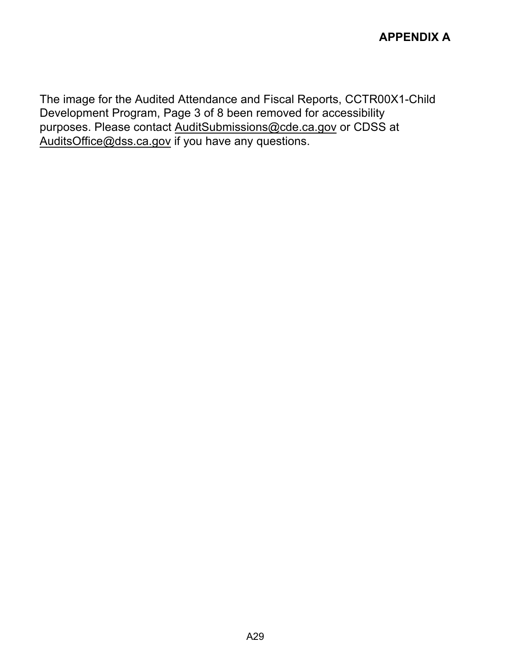The image for the Audited Attendance and Fiscal Reports, CCTR00X1-Child Development Program, Page 3 of 8 been removed for accessibility purposes. Please contac[t AuditSubmissions@cde.ca.gov](AuditSubmissions@cde.ca.gov) or CDSS at <AuditsOffice@dss.ca.gov> if you have any questions.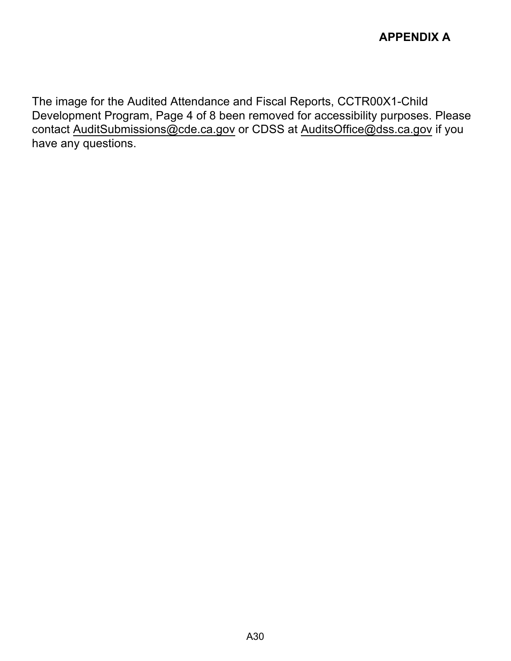The image for the Audited Attendance and Fiscal Reports, CCTR00X1-Child Development Program, Page 4 of 8 been removed for accessibility purposes. Please contac[t AuditSubmissions@cde.ca.gov](AuditSubmissions@cde.ca.gov) or CDSS at<AuditsOffice@dss.ca.gov>if you have any questions.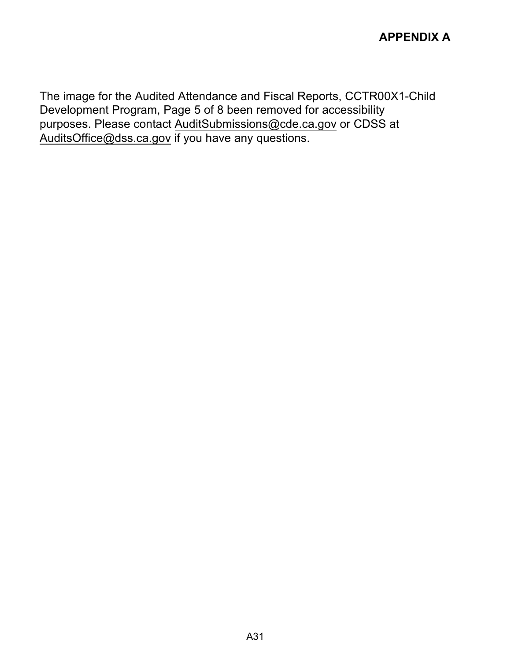The image for the Audited Attendance and Fiscal Reports, CCTR00X1-Child Development Program, Page 5 of 8 been removed for accessibility purposes. Ple[ase contact AuditSubmissions@c](AuditSubmissions@cde.ca.gov)de.ca.gov or CDSS at <AuditsOffice@dss.ca.gov> if you have any questions.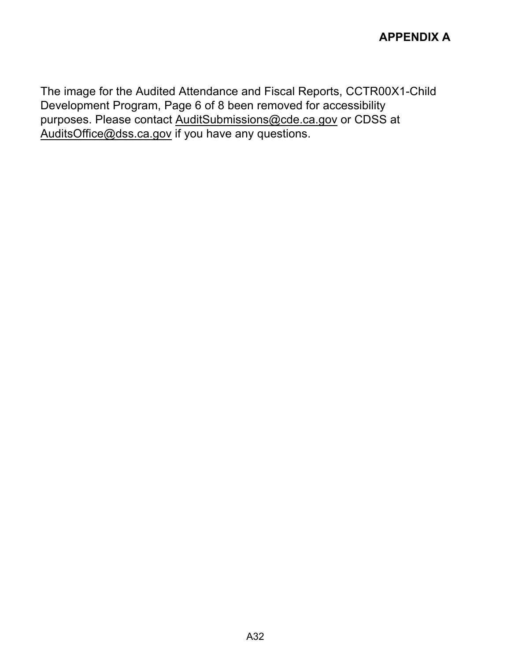The image for the Audited Attendance and Fiscal Reports, CCTR00X1-Child Development Program, Page 6 of 8 been removed for accessibility purposes. Please conta[ct AuditSubmissions@cde.ca.gov o](AuditSubmissions@cde.ca.gov)r CDSS at <AuditsOffice@dss.ca.gov> if you have any questions.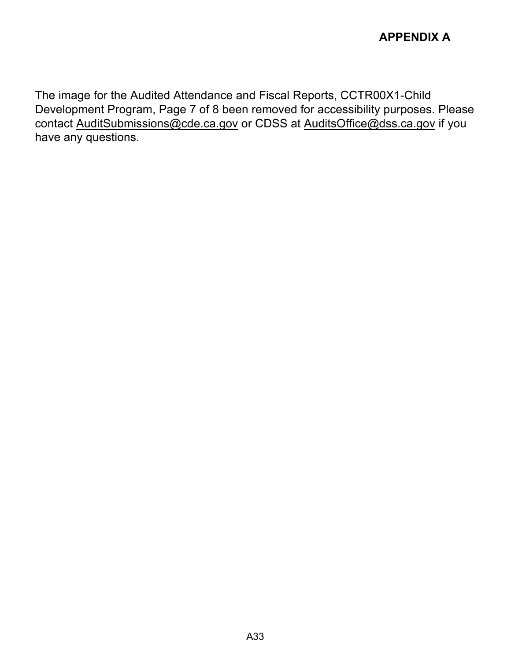The image for the Audited Attendance and Fiscal Reports, CCTR00X1-Child Development Program, Page 7 of 8 been removed for accessibility purposes. Please contac[t AuditSubmissions@cde.ca.gov](AuditSubmissions@cde.ca.gov) or CDSS at [AuditsOffice@dss.ca.gov if](AuditsOffice@dss.ca.gov) you have any questions.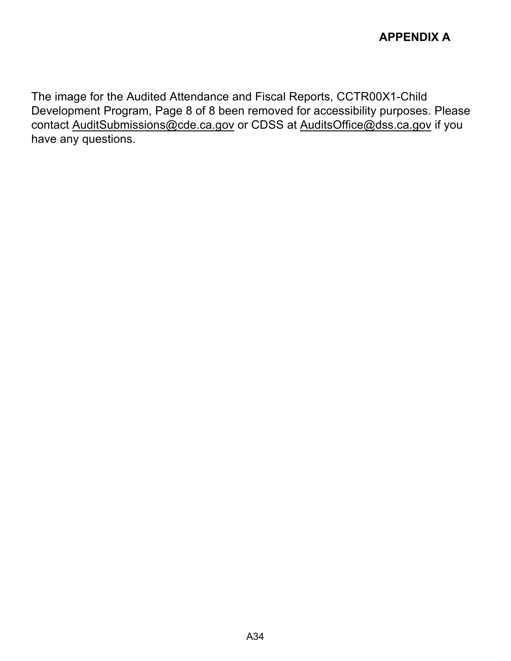The image for the Audited Attendance and Fiscal Reports, CCTR00X1-Child Development Program, Page 8 of 8 been removed for accessibility purposes. Please contac[t AuditSubmissions@cde.ca.gov](AuditSubmissions@cde.ca.gov) or CDSS at [AuditsOffice@dss.ca.gov i](AuditsOffice@dss.ca.gov)f you have any questions.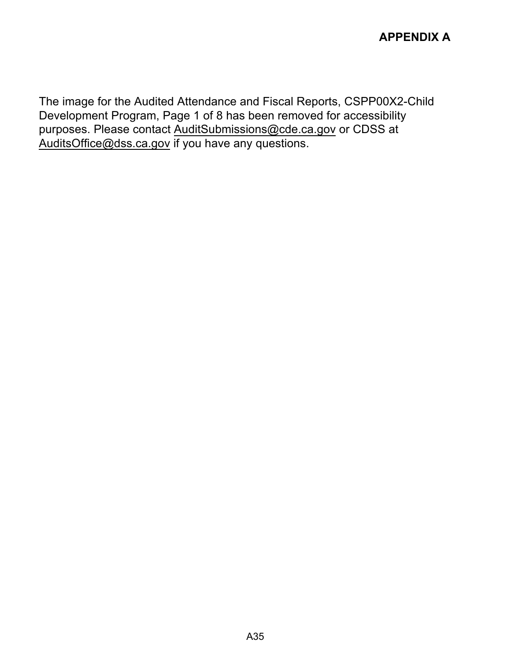The image for the Audited Attendance and Fiscal Reports, CSPP00X2-Child Development Program, Page 1 of 8 has been removed for accessibility purposes. Please contact [AuditSubmissions@cde.ca.gov o](AuditSubmissions@cde.ca.gov)r CDSS at <AuditsOffice@dss.ca.gov> if you have any questions.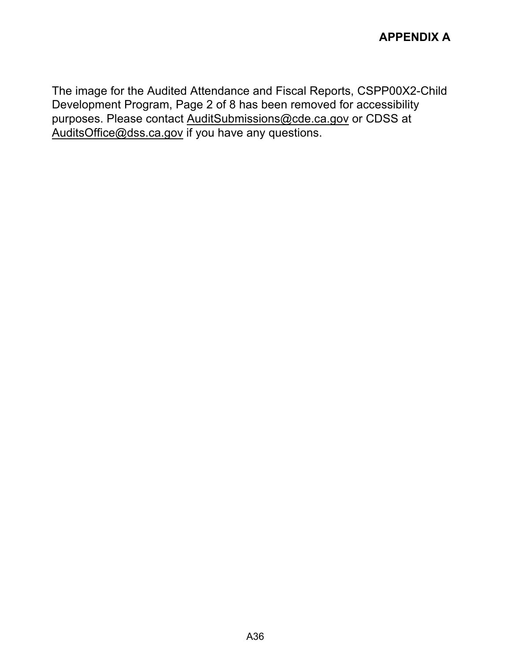The image for the Audited Attendance and Fiscal Reports, CSPP00X2-Child Development Program, Page 2 of 8 has been removed for accessibility purposes. Please conta[ct AuditSubmissions@cde.ca.gov](AuditSubmissions@cde.ca.gov) or CDSS at [AuditsOffice@dss.ca.gov i](AuditsOffice@dss.ca.gov)f you have any questions.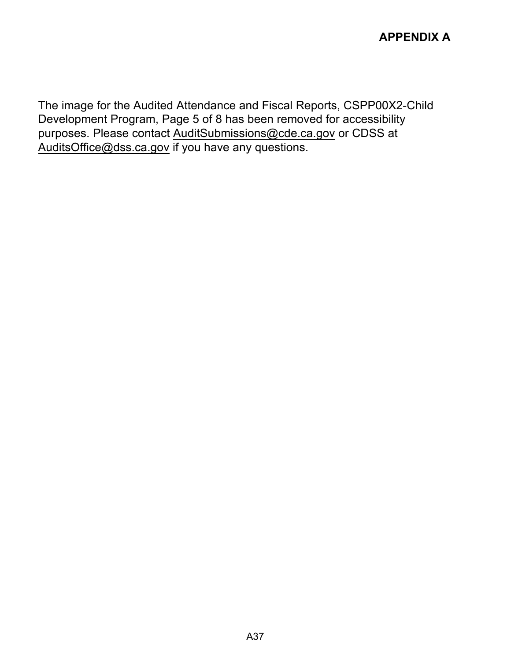The image for the Audited Attendance and Fiscal Reports, CSPP00X2-Child Development Program, Page 5 of 8 has been removed for accessibility purposes. Please contact [AuditSubmissions@cde.ca.gov o](AuditSubmissions@cde.ca.gov)r CDSS at <AuditsOffice@dss.ca.gov> if you have any questions.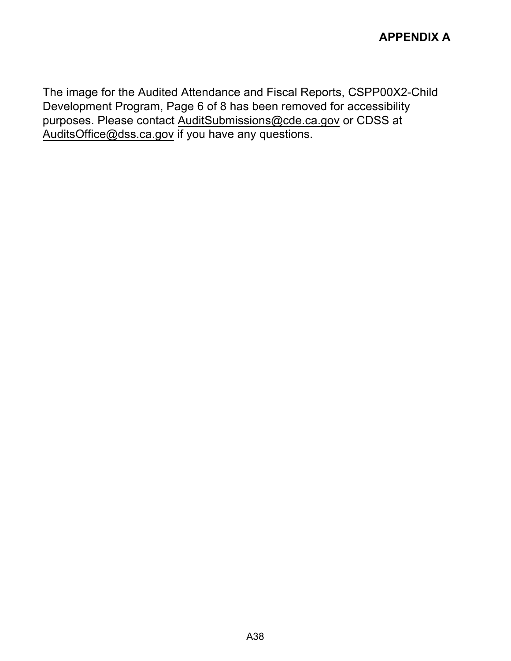The image for the Audited Attendance and Fiscal Reports, CSPP00X2-Child Development Program, Page 6 of 8 has been removed for accessibility purposes. Please conta[ct AuditSubmissions@cde.ca.gov](AuditSubmissions@cde.ca.gov) or CDSS at <AuditsOffice@dss.ca.gov> if you have any questions.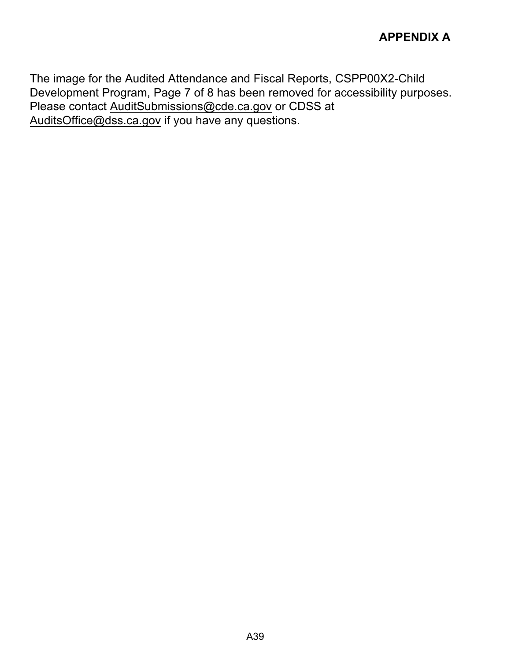The image for the Audited Attendance and Fiscal Reports, CSPP00X2-Child Development Program, Page 7 of 8 has been removed for accessibility purposes. Please contact<AuditSubmissions@cde.ca.gov>or CDSS at [AuditsOffice@dss.ca.gov if](AuditsOffice@dss.ca.gov) you have any questions.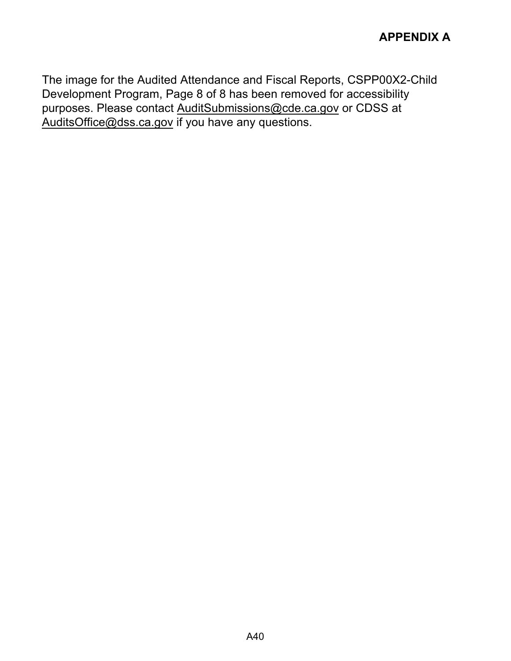The image for the Audited Attendance and Fiscal Reports, CSPP00X2-Child Development Program, Page 8 of 8 has been removed for accessibility purposes. Please contact [AuditSubmissions@cde.ca.gov o](AuditSubmissions@cde.ca.gov)r CDSS at <AuditsOffice@dss.ca.gov> if you have any questions.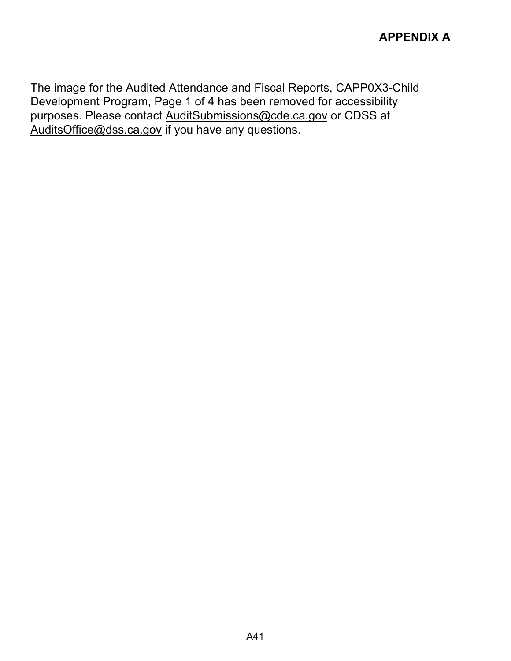The image for the Audited Attendance and Fiscal Reports, CAPP0X3-Child Development Program, Page 1 of 4 has been removed for accessibility purposes. Please contact<AuditSubmissions@cde.ca.gov>or CDSS at <AuditsOffice@dss.ca.gov> if you have any questions.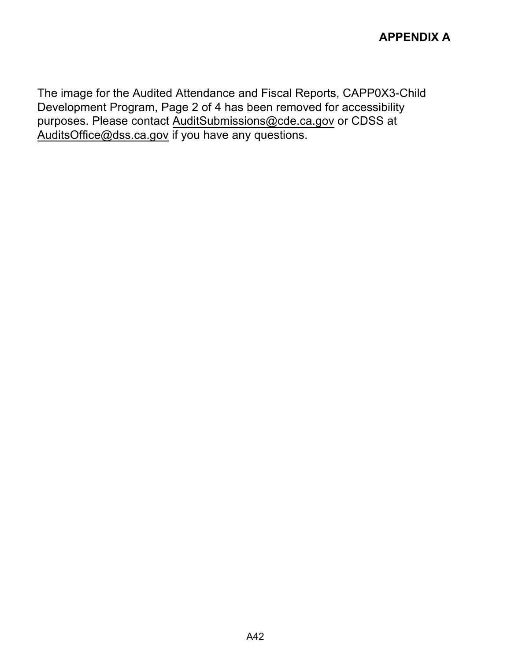The image for the Audited Attendance and Fiscal Reports, CAPP0X3-Child Development Program, Page 2 of 4 has been removed for accessibility purposes. Please contac[t AuditSubmissions@cde.ca.gov](AuditSubmissions@cde.ca.gov) or CDSS at <AuditsOffice@dss.ca.gov> if you have any questions.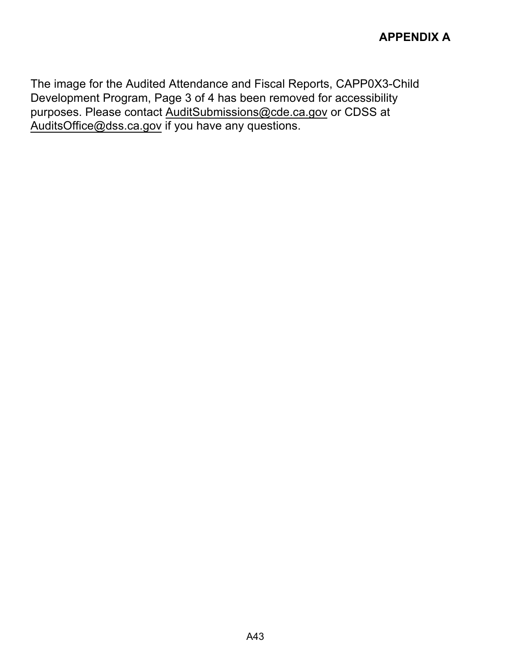The image for the Audited Attendance and Fiscal Reports, CAPP0X3-Child Development Program, Page 3 of 4 has been removed for accessibility purposes. Please contac[t AuditSubmissions@cde.ca.gov](AuditSubmissions@cde.ca.gov) or CDSS at <AuditsOffice@dss.ca.gov> if you have any questions.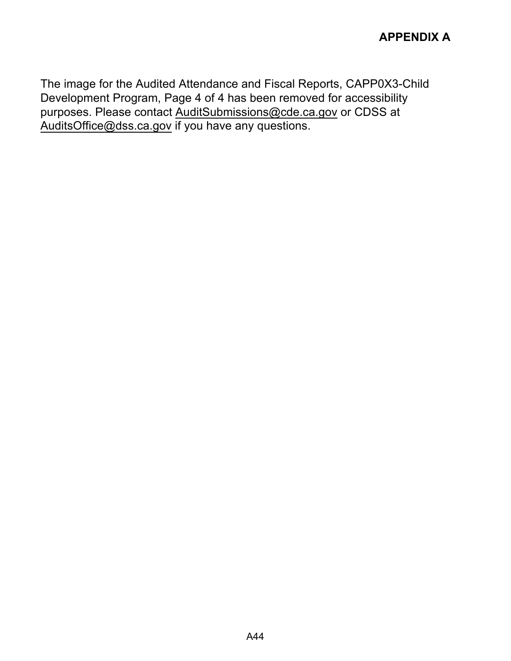The image for the Audited Attendance and Fiscal Reports, CAPP0X3-Child Development Program, Page 4 of 4 has been removed for accessibility purposes. Please contac[t AuditSubmissions@cde.ca.gov](AuditSubmissions@cde.ca.gov) or CDSS at <AuditsOffice@dss.ca.gov> if you have any questions.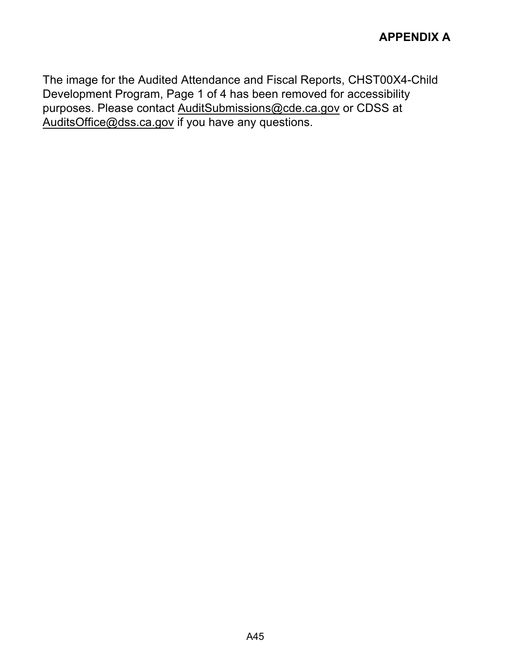The image for the Audited Attendance and Fiscal Reports, CHST00X4-Child Development Program, Page 1 of 4 has been removed for accessibility purposes. Please cont[act AuditSubmissions@cde.ca.gov](AuditSubmissions@cde.ca.gov) or CDSS at <AuditsOffice@dss.ca.gov> if you have any questions.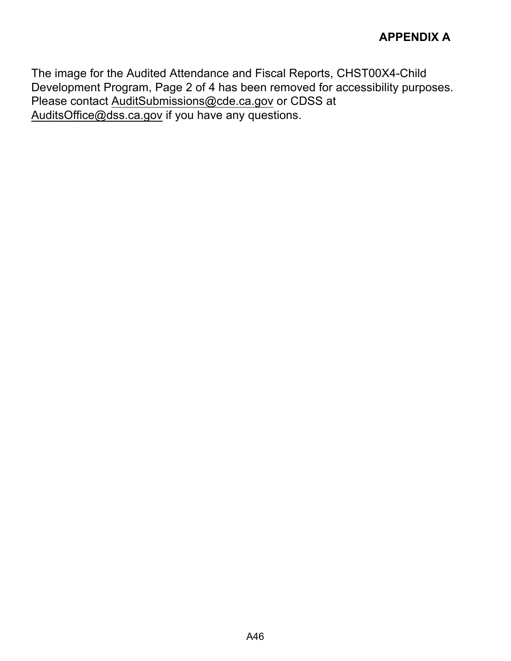The image for the Audited Attendance and Fiscal Reports, CHST00X4-Child Development Program, Page 2 of 4 has been removed for accessibility purposes. Please contact<AuditSubmissions@cde.ca.gov>or CDSS at [AuditsOffice@dss.ca.gov if](AuditsOffice@dss.ca.gov) you have any questions.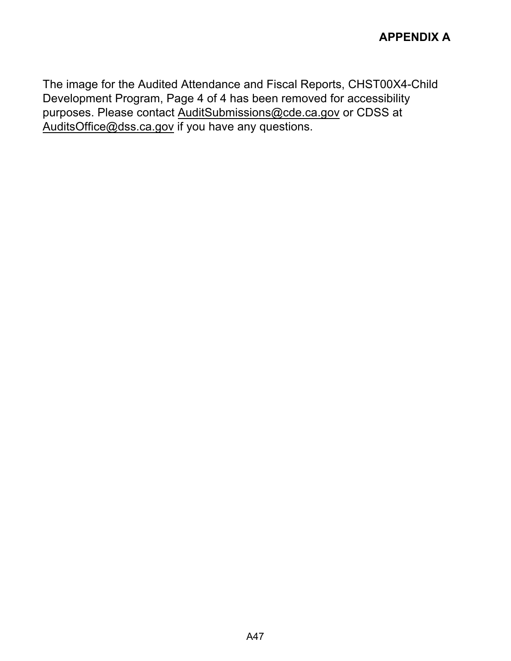The image for the Audited Attendance and Fiscal Reports, CHST00X4-Child Development Program, Page 4 of 4 has been removed for accessibility purposes. Please conta[ct AuditSubmissions@cde.ca.gov](AuditSubmissions@cde.ca.gov) or CDSS at <AuditsOffice@dss.ca.gov> if you have any questions.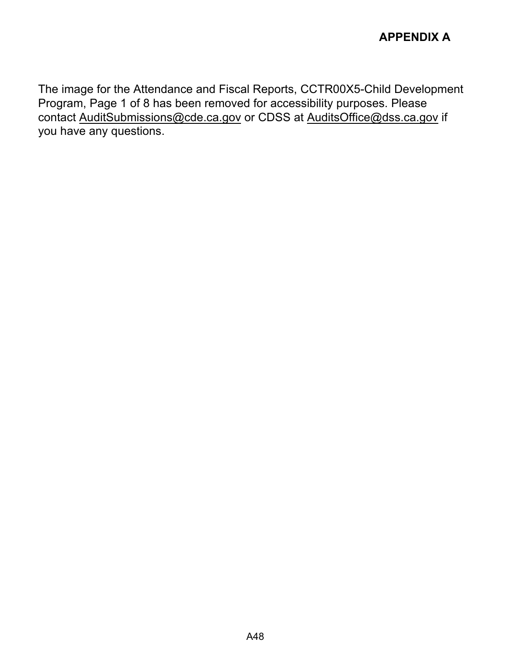The image for the Attendance and Fiscal Reports, CCTR00X5-Child Development Program, Page 1 of 8 has been removed for accessibility purposes. Please contac[t AuditSubmissions@cde.ca.gov o](AuditSubmissions@cde.ca.gov)r CDSS a[t AuditsOffice@dss.ca.gov](AuditsOffice@dss.ca.gov) if you have any questions.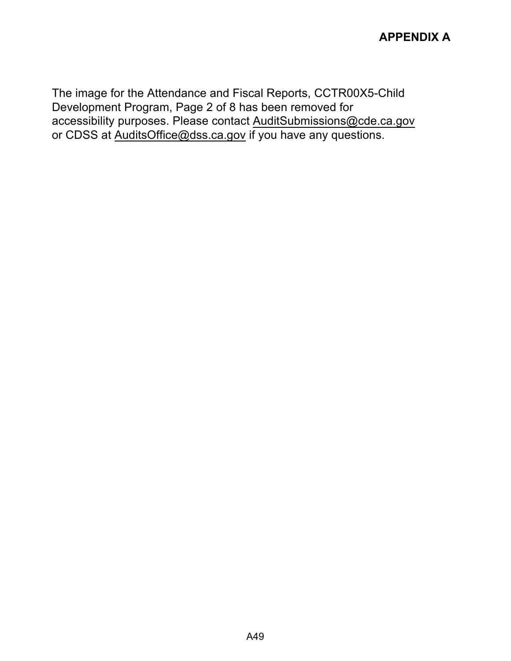# **APPENDIX A**

The image for the Attendance and Fiscal Reports, CCTR00X5-Child Development Program, Page 2 of 8 has been removed for accessibility purposes. Please conta[ct AuditSubmissions@cde.ca.gov](AuditSubmissions@cde.ca.gov) or CDSS [at AuditsOffice@dss.ca.gov](AuditsOffice@dss.ca.gov) if you have any questions.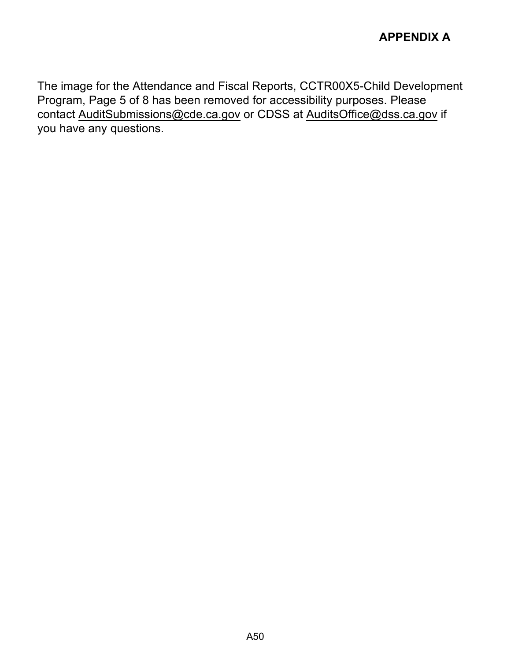The image for the Attendance and Fiscal Reports, CCTR00X5-Child Development Program, Page 5 of 8 has been removed for accessibility purposes. Please contact [AuditSubmissions@cde.ca.gov or](AuditSubmissions@cde.ca.gov) CDSS a[t AuditsOffice@dss.ca.gov](AuditsOffice@dss.ca.gov) if you have any questions.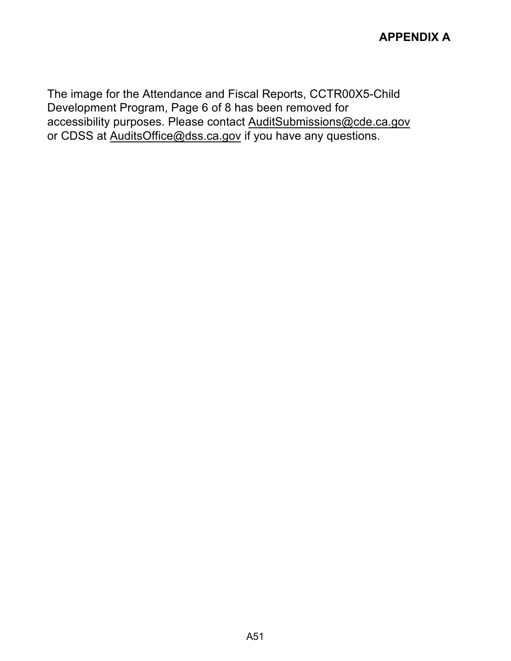# **APPENDIX A**

The image for the Attendance and Fiscal Reports, CCTR00X5-Child Development Program, Page 6 of 8 has been removed for accessibility purposes. Please contac[t AuditSubmissions@cde.ca.gov](AuditSubmissions@cde.ca.gov)  or CDSS a[t AuditsOffice@dss.ca.gov](AuditsOffice@dss.ca.gov) if you have any questions.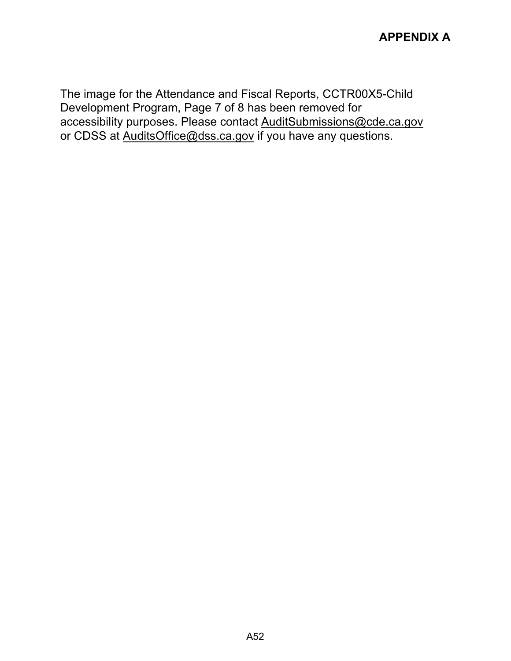# **APPENDIX A**

The image for the Attendance and Fiscal Reports, CCTR00X5-Child Development Program, Page 7 of 8 has been removed for accessibility purposes. Please conta[ct AuditSubmissions@cde.ca.gov](AuditSubmissions@cde.ca.gov) or CDSS at<AuditsOffice@dss.ca.gov> if you have any questions.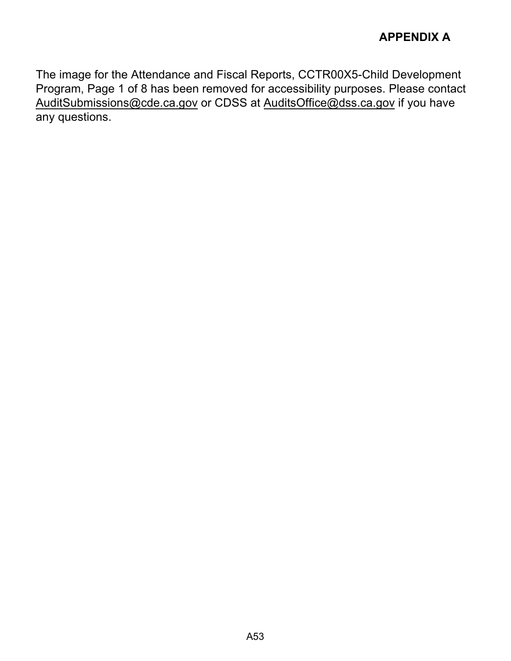The image for the Attendance and Fiscal Reports, CCTR00X5-Child Development Program, Page 1 of 8 has been removed for accessibility purposes. Please contact [AuditSubmissions@cde.ca.gov o](AuditSubmissions@cde.ca.gov)r CDSS a[t AuditsOffice@dss.ca.gov](AuditsOffice@dss.ca.gov) if you have any questions.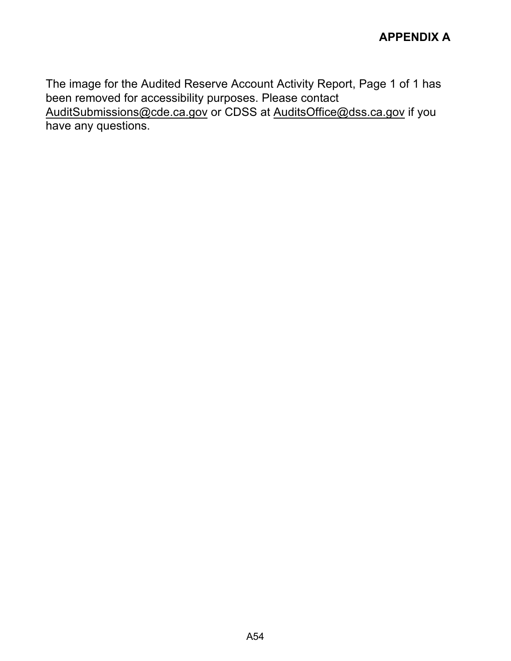The image for the Audited Reserve Account Activity Report, Page 1 of 1 has been removed for accessibility purposes. Please contact [AuditSubmissions@cde.ca.gov o](AuditSubmissions@cde.ca.gov)r CDSS at<AuditsOffice@dss.ca.gov> if you have any questions.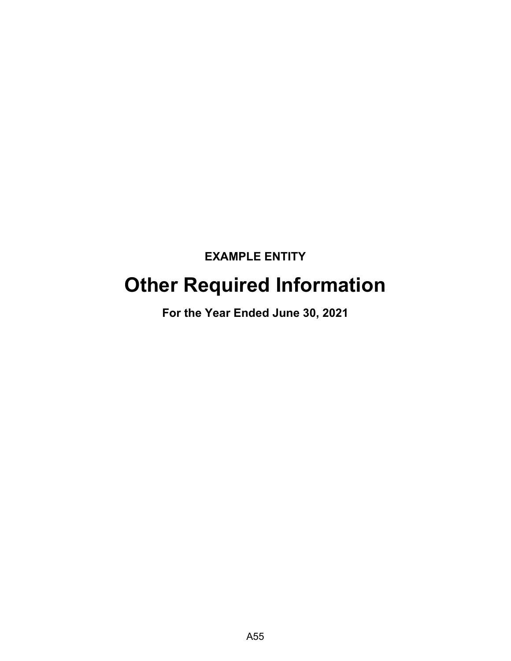# **EXAMPLE ENTITY Other Required Information**

**For the Year Ended June 30, 2021**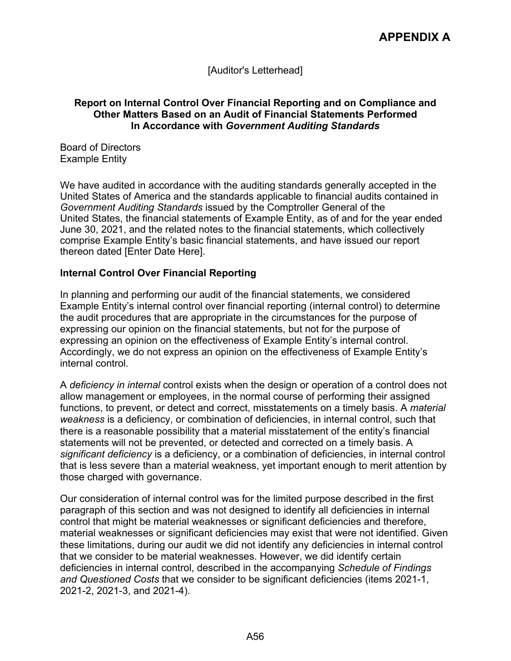[Auditor's Letterhead]

#### **Report on Internal Control Over Financial Reporting and on Compliance and Other Matters Based on an Audit of Financial Statements Performed In Accordance with** *Government Auditing Standards*

Board of Directors Example Entity

We have audited in accordance with the auditing standards generally accepted in the United States of America and the standards applicable to financial audits contained in *Government Auditing Standards* issued by the Comptroller General of the United States, the financial statements of Example Entity, as of and for the year ended June 30, 2021, and the related notes to the financial statements, which collectively comprise Example Entity's basic financial statements, and have issued our report thereon dated [Enter Date Here].

#### **Internal Control Over Financial Reporting**

In planning and performing our audit of the financial statements, we considered Example Entity's internal control over financial reporting (internal control) to determine the audit procedures that are appropriate in the circumstances for the purpose of expressing our opinion on the financial statements, but not for the purpose of expressing an opinion on the effectiveness of Example Entity's internal control. Accordingly, we do not express an opinion on the effectiveness of Example Entity's internal control.

A *deficiency in internal* control exists when the design or operation of a control does not allow management or employees, in the normal course of performing their assigned functions, to prevent, or detect and correct, misstatements on a timely basis. A *material weakness* is a deficiency, or combination of deficiencies, in internal control, such that there is a reasonable possibility that a material misstatement of the entity's financial statements will not be prevented, or detected and corrected on a timely basis. A *significant deficiency* is a deficiency, or a combination of deficiencies, in internal control that is less severe than a material weakness, yet important enough to merit attention by those charged with governance.

Our consideration of internal control was for the limited purpose described in the first paragraph of this section and was not designed to identify all deficiencies in internal control that might be material weaknesses or significant deficiencies and therefore, material weaknesses or significant deficiencies may exist that were not identified. Given these limitations, during our audit we did not identify any deficiencies in internal control that we consider to be material weaknesses. However, we did identify certain deficiencies in internal control, described in the accompanying *Schedule of Findings and Questioned Costs* that we consider to be significant deficiencies (items 2021-1, 2021-2, 2021-3, and 2021-4).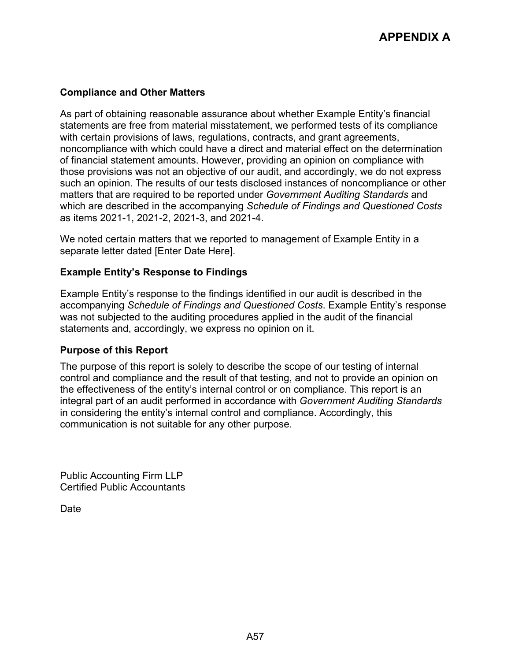#### **Compliance and Other Matters**

As part of obtaining reasonable assurance about whether Example Entity's financial statements are free from material misstatement, we performed tests of its compliance with certain provisions of laws, regulations, contracts, and grant agreements, noncompliance with which could have a direct and material effect on the determination of financial statement amounts. However, providing an opinion on compliance with those provisions was not an objective of our audit, and accordingly, we do not express such an opinion. The results of our tests disclosed instances of noncompliance or other matters that are required to be reported under *Government Auditing Standards* and which are described in the accompanying *Schedule of Findings and Questioned Costs* as items 2021-1, 2021-2, 2021-3, and 2021-4.

We noted certain matters that we reported to management of Example Entity in a separate letter dated [Enter Date Here].

#### **Example Entity's Response to Findings**

Example Entity's response to the findings identified in our audit is described in the accompanying *Schedule of Findings and Questioned Costs*. Example Entity's response was not subjected to the auditing procedures applied in the audit of the financial statements and, accordingly, we express no opinion on it.

#### **Purpose of this Report**

The purpose of this report is solely to describe the scope of our testing of internal control and compliance and the result of that testing, and not to provide an opinion on the effectiveness of the entity's internal control or on compliance. This report is an integral part of an audit performed in accordance with *Government Auditing Standards* in considering the entity's internal control and compliance. Accordingly, this communication is not suitable for any other purpose.

Public Accounting Firm LLP Certified Public Accountants

Date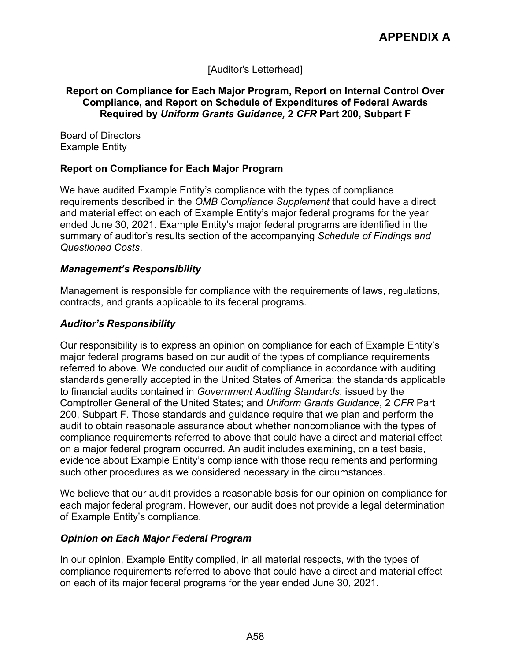#### [Auditor's Letterhead]

#### **Report on Compliance for Each Major Program, Report on Internal Control Over Compliance, and Report on Schedule of Expenditures of Federal Awards Required by** *Uniform Grants Guidance,* **2** *CFR* **Part 200, Subpart F**

Board of Directors Example Entity

#### **Report on Compliance for Each Major Program**

We have audited Example Entity's compliance with the types of compliance requirements described in the *OMB Compliance Supplement* that could have a direct and material effect on each of Example Entity's major federal programs for the year ended June 30, 2021. Example Entity's major federal programs are identified in the summary of auditor's results section of the accompanying *Schedule of Findings and Questioned Costs*.

#### *Management's Responsibility*

Management is responsible for compliance with the requirements of laws, regulations, contracts, and grants applicable to its federal programs.

#### *Auditor's Responsibility*

Our responsibility is to express an opinion on compliance for each of Example Entity's major federal programs based on our audit of the types of compliance requirements referred to above. We conducted our audit of compliance in accordance with auditing standards generally accepted in the United States of America; the standards applicable to financial audits contained in *Government Auditing Standards*, issued by the Comptroller General of the United States; and *Uniform Grants Guidance*, 2 *CFR* Part 200, Subpart F. Those standards and guidance require that we plan and perform the audit to obtain reasonable assurance about whether noncompliance with the types of compliance requirements referred to above that could have a direct and material effect on a major federal program occurred. An audit includes examining, on a test basis, evidence about Example Entity's compliance with those requirements and performing such other procedures as we considered necessary in the circumstances.

We believe that our audit provides a reasonable basis for our opinion on compliance for each major federal program. However, our audit does not provide a legal determination of Example Entity's compliance.

#### *Opinion on Each Major Federal Program*

In our opinion, Example Entity complied, in all material respects, with the types of compliance requirements referred to above that could have a direct and material effect on each of its major federal programs for the year ended June 30, 2021.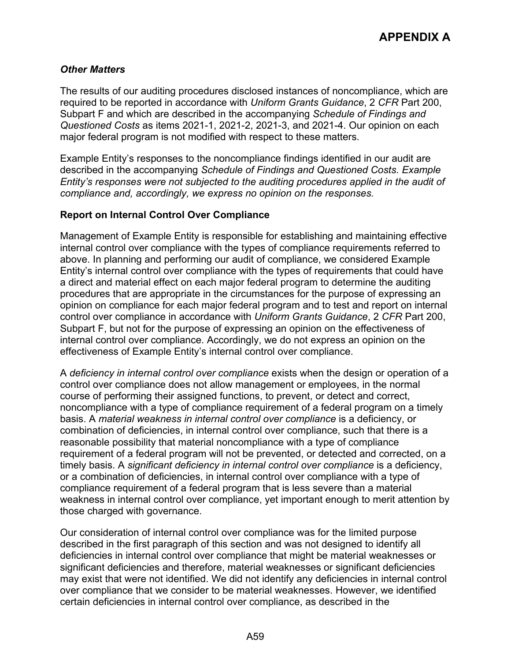#### *Other Matters*

The results of our auditing procedures disclosed instances of noncompliance, which are required to be reported in accordance with *Uniform Grants Guidance*, 2 *CFR* Part 200, Subpart F and which are described in the accompanying *Schedule of Findings and Questioned Costs* as items 2021-1, 2021-2, 2021-3, and 2021-4. Our opinion on each major federal program is not modified with respect to these matters.

Example Entity's responses to the noncompliance findings identified in our audit are described in the accompanying *Schedule of Findings and Questioned Costs. Example Entity's responses were not subjected to the auditing procedures applied in the audit of compliance and, accordingly, we express no opinion on the responses.*

#### **Report on Internal Control Over Compliance**

Management of Example Entity is responsible for establishing and maintaining effective internal control over compliance with the types of compliance requirements referred to above. In planning and performing our audit of compliance, we considered Example Entity's internal control over compliance with the types of requirements that could have a direct and material effect on each major federal program to determine the auditing procedures that are appropriate in the circumstances for the purpose of expressing an opinion on compliance for each major federal program and to test and report on internal control over compliance in accordance with *Uniform Grants Guidance*, 2 *CFR* Part 200, Subpart F, but not for the purpose of expressing an opinion on the effectiveness of internal control over compliance. Accordingly, we do not express an opinion on the effectiveness of Example Entity's internal control over compliance.

A *deficiency in internal control over compliance* exists when the design or operation of a control over compliance does not allow management or employees, in the normal course of performing their assigned functions, to prevent, or detect and correct, noncompliance with a type of compliance requirement of a federal program on a timely basis. A *material weakness in internal control over compliance* is a deficiency, or combination of deficiencies, in internal control over compliance, such that there is a reasonable possibility that material noncompliance with a type of compliance requirement of a federal program will not be prevented, or detected and corrected, on a timely basis. A *significant deficiency in internal control over compliance* is a deficiency, or a combination of deficiencies, in internal control over compliance with a type of compliance requirement of a federal program that is less severe than a material weakness in internal control over compliance, yet important enough to merit attention by those charged with governance.

Our consideration of internal control over compliance was for the limited purpose described in the first paragraph of this section and was not designed to identify all deficiencies in internal control over compliance that might be material weaknesses or significant deficiencies and therefore, material weaknesses or significant deficiencies may exist that were not identified. We did not identify any deficiencies in internal control over compliance that we consider to be material weaknesses. However, we identified certain deficiencies in internal control over compliance, as described in the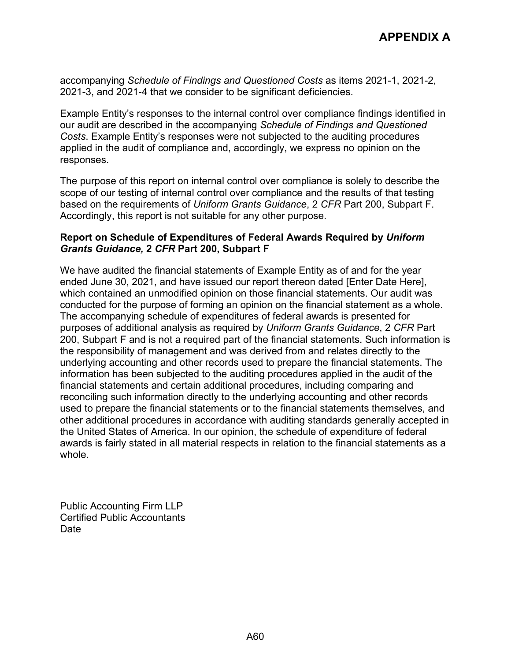accompanying *Schedule of Findings and Questioned Costs* as items 2021-1, 2021-2, 2021-3, and 2021-4 that we consider to be significant deficiencies.

Example Entity's responses to the internal control over compliance findings identified in our audit are described in the accompanying *Schedule of Findings and Questioned Costs*. Example Entity's responses were not subjected to the auditing procedures applied in the audit of compliance and, accordingly, we express no opinion on the responses.

The purpose of this report on internal control over compliance is solely to describe the scope of our testing of internal control over compliance and the results of that testing based on the requirements of *Uniform Grants Guidance*, 2 *CFR* Part 200, Subpart F. Accordingly, this report is not suitable for any other purpose.

#### **Report on Schedule of Expenditures of Federal Awards Required by** *Uniform Grants Guidance,* **2** *CFR* **Part 200, Subpart F**

We have audited the financial statements of Example Entity as of and for the year ended June 30, 2021, and have issued our report thereon dated [Enter Date Here], which contained an unmodified opinion on those financial statements. Our audit was conducted for the purpose of forming an opinion on the financial statement as a whole. The accompanying schedule of expenditures of federal awards is presented for purposes of additional analysis as required by *Uniform Grants Guidance*, 2 *CFR* Part 200, Subpart F and is not a required part of the financial statements. Such information is the responsibility of management and was derived from and relates directly to the underlying accounting and other records used to prepare the financial statements. The information has been subjected to the auditing procedures applied in the audit of the financial statements and certain additional procedures, including comparing and reconciling such information directly to the underlying accounting and other records used to prepare the financial statements or to the financial statements themselves, and other additional procedures in accordance with auditing standards generally accepted in the United States of America. In our opinion, the schedule of expenditure of federal awards is fairly stated in all material respects in relation to the financial statements as a whole.

Public Accounting Firm LLP Certified Public Accountants Date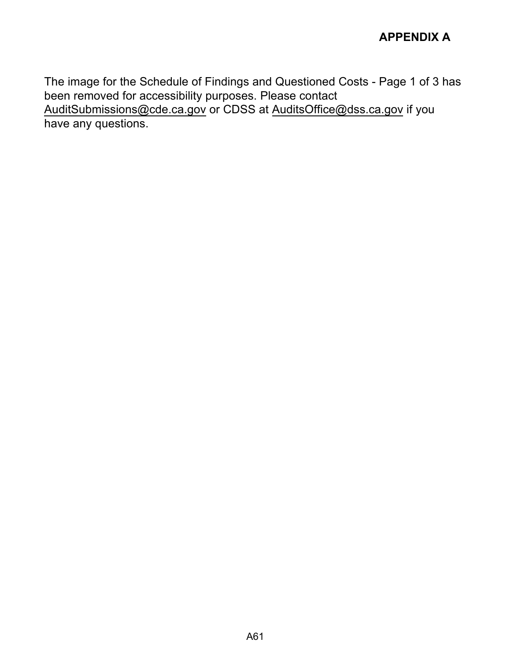The image for the Schedule of Findings and Questioned Costs - Page 1 of 3 has been removed for accessibility purposes. Please contact <AuditSubmissions@cde.ca.gov>or CDSS a[t AuditsOffice@dss.ca.gov](AuditsOffice@dss.ca.gov) if you have any questions.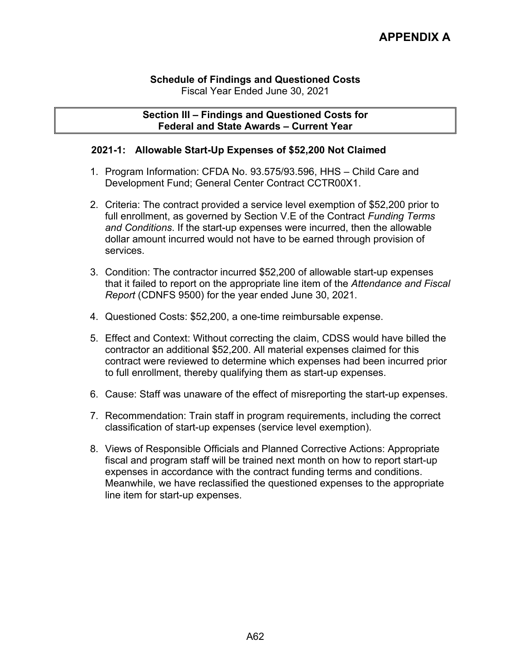#### **Schedule of Findings and Questioned Costs**

Fiscal Year Ended June 30, 2021

**Section III – Findings and Questioned Costs for Federal and State Awards – Current Year**

#### **2021-1: Allowable Start-Up Expenses of \$52,200 Not Claimed**

- 1. Program Information: CFDA No. 93.575/93.596, HHS Child Care and Development Fund; General Center Contract CCTR00X1.
- 2. Criteria: The contract provided a service level exemption of \$52,200 prior to full enrollment, as governed by Section V.E of the Contract *Funding Terms and Conditions*. If the start-up expenses were incurred, then the allowable dollar amount incurred would not have to be earned through provision of services.
- 3. Condition: The contractor incurred \$52,200 of allowable start-up expenses that it failed to report on the appropriate line item of the *Attendance and Fiscal Report* (CDNFS 9500) for the year ended June 30, 2021.
- 4. Questioned Costs: \$52,200, a one-time reimbursable expense.
- 5. Effect and Context: Without correcting the claim, CDSS would have billed the contractor an additional \$52,200. All material expenses claimed for this contract were reviewed to determine which expenses had been incurred prior to full enrollment, thereby qualifying them as start-up expenses.
- 6. Cause: Staff was unaware of the effect of misreporting the start-up expenses.
- 7. Recommendation: Train staff in program requirements, including the correct classification of start-up expenses (service level exemption).
- 8. Views of Responsible Officials and Planned Corrective Actions: Appropriate fiscal and program staff will be trained next month on how to report start-up expenses in accordance with the contract funding terms and conditions. Meanwhile, we have reclassified the questioned expenses to the appropriate line item for start-up expenses.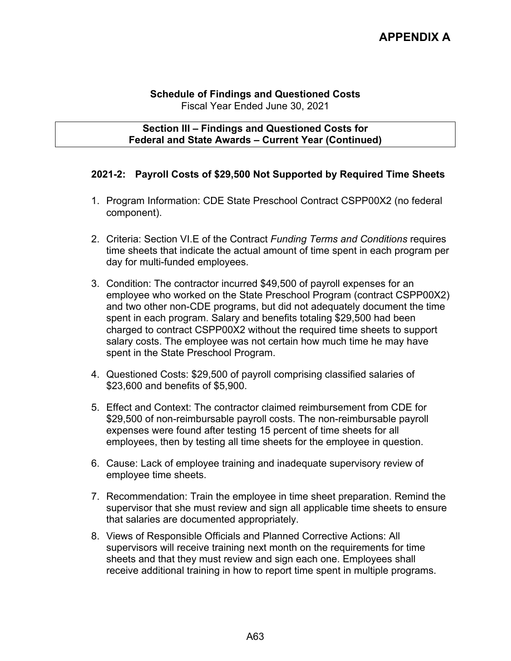# **Schedule of Findings and Questioned Costs**

Fiscal Year Ended June 30, 2021

#### **Section III – Findings and Questioned Costs for Federal and State Awards – Current Year (Continued)**

#### **2021-2: Payroll Costs of \$29,500 Not Supported by Required Time Sheets**

- 1. Program Information: CDE State Preschool Contract CSPP00X2 (no federal component).
- 2. Criteria: Section VI.E of the Contract *Funding Terms and Conditions* requires time sheets that indicate the actual amount of time spent in each program per day for multi-funded employees.
- 3. Condition: The contractor incurred \$49,500 of payroll expenses for an employee who worked on the State Preschool Program (contract CSPP00X2) and two other non-CDE programs, but did not adequately document the time spent in each program. Salary and benefits totaling \$29,500 had been charged to contract CSPP00X2 without the required time sheets to support salary costs. The employee was not certain how much time he may have spent in the State Preschool Program.
- 4. Questioned Costs: \$29,500 of payroll comprising classified salaries of \$23,600 and benefits of \$5,900.
- 5. Effect and Context: The contractor claimed reimbursement from CDE for \$29,500 of non-reimbursable payroll costs. The non-reimbursable payroll expenses were found after testing 15 percent of time sheets for all employees, then by testing all time sheets for the employee in question.
- 6. Cause: Lack of employee training and inadequate supervisory review of employee time sheets.
- 7. Recommendation: Train the employee in time sheet preparation. Remind the supervisor that she must review and sign all applicable time sheets to ensure that salaries are documented appropriately.
- 8. Views of Responsible Officials and Planned Corrective Actions: All supervisors will receive training next month on the requirements for time sheets and that they must review and sign each one. Employees shall receive additional training in how to report time spent in multiple programs.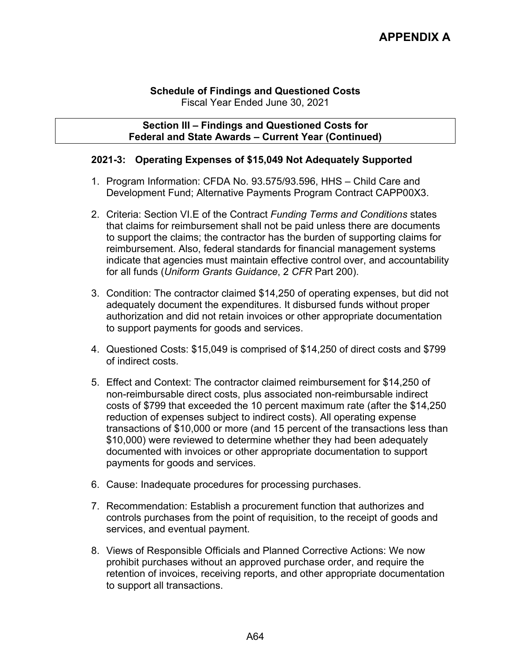#### **Schedule of Findings and Questioned Costs** Fiscal Year Ended June 30, 2021

#### **Section III – Findings and Questioned Costs for Federal and State Awards – Current Year (Continued)**

#### **2021-3: Operating Expenses of \$15,049 Not Adequately Supported**

- 1. Program Information: CFDA No. 93.575/93.596, HHS Child Care and Development Fund; Alternative Payments Program Contract CAPP00X3.
- 2. Criteria: Section VI.E of the Contract *Funding Terms and Conditions* states that claims for reimbursement shall not be paid unless there are documents to support the claims; the contractor has the burden of supporting claims for reimbursement. Also, federal standards for financial management systems indicate that agencies must maintain effective control over, and accountability for all funds (*Uniform Grants Guidance*, 2 *CFR* Part 200).
- 3. Condition: The contractor claimed \$14,250 of operating expenses, but did not adequately document the expenditures. It disbursed funds without proper authorization and did not retain invoices or other appropriate documentation to support payments for goods and services.
- 4. Questioned Costs: \$15,049 is comprised of \$14,250 of direct costs and \$799 of indirect costs.
- 5. Effect and Context: The contractor claimed reimbursement for \$14,250 of non-reimbursable direct costs, plus associated non-reimbursable indirect costs of \$799 that exceeded the 10 percent maximum rate (after the \$14,250 reduction of expenses subject to indirect costs). All operating expense transactions of \$10,000 or more (and 15 percent of the transactions less than \$10,000) were reviewed to determine whether they had been adequately documented with invoices or other appropriate documentation to support payments for goods and services.
- 6. Cause: Inadequate procedures for processing purchases.
- 7. Recommendation: Establish a procurement function that authorizes and controls purchases from the point of requisition, to the receipt of goods and services, and eventual payment.
- 8. Views of Responsible Officials and Planned Corrective Actions: We now prohibit purchases without an approved purchase order, and require the retention of invoices, receiving reports, and other appropriate documentation to support all transactions.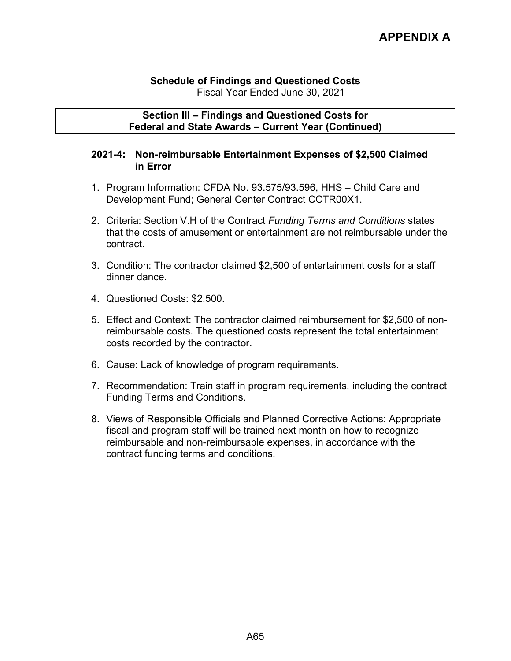# **Schedule of Findings and Questioned Costs**

Fiscal Year Ended June 30, 2021

**Section III – Findings and Questioned Costs for Federal and State Awards – Current Year (Continued)**

#### **2021-4: Non-reimbursable Entertainment Expenses of \$2,500 Claimed in Error**

- 1. Program Information: CFDA No. 93.575/93.596, HHS Child Care and Development Fund; General Center Contract CCTR00X1.
- 2. Criteria: Section V.H of the Contract *Funding Terms and Conditions* states that the costs of amusement or entertainment are not reimbursable under the contract.
- 3. Condition: The contractor claimed \$2,500 of entertainment costs for a staff dinner dance.
- 4. Questioned Costs: \$2,500.
- 5. Effect and Context: The contractor claimed reimbursement for \$2,500 of nonreimbursable costs. The questioned costs represent the total entertainment costs recorded by the contractor.
- 6. Cause: Lack of knowledge of program requirements.
- 7. Recommendation: Train staff in program requirements, including the contract Funding Terms and Conditions.
- 8. Views of Responsible Officials and Planned Corrective Actions: Appropriate fiscal and program staff will be trained next month on how to recognize reimbursable and non-reimbursable expenses, in accordance with the contract funding terms and conditions.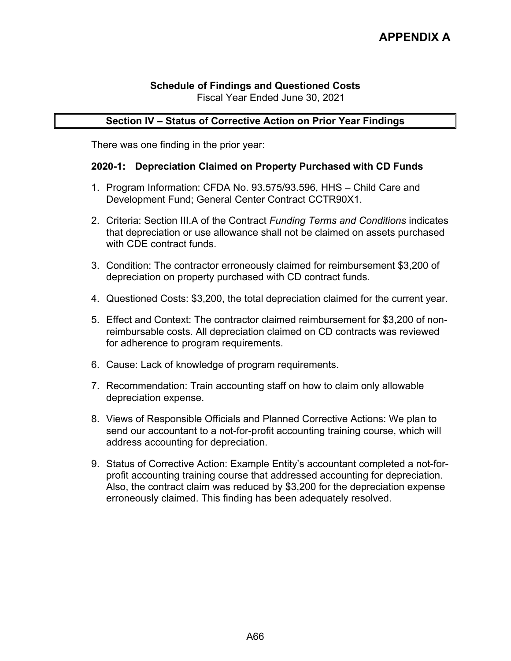# **Schedule of Findings and Questioned Costs**

Fiscal Year Ended June 30, 2021

### **Section IV – Status of Corrective Action on Prior Year Findings**

There was one finding in the prior year:

#### **2020-1: Depreciation Claimed on Property Purchased with CD Funds**

- 1. Program Information: CFDA No. 93.575/93.596, HHS Child Care and Development Fund; General Center Contract CCTR90X1.
- 2. Criteria: Section III.A of the Contract *Funding Terms and Conditions* indicates that depreciation or use allowance shall not be claimed on assets purchased with CDE contract funds.
- 3. Condition: The contractor erroneously claimed for reimbursement \$3,200 of depreciation on property purchased with CD contract funds.
- 4. Questioned Costs: \$3,200, the total depreciation claimed for the current year.
- 5. Effect and Context: The contractor claimed reimbursement for \$3,200 of nonreimbursable costs. All depreciation claimed on CD contracts was reviewed for adherence to program requirements.
- 6. Cause: Lack of knowledge of program requirements.
- 7. Recommendation: Train accounting staff on how to claim only allowable depreciation expense.
- 8. Views of Responsible Officials and Planned Corrective Actions: We plan to send our accountant to a not-for-profit accounting training course, which will address accounting for depreciation.
- 9. Status of Corrective Action: Example Entity's accountant completed a not-forprofit accounting training course that addressed accounting for depreciation. Also, the contract claim was reduced by \$3,200 for the depreciation expense erroneously claimed. This finding has been adequately resolved.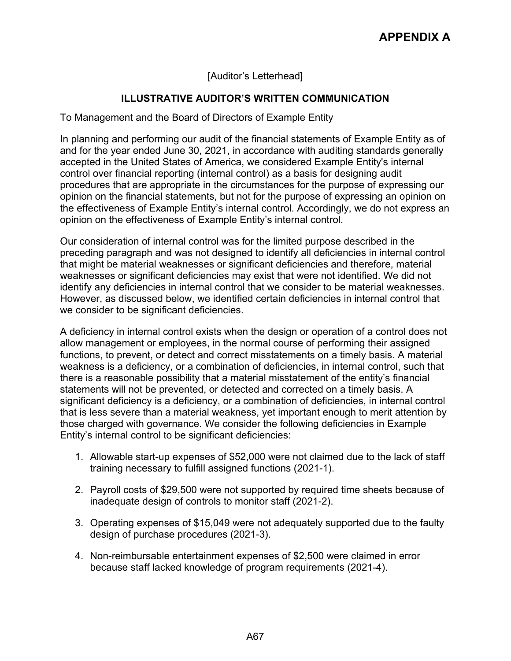### [Auditor's Letterhead]

### **ILLUSTRATIVE AUDITOR'S WRITTEN COMMUNICATION**

To Management and the Board of Directors of Example Entity

In planning and performing our audit of the financial statements of Example Entity as of and for the year ended June 30, 2021, in accordance with auditing standards generally accepted in the United States of America, we considered Example Entity's internal control over financial reporting (internal control) as a basis for designing audit procedures that are appropriate in the circumstances for the purpose of expressing our opinion on the financial statements, but not for the purpose of expressing an opinion on the effectiveness of Example Entity's internal control. Accordingly, we do not express an opinion on the effectiveness of Example Entity's internal control.

Our consideration of internal control was for the limited purpose described in the preceding paragraph and was not designed to identify all deficiencies in internal control that might be material weaknesses or significant deficiencies and therefore, material weaknesses or significant deficiencies may exist that were not identified. We did not identify any deficiencies in internal control that we consider to be material weaknesses. However, as discussed below, we identified certain deficiencies in internal control that we consider to be significant deficiencies.

A deficiency in internal control exists when the design or operation of a control does not allow management or employees, in the normal course of performing their assigned functions, to prevent, or detect and correct misstatements on a timely basis. A material weakness is a deficiency, or a combination of deficiencies, in internal control, such that there is a reasonable possibility that a material misstatement of the entity's financial statements will not be prevented, or detected and corrected on a timely basis. A significant deficiency is a deficiency, or a combination of deficiencies, in internal control that is less severe than a material weakness, yet important enough to merit attention by those charged with governance. We consider the following deficiencies in Example Entity's internal control to be significant deficiencies:

- 1. Allowable start-up expenses of \$52,000 were not claimed due to the lack of staff training necessary to fulfill assigned functions (2021-1).
- 2. Payroll costs of \$29,500 were not supported by required time sheets because of inadequate design of controls to monitor staff (2021-2).
- 3. Operating expenses of \$15,049 were not adequately supported due to the faulty design of purchase procedures (2021-3).
- 4. Non-reimbursable entertainment expenses of \$2,500 were claimed in error because staff lacked knowledge of program requirements (2021-4).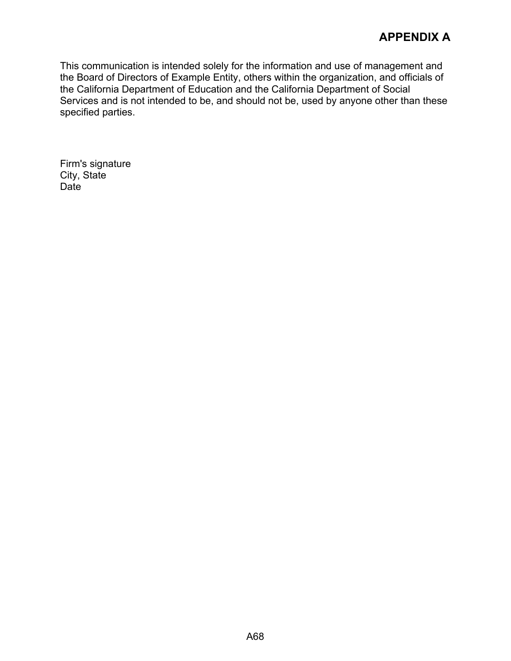This communication is intended solely for the information and use of management and the Board of Directors of Example Entity, others within the organization, and officials of the California Department of Education and the California Department of Social Services and is not intended to be, and should not be, used by anyone other than these specified parties.

Firm's signature City, State Date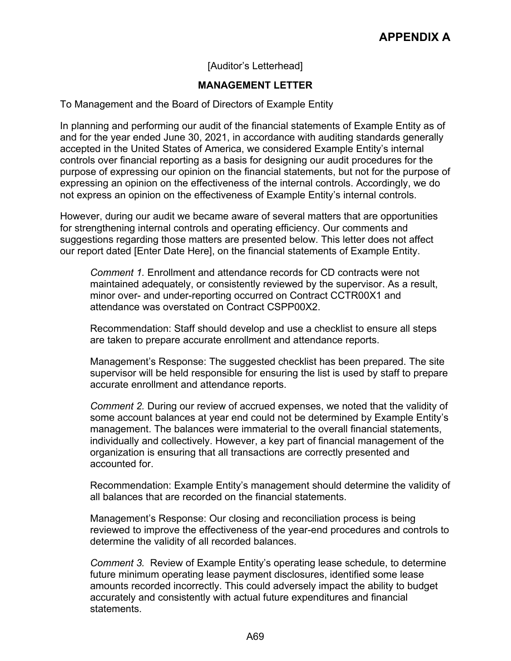### [Auditor's Letterhead]

### **MANAGEMENT LETTER**

To Management and the Board of Directors of Example Entity

In planning and performing our audit of the financial statements of Example Entity as of and for the year ended June 30, 2021, in accordance with auditing standards generally accepted in the United States of America, we considered Example Entity's internal controls over financial reporting as a basis for designing our audit procedures for the purpose of expressing our opinion on the financial statements, but not for the purpose of expressing an opinion on the effectiveness of the internal controls. Accordingly, we do not express an opinion on the effectiveness of Example Entity's internal controls.

However, during our audit we became aware of several matters that are opportunities for strengthening internal controls and operating efficiency. Our comments and suggestions regarding those matters are presented below. This letter does not affect our report dated [Enter Date Here], on the financial statements of Example Entity.

*Comment 1.* Enrollment and attendance records for CD contracts were not maintained adequately, or consistently reviewed by the supervisor. As a result, minor over- and under-reporting occurred on Contract CCTR00X1 and attendance was overstated on Contract CSPP00X2.

Recommendation: Staff should develop and use a checklist to ensure all steps are taken to prepare accurate enrollment and attendance reports.

Management's Response: The suggested checklist has been prepared. The site supervisor will be held responsible for ensuring the list is used by staff to prepare accurate enrollment and attendance reports.

*Comment 2.* During our review of accrued expenses, we noted that the validity of some account balances at year end could not be determined by Example Entity's management. The balances were immaterial to the overall financial statements, individually and collectively. However, a key part of financial management of the organization is ensuring that all transactions are correctly presented and accounted for.

Recommendation: Example Entity's management should determine the validity of all balances that are recorded on the financial statements.

Management's Response: Our closing and reconciliation process is being reviewed to improve the effectiveness of the year-end procedures and controls to determine the validity of all recorded balances.

*Comment 3.* Review of Example Entity's operating lease schedule, to determine future minimum operating lease payment disclosures, identified some lease amounts recorded incorrectly. This could adversely impact the ability to budget accurately and consistently with actual future expenditures and financial statements.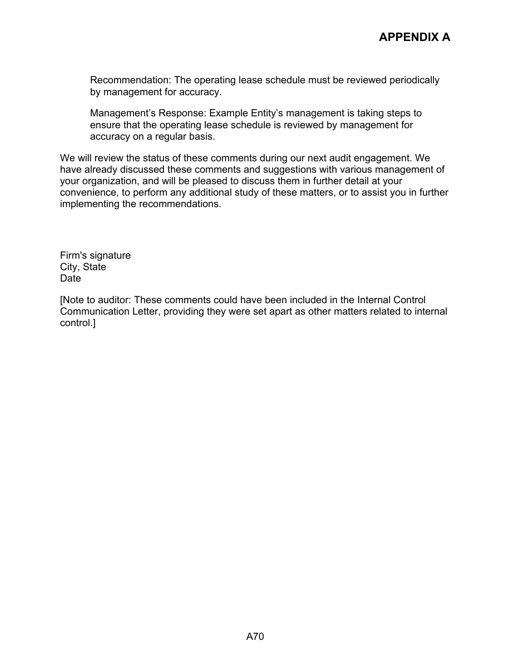Recommendation: The operating lease schedule must be reviewed periodically by management for accuracy.

Management's Response: Example Entity's management is taking steps to ensure that the operating lease schedule is reviewed by management for accuracy on a regular basis.

We will review the status of these comments during our next audit engagement. We have already discussed these comments and suggestions with various management of your organization, and will be pleased to discuss them in further detail at your convenience, to perform any additional study of these matters, or to assist you in further implementing the recommendations.

Firm's signature City, State **Date** 

[Note to auditor: These comments could have been included in the Internal Control Communication Letter, providing they were set apart as other matters related to internal control.]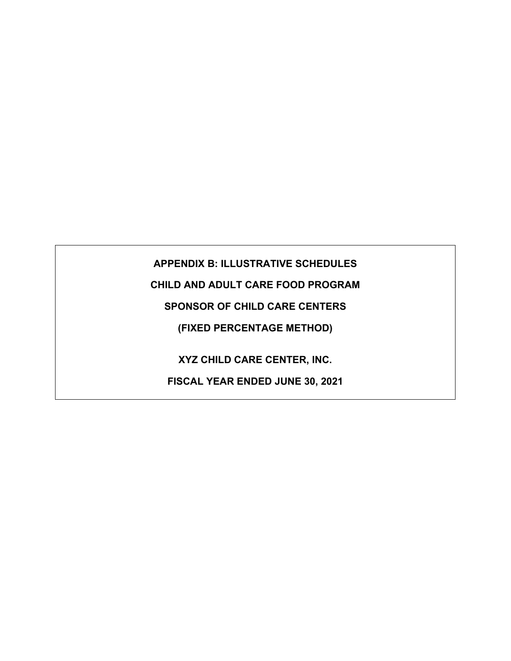## **APPENDIX B: ILLUSTRATIVE SCHEDULES**

**CHILD AND ADULT CARE FOOD PROGRAM**

**SPONSOR OF CHILD CARE CENTERS**

**(FIXED PERCENTAGE METHOD)**

**XYZ CHILD CARE CENTER, INC.**

**FISCAL YEAR ENDED JUNE 30, 2021**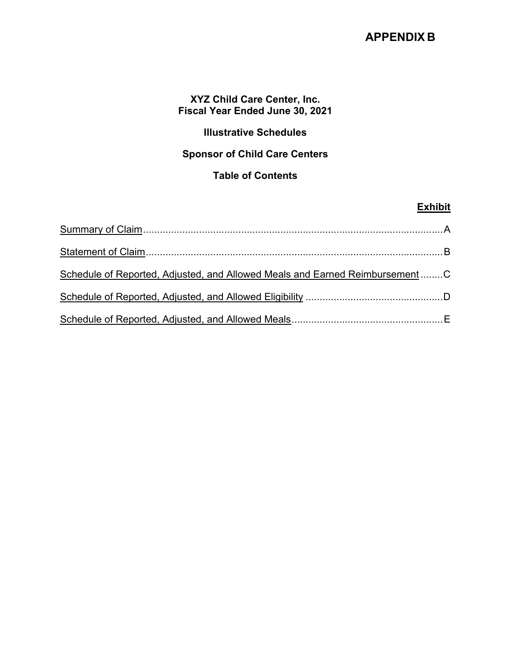### **XYZ Child Care Center, Inc. Fiscal Year Ended June 30, 2021**

## **Illustrative Schedules**

# **Sponsor of Child Care Centers**

## **Table of Contents**

### **Exhibit**

| Schedule of Reported, Adjusted, and Allowed Meals and Earned ReimbursementC |  |
|-----------------------------------------------------------------------------|--|
|                                                                             |  |
|                                                                             |  |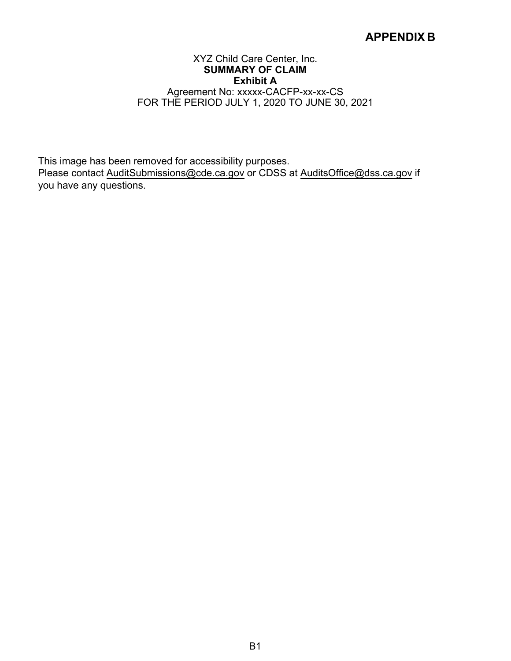#### <span id="page-187-0"></span>XYZ Child Care Center, Inc. **SUMMARY OF CLAIM Exhibit A**  Agreement No: xxxxx-CACFP-xx-xx-CS FOR THE PERIOD JULY 1, 2020 TO JUNE 30, 2021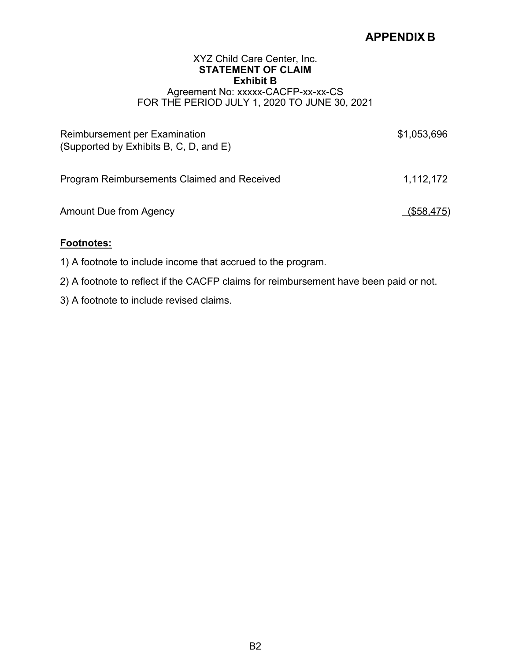#### XYZ Child Care Center, Inc. **STATEMENT OF CLAIM Exhibit B**

Agreement No: xxxxx-CACFP-xx-xx-CS FOR THE PERIOD JULY 1, 2020 TO JUNE 30, 2021

<span id="page-188-0"></span>Reimbursement per Examination **\$1,053,696** (Supported by Exhibits B, C, D, and E)

| Program Reimbursements Claimed and Received | 1,112,172 |
|---------------------------------------------|-----------|
|---------------------------------------------|-----------|

Amount Due from Agency and the state of the state of the state of the state  $(1, 58, 475)$ 

### **Footnotes:**

1) A footnote to include income that accrued to the program.

2) A footnote to reflect if the CACFP claims for reimbursement have been paid or not.

3) A footnote to include revised claims.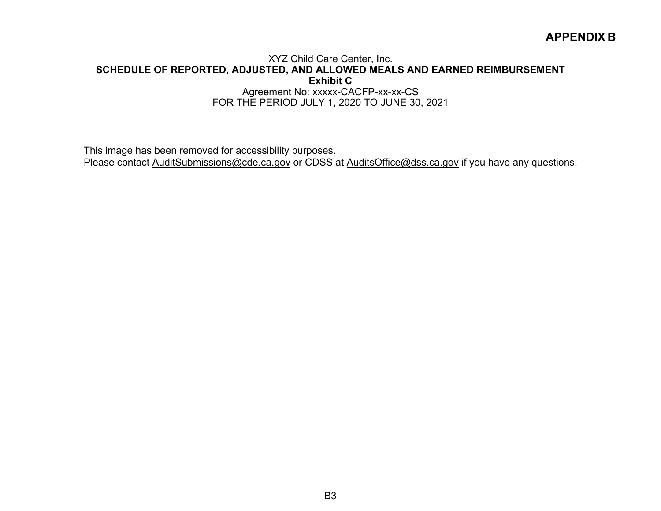#### <span id="page-189-0"></span>XYZ Child Care Center, Inc. **SCHEDULE OF REPORTED, ADJUSTED, AND ALLOWED MEALS AND EARNED REIMBURSEMENT Exhibit C** Agreement No: xxxxx-CACFP-xx-xx-CS FOR THE PERIOD JULY 1, 2020 TO JUNE 30, 2021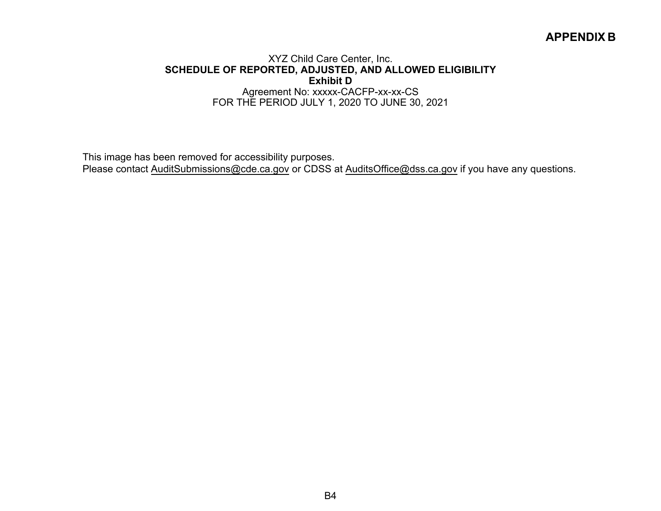#### <span id="page-190-0"></span>XYZ Child Care Center, Inc. **SCHEDULE OF REPORTED, ADJUSTED, AND ALLOWED ELIGIBILITY Exhibit D**  Agreement No: xxxxx-CACFP-xx-xx-CS FOR THE PERIOD JULY 1, 2020 TO JUNE 30, 2021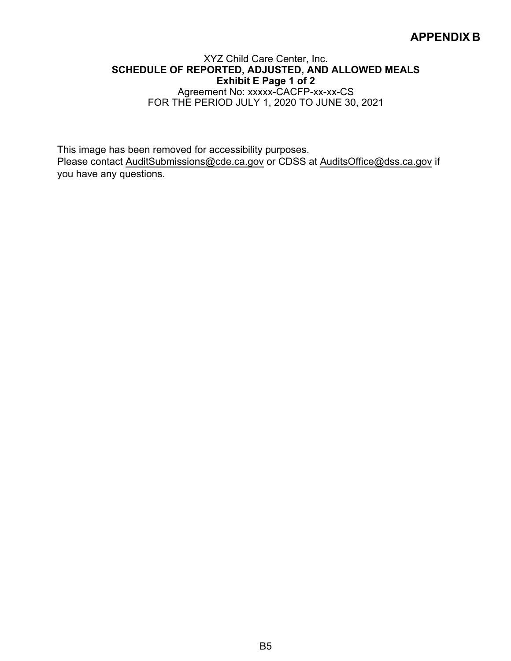#### <span id="page-191-0"></span>XYZ Child Care Center, Inc. **SCHEDULE OF REPORTED, ADJUSTED, AND ALLOWED MEALS Exhibit E Page 1 of 2** Agreement No: xxxxx-CACFP-xx-xx-CS FOR THE PERIOD JULY 1, 2020 TO JUNE 30, 2021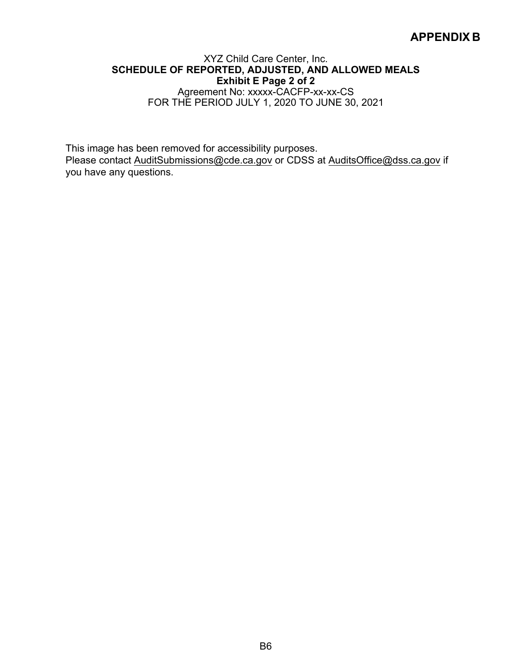#### XYZ Child Care Center, Inc. **SCHEDULE OF REPORTED, ADJUSTED, AND ALLOWED MEALS Exhibit E Page 2 of 2** Agreement No: xxxxx-CACFP-xx-xx-CS FOR THE PERIOD JULY 1, 2020 TO JUNE 30, 2021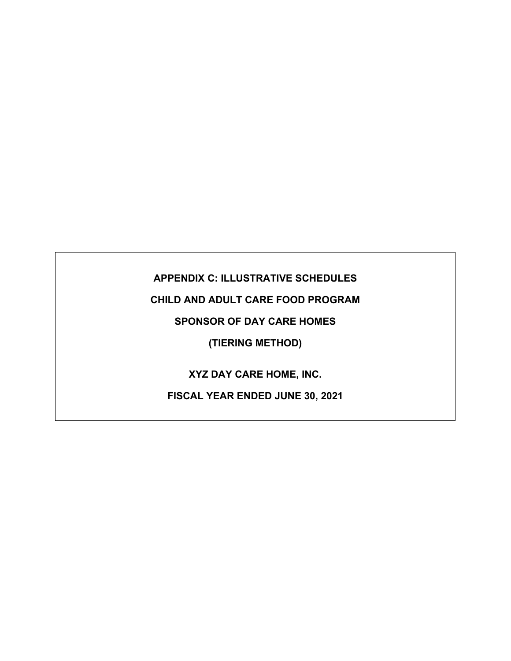# **APPENDIX C: ILLUSTRATIVE SCHEDULES**

# **CHILD AND ADULT CARE FOOD PROGRAM**

## **SPONSOR OF DAY CARE HOMES**

**(TIERING METHOD)**

**XYZ DAY CARE HOME, INC.**

**FISCAL YEAR ENDED JUNE 30, 2021**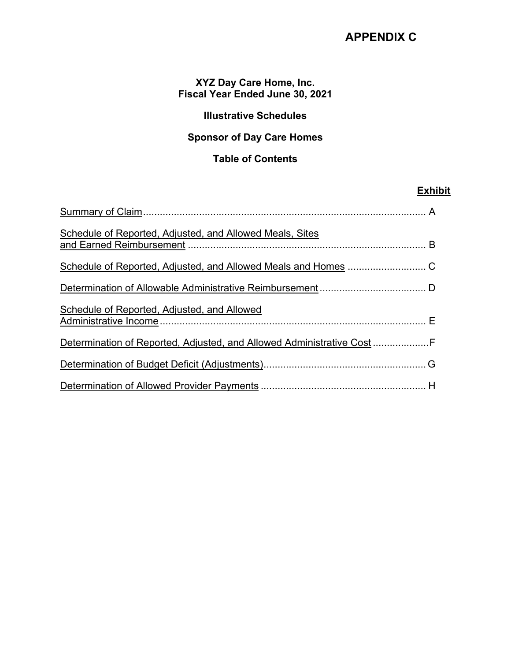# **APPENDIX C**

### **XYZ Day Care Home, Inc. Fiscal Year Ended June 30, 2021**

### **Illustrative Schedules**

### **Sponsor of Day Care Homes**

# **Table of Contents**

### **Exhibit**

| Schedule of Reported, Adjusted, and Allowed Meals, Sites             |  |
|----------------------------------------------------------------------|--|
|                                                                      |  |
|                                                                      |  |
| Schedule of Reported, Adjusted, and Allowed                          |  |
| Determination of Reported, Adjusted, and Allowed Administrative Cost |  |
|                                                                      |  |
|                                                                      |  |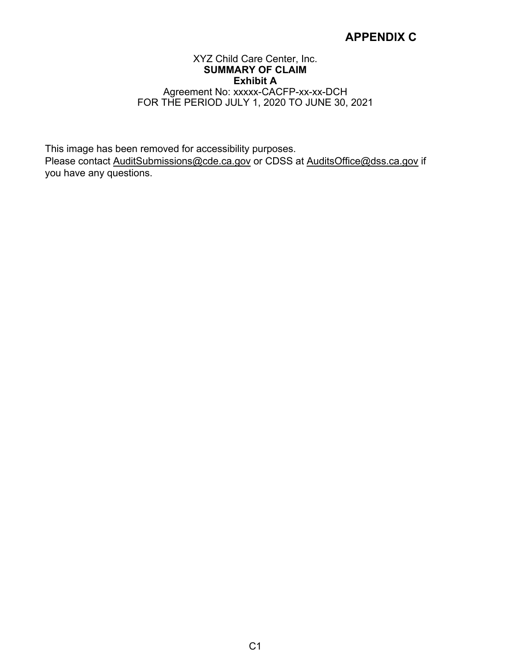# **APPENDIX C**

#### <span id="page-195-0"></span>XYZ Child Care Center, Inc. **SUMMARY OF CLAIM Exhibit A**  Agreement No: xxxxx-CACFP-xx-xx-DCH FOR THE PERIOD JULY 1, 2020 TO JUNE 30, 2021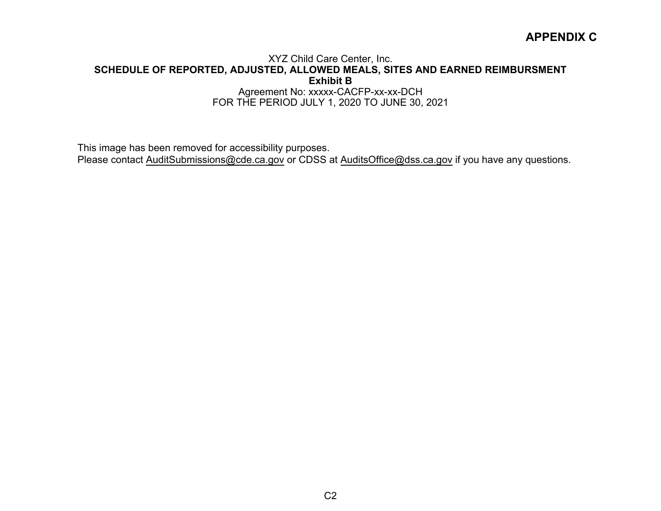#### <span id="page-196-0"></span>XYZ Child Care Center, Inc. **SCHEDULE OF REPORTED, ADJUSTED, ALLOWED MEALS, SITES AND EARNED REIMBURSMENT Exhibit B**  Agreement No: xxxxx-CACFP-xx-xx-DCH FOR THE PERIOD JULY 1, 2020 TO JUNE 30, 2021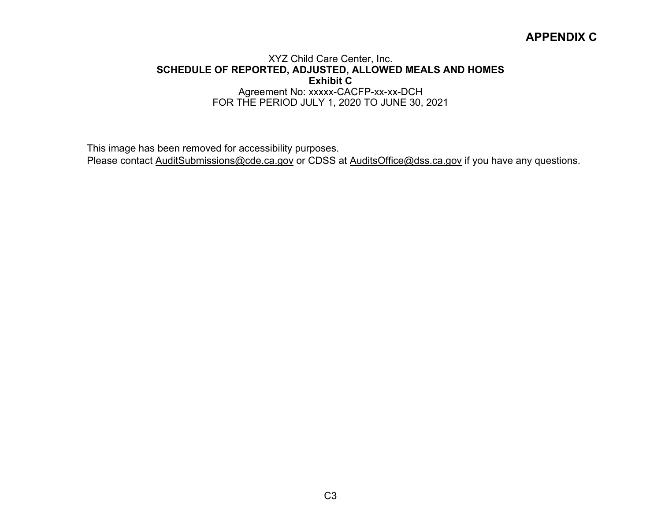# **APPENDIX C**

#### <span id="page-197-0"></span>XYZ Child Care Center, Inc. **SCHEDULE OF REPORTED, ADJUSTED, ALLOWED MEALS AND HOMES Exhibit C**  Agreement No: xxxxx-CACFP-xx-xx-DCH FOR THE PERIOD JULY 1, 2020 TO JUNE 30, 2021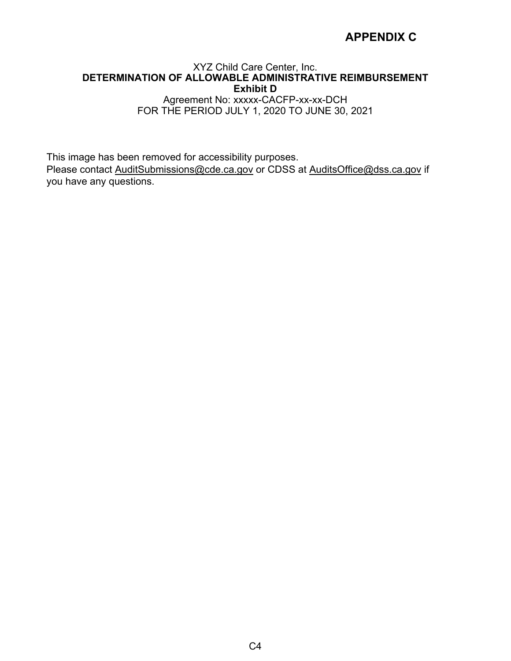# **APPENDIX C**

#### <span id="page-198-0"></span>XYZ Child Care Center, Inc. **DETERMINATION OF ALLOWABLE ADMINISTRATIVE REIMBURSEMENT Exhibit D**  Agreement No: xxxxx-CACFP-xx-xx-DCH FOR THE PERIOD JULY 1, 2020 TO JUNE 30, 2021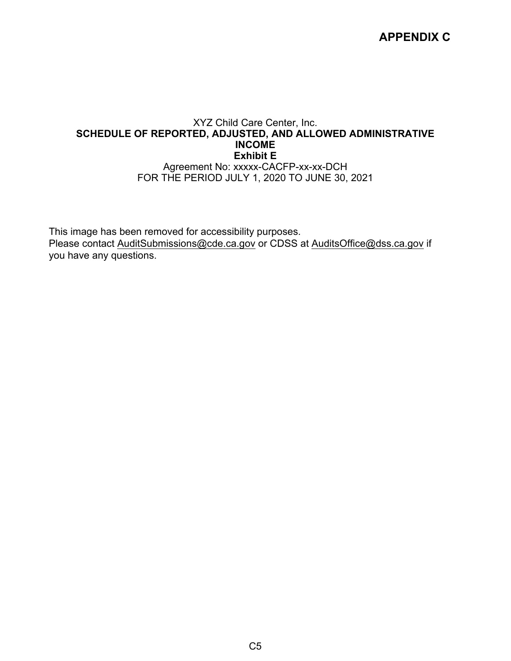#### <span id="page-199-0"></span>XYZ Child Care Center, Inc. **SCHEDULE OF REPORTED, ADJUSTED, AND ALLOWED ADMINISTRATIVE INCOME Exhibit E**  Agreement No: xxxxx-CACFP-xx-xx-DCH FOR THE PERIOD JULY 1, 2020 TO JUNE 30, 2021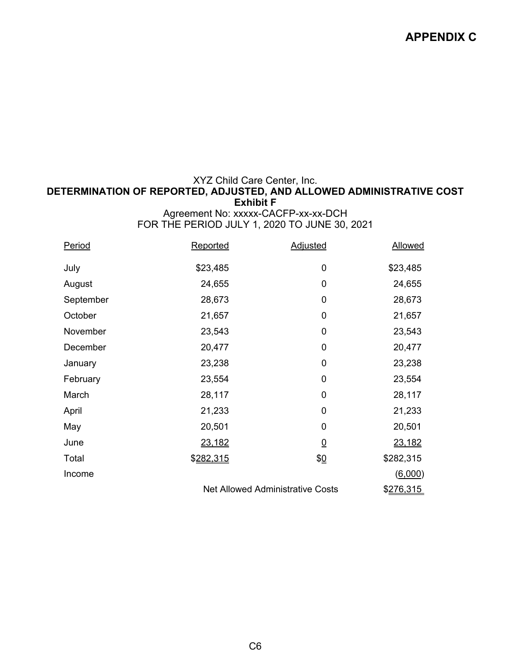# <span id="page-200-0"></span>**APPENDIX C**

#### XYZ Child Care Center, Inc. **DETERMINATION OF REPORTED, ADJUSTED, AND ALLOWED ADMINISTRATIVE COST Exhibit F**  Agreement No: xxxxx-CACFP-xx-xx-DCH FOR THE PERIOD JULY 1, 2020 TO JUNE 30, 2021

Period Reported Adjusted Advised Allowed July \$23,485 0 \$23,485 August 24,655 0 24,655 September 28,673 0 28,673 October 21,657 0 21,657 November 23,543 0 23,543 December 20,477 0 20,477 January 23,238 0 23,238 February 23,554 0 23,554 March 28,117 0 28,117 April 21,233 0 21,233 May 20,501 0 20,501 June 23,182 0 23,182 Total  $$282,315$   $$0$   $$282,315$  $1$ ncome  $\left(6,000\right)$ Net Allowed Administrative Costs \$276,315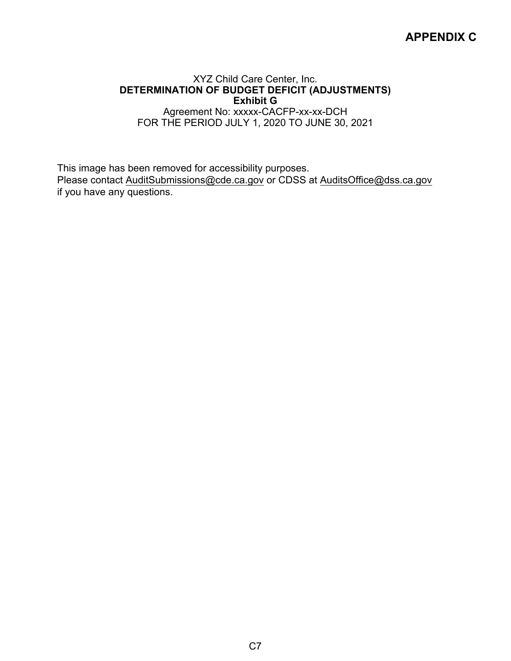#### <span id="page-201-0"></span>XYZ Child Care Center, Inc. **DETERMINATION OF BUDGET DEFICIT (ADJUSTMENTS) Exhibit G**  Agreement No: xxxxx-CACFP-xx-xx-DCH FOR THE PERIOD JULY 1, 2020 TO JUNE 30, 2021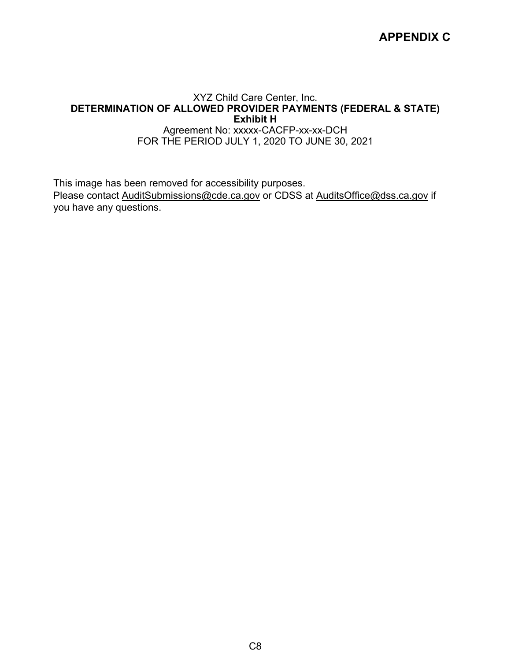#### <span id="page-202-0"></span>XYZ Child Care Center, Inc. **DETERMINATION OF ALLOWED PROVIDER PAYMENTS (FEDERAL & STATE) Exhibit H**  Agreement No: xxxxx-CACFP-xx-xx-DCH FOR THE PERIOD JULY 1, 2020 TO JUNE 30, 2021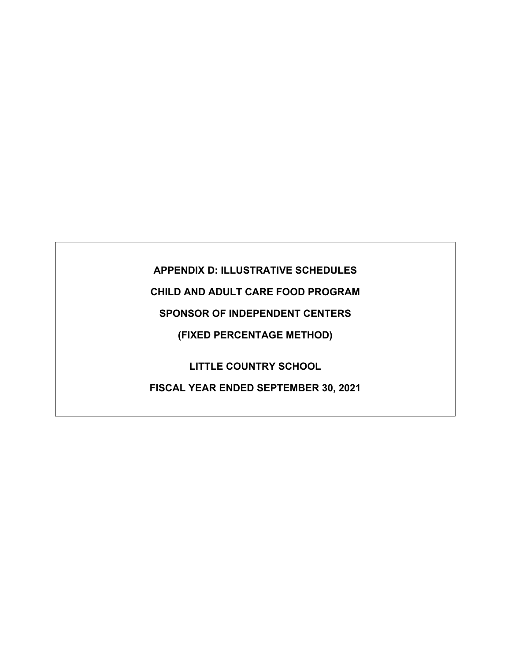## **APPENDIX D: ILLUSTRATIVE SCHEDULES**

**CHILD AND ADULT CARE FOOD PROGRAM**

**SPONSOR OF INDEPENDENT CENTERS**

**(FIXED PERCENTAGE METHOD)**

**LITTLE COUNTRY SCHOOL**

**FISCAL YEAR ENDED SEPTEMBER 30, 2021**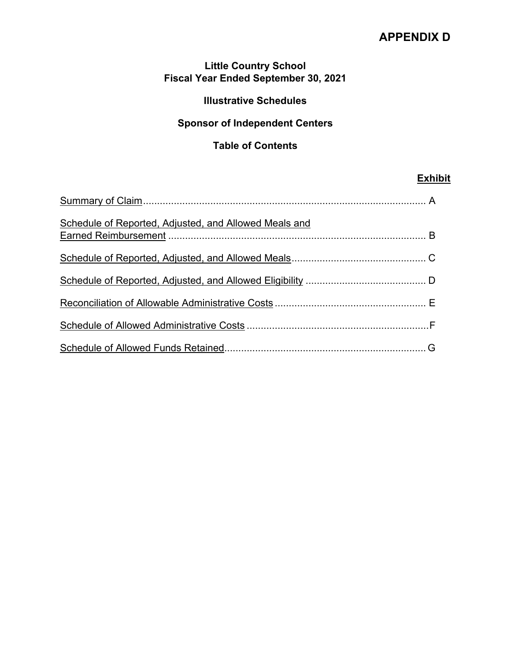## **Little Country School Fiscal Year Ended September 30, 2021**

## **Illustrative Schedules**

## **Sponsor of Independent Centers**

### **Table of Contents**

### **Exhibit**

| Schedule of Reported, Adjusted, and Allowed Meals and |  |
|-------------------------------------------------------|--|
|                                                       |  |
|                                                       |  |
|                                                       |  |
|                                                       |  |
|                                                       |  |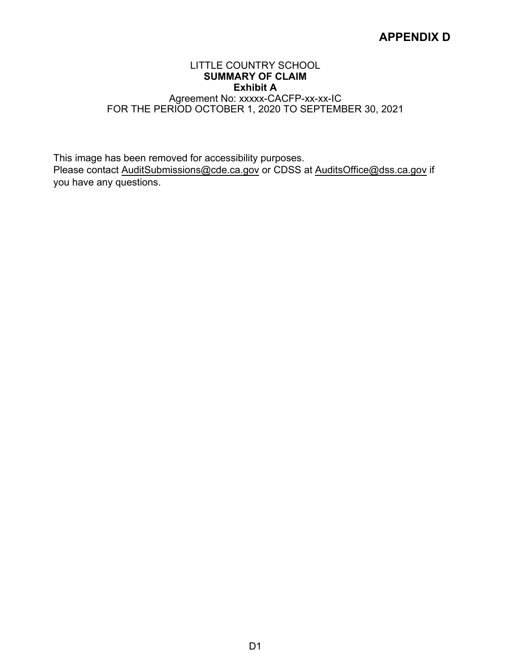### LITTLE COUNTRY SCHOOL **SUMMARY OF CLAIM Exhibit A**

#### <span id="page-205-0"></span>Agreement No: xxxxx-CACFP-xx-xx-IC FOR THE PERIOD OCTOBER 1, 2020 TO SEPTEMBER 30, 2021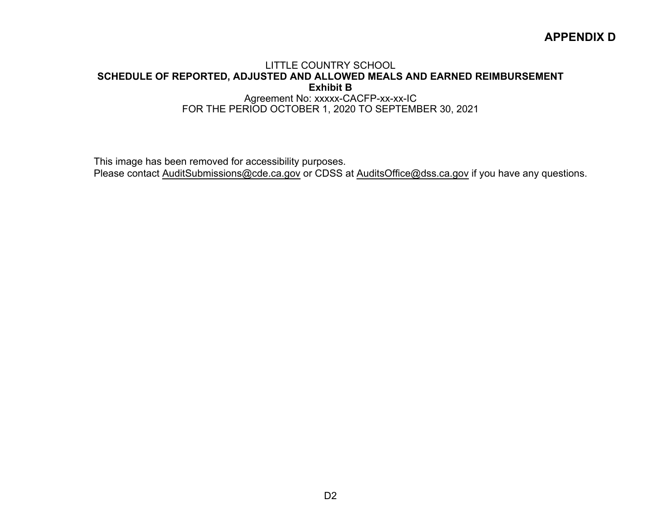#### LITTLE COUNTRY SCHOOL **SCHEDULE OF REPORTED, ADJUSTED AND ALLOWED MEALS AND EARNED REIMBURSEMENT Exhibit B**  Agreement No: xxxxx-CACFP-xx-xx-IC FOR THE PERIOD OCTOBER 1, 2020 TO SEPTEMBER 30, 2021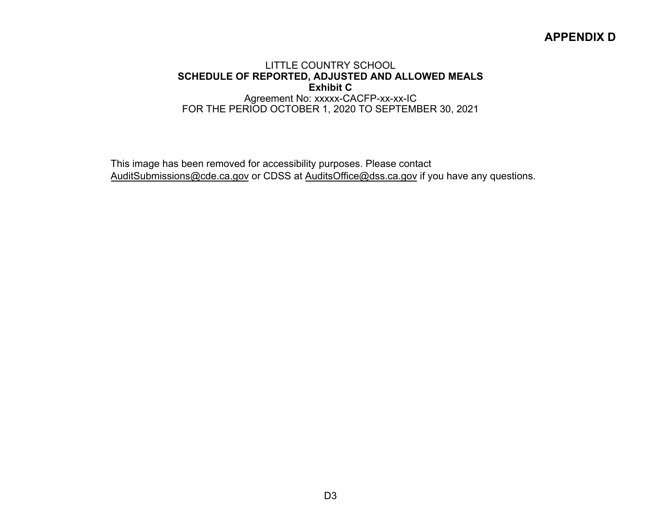#### <span id="page-207-0"></span>LITTLE COUNTRY SCHOOL **SCHEDULE OF REPORTED, ADJUSTED AND ALLOWED MEALS Exhibit C**  Agreement No: xxxxx-CACFP-xx-xx-IC FOR THE PERIOD OCTOBER 1, 2020 TO SEPTEMBER 30, 2021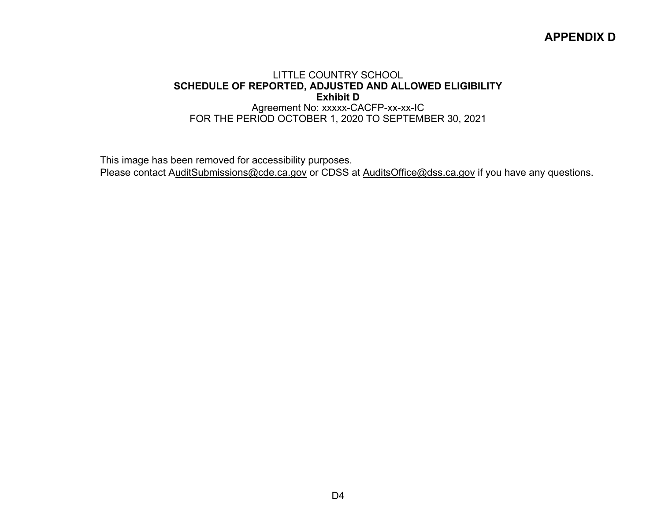### <span id="page-208-0"></span>LITTLE COUNTRY SCHOOL **SCHEDULE OF REPORTED, ADJUSTED AND ALLOWED ELIGIBILITY Exhibit D**  Agreement No: xxxxx-CACFP-xx-xx-IC FOR THE PERIOD OCTOBER 1, 2020 TO SEPTEMBER 30, 2021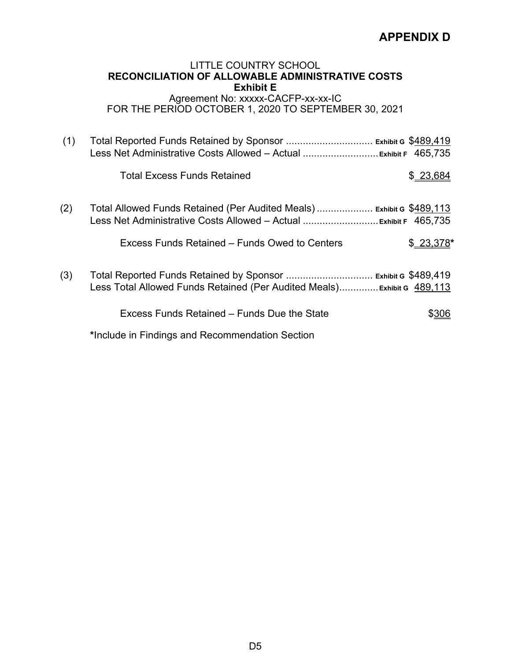#### <span id="page-209-0"></span>LITTLE COUNTRY SCHOOL **RECONCILIATION OF ALLOWABLE ADMINISTRATIVE COSTS Exhibit E**

#### Agreement No: xxxxx-CACFP-xx-xx-IC FOR THE PERIOD OCTOBER 1, 2020 TO SEPTEMBER 30, 2021

| (1) |                                                                         |           |
|-----|-------------------------------------------------------------------------|-----------|
|     | <b>Total Excess Funds Retained</b>                                      | \$23,684  |
| (2) | Total Allowed Funds Retained (Per Audited Meals)  Exhibit G \$489,113   |           |
|     | Excess Funds Retained – Funds Owed to Centers                           | \$23,378" |
| (3) | Less Total Allowed Funds Retained (Per Audited Meals) Exhibit G 489,113 |           |
|     | Excess Funds Retained – Funds Due the State                             |           |
|     | *Include in Findings and Recommendation Section                         |           |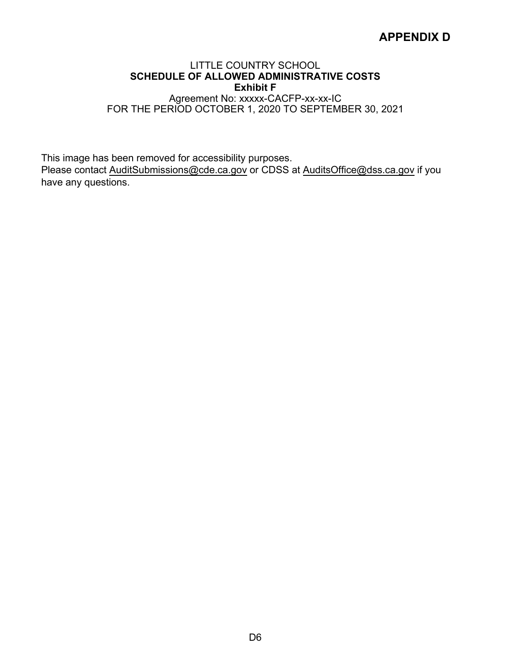### LITTLE COUNTRY SCHOOL **SCHEDULE OF ALLOWED ADMINISTRATIVE COSTS Exhibit F**

<span id="page-210-0"></span>Agreement No: xxxxx-CACFP-xx-xx-IC FOR THE PERIOD OCTOBER 1, 2020 TO SEPTEMBER 30, 2021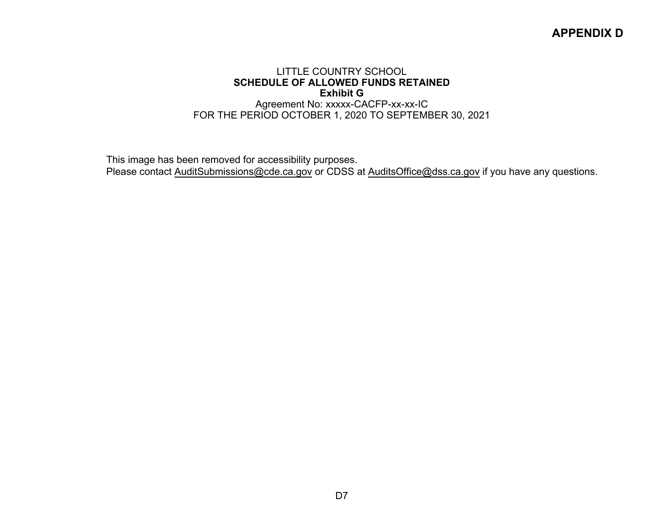#### <span id="page-211-0"></span>LITTLE COUNTRY SCHOOL **SCHEDULE OF ALLOWED FUNDS RETAINED Exhibit G**  Agreement No: xxxxx-CACFP-xx-xx-IC FOR THE PERIOD OCTOBER 1, 2020 TO SEPTEMBER 30, 2021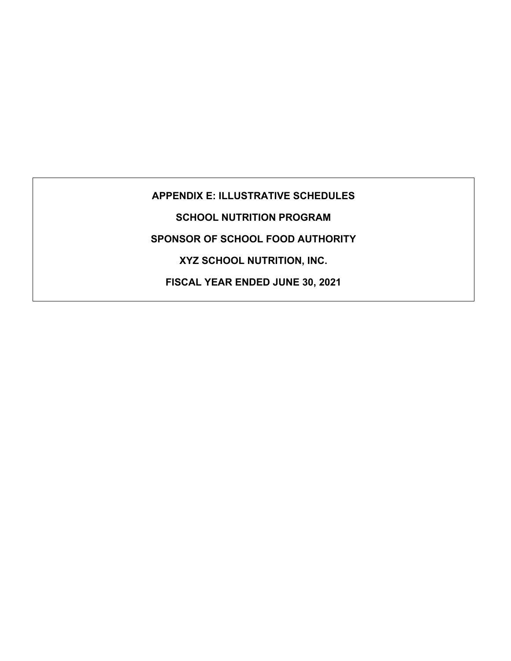**APPENDIX E: ILLUSTRATIVE SCHEDULES SCHOOL NUTRITION PROGRAM SPONSOR OF SCHOOL FOOD AUTHORITY XYZ SCHOOL NUTRITION, INC. FISCAL YEAR ENDED JUNE 30, 2021**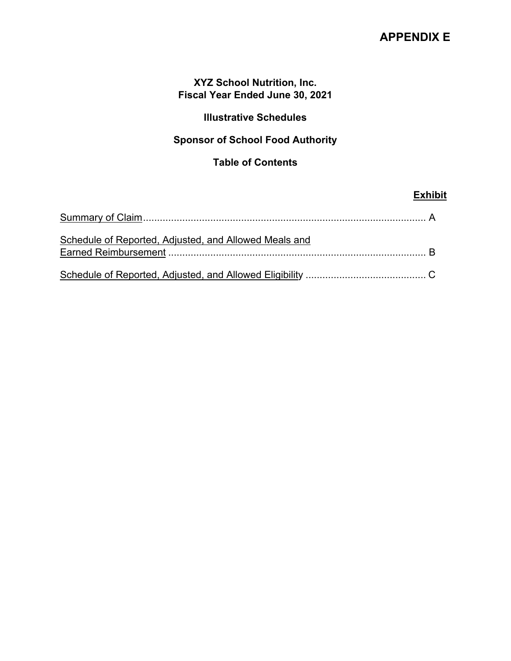## **XYZ School Nutrition, Inc. Fiscal Year Ended June 30, 2021**

# **Illustrative Schedules**

# **Sponsor of School Food Authority**

### **Table of Contents**

## **Exhibit**

| Schedule of Reported, Adjusted, and Allowed Meals and |  |
|-------------------------------------------------------|--|
|                                                       |  |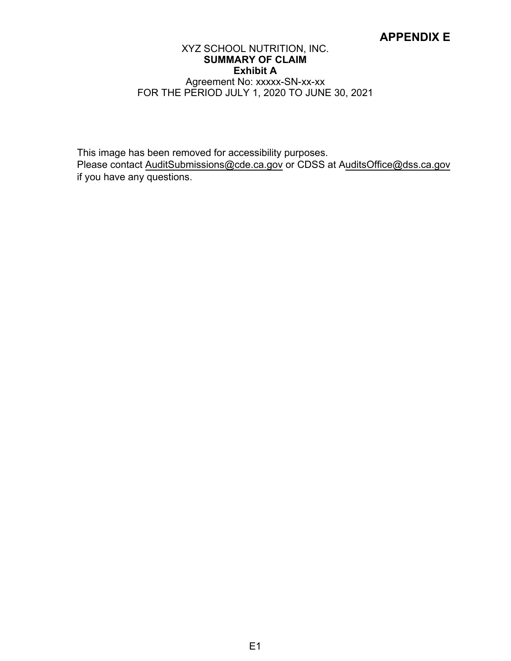# **APPENDIX E**

#### <span id="page-214-0"></span>XYZ SCHOOL NUTRITION, INC. **SUMMARY OF CLAIM Exhibit A**  Agreement No: xxxxx-SN-xx-xx FOR THE PERIOD JULY 1, 2020 TO JUNE 30, 2021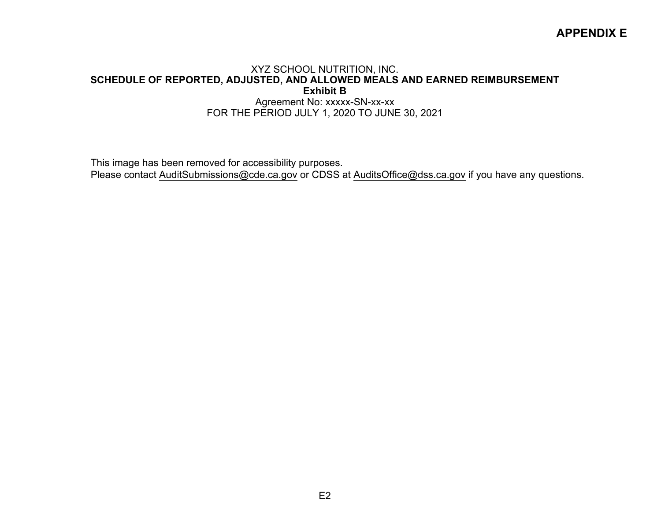#### <span id="page-215-0"></span>XYZ SCHOOL NUTRITION, INC. **SCHEDULE OF REPORTED, ADJUSTED, AND ALLOWED MEALS AND EARNED REIMBURSEMENT Exhibit B**  Agreement No: xxxxx-SN-xx-xx FOR THE PERIOD JULY 1, 2020 TO JUNE 30, 2021